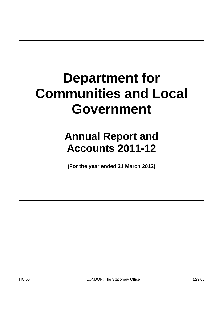# **Department for Communities and Local Government**

# **Annual Report and Accounts 2011-12**

**(For the year ended 31 March 2012)**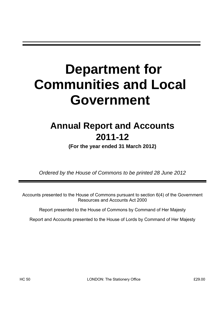# **Department for Communities and Local Government**

# **Annual Report and Accounts 2011-12**

**(For the year ended 31 March 2012)** 

*Ordered by the House of Commons to be printed 28 June 2012* 

Accounts presented to the House of Commons pursuant to section 6(4) of the Government Resources and Accounts Act 2000

Report presented to the House of Commons by Command of Her Majesty

Report and Accounts presented to the House of Lords by Command of Her Majesty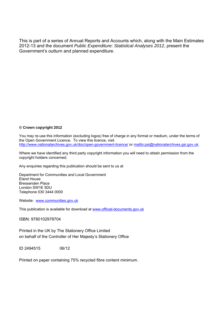This is part of a series of Annual Reports and Accounts which, along with the Main Estimates 2012-13 and the document *Public Expenditure: Statistical Analyses 2012*, present the Government's outturn and planned expenditure.

#### **© Crown copyright 2012**

You may re-use this information (excluding logos) free of charge in any format or medium, under the terms of the Open Government Licence. To view this licence, visit <http://www.nationalarchives.gov.uk/doc/open-government-licence/> or <mailto:psi@nationalarchives.gsi.gov.uk>.

Where we have identified any third party copyright information you will need to obtain permission from the copyright holders concerned.

Any enquiries regarding this publication should be sent to us at

Department for Communities and Local Government Eland House Bressenden Place London SW1E 5DU Telephone 030 3444 0000

Website: [www.communities.gov.uk](http://www.communities.gov.uk/)

This publication is available for download at <www.official-documents.gov.uk>

ISBN: 9780102978704

Printed in the UK by The Stationery Office Limited on behalf of the Controller of Her Majesty's Stationery Office

ID 2494515 06/12

Printed on paper containing 75% recycled fibre content minimum.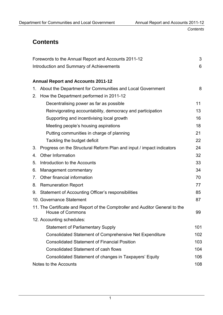*Contents* 

# **Contents**

|                                          | Forewords to the Annual Report and Accounts 2011-12                                                     | 3   |  |
|------------------------------------------|---------------------------------------------------------------------------------------------------------|-----|--|
| Introduction and Summary of Achievements |                                                                                                         |     |  |
|                                          |                                                                                                         |     |  |
|                                          | <b>Annual Report and Accounts 2011-12</b>                                                               |     |  |
| 1.                                       | About the Department for Communities and Local Government                                               | 8   |  |
| 2.                                       | How the Department performed in 2011-12                                                                 |     |  |
|                                          | Decentralising power as far as possible                                                                 | 11  |  |
|                                          | Reinvigorating accountability, democracy and participation                                              | 13  |  |
|                                          | Supporting and incentivising local growth                                                               | 16  |  |
|                                          | Meeting people's housing aspirations                                                                    | 18  |  |
|                                          | Putting communities in charge of planning                                                               | 21  |  |
|                                          | Tackling the budget deficit                                                                             | 22  |  |
| 3.                                       | Progress on the Structural Reform Plan and input / impact indicators                                    | 24  |  |
| 4.                                       | <b>Other Information</b>                                                                                | 32  |  |
| 5.                                       | Introduction to the Accounts                                                                            | 33  |  |
| 6.                                       | Management commentary                                                                                   | 34  |  |
| 7.                                       | Other financial information                                                                             | 70  |  |
| 8.                                       | <b>Remuneration Report</b>                                                                              | 77  |  |
| 9.                                       | Statement of Accounting Officer's responsibilities                                                      | 85  |  |
|                                          | 10. Governance Statement                                                                                | 87  |  |
|                                          | 11. The Certificate and Report of the Comptroller and Auditor General to the<br><b>House of Commons</b> | 99  |  |
|                                          | 12. Accounting schedules:                                                                               |     |  |
|                                          | <b>Statement of Parliamentary Supply</b>                                                                | 101 |  |
|                                          | <b>Consolidated Statement of Comprehensive Net Expenditure</b>                                          | 102 |  |
|                                          | <b>Consolidated Statement of Financial Position</b>                                                     | 103 |  |
|                                          | <b>Consolidated Statement of cash flows</b><br>104                                                      |     |  |
|                                          | Consolidated Statement of changes in Taxpayers' Equity                                                  | 106 |  |
|                                          | Notes to the Accounts                                                                                   | 108 |  |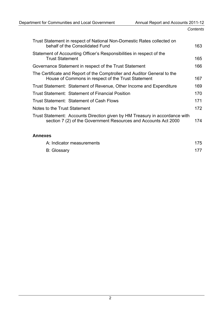| Trust Statement in respect of National Non-Domestic Rates collected on<br>behalf of the Consolidated Fund                                      | 163  |
|------------------------------------------------------------------------------------------------------------------------------------------------|------|
| Statement of Accounting Officer's Responsibilities in respect of the<br><b>Trust Statement</b>                                                 | 165. |
| Governance Statement in respect of the Trust Statement                                                                                         | 166  |
| The Certificate and Report of the Comptroller and Auditor General to the<br>House of Commons in respect of the Trust Statement                 | 167  |
| Trust Statement: Statement of Revenue, Other Income and Expenditure                                                                            | 169  |
| <b>Trust Statement: Statement of Financial Position</b>                                                                                        | 170  |
| Trust Statement: Statement of Cash Flows                                                                                                       | 171  |
| Notes to the Trust Statement                                                                                                                   | 172  |
| Trust Statement: Accounts Direction given by HM Treasury in accordance with<br>section 7 (2) of the Government Resources and Accounts Act 2000 | 174  |
| <b>Annexes</b>                                                                                                                                 |      |

| A: Indicator measurements | 175 |
|---------------------------|-----|
| <b>B: Glossary</b>        | 177 |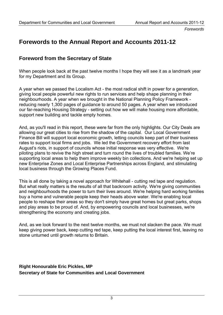*Forewords* 

# **Forewords to the Annual Report and Accounts 2011-12**

## **Foreword from the Secretary of State**

When people look back at the past twelve months I hope they will see it as a landmark year for my Department and its Group.

A year when we passed the Localism Act - the most radical shift in power for a generation, giving local people powerful new rights to run services and help shape planning in their neighbourhoods. A year when we brought in the National Planning Policy Framework reducing nearly 1,300 pages of guidance to around 50 pages. A year when we introduced our far-reaching Housing Strategy - setting out how we will make housing more affordable, support new building and tackle empty homes.

And, as you'll read in this report, these were far from the only highlights. Our City Deals are allowing our great cities to rise from the shadow of the capital. Our Local Government Finance Bill will support local economic growth, letting councils keep part of their business rates to support local firms and jobs. We led the Government recovery effort from last August's riots, in support of councils whose initial response was very effective. We're piloting plans to revive the high street and turn round the lives of troubled families. We're supporting local areas to help them improve weekly bin collections. And we're helping set up new Enterprise Zones and Local Enterprise Partnerships across England, and stimulating local business through the Growing Places Fund.

This is all done by taking a novel approach for Whitehall - cutting red tape and regulation. But what really matters is the results of all that backroom activity. We're giving communities and neighbourhoods the power to turn their lives around. We're helping hard working families buy a home and vulnerable people keep their heads above water. We're enabling local people to reshape their areas so they don't simply have great homes but great parks, shops and play areas to be proud of. And, by empowering councils and local businesses, we're strengthening the economy and creating jobs.

And, as we look forward to the next twelve months, we must not slacken the pace. We must keep giving power back, keep cutting red tape, keep putting the local interest first, leaving no stone unturned until growth returns to Britain.

**Right Honourable Eric Pickles, MP Secretary of State for Communities and Local Government**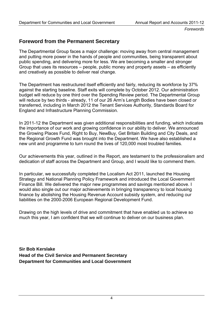*Forewords* 

# **Foreword from the Permanent Secretary**

The Departmental Group faces a major challenge: moving away from central management and putting more power in the hands of people and communities, being transparent about public spending, and delivering more for less. We are becoming a smaller and stronger Group that uses its resources – people, public money and property assets – as efficiently and creatively as possible to deliver real change.

The Department has restructured itself efficiently and fairly, reducing its workforce by 37% against the starting baseline. Staff exits will complete by October 2012. Our administration budget will reduce by one third over the Spending Review period. The Departmental Group will reduce by two thirds - already, 11 of our 26 Arm's Length Bodies have been closed or transferred, including in March 2012 the Tenant Services Authority, Standards Board for England and Infrastructure Planning Commission.

In 2011-12 the Department was given additional responsibilities and funding, which indicates the importance of our work and growing confidence in our ability to deliver. We announced the Growing Places Fund, Right to Buy, NewBuy, Get Britain Building and City Deals, and the Regional Growth Fund was brought into the Department. We have also established a new unit and programme to turn round the lives of 120,000 most troubled families.

Our achievements this year, outlined in the Report, are testament to the professionalism and dedication of staff across the Department and Group, and I would like to commend them.

In particular, we successfully completed the Localism Act 2011, launched the Housing Strategy and National Planning Policy Framework and introduced the Local Government Finance Bill. We delivered the major new programmes and savings mentioned above. I would also single out our major achievements in bringing transparency to local housing finance by abolishing the Housing Revenue Account subsidy system, and reducing our liabilities on the 2000-2006 European Regional Development Fund.

Drawing on the high levels of drive and commitment that have enabled us to achieve so much this year, I am confident that we will continue to deliver on our business plan.

**Sir Bob Kerslake Head of the Civil Service and Permanent Secretary Department for Communities and Local Government**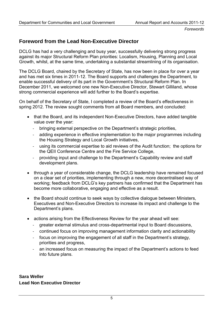*Forewords* 

# **Foreword from the Lead Non-Executive Director**

DCLG has had a very challenging and busy year, successfully delivering strong progress against its major Structural Reform Plan priorities: Localism, Housing, Planning and Local Growth, whilst, at the same time, undertaking a substantial streamlining of its organisation.

The DCLG Board, chaired by the Secretary of State, has now been in place for over a year and has met six times in 2011-12. The Board supports and challenges the Department, to enable successful delivery of its part in the Government's Structural Reform Plan. In December 2011, we welcomed one new Non-Executive Director, Stewart Gilliland, whose strong commercial experience will add further to the Board's expertise.

On behalf of the Secretary of State, I completed a review of the Board's effectiveness in spring 2012. The review sought comments from all Board members, and concluded:

- that the Board, and its independent Non-Executive Directors, have added tangible value over the year:
	- ‐ bringing external perspective on the Department's strategic priorities,
	- adding experience in effective implementation to the major programmes including the Housing Strategy and Local Growth initiatives,
	- using its commercial expertise to aid reviews of the Audit function; the options for the QEII Conference Centre and the Fire Service College,
	- ‐ providing input and challenge to the Department's Capability review and staff development plans.
- through a year of considerable change, the DCLG leadership have remained focused on a clear set of priorities, implementing through a new, more decentralised way of working; feedback from DCLG's key partners has confirmed that the Department has become more collaborative, engaging and effective as a result.
- the Board should continue to seek ways by collective dialogue between Ministers, Executives and Non-Executive Directors to increase its impact and challenge to the Department's plans.
- actions arising from the Effectiveness Review for the year ahead will see:
	- ‐ greater external stimulus and cross-departmental input to Board discussions,
	- ‐ continued focus on improving management information clarity and actionability
	- ‐ focus on improving the engagement of all staff in the Department's strategy, priorities and progress,
	- an increased focus on measuring the impact of the Department's actions to feed into future plans.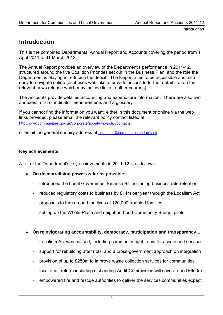# **Introduction**

This is the combined Departmental Annual Report and Accounts covering the period from 1 April 2011 to 31 March 2012.

The Annual Report provides an overview of the Department's performance in 2011-12, structured around the five Coalition Priorities set out in the Business Plan, and the role the Department is playing in reducing the deficit. The Report aims to be accessible and also easy to navigate online (as it uses weblinks to provide access to further detail – often the relevant news release which may include links to other sources).

The Accounts provide detailed accounting and expenditure information. There are also two annexes: a list of indicator measurements and a glossary.

If you cannot find the information you want, either in this document or online via the web links provided, please email the relevant policy contact listed at: <http://www.communities.gov.uk/corporate/about/who/policycontacts>

or email the general enquiry address at [contactus@communities.gsi.gov.uk](mailto:contactus@communities.gsi.gov.uk).

#### **Key achievements**

A list of the Department's key achievements in 2011-12 is as follows:

- **On decentralising power as far as possible…** 
	- introduced the Local Government Finance Bill, including business rate retention
	- reduced regulatory costs to business by £14m per year through the Localism Act
	- proposals to turn around the lives of 120,000 troubled families
	- setting up the Whole-Place and neighbourhood Community Budget pilots.
- **On reinvigorating accountability, democracy, participation and transparency…** 
	- Localism Act was passed, including community right to bid for assets and services
	- support for rebuilding after riots, and a cross-government approach on integration
	- provision of up to £250m to improve waste collection services for communities
	- local audit reform including disbanding Audit Commission will save around £650m
	- empowered fire and rescue authorities to deliver the services communities expect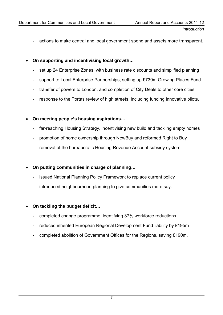- actions to make central and local government spend and assets more transparent.
- **On supporting and incentivising local growth…** 
	- set up 24 Enterprise Zones, with business rate discounts and simplified planning
	- support to Local Enterprise Partnerships, setting up £730m Growing Places Fund
	- transfer of powers to London, and completion of City Deals to other core cities
	- response to the Portas review of high streets, including funding innovative pilots.
- **On meeting people's housing aspirations…** 
	- far-reaching Housing Strategy, incentivising new build and tackling empty homes
	- promotion of home ownership through NewBuy and reformed Right to Buy
	- removal of the bureaucratic Housing Revenue Account subsidy system.
- **On putting communities in charge of planning…** 
	- issued National Planning Policy Framework to replace current policy
	- introduced neighbourhood planning to give communities more say.
- **On tackling the budget deficit…** 
	- completed change programme, identifying 37% workforce reductions
	- reduced inherited European Regional Development Fund liability by £195m
	- completed abolition of Government Offices for the Regions, saving £190m.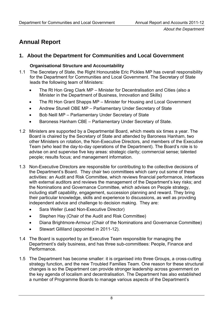# **Annual Report**

## **1. About the Department for Communities and Local Government**

#### **Organisational Structure and Accountability**

- 1.1 The Secretary of State, the Right Honourable Eric Pickles MP has overall responsibility for the Department for Communities and Local Government. The Secretary of State leads the following team of Ministers:
	- The Rt Hon Greg Clark MP Minister for Decentralisation and Cities (also a Minister in the Department of Business, Innovation and Skills)
	- The Rt Hon Grant Shapps MP Minister for Housing and Local Government
	- Andrew Stunell OBE MP Parliamentary Under Secretary of State
	- Bob Neill MP Parliamentary Under Secretary of State
	- Baroness Hanham CBE Parliamentary Under Secretary of State.
- 1.2 Ministers are supported by a Departmental Board, which meets six times a year. The Board is chaired by the Secretary of State and attended by Baroness Hanham, two other Ministers on rotation, the Non-Executive Directors, and members of the Executive Team (who lead the day-to-day operations of the Department). The Board's role is to advise on and supervise five key areas: strategic clarity; commercial sense; talented people; results focus; and management information.
- 1.3 Non-Executive Directors are responsible for contributing to the collective decisions of the Department's Board. They chair two committees which carry out some of these activities: an Audit and Risk Committee, which reviews financial performance, interfaces with external auditors and reviews the management of the Department's key risks; and the Nominations and Governance Committee, which advises on People strategy, including staff capability, engagement, succession planning and reward. They bring their particular knowledge, skills and experience to discussions, as well as providing independent advice and challenge to decision making. They are:
	- Sara Weller (Lead Non-Executive Director)
	- Stephen Hay (Chair of the Audit and Risk Committee)
	- Diana Brightmore-Armour (Chair of the Nominations and Governance Committee)
	- Stewart Gilliland (appointed in 2011-12).
- 1.4 The Board is supported by an Executive Team responsible for managing the Department's daily business, and has three sub-committees: People, Finance and Performance.
- 1.5 The Department has become smaller: it is organised into three Groups, a cross-cutting strategy function, and the new Troubled Families Team. One reason for these structural changes is so the Department can provide stronger leadership across government on the key agenda of localism and decentralisation. The Department has also established a number of Programme Boards to manage various aspects of the Department's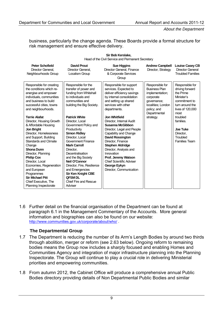*About the Department* 

business, particularly the change agenda. These Boards provide a formal structure for risk management and ensure effective delivery.

**Sir Bob Kerslake,** 

| Head of the Civil Service and Permanent Secretary                                                                                                                                                                                                                                                                                                                                  |                                                                                                                                                                                                                                                                                                                                                                                         |                                                                                                                                                                                                                                                                                                                                                     |                                                                                                                                             |                                                                                                                               |
|------------------------------------------------------------------------------------------------------------------------------------------------------------------------------------------------------------------------------------------------------------------------------------------------------------------------------------------------------------------------------------|-----------------------------------------------------------------------------------------------------------------------------------------------------------------------------------------------------------------------------------------------------------------------------------------------------------------------------------------------------------------------------------------|-----------------------------------------------------------------------------------------------------------------------------------------------------------------------------------------------------------------------------------------------------------------------------------------------------------------------------------------------------|---------------------------------------------------------------------------------------------------------------------------------------------|-------------------------------------------------------------------------------------------------------------------------------|
| <b>Peter Schofield</b><br>Director General.<br>Neighbourhoods Group                                                                                                                                                                                                                                                                                                                | <b>David Prout</b><br>Director General.<br>Localism Group                                                                                                                                                                                                                                                                                                                               | <b>Sue Higgins</b><br>Director General, Finance<br>& Corporate Services<br>Group                                                                                                                                                                                                                                                                    | <b>Andrew Campbell</b><br>Director, Strategy                                                                                                | <b>Louise Casey CB</b><br>Director General<br><b>Troubled Families</b>                                                        |
| Responsible for creating<br>the conditions which re-<br>energise and empower<br>individuals, communities<br>and business to build<br>successful cities, towns<br>and neighbourhoods.                                                                                                                                                                                               | Responsible for the<br>transfer of power and<br>funding from Whitehall<br>to individuals and<br>communities and<br>building the Big Society.                                                                                                                                                                                                                                            | Responsible for support<br>services. Expected to<br>deliver efficiency savings<br>by internal consolidation<br>and setting up shared<br>services with other<br>departments.                                                                                                                                                                         | Responsible for<br><b>Business Plan</b><br>implementation;<br>corporate<br>governance;<br>localities: London<br>policy; and<br>Departmental | Responsible for<br>driving forward<br>the Prime<br>Minister's<br>commitment to<br>turn around the<br>lives of 120,000<br>most |
| <b>Terrie Alafat</b><br>Director, Housing Growth<br>& Affordable Housing<br><b>Jon Bright</b><br>Director, Homelessness<br>and Support, Building<br>Standards and Climate<br>Change<br><b>Shona Dunn</b><br>Director, Planning<br><b>Philip Cox</b><br>Director. Local<br>Economies, Regeneration<br>and European<br>Programmes<br><b>Sir Michael Pitt</b><br>Chief Executive, The | <b>Patrick White</b><br>Director, Local<br>Government Policy and<br>Productivity<br><b>Simon Ridley</b><br>Director, Local<br>Government Finance<br><b>Mark Carroll</b><br>Director.<br><b>Decentralisation</b><br>and the Big Society<br>Neil O'Connor<br>Director, Fire, Resilience<br>and Emergencies<br><b>Sir Ken Knight CBE</b><br><b>QFSM DL</b><br><b>Chief Fire and Rescue</b> | <b>Jon Whitfield</b><br>Director, Internal Audit<br>Susanna McGibbon<br>Director, Legal and People<br>Capability and Change<br><b>David Rossington</b><br>Director, Finance<br><b>Stephen Aldridge</b><br>Director, Analysis and<br>Innovation<br>Prof. Jeremy Watson<br><b>Chief Scientific Adviser</b><br>George Eykyn<br>Director, Communication | strategy.                                                                                                                                   | troubled<br>families.<br><b>Joe Tuke</b><br>Director.<br>Troubled<br><b>Families Team</b>                                     |
| Planning Inspectorate                                                                                                                                                                                                                                                                                                                                                              | Adviser                                                                                                                                                                                                                                                                                                                                                                                 |                                                                                                                                                                                                                                                                                                                                                     |                                                                                                                                             |                                                                                                                               |

1.6 Further detail on the financial organisation of the Department can be found at paragraph 6.1 in the Management Commentary of the Accounts. More general information and biographies can also be found on our website: http://www.communities.gov.uk/corporate/about/who/

#### **The Departmental Group**

- 1.7 The Department is reducing the number of its Arm's Length Bodies by around two thirds through abolition, merger or reform (see 2.63 below). Ongoing reform to remaining bodies means the Group now includes a sharply focused and enabling Homes and Communities Agency and integration of major infrastructure planning into the Planning Inspectorate. The Group will continue to play a crucial role in delivering Ministerial priorities and empowering communities.
- 1.8 From autumn 2012, the Cabinet Office will produce a comprehensive annual Public Bodies directory providing details of Non Departmental Public Bodies and similar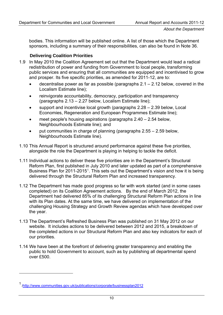bodies. This information will be published online. A list of those which the Department sponsors, including a summary of their responsibilities, can also be found in Note 36.

#### **Delivering Coalition Priorities**

- 1.9 In May 2010 the Coalition Agreement set out that the Department would lead a radical redistribution of power and funding from Government to local people, transforming public services and ensuring that all communities are equipped and incentivised to grow and prosper. Its five specific priorities, as amended for 2011-12, are to:
	- decentralise power as far as possible (paragraphs  $2.1 2.12$  below, covered in the Localism Estimate line);
	- reinvigorate accountability, democracy, participation and transparency (paragraphs 2.13 – 2.27 below, Localism Estimate line);
	- support and incentivise local growth (paragraphs  $2.28 2.39$  below, Local Economies, Regeneration and European Programmes Estimate line);
	- meet people's housing aspirations (paragraphs  $2.40 2.54$  below, Neighbourhoods Estimate line); and
	- put communities in charge of planning (paragraphs 2.55 2.59 below, Neighbourhoods Estimate line).
- 1.10 This Annual Report is structured around performance against these five priorities, alongside the role the Department is playing in helping to tackle the deficit.
- 1.11 Individual actions to deliver these five priorities are in the Department's Structural Reform Plan, first published in July 2010 and later updated as part of a comprehensive Business Plan for 20[1](#page-13-0)1-2015<sup>1</sup>. This sets out the Department's vision and how it is being delivered through the Structural Reform Plan and increased transparency.
- 1.12 The Department has made good progress so far with work started (and in some cases completed) on its Coalition Agreement actions. By the end of March 2012, the Department had delivered 85% of its challenging Structural Reform Plan actions in line with its Plan dates. At the same time, we have delivered on implementation of the challenging Housing Strategy and Growth Review agendas which have developed over the year.
- 1.13 The Department's Refreshed Business Plan was published on 31 May 2012 on our website. It includes actions to be delivered between 2012 and 2015, a breakdown of the completed actions in our Structural Reform Plan and also key indicators for each of our priorities.
- 1.14 We have been at the forefront of delivering greater transparency and enabling the public to hold Government to account, such as by publishing all departmental spend over £500.

<span id="page-13-0"></span><sup>1</sup> [/http://www.communities.gov.uk/publications/corporate/businessplan2012](http://www.communities.gov.uk/publications/corporate/businessplan2012)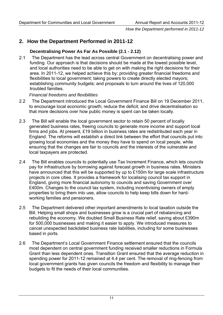### **2. How the Department Performed in 2011-12**

#### **Decentralising Power As Far As Possible (2.1 - 2.12)**

2.1 The Department has the lead across central Government on decentralising power and funding. Our approach is that decisions should be made at the lowest possible level, and local authorities need to be able to get on with making the right decisions for their area. In 2011-12, we helped achieve this by: providing greater financial freedoms and flexibilities to local government; taking powers to create directly elected mayors; establishing community budgets; and proposals to turn around the lives of 120,000 troubled families.

#### *Financial freedoms and flexibilities*

- 2.2 The Department introduced the Local Government Finance Bill on 19 December 2011, to encourage local economic growth; reduce the deficit; and drive decentralisation so that more decisions over how public money is spent can be taken locally.
- 2.3 The Bill will enable the local government sector to retain 50 percent of locally generated business rates, freeing councils to generate more income and support local firms and jobs. At present, £19 billion in business rates are redistributed each year in England. The reforms will establish a direct link between the effort that councils put into growing local economies and the money they have to spend on local people, while ensuring that the changes are fair to councils and the interests of the vulnerable and local taxpayers are protected.
- 2.4 The Bill enables councils to potentially use Tax Increment Finance, which lets councils pay for infrastructure by borrowing against forecast growth in business rates. Ministers have announced that this will be supported by up to £150m for large scale infrastructure projects in core cities. It provides a framework for localising council tax support in England, giving more financial autonomy to councils and saving Government over £400m. Changes to the council tax system, including incentivising owners of empty properties to bring them into use, allow councils to help keep bills down for hardworking families and pensioners.
- 2.5 The Department delivered other important amendments to local taxation outside the Bill. Helping small shops and businesses grow is a crucial part of rebalancing and rebuilding the economy. We doubled Small Business Rate relief, saving about £390m for 500,000 businesses and making it easier to apply. We introduced measures to cancel unexpected backdated business rate liabilities, including for some businesses based in ports.
- 2.6 The Department's Local Government Finance settlement ensured that the councils most dependent on central government funding received smaller reductions in Formula Grant than less dependent ones. Transition Grant ensured that the average reduction in spending power for 2011-12 remained at 4.4 per cent. The removal of ring-fencing from local government grants has given councils the freedom and flexibility to manage their budgets to fit the needs of their local communities.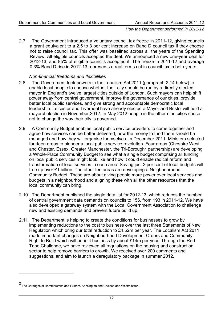2.7 The Government introduced a voluntary council tax freeze in 2011-12, giving councils a grant equivalent to a 2.5 to 3 per cent increase on Band D council tax if they choose not to raise council tax. This offer was baselined across all the years of the Spending Review. All eligible councils accepted the deal. We announced a new one-year deal for 2012-13, and 85% of eligible councils accepted it. The freeze in 2011-12 and average 0.3% Band D rise in 2012-13 represents a real terms cut in council tax in both years.

#### *Non-financial freedoms and flexibilities*

- 2.8 The Government took powers in the Localism Act 2011 (paragraph 2.14 below) to enable local people to choose whether their city should be run by a directly elected mayor in England's twelve largest cities outside of London. Such mayors can help shift power away from central government, improve the governance of our cities, provide better local public services, and give strong and accountable democratic local leadership. Leicester and Liverpool have already elected a Mayor and Bristol will hold a mayoral election in November 2012. In May 2012 people in the other nine cities chose not to change the way their city is governed.
- 2.9 A Community Budget enables local public service providers to come together and agree how services can be better delivered, how the money to fund them should be managed and how they will organise themselves. In December 2011, Ministers selected fourteen areas to pioneer a local public service revolution. Four areas (Cheshire West and Chester, Essex, Greater Manchester, the Tri-Borough<sup>[2](#page-15-0)</sup> partnership) are developing a Whole-Place Community Budget to see what a single budget comprising all funding on local public services might look like and how it could enable radical reform and transformation of local services in each area. Saving just 2 per cent of local budgets will free up over £1 billion. The other ten areas are developing a Neighbourhood Community Budget. These are about giving people more power over local services and budgets in a neighbourhood and aligning these with all the other resources that the local community can bring.
- 2.10 The Department published the single data list for 2012-13, which reduces the number of central government data demands on councils to 156, from 193 in 2011-12. We have also developed a gateway system with the Local Government Association to challenge new and existing demands and prevent future build up.
- 2.11 The Department is helping to create the conditions for businesses to grow by implementing reductions to the cost to business over the last three Statements of New Regulation which bring our total reduction to £4.52m per year. The Localism Act 2011 made important changes on Neighbourhood Development Orders and Community Right to Build which will benefit business by about £14m per year. Through the Red Tape Challenge, we have reviewed all regulations on the housing and construction sector to help remove barriers to growth. We received over 200 comments and suggestions, and aim to launch a deregulatory package in summer 2012.

<span id="page-15-0"></span><sup>2</sup> The Boroughs of Hammersmith and Fulham, Kensington and Chelsea and Westminster.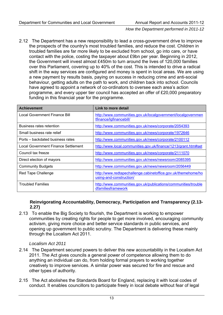2.12 The Department has a new responsibility to lead a cross-government drive to improve the prospects of the country's most troubled families, and reduce the cost. Children in troubled families are far more likely to be excluded from school, go into care, or have contact with the police, costing the taxpayer about £9bn per year. Beginning in 2012, the Government will invest almost £450m to turn around the lives of 120,000 families over this Parliament, covering up to 40% of the cost. This is intended to drive a radical shift in the way services are configured and money is spent in local areas. We are using a new payment by results basis, paying on success in reducing crime and anti-social behaviour, getting adults on the path to work, and children back into school. Councils have agreed to appoint a network of co-ordinators to oversee each area's action programme, and every upper tier council has accepted an offer of £20,000 preparatory funding in this financial year for the programme.

| <b>Achievement</b>                  | Link to more detail                                                                      |
|-------------------------------------|------------------------------------------------------------------------------------------|
| Local Government Finance Bill       | http://www.communities.gov.uk/localgovernment/localgovernmen<br>tfinance/lgfinancebill/  |
| Business rates retention            | http://www.communities.gov.uk/news/corporate/2054393                                     |
| Small business rate relief          | http://www.communities.gov.uk/news/corporate/1972646                                     |
| Ports – backdated business rates    | http://www.communities.gov.uk/news/corporate/2100112                                     |
| Local Government Finance Settlement | http://www.local.communities.gov.uk/finance/1213/grant.htm#set                           |
| Council tax freeze                  | http://www.communities.gov.uk/news/corporate/2111070                                     |
| Direct election of mayors           | http://www.communities.gov.uk/news/newsroom/2085395                                      |
| <b>Community Budgets</b>            | http://www.communities.gov.uk/news/newsroom/2056449                                      |
| Red Tape Challenge                  | http://www.redtapechallenge.cabinetoffice.gov.uk/themehome/ho<br>using-and-construction/ |
| <b>Troubled Families</b>            | http://www.communities.gov.uk/publications/communities/trouble<br>dfamiliesframework     |

#### **Reinvigorating Accountability, Democracy, Participation and Transparency (2.13- 2.27)**

2.13 To enable the Big Society to flourish, the Department is working to empower communities by creating rights for people to get more involved, encouraging community activism, giving more choice and better service standards in public services, and opening up government to public scrutiny. The Department is delivering these mainly through the Localism Act 2011.

#### *Localism Act 2011*

- 2.14 The Department secured powers to deliver this new accountability in the Localism Act 2011. The Act gives councils a general power of competence allowing them to do anything an individual can do, from holding formal prayers to working together creatively to improve services. A similar power was secured for fire and rescue and other types of authority.
- 2.15 The Act abolishes the Standards Board for England, replacing it with local codes of conduct. It enables councillors to participate freely in local debate without fear of legal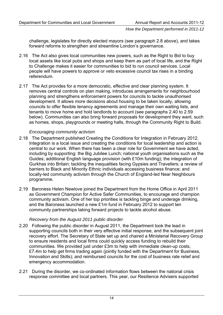challenge, legislates for directly elected mayors (see paragraph 2.8 above), and takes forward reforms to strengthen and streamline London's governance.

- 2.16 The Act also gives local communities new powers, such as the Right to Bid to buy local assets like local pubs and shops and keep them as part of local life, and the Right to Challenge makes it easier for communities to bid to run council services. Local people will have powers to approve or veto excessive council tax rises in a binding referendum.
- 2.17 The Act provides for a more democratic, effective and clear planning system. It removes central controls on plan making, introduces arrangements for neighbourhood planning and strengthens enforcement powers for councils to tackle unauthorised development. It allows more decisions about housing to be taken locally, allowing councils to offer flexible tenancy agreements and manage their own waiting lists, and tenants to move home and hold landlords to account (see paragraphs 2.40 to 2.59 below). Communities can also bring forward proposals for development they want, such as homes, shops, playgrounds or meeting halls, through the Community Right to Build.

#### *Encouraging community activism*

- 2.18 The Department published Creating the Conditions for Integration in February 2012. Integration is a local issue and creating the conditions for local leadership and action is central to our work. When there has been a clear role for Government we have acted, including by supporting: the Big Jubilee Lunch; national youth organisations such as the Guides; additional English language provision (with £10m funding); the integration of Gurkhas into Britain; tackling the inequalities facing Gypsies and Travellers; a review of barriers to Black and Minority Ethnic individuals accessing business finance; and locally-led community activism through the Church of England-led Near Neighbours programme.
- 2.19 Baroness Helen Newlove joined the Department from the Home Office in April 2011 as Government Champion for Active Safer Communities, to encourage and champion community activism. One of her top priorities is tackling binge and underage drinking, and the Baroness launched a new £1m fund in February 2012 to support ten community partnerships taking forward projects to tackle alcohol abuse.

#### *Recovery from the August 2011 public disorder*

- 2.20 Following the public disorder in August 2011, the Department took the lead in supporting councils both in their very effective initial response, and the subsequent joint recovery effort. The Secretary of State set up and chaired a Ministerial Recovery Group to ensure residents and local firms could quickly access funding to rebuild their communities. We provided just under £3m to help with immediate clean-up costs, £7.4m to help get firms trading again (jointly funded with the Department for Business, Innovation and Skills); and reimbursed councils for the cost of business rate relief and emergency accommodation.
- 2.21 During the disorder, we co-ordinated information flows between the national crisis response committee and local partners. This year, our Resilience Advisers supported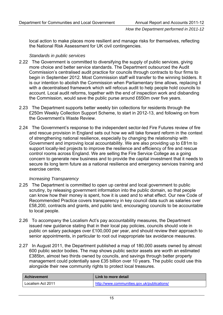local action to make places more resilient and manage risks for themselves, reflecting the National Risk Assessment for UK civil contingencies.

#### *Standards in public services*

- 2.22 The Government is committed to diversifying the supply of public services, giving more choice and better service standards. The Department outsourced the Audit Commission's centralised audit practice for councils through contracts to four firms to begin in September 2012. Most Commission staff will transfer to the winning bidders. It is our intention to abolish the Commission when Parliamentary time allows, replacing it with a decentralised framework which will refocus audit to help people hold councils to account. Local audit reforms, together with the end of inspection work and disbanding the Commission, would save the public purse around £650m over five years.
- 2.23 The Department supports better weekly bin collections for residents through the £250m Weekly Collection Support Scheme, to start in 2012-13, and following on from the Government's Waste Review.
- 2.24 The Government's response to the independent sector-led Fire Futures review of fire and rescue provision in England sets out how we will take forward reform in the context of strengthening national resilience, especially by changing the relationship with Government and improving local accountability. We are also providing up to £81m to support locally-led projects to improve the resilience and efficiency of fire and rescue control rooms across England. We are selling the Fire Service College as a going concern to generate new business and to provide the capital investment that it needs to secure its long term future as a national resilience and emergency services training and exercise centre.

#### *Increasing Transparency*

- 2.25 The Department is committed to open up central and local government to public scrutiny, by releasing government information into the public domain, so that people can know how their money is spent, how it is used and to what effect. Our new Code of Recommended Practice covers transparency in key council data such as salaries over £58,200, contracts and grants, and public land, encouraging councils to be accountable to local people.
- 2.26 To accompany the Localism Act's pay accountability measures, the Department issued new guidance stating that in their local pay policies, councils should vote in public on salary packages over £100,000 per year, and should review their approach to senior appointments, in particular to root out inappropriate tax avoidance measures.
- 2.27 In August 2011, the Department published a map of 180,000 assets owned by almost 600 public sector bodies. The map shows public sector assets are worth an estimated £385bn, almost two thirds owned by councils, and savings through better property management could potentially save £35 billion over 10 years. The public could use this alongside their new community rights to protect local treasures.

| Achievement       | Link to more detail                         |
|-------------------|---------------------------------------------|
| Localism Act 2011 | http://www.communities.gov.uk/publications/ |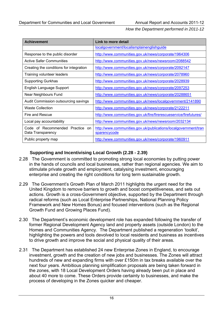| <b>Achievement</b>                                                 | Link to more detail                                                             |
|--------------------------------------------------------------------|---------------------------------------------------------------------------------|
|                                                                    | localgovernment/localismplainenglishguide                                       |
| Response to the public disorder                                    | http://www.communities.gov.uk/news/corporate/1964306                            |
| <b>Active Safer Communities</b>                                    | http://www.communities.gov.uk/news/newsroom/2088542                             |
| Creating the conditions for integration                            | http://www.communities.gov.uk/news/corporate/2092147                            |
| Training volunteer leaders                                         | http://www.communities.gov.uk/news/corporate/2078960                            |
| <b>Supporting Gurkhas</b>                                          | http://www.communities.gov.uk/news/corporate/2028939                            |
| English Language Support                                           | http://www.communities.gov.uk/news/corporate/2097253                            |
| Near Neighbours Fund                                               | http://www.communities.gov.uk/news/corporate/20288651                           |
| Audit Commission outsourcing savings                               | http://www.communities.gov.uk/news/localgovernment/2141890                      |
| <b>Waste Collection</b>                                            | http://www.communities.gov.uk/news/corporate/2122211                            |
| Fire and Rescue                                                    | http://www.communities.gov.uk/fire/firerescueservice/firefutures/               |
| Local pay accountability                                           | http://www.communities.gov.uk/news/newsroom/2032134                             |
| Code of Recommended Practice<br><sub>on</sub><br>Data Transparency | http://www.communities.gov.uk/publications/localgovernment/tran<br>sparencycode |
| Public property map                                                | http://www.communities.gov.uk/news/corporate/1960911                            |

#### **Supporting and Incentivising Local Growth (2.28 - 2.39)**

- 2.28 The Government is committed to promoting strong local economies by putting power in the hands of councils and local businesses, rather than regional agencies. We aim to stimulate private growth and employment, catalysing investment, encouraging enterprise and creating the right conditions for long term sustainable growth.
- 2.29 The Government's Growth Plan of March 2011 highlights the urgent need for the United Kingdom to remove barriers to growth and boost competitiveness, and sets out actions. Growth is a cross-Government objective, supported by the Department through radical reforms (such as Local Enterprise Partnerships, National Planning Policy Framework and New Homes Bonus) and focused interventions (such as the Regional Growth Fund and Growing Places Fund).
- 2.30 The Department's economic development role has expanded following the transfer of former Regional Development Agency land and property assets (outside London) to the Homes and Communities Agency. The Department published a regeneration 'toolkit', highlighting the powers and tools devolved to local residents and business as incentives to drive growth and improve the social and physical quality of their areas.
- 2.31 The Department has established 24 new Enterprise Zones in England, to encourage investment, growth and the creation of new jobs and businesses. The Zones will attract hundreds of new and expanding firms with over £150m in tax breaks available over the next four years. Ambitious planning simplification proposals are being taken forward in the zones, with 18 Local Development Orders having already been put in place and about 40 more to come. These Orders provide certainty to businesses, and make the process of developing in the Zones quicker and cheaper.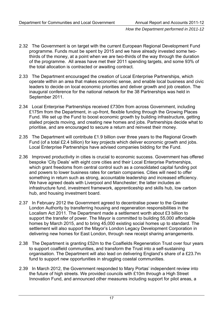- 2.32 The Government is on target with the current European Regional Development Fund programme. Funds must be spent by 2015 and we have already invested some twothirds of the money, at a point when we are two-thirds of the way through the duration of the programme. All areas have met their 2011 spending targets, and some 93% of the total allocation is contracted or awaiting contract.
- 2.33 The Department encouraged the creation of Local Enterprise Partnerships, which operate within an area that makes economic sense, and enable local business and civic leaders to decide on local economic priorities and deliver growth and job creation. The inaugural conference for the national network for the 38 Partnerships was held in September 2011.
- 2.34 Local Enterprise Partnerships received £730m from across Government, including £175m from the Department, in up-front, flexible funding through the Growing Places Fund. We set up the Fund to boost economic growth by building infrastructure, getting stalled projects moving, and creating new homes and jobs. Partnerships decide what to prioritise, and are encouraged to secure a return and reinvest their money.
- 2.35 The Department will contribute £1.9 billion over three years to the Regional Growth Fund (of a total £2.4 billion) for key projects which deliver economic growth and jobs. Local Enterprise Partnerships have advised companies bidding for the Fund.
- 2.36 Improved productivity in cities is crucial to economic success. Government has offered bespoke 'City Deals' with eight core cities and their Local Enterprise Partnerships, which grant freedoms from central control such as a consolidated capital funding pot and powers to lower business rates for certain companies. Cities will need to offer something in return such as strong, accountable leadership and increased efficiency. We have agreed deals with Liverpool and Manchester; the latter includes an infrastructure fund, investment framework, apprenticeship and skills hub, low carbon hub, and housing investment board.
- 2.37 In February 2012 the Government agreed to decentralise power to the Greater London Authority by transferring housing and regeneration responsibilities in the Localism Act 2011. The Department made a settlement worth about £3 billion to support the transfer of power. The Mayor is committed to building 55,000 affordable homes by March 2015, and to bring 45,000 existing social homes up to standard. The settlement will also support the Mayor's London Legacy Development Corporation in delivering new homes for East London, through new receipt sharing arrangements.
- 2.38 The Department is granting £52m to the Coalfields Regeneration Trust over four years to support coalfield communities, and transform the Trust into a self-sustaining organisation. The Department will also lead on delivering England's share of a £23.7m fund to support new opportunities in struggling coastal communities.
- 2.39 In March 2012, the Government responded to Mary Portas' independent review into the future of high streets. We provided councils with £10m through a High Street Innovation Fund, and announced other measures including support for pilot areas, a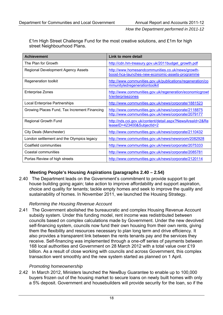£1m High Street Challenge Fund for the most creative solutions, and £1m for high street Neighbourhood Plans.

| <b>Achievement</b>                           | Link to more detail                                                                                          |
|----------------------------------------------|--------------------------------------------------------------------------------------------------------------|
| The Plan for Growth                          | http://cdn.hm-treasury.gov.uk/2011budget_growth.pdf                                                          |
| Regional Development Agency Assets           | http://www.homesandcommunities.co.uk/news/growth-<br>boost-hca-launches-new-economic-assets-programme        |
| Regeneration toolkit                         | http://www.communities.gov.uk/publications/regeneration/co<br>mmunityledregenerationtoolkit                  |
| <b>Enterprise Zones</b>                      | http://www.communities.gov.uk/regeneration/economicgrowt<br>h/enterprisezones                                |
| <b>Local Enterprise Partnerships</b>         | http://www.communities.gov.uk/news/corporate/1881523                                                         |
| Growing Places Fund, Tax Increment Financing | http://www.communities.gov.uk/news/corporate/2118875<br>http://www.communities.gov.uk/news/corporate/2079177 |
| <b>Regional Growth Fund</b>                  | http://nds.coi.gov.uk/content/detail.aspx?NewsAreaId=2ℜ<br>leaseID=423400&SubjectId=2                        |
| City Deals (Manchester)                      | http://www.communities.gov.uk/news/corporate/2110432                                                         |
| London settlement and the Olympics legacy    | http://www.communities.gov.uk/news/newsroom/2082928                                                          |
| Coalfield communities                        | http://www.communities.gov.uk/news/corporate/2075333                                                         |
| Coastal communities                          | http://www.communities.gov.uk/news/corporate/2085781                                                         |
| Portas Review of high streets                | http://www.communities.gov.uk/news/corporate/2120114                                                         |

#### **Meeting People's Housing Aspirations (paragraphs 2.40 – 2.54)**

2.40 The Department leads on the Government's commitment to provide support to get house building going again; take action to improve affordability and support aspiration, choice and quality for tenants; tackle empty homes and seek to improve the quality and sustainability of homes. In November 2011, we launched the Housing Strategy.

#### *Reforming the Housing Revenue Account*

2.41 The Government abolished the bureaucratic and complex Housing Revenue Account subsidy system. Under this funding model, rent income was redistributed between councils based on complex calculations made by Government. Under the new devolved self-financing system, councils now fund their own housing from their own rents, giving them the flexibility and resources necessary to plan long term and drive efficiency. It also provides a transparent link between the rents tenants pay and the services they receive. Self-financing was implemented through a one-off series of payments between 168 local authorities and Government on 28 March 2012 with a total value over £19 billion. As a result of close working with councils and across Government, this complex transaction went smoothly and the new system started as planned on 1 April.

#### *Promoting homeownership*

2.42 In March 2012, Ministers launched the NewBuy Guarantee to enable up to 100,000 buyers frozen out of the housing market to secure loans on newly built homes with only a 5% deposit. Government and housebuilders will provide security for the loan, so if the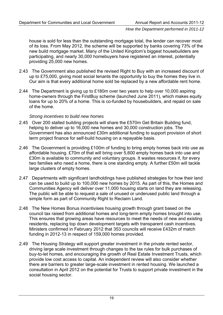house is sold for less than the outstanding mortgage total, the lender can recover most of its loss. From May 2012, the scheme will be supported by banks covering 73% of the new build mortgage market. Many of the United Kingdom's biggest housebuilders are participating, and nearly 30,000 homebuyers have registered an interest, potentially providing 25,000 new homes.

- 2.43 The Government also published the revised Right to Buy with an increased discount of up to £75,000, giving most social tenants the opportunity to buy the homes they live in. Our aim is that every additional home sold be replaced by a new affordable rent home.
- 2.44 The Department is giving up to £180m over two years to help over 10,000 aspiring home-owners through the FirstBuy scheme (launched June 2011), which makes equity loans for up to 20% of a home. This is co-funded by housebuilders, and repaid on sale of the home.

#### *Strong incentives to build new homes*

- 2.45 Over 200 stalled building projects will share the £570m Get Britain Building fund, helping to deliver up to 16,000 new homes and 30,000 construction jobs. The Government has also announced £30m additional funding to support provision of short term project finance for self-build housing on a repayable basis.
- 2.46 The Government is providing £100m of funding to bring empty homes back into use as affordable housing. £70m of that will bring over 5,600 empty homes back into use and £30m is available to community and voluntary groups. It wastes resources if, for every two families who need a home, there is one standing empty. A further £50m will tackle large clusters of empty homes.
- 2.47 Departments with significant landholdings have published strategies for how their land can be used to build up to 100,000 new homes by 2015. As part of this, the Homes and Communities Agency will deliver over 11,000 housing starts on land they are releasing. The public will be able to request a sale of unused or underused public land through a simple form as part of Community Right to Reclaim Land.
- 2.48 The New Homes Bonus incentivises housing growth through grant based on the council tax raised from additional homes and long-term empty homes brought into use. This ensures that growing areas have resources to meet the needs of new and existing residents, replacing top down development targets with transparent cash incentives. Ministers confirmed in February 2012 that 353 councils will receive £432m of match funding in 2012-13 in respect of 159,000 homes provided.
- 2.49 The Housing Strategy will support greater investment in the private rented sector, driving large scale investment through changes to the tax rules for bulk purchases of buy-to-let homes, and encouraging the growth of Real Estate Investment Trusts, which provide low cost access to capital. An independent review will also consider whether there are barriers to greater large-scale investment in rented housing. We launched a consultation in April 2012 on the potential for Trusts to support private investment in the social housing sector.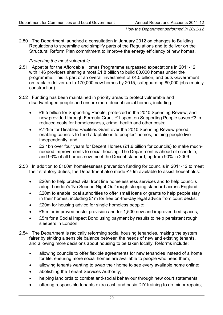2.50 The Department launched a consultation in January 2012 on changes to Building Regulations to streamline and simplify parts of the Regulations and to deliver on the Structural Reform Plan commitment to improve the energy efficiency of new homes.

#### *Protecting the most vulnerable*

- 2.51 Appetite for the Affordable Homes Programme surpassed expectations in 2011-12, with 146 providers sharing almost £1.8 billion to build 80,000 homes under the programme. This is part of an overall investment of £4.5 billion, and puts Government on track to deliver up to 170,000 new homes by 2015, safeguarding 80,000 jobs (mainly construction).
- 2.52 Funding has been maintained in priority areas to protect vulnerable and disadvantaged people and ensure more decent social homes, including:
	- £6.5 billion for Supporting People, protected in the 2010 Spending Review, and now provided through Formula Grant. £1 spent on Supporting People saves £3 in reduced costs for homelessness, crime, health and other costs;
	- £725m for Disabled Facilities Grant over the 2010 Spending Review period, enabling councils to fund adaptations to peoples' homes, helping people live independently; and
	- £2.1bn over four years for Decent Homes (£1.6 billion for councils) to make muchneeded improvements to social housing. The Department is ahead of schedule, and 93% of all homes now meet the Decent standard, up from 90% in 2009.
- 2.53 In addition to £100m homelessness prevention funding for councils in 2011-12 to meet their statutory duties, the Department also made £70m available to assist households:
	- £20m to help protect vital front line homelessness services and to help councils adopt London's 'No Second Night Out' rough sleeping standard across England;
	- £20m to enable local authorities to offer small loans or grants to help people stay in their homes, including £1m for free on-the-day legal advice from court desks;
	- £20m for housing advice for single homeless people;
	- £5m for improved hostel provision and for 1,500 new and improved bed spaces;
	- £5m for a Social Impact Bond using payment by results to help persistent rough sleepers in London.
- 2.54 The Department is radically reforming social housing tenancies, making the system fairer by striking a sensible balance between the needs of new and existing tenants, and allowing more decisions about housing to be taken locally. Reforms include:
	- allowing councils to offer flexible agreements for new tenancies instead of a home for life, ensuring more social homes are available to people who need them;
	- allowing tenants wanting to swap their home to see every available home online;
	- abolishing the Tenant Services Authority;
	- helping landlords to combat anti-social behaviour through new court statements;
	- offering responsible tenants extra cash and basic DIY training to do minor repairs;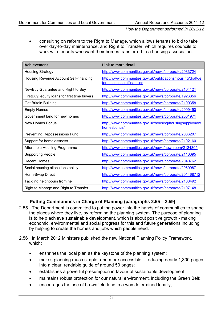• consulting on reform to the Right to Manage, which allows tenants to bid to take over day-to-day maintenance, and Right to Transfer, which requires councils to work with tenants who want their homes transferred to a housing association.

| <b>Achievement</b>                           | Link to more detail                                                                     |  |
|----------------------------------------------|-----------------------------------------------------------------------------------------|--|
| <b>Housing Strategy</b>                      | http://www.communities.gov.uk/news/corporate/2033724                                    |  |
| Housing Revenue Account Self-financing       | http://www.communities.gov.uk/publications/housing/draftde<br>terminationsselffinancing |  |
| NewBuy Guarantee and Right to Buy            | http://www.communities.gov.uk/news/corporate/2104121                                    |  |
| FirstBuy: equity loans for first time buyers | http://www.communities.gov.uk/news/corporate/1926856                                    |  |
| <b>Get Britain Building</b>                  | http://www.communities.gov.uk/news/corporate/2109358                                    |  |
| <b>Empty Homes</b>                           | http://www.communities.gov.uk/news/corporate/2099450                                    |  |
| Government land for new homes                | http://www.communities.gov.uk/news/corporate/2001971                                    |  |
| New Homes Bonus                              | http://www.communities.gov.uk/housing/housingsupply/new<br>homesbonus/                  |  |
| <b>Preventing Repossessions Fund</b>         | http://www.communities.gov.uk/news/corporate/2086207                                    |  |
| Support for homelessness                     | http://www.communities.gov.uk/news/corporate/2102160                                    |  |
| Affordable Housing Programme                 | http://www.communities.gov.uk/news/newsroom/2124305                                     |  |
| <b>Supporting People</b>                     | http://www.communities.gov.uk/news/corporate/2110095                                    |  |
| Decent Homes                                 | http://www.communities.gov.uk/news/corporate/2040762                                    |  |
| Social housing allocations policy            | http://www.communities.gov.uk/news/corporate/2060987                                    |  |
| HomeSwap Direct                              | http://www.communities.gov.uk/news/corporate/201468712                                  |  |
| Tackling neighbours from hell                | http://www.communities.gov.uk/news/corporate/2108492                                    |  |
| Right to Manage and Right to Transfer        | http://www.communities.gov.uk/news/corporate/2107148                                    |  |

#### **Putting Communities in Charge of Planning (paragraphs 2.55 – 2.59)**

- 2.55 The Department is committed to putting power into the hands of communities to shape the places where they live, by reforming the planning system. The purpose of planning is to help achieve sustainable development, which is about positive growth - making economic, environmental and social progress for this and future generations including by helping to create the homes and jobs which people need.
- 2.56 In March 2012 Ministers published the new National Planning Policy Framework, which:
	- enshrines the local plan as the keystone of the planning system;
	- makes planning much simpler and more accessible reducing nearly 1,300 pages into a clear, readable guide of around 50 pages;
	- establishes a powerful presumption in favour of sustainable development;
	- maintains robust protection for our natural environment, including the Green Belt;
	- encourages the use of brownfield land in a way determined locally;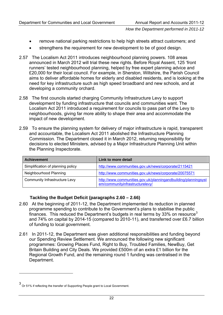- remove national parking restrictions to help high streets attract customers; and
- strengthens the requirement for new development to be of good design.
- 2.57 The Localism Act 2011 introduces neighbourhood planning powers. 108 areas announced in March 2012 will trial these new rights. Before Royal Assent, 125 'front runners' tested neighbourhood planning, helped by free expert planning advice and £20,000 for their local council. For example, in Sherston, Wiltshire, the Parish Council aims to deliver affordable homes for elderly and disabled residents, and is looking at the need for key infrastructure such as high speed broadband and new schools, and at developing a community orchard.
- 2.58 The first councils started charging Community Infrastructure Levy to support development by funding infrastructure that councils and communities want. The Localism Act 2011 introduced a requirement for councils to pass part of the Levy to neighbourhoods, giving far more ability to shape their area and accommodate the impact of new development.
- 2.59 To ensure the planning system for delivery of major infrastructure is rapid, transparent and accountable, the Localism Act 2011 abolished the Infrastructure Planning Commission. The Department closed it in March 2012, returning responsibility for decisions to elected Ministers, advised by a Major Infrastructure Planning Unit within the Planning Inspectorate.

| <b>Achievement</b>                | Link to more detail                                                                               |
|-----------------------------------|---------------------------------------------------------------------------------------------------|
| Simplification of planning policy | http://www.communities.gov.uk/news/corporate/2115421                                              |
| Neighbourhood Planning            | http://www.communities.gov.uk/news/corporate/20075571                                             |
| Community Infrastructure Levy     | http://www.communities.gov.uk/planningandbuilding/planningsyst<br>em/communityinfrastructurelevy/ |

#### **Tackling the Budget Deficit (paragraphs 2.60 – 2.66)**

- 2.60 At the beginning of 2011-12, the Department implemented its reduction in planned programme spending to contribute to the Government's plans to stabilise the public finances. This reduced the Department's budgets in real terms by [3](#page-25-0)3% on resource<sup>3</sup> and 74% on capital by 2014-15 (compared to 2010-11), and transferred over £6.7 billion of funding to local government.
- 2.61 In 2011-12, the Department was given additional responsibilities and funding beyond our Spending Review Settlement. We announced the following new significant programmes: Growing Places Fund, Right to Buy, Troubled Families, NewBuy, Get Britain Building and City Deals. We provided £500m of an extra £1 billion for the Regional Growth Fund, and the remaining round 1 funding was centralised in the Department.

<span id="page-25-0"></span><sup>3</sup> Or 51% if reflecting the transfer of Supporting People grant to Local Government.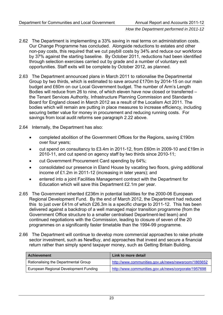- 2.62 The Department is implementing a 33% saving in real terms on administration costs. Our Change Programme has concluded. Alongside reductions to estates and other non-pay costs, this required that we cut paybill costs by 34% and reduce our workforce by 37% against the starting baseline. By October 2011, reductions had been identified through selection exercises carried out by grade and a number of voluntary exit opportunities. Staff exits will be complete by October 2012, as planned.
- 2.63 The Department announced plans in March 2011 to rationalise the Departmental Group by two thirds, which is estimated to save around £170m by 2014-15 on our main budget and £60m on our Local Government budget. The number of Arm's Length Bodies will reduce from 26 to nine, of which eleven have now closed or transferred – the Tenant Services Authority, Infrastructure Planning Commission and Standards Board for England closed in March 2012 as a result of the Localism Act 2011. The bodies which will remain are putting in place measures to increase efficiency, including securing better value for money in procurement and reducing running costs. For savings from local audit reforms see paragraph 2.22 above.
- 2.64 Internally, the Department has also:
	- completed abolition of the Government Offices for the Regions, saving £190m over four years;
	- cut spend on consultancy to £3.4m in 2011-12, from £60m in 2009-10 and £19m in 2010-11, and cut spend on agency staff by two thirds since 2010-11;
	- cut Government Procurement Card spending by 64%;
	- consolidated our presence in Eland House by vacating two floors, giving additional income of £1.2m in 2011-12 (increasing in later years); and
	- entered into a joint Facilities Management contract with the Department for Education which will save this Department £2.1m per year.
- 2.65 The Government inherited £236m in potential liabilities for the 2000-06 European Regional Development Fund. By the end of March 2012, the Department had reduced this to just over £41m of which £26.3m is a specific charge to 2011-12. This has been delivered against a backdrop of a well managed major transition programme (from the Government Office structure to a smaller centralised Department-led team) and continued negotiations with the Commission, leading to closure of seven of the 20 programmes on a significantly faster timetable than the 1994-99 programme.
- 2.66 The Department will continue to develop more commercial approaches to raise private sector investment, such as NewBuy, and approaches that invest and secure a financial return rather than simply spend taxpayer money, such as Getting Britain Building.

| <b>Achievement</b>                    | Link to more detail                                  |  |
|---------------------------------------|------------------------------------------------------|--|
| Rationalising the Departmental Group  | http://www.communities.gov.uk/news/newsroom/1865652  |  |
| European Regional Development Funding | http://www.communities.gov.uk/news/corporate/1957698 |  |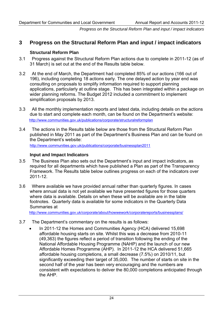#### **3 Progress on the Structural Reform Plan and input / impact indicators**

#### **Structural Reform Plan**

- 3.1 Progress against the Structural Reform Plan actions due to complete in 2011-12 (as of 31 March) is set out at the end of the Results table below.
- 3.2 At the end of March, the Department had completed 85% of our actions (166 out of 196), including completing 18 actions early. The one delayed action by year end was consulting on proposals to simplify information required to support planning applications, particularly at outline stage. This has been integrated within a package on wider planning reforms. The Budget 2012 included a commitment to implement simplification proposals by 2013.
- 3.3 All the monthly implementation reports and latest data, including details on the actions due to start and complete each month, can be found on the Department's website: <http://www.communities.gov.uk/publications/corporate/structuralreformplan>
- 3.4 The actions in the Results table below are those from the Structural Reform Plan published in May 2011 as part of the Department's Business Plan and can be found on the Department's website:

<http://www.communities.gov.uk/publications/corporate/businessplan2011>

#### **Input and Impact Indicators**

- 3.5 The Business Plan also sets out the Department's input and impact indicators, as required for all departments which have published a Plan as part of the Transparency Framework. The Results table below outlines progress on each of the indicators over 2011-12.
- 3.6 Where available we have provided annual rather than quarterly figures. In cases where annual data is not yet available we have presented figures for those quarters where data is available. Details on when these will be available are in the table footnotes. Quarterly data is available for some indicators in the Quarterly Data Summaries at

[http://www.communities.gov.uk/corporate/about/howwework/corporatereports/businessplans/](http://www.communities.gov.uk/corporate/about/howwework/corporatereports/businessplans)

- 3.7 The Department's commentary on the results is as follows:
	- In 2011-12 the Homes and Communities Agency (HCA) delivered 15,698 affordable housing starts on site. Whilst this was a decrease from 2010-11 (49,363) the figures reflect a period of transition following the ending of the National Affordable Housing Programme (NAHP) and the launch of our new Affordable Homes Programme (AHP). In 2011-12 the HCA delivered 51,665 affordable housing completions, a small decrease (7.5%) on 2010/11, but significantly exceeding their target of 35,000. The number of starts on site in the second half of the year has been very encouraging and the numbers are consistent with expectations to deliver the 80,000 completions anticipated through the AHP.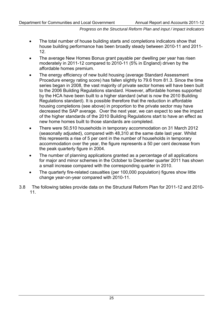- The total number of house building starts and completions indicators show that house building performance has been broadly steady between 2010-11 and 2011- 12.
- The average New Homes Bonus grant payable per dwelling per year has risen moderately in 2011-12 compared to 2010-11 (5% in England) driven by the affordable homes premium.
- The energy efficiency of new build housing (average Standard Assessment Procedure energy rating score) has fallen slightly to 79.6 from 81.3. Since the time series began in 2008, the vast majority of private sector homes will have been built to the 2006 Building Regulations standard. However, affordable homes supported by the HCA have been built to a higher standard (what is now the 2010 Building Regulations standard). It is possible therefore that the reduction in affordable housing completions (see above) in proportion to the private sector may have decreased the SAP average. Over the next year, we can expect to see the impact of the higher standards of the 2010 Building Regulations start to have an effect as new home homes built to those standards are completed.
- There were 50,510 households in temporary accommodation on 31 March 2012 (seasonally adjusted), compared with 48,310 at the same date last year. Whilst this represents a rise of 5 per cent in the number of households in temporary accommodation over the year, the figure represents a 50 per cent decrease from the peak quarterly figure in 2004.
- The number of planning applications granted as a percentage of all applications for major and minor schemes in the October to December quarter 2011 has shown a small increase compared with the corresponding quarter in 2010.
- The quarterly fire-related casualties (per 100,000 population) figures show little change year-on-year compared with 2010-11.
- 3.8 The following tables provide data on the Structural Reform Plan for 2011-12 and 2010- 11.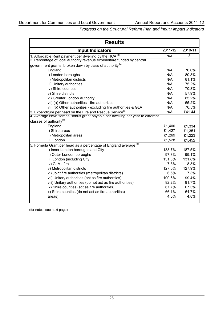| <b>Results</b>                                                              |         |         |  |
|-----------------------------------------------------------------------------|---------|---------|--|
| <b>Input Indicators</b>                                                     | 2011-12 | 2010-11 |  |
| 1. Affordable Rent payment per dwelling by the HCA $^{(a)}$                 | N/A     | (i)     |  |
| 2. Percentage of local authority revenue expenditure funded by central      |         |         |  |
| government grants, broken down by class of authority <sup>(b)</sup>         |         |         |  |
| England                                                                     | N/A     | 76.0%   |  |
| i) London boroughs                                                          | N/A     | 80.8%   |  |
| ii) Metropolitan districts                                                  | N/A     | 81.1%   |  |
| iii) Unitary authorities                                                    | N/A     | 75.2%   |  |
| iv) Shire counties                                                          | N/A     | 70.8%   |  |
| v) Shire districts                                                          | N/A     | 57.9%   |  |
| vi) Greater London Authority                                                | N/A     | 85.2%   |  |
| vii) (a) Other authorities - fire authorities                               | N/A     | 55.2%   |  |
| vii) (b) Other authorities - excluding fire authorities & GLA               | N/A     | 76.5%   |  |
| 3. Expenditure per head on the Fire and Rescue Service <sup>(D)</sup>       | N/A     | £41.44  |  |
| 4. Average New Homes Bonus grant payable per dwelling per year to different |         |         |  |
| classes of authority <sup>(c)</sup>                                         |         |         |  |
| England                                                                     | £1,400  | £1,334  |  |
| i) Shire areas                                                              | £1,427  | £1,351  |  |
| ii) Metropolitan areas                                                      | £1,269  | £1,223  |  |
| iii) London                                                                 | £1,528  | £1,452  |  |
| 5. Formula Grant per head as a percentage of England average (d)            |         |         |  |
| i) Inner London boroughs and City                                           | 188.7%  | 187.5%  |  |
| ii) Outer London boroughs                                                   | 97.8%   | 99.1%   |  |
| iii) London (including City)                                                | 131.0%  | 131.8%  |  |
| iv) GLA - fire                                                              | 7.8%    | 8.3%    |  |
| v) Metropolitan districts                                                   | 127.0%  | 127.9%  |  |
| vi) Joint fire authorities (metropolitan districts)                         | 6.5%    | 7.3%    |  |
| vii) Unitary authorities (act as fire authorities)                          | 100.6%  | 99.4%   |  |
| viii) Unitary authorities (do not act as fire authorities)                  | 92.2%   | 91.7%   |  |
| ix) Shire counties (act as fire authorities)                                | 67.7%   | 67.3%   |  |
| x) Shire counties (do not act as fire authorities)                          | 66.1%   | 64.7%   |  |
| areas)                                                                      | 4.5%    | 4.8%    |  |

(for notes, see next page)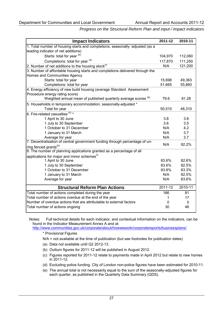| <b>Impact Indicators</b>                                                      | 2011-12     | 2010-11 |
|-------------------------------------------------------------------------------|-------------|---------|
| 1. Total number of housing starts and completions, seasonally- adjusted (as a |             |         |
| leading indicator of net additions)                                           |             |         |
| Starts: total for year (e)                                                    | 104,970     | 112,060 |
| Completions: total for year (e)                                               | 117,870     | 111,250 |
| 2. Number of net additions to the housing stock $(1)$                         | N/A         | 121,200 |
| 3. Number of affordable housing starts and completions delivered through the  |             |         |
| Homes and Communities Agency                                                  |             |         |
| Starts: total for year                                                        | 15,698      | 49,363  |
| Completions: total for year                                                   | 51,665      | 55,860  |
| 4. Energy efficiency of new build housing (average Standard Assessment        |             |         |
| Procedure energy rating score)                                                |             |         |
| Weighted annual mean of published quarterly average scores (9)                | 79.6        | 81.28   |
| 5. Households in temporary accommodation, seasonally-adjusted *               |             |         |
| Total for year                                                                | 50,510      | 48,310  |
| 6. Fire-related casualties (h) *                                              |             |         |
| 1 April to 30 June                                                            | 3.8         | 3.6     |
| 1 July to 30 September                                                        | 3.6         | 3.5     |
| 1 October to 31 December                                                      | N/A         | 4.2     |
| 1 January to 31 March                                                         | N/A         | 3.7     |
| Average for year                                                              | N/A         | 3.7     |
| 7. Decentralisation of central government funding through percentage of un-   | N/A         | 92.2%   |
| ring fenced grants <sup>(b)</sup>                                             |             |         |
| 8. The number of planning applications granted as a percentage of all         |             |         |
| applications for major and minor schemes $^{\left( i\right) }$                |             |         |
| 1 April to 30 June                                                            | 83.6%       | 82.6%   |
| 1 July to 30 September                                                        | 83.6%       | 82.5%   |
| 1 October to 31 December                                                      | 83.8%       | 83.3%   |
| 1 January to 31 March                                                         | N/A         | 82.5%   |
| Average for year                                                              | N/A         | 83.6%   |
| <b>Structural Reform Plan Actions</b>                                         | 2011-12     | 2010-11 |
| Total number of actions completed during the year                             | 166         | 81      |
| Total number of actions overdue at the end of the year                        | 1           | 17      |
| Number of overdue actions that are attributable to external factors           | $\mathbf 0$ | 0       |
| Total number of actions ongoing                                               | 30          | 46      |

Notes: Full technical details for each indicator, and contextual information on the indicators, can be found in the Indicator Measurement Annex A and at:<br>http://www.communities.gov.uk/corporate/about/howwework/corporatereports/businessplans/

\* Provisional Figures

N/A = not available at the time of publication (but see footnotes for publication dates)

- (a) Data not available until Q2 2012-13.
- (b) Outturn figures for 2011-12 will be published in August 2012.
- (c) Figures reported for 2011-12 relate to payments made in April 2012 but relate to new homes in 2011-12.
- (d) Excluding police funding. City of London non-police figures have been estimated for 2010-11.
- (e) The annual total is not necessarily equal to the sum of the seasonally-adjusted figures for each quarter, as published in the Quarterly Data Summary (QDS).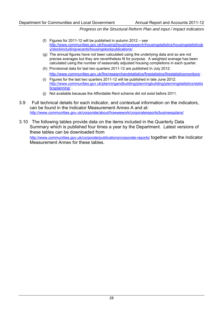- (f) Figures for 2011-12 will be published in autumn 2012 see [http://www.communities.gov.uk/housing/housingresearch/housingstatistics/housingstatisticsb](http://www.communities.gov.uk/housing/housingresearch/housingstatistics/housingstatisticsby/stockincludingvacants/housingstockpublications/) [y/stockincludingvacants/housingstockpublications/](http://www.communities.gov.uk/housing/housingresearch/housingstatistics/housingstatisticsby/stockincludingvacants/housingstockpublications/) .
- (g) The annual figures have not been calculated using the underlying data and so are not precise averages but they are nevertheless fit for purpose. A weighted average has been calculated using the number of seasonally adjusted housing completions in each quarter.
- (h) Provisional data for last two quarters 2011-12 are published In July 2012: <http://www.communities.gov.uk/fire/researchandstatistics/firestatistics/firestatisticsmonitors/> .
- (i) Figures for the last two quarters 2011-12 will be published in late June 2012: [http://www.communities.gov.uk/planningandbuilding/planningbuilding/planningstatistics/statis](http://www.communities.gov.uk/planningandbuilding/planningbuilding/planningstatistics/statisticsplanning/) [ticsplanning/](http://www.communities.gov.uk/planningandbuilding/planningbuilding/planningstatistics/statisticsplanning/) .
- (j) Not available because the Affordable Rent scheme did not exist before 2011.
- 3.9 Full technical details for each indicator, and contextual information on the indicators, can be found in the Indicator Measurement Annex A and at: <http://www.communities.gov.uk/corporate/about/howwework/corporatereports/businessplans/>
- 3.10 The following tables provide data on the items included in the Quarterly Data Summary which is published four times a year by the Department. Latest versions of these tables can be downloaded from <http://www.communities.gov.uk/corporate/publications/corporate-reports/> together with the Indicator Measurement Annex for these tables.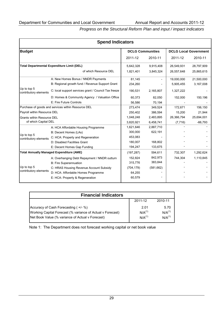| <b>Spend Indicators</b>                         |                                                      |                         |            |                              |            |
|-------------------------------------------------|------------------------------------------------------|-------------------------|------------|------------------------------|------------|
| <b>Budget</b>                                   |                                                      | <b>DCLG Communities</b> |            | <b>DCLG Local Government</b> |            |
|                                                 |                                                      | 2011-12                 | 2010-11    | 2011-12                      | 2010-11    |
|                                                 | <b>Total Departmental Expenditure Limit (DEL)</b>    | 5,642,328               | 9,915,408  | 26,549,931                   | 28,797,909 |
|                                                 | of which Resource DEL                                | 1,821,401               | 3,845,324  | 26,557,648                   | 25,865,615 |
|                                                 | A: New Homes Bonus / NNDR Payments                   | 81,145                  |            | 19,000,000                   | 21,500,000 |
|                                                 | B: Regional growth fund / Revenue Support Grant      | 234,260                 |            | 5,905,455                    | 3,167,008  |
| Up to top 5<br>contributory elements            | C: local support services grant / Council Tax freeze | 190,531                 | 2,165,807  | 1,327,222                    |            |
|                                                 | D: Homes & Community Agency / Valuation Office       | 60,373                  | 82,050     | 152,000                      | 150,196    |
|                                                 | E: Fire Future Controls                              | 56,586                  | 70,194     |                              |            |
|                                                 | Purchase of goods and services within Resource DEL   | 273,474                 | 349,524    | 172,671                      | 156,150    |
| Payroll within Resource DEL                     |                                                      | 250,402                 | 386,594    | 15,200                       | 21,944     |
| <b>Grants within Resource DEL</b>               |                                                      | 1,048,248               | 2,483,895  | 26,366,794                   | 25,694,001 |
| of which Capital DEL                            |                                                      | 3,820,921               | 6,458,741  | (7, 716)                     | $-66,793$  |
|                                                 | A: HCA Affordable Housing Programme                  | 1,621,646               | 2,887,710  |                              |            |
| Up to top 5                                     | B: Decent Homes (LAs)                                | 300,000                 | 622,191    |                              |            |
| contributory elements                           | C: HCA: Property and Regeneration                    | 453,083                 |            |                              |            |
|                                                 | D: Disabled Facilities Grant                         | 180,007                 | 168,802    |                              |            |
|                                                 | E: Decent Homes Gap Funding                          | 194,247                 | 133,675    |                              |            |
| <b>Total Annually Managed Expenditure (AME)</b> |                                                      | (197, 287)              | 594,611    | 732,307                      | 1,292,624  |
|                                                 | A: Overhanging Debt Repayment / NNDR outturn         | 152,824                 | 842,973    | 744,304                      | 1,110,845  |
|                                                 | <b>B: Fire Superannuation</b>                        | 315,776                 | 383,844    |                              |            |
| Up to top 5<br>contributory elements            | C: HRAS Housing Revenue Account Subsidy              | (704, 179)              | (581, 662) |                              |            |
|                                                 | D: HCA: Affordable Homes Programme                   | 64,255                  |            |                              |            |
|                                                 | E: HCA: Property & Regeneration                      | 60,579                  |            |                              |            |

| <b>Financial Indicators</b>                                |                    |                    |  |
|------------------------------------------------------------|--------------------|--------------------|--|
|                                                            | 2011-12            | 2010-11            |  |
| Accuracy of Cash Forecasting (+/- %)                       | 2.01               | 5.70               |  |
| Working Capital Forecast (% variance of Actual v Forecast) | N/A <sup>(1)</sup> | N/A <sup>(1)</sup> |  |
| Net Book Value (% variance of Actual v Forecast)           | N/A <sup>(1)</sup> | N/A <sup>(1)</sup> |  |

Note 1: The Department does not forecast working capital or net book value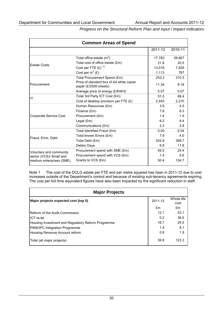| <b>Common Areas of Spend</b> |                                                                   |         |         |
|------------------------------|-------------------------------------------------------------------|---------|---------|
|                              |                                                                   | 2011-12 | 2010-11 |
|                              | Total office estate $(m^2)$                                       | 17,783  | 26,667  |
| <b>Estate Costs</b>          | Total cost of office estate (£m)                                  | 21.8    | 20.5    |
|                              | Cost per FTE $(E)$ <sup>(1)</sup>                                 | 13.018  | 7,929   |
|                              | Cost per $m^2$ (£)                                                | 1,113   | 767     |
|                              | Total Procurement Spend (£m)                                      | 253.3   | 310.3   |
| Procurement                  | Price of standard box of A4 white copier<br>paper (£/2500 sheets) | 11.34   | 9.18    |
|                              | Average price of energy (£/KWH)                                   | 0.07    | 0.07    |
| IT                           | Total 3rd Party ICT Cost (£m)                                     | 51.0    | 68.4    |
|                              | Cost of desktop provision per FTE $(E)$                           | 2,445   | 2,270   |
|                              | Human Resources (£m)                                              | 3.9     | 4.5     |
|                              | Finance (£m)                                                      | 7.8     | 8.3     |
| Corporate Service Cost       | Procurement (£m)                                                  | 1.4     | 1.5     |
|                              | Legal $(fm)$                                                      | 6.2     | 8.4     |
|                              | Communications (£m)                                               | 3.3     | 3.8     |
|                              | Total Identified Fraud (£m)                                       | 0.00    | 0.04    |
|                              | Total known Errors (£m)                                           | 7.9     | 4.0     |
| Fraud, Error, Debt           | Total Debt (£m)                                                   | 242.8   | 369.7   |
|                              | Debtor Days                                                       | 6.8     | 11.8    |
| Voluntary and community      | Procurement spend with SME (£m)                                   | 49.5    | 24.4    |
| sector (VCS)/ Small and      | Procurement spend with VCS (£m)                                   | 1.4     | 5.6     |
| medium enterprises (SME)     | Grants to VCS (£m)                                                | 50.4    | 104.7   |

Note 1 The cost of the DCLG estate per FTE and per metre squared has risen in 2011-12 due to cost increases outside of the Department's control and because of existing sub-tenancy agreements expiring. The cost per full time equivalent figures have also been impacted by the significant reduction in staff.

| <b>Major Projects</b>                              |         |                    |  |
|----------------------------------------------------|---------|--------------------|--|
| Major projects expected cost (top 5)               | 2011-12 | Whole life<br>cost |  |
|                                                    | £m      | £m                 |  |
| Reform of the Audit Commission                     | 12.1    | 53.1               |  |
| <b>ICT</b> re-let                                  | 0.2     | 36.6               |  |
| Housing Investment and Regulatory Reform Programme | 16.7    | 25.5               |  |
| PINS/IPC Integration Programme                     | 1.4     | 8.1                |  |
| Housing Revenue Account reform                     | 0.8     | 1.9                |  |
| Total (all major projects)                         | 39.9    | 123.3              |  |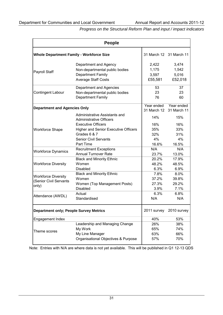| <b>People</b>                                   |                                                                 |         |                         |
|-------------------------------------------------|-----------------------------------------------------------------|---------|-------------------------|
| <b>Whole Department Family - Workforce Size</b> |                                                                 |         | 31 March 12 31 March 11 |
|                                                 | Department and Agency                                           | 2,422   | 3,474                   |
|                                                 | Non-departmental public bodies                                  | 1,175   | 1,542                   |
| Payroll Staff                                   | <b>Department Family</b>                                        | 3,597   | 5,016                   |
|                                                 | <b>Average Staff Costs</b>                                      | £55,581 | £52,018                 |
|                                                 | Department and Agencies                                         | 53      | 37                      |
| <b>Contingent Labour</b>                        | Non-departmental public bodies                                  | 23      | 23                      |
|                                                 | <b>Department Family</b>                                        | 76      | 60                      |
| <b>Department and Agencies Only</b>             |                                                                 |         | Year ended Year ended   |
|                                                 |                                                                 |         | 31 March 12 31 March 11 |
|                                                 | Administrative Assistants and<br><b>Administrative Officers</b> | 14%     | 15%                     |
|                                                 | <b>Executive Officers</b>                                       | 16%     | 16%                     |
| <b>Workforce Shape</b>                          | <b>Higher and Senior Executive Officers</b>                     | 35%     | 33%                     |
|                                                 | Grades 6 & 7                                                    | 32%     | 31%                     |
|                                                 | <b>Senior Civil Servants</b>                                    | 4%      | 4%                      |
|                                                 | Part Time                                                       | 16.6%   | 16.5%                   |
|                                                 | <b>Recruitment Exceptions</b>                                   | N/A     | N/A                     |
| <b>Workforce Dynamics</b>                       | <b>Annual Turnover Rate</b>                                     | 23.7%   | 13.0%                   |
|                                                 | <b>Black and Minority Ethnic</b>                                | 20.2%   | 17.9%                   |
| <b>Workforce Diversity</b>                      | Women                                                           | 48.2%   | 48.5%                   |
|                                                 | <b>Disabled</b>                                                 | 6.3%    | 6.9%                    |
|                                                 | <b>Black and Minority Ethnic</b>                                | 7.8%    | 8.0%                    |
| <b>Workforce Diversity</b>                      | Women                                                           | 37.2%   | 39.8%                   |
| (Senior Civil Servants                          | Women (Top Management Posts)                                    | 27.3%   | 29.2%                   |
| only)                                           | <b>Disabled</b>                                                 | $3.9\%$ | 7.1%                    |
|                                                 | Actual                                                          | 6.3%    | 6.8%                    |
| Attendance (AWDL)                               | Standardised                                                    | N/A     | N/A                     |
| <b>Department only; People Survey Metrics</b>   |                                                                 |         | 2011 survey 2010 survey |
| Engagement Index                                |                                                                 | 40%     | 53%                     |
|                                                 | Leadership and Managing Change                                  | 26%     | 38%                     |
|                                                 | My Work                                                         | 65%     | 74%                     |
| Theme scores                                    | My Line Manager                                                 | 63%     | 66%                     |
|                                                 | Organisational Objectives & Purpose                             | 57%     | 70%                     |

Note: Entries with N/A are where data is not yet available. This will be published in Q1 12-13 QDS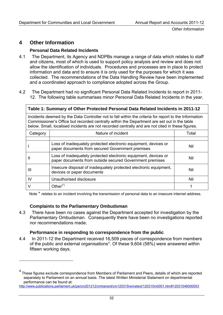## **4 Other Information**

#### **Personal Data Related Incidents**

- 4.1 The Department, its Agency and NDPBs manage a range of data which relates to staff and citizens, most of which is used to support policy analysis and review and does not allow the identification of individuals. Procedures and processes are in place to protect information and data and to ensure it is only used for the purposes for which it was collected. The recommendations of the Data Handling Review have been implemented and a coordinated approach to compliance adopted across the Group.
- 4.2 The Department had no significant Personal Data Related Incidents to report in 2011- 12. The following table summarises minor Personal Data Related Incidents in the year.

| Table 1: Summary of Other Protected Personal Data Related Incidents in 2011-12 |                                                                                                                                                                                                                                                                                                          |       |  |  |
|--------------------------------------------------------------------------------|----------------------------------------------------------------------------------------------------------------------------------------------------------------------------------------------------------------------------------------------------------------------------------------------------------|-------|--|--|
|                                                                                | Incidents deemed by the Data Controller not to fall within the criteria for report to the Information<br>Commissioner's Office but recorded centrally within the Department are set out in the table<br>below. Small, localised incidents are not recorded centrally and are not cited in these figures. |       |  |  |
| Category                                                                       | Nature of incident                                                                                                                                                                                                                                                                                       | Total |  |  |
|                                                                                | Loss of inadequately protected electronic equipment, devices or<br>paper documents from secured Government premises                                                                                                                                                                                      | Nil   |  |  |
| Ш                                                                              | Loss of inadequately protected electronic equipment, devices or<br>paper documents from outside secured Government premises                                                                                                                                                                              | Nil   |  |  |
| Ш                                                                              | Insecure disposal of inadequately protected electronic equipment,<br>devices or paper documents                                                                                                                                                                                                          | Nil   |  |  |
| IV                                                                             | Unauthorised disclosure                                                                                                                                                                                                                                                                                  | Nil   |  |  |

Note \* relates to an incident involving the transmission of personal data to an insecure internet address.

 $V$  Other<sup>(\*)</sup> 1

#### **Complaints to the Parliamentary Ombudsman**

4.3 There have been no cases against the Department accepted for investigation by the Parliamentary Ombudsman. Consequently there have been no investigations reported nor recommendations made.

#### **Performance in responding to correspondence from the public**

4.4 In 2011-12 the Department received 16,509 pieces of correspondence from members of the public and external organisations<sup>[4](#page-35-0)</sup>. Of these  $9,604$  (58%) were answered within fifteen working days.

<span id="page-35-0"></span><sup>4</sup> These figures exclude correspondence from Members of Parliament and Peers, details of which are reported separately to Parliament on an annual basis. The latest Written Ministerial Statement on departmental performance can be found at:

<http://www.publications.parliament.uk/pa/cm201212/cmhansrd/cm120315/wmstext/120315m0001.htm#12031546000003>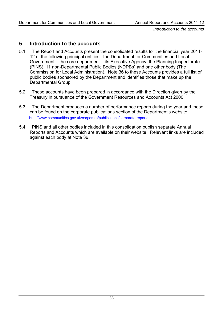*Introduction to the accounts* 

# **5 Introduction to the accounts**

- 5.1 The Report and Accounts present the consolidated results for the financial year 2011- 12 of the following principal entities: the Department for Communities and Local Government – the core department – its Executive Agency, the Planning Inspectorate (PINS), 11 non-Departmental Public Bodies (NDPBs) and one other body (The Commission for Local Administration). Note 36 to these Accounts provides a full list of public bodies sponsored by the Department and identifies those that make up the Departmental Group.
- 5.2 These accounts have been prepared in accordance with the Direction given by the Treasury in pursuance of the Government Resources and Accounts Act 2000.
- 5.3 The Department produces a number of performance reports during the year and these can be found on the corporate publications section of the Department's website: <http://www.communities.gov.uk/corporate/publications/corporate-reports>
- 5.4 PINS and all other bodies included in this consolidation publish separate Annual Reports and Accounts which are available on their website. Relevant links are included against each body at Note 36.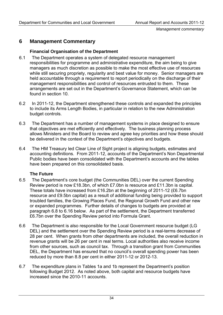# **6 Management Commentary**

### **Financial Organisation of the Department**

- 6.1 The Department operates a system of delegated resource management responsibilities for programme and administrative expenditure, the aim being to give managers as much discretion as possible to make the most effective use of resources while still securing propriety, regularity and best value for money. Senior managers are held accountable through a requirement to report periodically on the discharge of their management responsibilities and control of resources entrusted to them. These arrangements are set out in the Department's Governance Statement, which can be found in section 10.
- 6.2 In 2011-12, the Department strengthened these controls and expanded the principles to include its Arms Length Bodies, in particular in relation to the new Administration budget controls.
- 6.3 The Department has a number of management systems in place designed to ensure that objectives are met efficiently and effectively. The business planning process allows Ministers and the Board to review and agree key priorities and how these should be delivered in the context of the Department's objectives and budgets.
- 6.4 The HM Treasury led Clear Line of Sight project is aligning budgets, estimates and accounting definitions. From 2011-12, accounts of the Department's Non Departmental Public bodies have been consolidated with the Department's accounts and the tables have been prepared on this consolidated basis.

# **The Future**

- 6.5 The Department's core budget (the Communities DEL) over the current Spending Review period is now £18.3bn, of which £7.0bn is resource and £11.3bn is capital. These totals have increased from £16.2bn at the beginning of 2011-12 (£6.7bn resource and £9.5bn capital) as a result of additional funding being provided to support troubled families, the Growing Places Fund, the Regional Growth Fund and other new or expanded programmes. Further details of changes to budgets are provided at paragraph 6.8 to 6.16 below. As part of the settlement, the Department transferred £6.7bn over the Spending Review period into Formula Grant.
- 6.6 The Department is also responsible for the Local Government resource budget (LG DEL) and the settlement over the Spending Review period is a real-terms decrease of 28 per cent. When grants from other departments are included, the overall reduction in revenue grants will be 26 per cent in real terms. Local authorities also receive income from other sources, such as council tax. Through a transition grant from Communities DEL, the Department has ensured that no council's overall spending power has been reduced by more than 8.8 per cent in either 2011-12 or 2012-13.
- 6.7 The expenditure plans in Tables 1a and 1b represent the Department's position following Budget 2012. As noted above, both capital and resource budgets have increased since the 2010-11 accounts.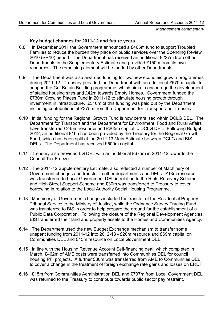# **Key budget changes for 2011-12 and future years**

- 6.8 In December 2011 the Government announced a £465m fund to support Troubled Families to reduce the burden they place on public services over the Spending Review 2010 (SR10) period. The Department has received an additional £227m from other Departments in the Supplementary Estimate and provided £150m from its own resources. The remaining element will be funded by other Departments.
- 6.9 The Department was also awarded funding for two new economic growth programmes during 2011-12. Treasury provided the Department with an additional £570m capital to support the Get Britain Building programme, which aims to encourage the development of stalled housing sites and £42m towards Empty Homes. Government funded the £730m Growing Places Fund in 2011-12 to stimulate housing growth through investment in infrastructure. £510m of this funding was paid out by the Department, including contributions of £375m from the Department for Transport and Treasury.
- 6.10 Initial funding for the Regional Growth Fund is now centralised within DCLG DEL. The Department for Transport and the Department for Environment, Food and Rural Affairs have transferred £245m resource and £265m capital to DCLG DEL. Following Budget 2012, an additional £1bn has been provided by the Treasury for the Regional Growth Fund, which has been split at the 2012-13 Main Estimate between DCLG and BIS DELs. The Department has received £500m capital.
- 6.11 Treasury also provided LG DEL with an additional £675m in 2011-12 towards the Council Tax Freeze.
- 6.12 The 2011-12 Supplementary Estimate, also reflected a number of Machinery of Government changes and transfer to other departments and DELs. £13m resource was transferred to Local Government DEL in relation to the Riots Recovery Scheme and High Street Support Scheme and £30m was transferred to Treasury to cover borrowing in relation to the Local Authority Social Housing Programme.
- 6.13 Machinery of Government changes included the transfer of the Residential Property Tribunal Service to the Ministry of Justice, while the Ordnance Survey Trading Fund was transferred to BIS in order to help prepare the ground for the establishment of a Public Data Corporation. Following the closure of the Regional Development Agencies, BIS transferred their land and property assets to the Homes and Communities Agency.
- 6.14 The Department used the new Budget Exchange mechanism to transfer some unspent funding from 2011-12 into 2012-13 - £20m resource and £69m capital on Communities DEL and £45m resource on Local Government DEL.
- 6.15 In line with the Housing Revenue Account Self-financing deal, which completed in March, £462m of AME costs were transferred into Communities DEL for council housing PFI projects. A further £30m was transferred from AME to Communities DEL to cover a change in the treatment of foreign exchange rate gains and losses on ERDF.
- 6.16 £15m from Communities Administration DEL and £737m from Local Government DEL was returned to the Treasury to contribute towards public sector pay restraint.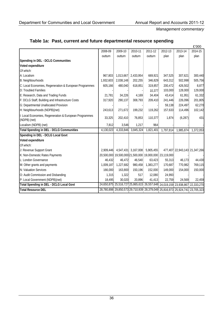|  | Table 1a: Past, current and future departmental resource spending |
|--|-------------------------------------------------------------------|
|--|-------------------------------------------------------------------|

|                                                                        |           |                                         |           |                                                                              |           |                               | £'000     |
|------------------------------------------------------------------------|-----------|-----------------------------------------|-----------|------------------------------------------------------------------------------|-----------|-------------------------------|-----------|
|                                                                        | 2008-09   | 2009-10                                 | 2010-11   | 2011-12                                                                      | 2012-13   | 2013-14                       | 2014-15   |
|                                                                        | outturn   | outturn                                 | outturn   | outturn                                                                      | plan      | plan                          | plan      |
| Spending in DEL - DCLG Communities                                     |           |                                         |           |                                                                              |           |                               |           |
| Voted expenditure                                                      |           |                                         |           |                                                                              |           |                               |           |
| Of which:                                                              |           |                                         |           |                                                                              |           |                               |           |
| A: Localism                                                            | 967,803   | 1,013,667                               | 2,433,954 | 669,921                                                                      | 347,525   | 307,621                       | 300,440   |
| B: Neighbourhoods                                                      | 1,932,603 | 2,038,148                               | 202,255   | 346,829                                                                      | 643,312   | 502,998                       | 505,756   |
| C: Local Economies, Regeneration & European Programmes                 | 605,166   | 480,040                                 | 618,851   | 319,857                                                                      | 200,472   | 426,502                       | 8,877     |
| D: Troubled Families                                                   |           |                                         |           | 10,377                                                                       | 103,000   | 128,000                       | 129,000   |
| E: Research, Data and Trading Funds                                    | 21,781    | 34,226                                  | 4,169     | 34,404                                                                       | 43,414    | 61,951                        | 61,332    |
| F: DCLG Staff, Building and Infrastructure Costs                       | 317,920   | 290,137                                 | 308,793   | 209,410                                                                      | 241,446   | 226,096                       | 201,805   |
| G: Departmental Unallocated Provision                                  |           |                                         |           |                                                                              | 59,138    | 224,497                       | 62,270    |
| H: Neighbourhoods (NDPB)(net)                                          | 243,613   | 271,672                                 | 199,232   | 119,262                                                                      | 157,633   | 114,496                       | 102,142   |
| I: Local Economies, Regeneration & European Programmes<br>(NDPB) (net) | 33,325    | 202,410                                 | 76,853    | 110,377                                                                      | 1,874     | (6, 287)                      | 431       |
| Localism (NDPB) (net)                                                  | 7,812     | 3,546                                   | 1,217     | 964                                                                          |           |                               |           |
| <b>Total Spending in DEL - DCLG Communities</b>                        | 4,130,023 | 4,333,846                               | 3,845,324 | 1,821,401                                                                    | 1,797,814 | 1,985,874                     | 1,372,053 |
| Spending in DEL - DCLG Local Govt                                      |           |                                         |           |                                                                              |           |                               |           |
| Voted expenditure                                                      |           |                                         |           |                                                                              |           |                               |           |
| Of which:                                                              |           |                                         |           |                                                                              |           |                               |           |
| J: Revenue Support Grant                                               |           | 2,909,446 4,547,431 3,167,008 5,905,455 |           |                                                                              |           | 477,407 22,943,143 21,347,266 |           |
| K: Non-Domestic Rates Payments                                         |           |                                         |           | 20,500,000 19,500,000 21,500,000 19,000,000 23,119,000                       |           |                               |           |
| L: London Governance                                                   | 46,432    | 46,472                                  | 46,540    | 63,423                                                                       | 55,313    | 46,173                        | 44,430    |
| M: Other grants and payments                                           | 1,009,187 | 1,227,682                               | 980,458   | 1,383,277                                                                    | 170,687   | 770,982                       | 769,115   |
| N: Valuation Services                                                  | 166,000   | 163,800                                 | 150,196   | 152,000                                                                      | 149,000   | 154,000                       | 150,000   |
| O: Audit Commission and Disbanding                                     | 1,315     | 1,322                                   | 517       | 12,080                                                                       | 24,993    |                               |           |
| P: Local Government (NDPB)(net)                                        | 18,495    | 30,020                                  | 20,896    | 41,413                                                                       | 22,759    | 24,569                        | 22,459    |
| <b>Total Spending in DEL - DCLG Local Govt</b>                         |           |                                         |           | 24,650,875 25,516,727 25,865,615 26,557,648 24,019,159 23,938,867 22,333,270 |           |                               |           |
| <b>Total Resource DEL</b>                                              |           |                                         |           | 28,780,898 29,850,573 29,710,939 28,379,049 25,816,973 25,924,741 23,705,323 |           |                               |           |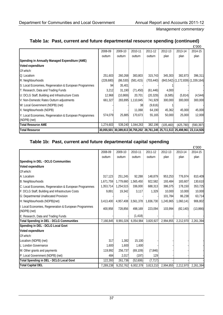# **Table 1a: Past, current and future departmental resource spending (continued)**

|                                                        |           |                                                                              |                   |            |            |                                     | £'000      |
|--------------------------------------------------------|-----------|------------------------------------------------------------------------------|-------------------|------------|------------|-------------------------------------|------------|
|                                                        | 2008-09   | 2009-10                                                                      | 2010-11           | 2011-12    | 2012-13    | 2013-14                             | 2014-15    |
|                                                        | outturn   | outturn                                                                      | outturn           | outturn    | plan       | plan                                | plan       |
| Spending in Annually Managed Expenditure (AME)         |           |                                                                              |                   |            |            |                                     |            |
| Voted expenditure                                      |           |                                                                              |                   |            |            |                                     |            |
| Of which:                                              |           |                                                                              |                   |            |            |                                     |            |
| Q: Localism                                            | 251,603   | 260,268                                                                      | 383,803           | 315,743    | 345,303    | 382,873                             | 396.311    |
| R: Neighbourhoods                                      | (228,680) | (86, 530)                                                                    | (581, 415)        | (703, 440) |            | $(843,542)$ (1,172,839) (1,339,164) |            |
| S: Local Economies, Regeneration & European Programmes | 94        | 35,401                                                                       |                   |            |            |                                     |            |
| T: Research, Data and Trading Funds                    | 3,212     | 31,190                                                                       | (71, 450)         | (61, 446)  | 4,000      |                                     |            |
| U: DCLG Staff, Building and Infrastructure Costs       | 12,968    | (10, 869)                                                                    | 20,701            | (20, 329)  | (6, 585)   | (5,814)                             | (4, 544)   |
| V: Non-Domestic Rates Outturn adjustments              | 661,327   |                                                                              | 283,895 1,110,845 | 741,929    | 300,000    | 300,000                             | 300,000    |
| W: Local Government (NDPB) (net)                       |           |                                                                              | 38                | (9,616)    |            |                                     |            |
| X: Neighbourhoods (NDPB)                               |           |                                                                              | 11,068            | 64,190     | 45,362     | 45,000                              | 45,000     |
| Y: Local Economies, Regeneration & European Programmes | 574.079   | 25,885                                                                       | 170,673           | 55,165     | 50,000     | 25,000                              | 12,000     |
| (NDPB) (net)                                           |           |                                                                              |                   |            |            |                                     |            |
| <b>Total Resource AME</b>                              | 1,274,603 | 539,240                                                                      | 1,044,263         | 382,196    | (105, 460) | (425, 780)                          | (590, 397) |
| <b>Total Resource</b>                                  |           | 30,055,501 30,389,813 30,755,202 28,761,245 25,711,513 25,498,961 23,114,926 |                   |            |            |                                     |            |

# **Table 1b: Past, current and future departmental capital spending**

|                                                                        |           |           |                        |           |           |                     | £'000     |
|------------------------------------------------------------------------|-----------|-----------|------------------------|-----------|-----------|---------------------|-----------|
|                                                                        | 2008-09   | 2009-10   | 2010-11                | 2011-12   | 2012-13   | 2013-14             | 2014-15   |
|                                                                        | outturn   | outturn   | outturn                | outturn   | plan      | plan                | plan      |
| Spending in DEL - DCLG Communities                                     |           |           |                        |           |           |                     |           |
| Voted expenditure                                                      |           |           |                        |           |           |                     |           |
| Of which:                                                              |           |           |                        |           |           |                     |           |
| A: Localism                                                            | 317,123   | 251,245   | 92,288                 | 148,879   | 953,253   | 776,974             | 810,409   |
| B: Neighbourhoods                                                      | 1,671,759 | 1,779,660 | 1,565,450              | 922,582   | 193,484   | 183,607             | 130,610   |
| C: Local Economies, Regeneration & European Programmes                 | 1,353,714 | 1,254,515 | 336,000                | 688,313   | 386,375   | 178,150             | 353,725   |
| F: DCLG Staff, Building and Infrastructure Costs                       | 9,891     | 19,342    | 3,117                  | 1,329     | 10,000    | 10,000              | 10,000    |
| G: Departmental Unallocated Provision                                  |           |           |                        |           | 101,784   | 86,238              | 63,714    |
| H: Neighbourhoods (NDPB)(net)                                          | 3.413.400 | 4,957,408 | 3,561,378              | 1,836,730 | 1.245.965 | 1,060,141           | 906,802   |
| I: Local Economies, Regeneration & European Programmes<br>(NDPB) (net) | 400,958   | 728,856   | 498,169                | 223,094   | 103,994   | (82, 140)           | (13, 866) |
| E: Research, Data and Trading Funds                                    |           |           | (1, 418)               |           |           |                     |           |
| <b>Total Spending in DEL - DCLG Communities</b>                        | 7,166,845 | 8,991,026 | $\overline{6,}054,984$ | 3,820,927 | 2.994.855 | 2,212,970           | 2,261,394 |
| Spending in DEL - DCLG Local Govt                                      |           |           |                        |           |           |                     |           |
| Voted expenditure                                                      |           |           |                        |           |           |                     |           |
| Of which:                                                              |           |           |                        |           |           |                     |           |
| Localism (NDPB) (net)                                                  | 317       | 1,382     | 15,100                 |           |           |                     |           |
| L: London Governance                                                   | 1,600     | 1,600     | 1,600                  |           |           |                     |           |
| M: Other grants and payments                                           | 119,992   | 256,737   | (69, 109)              | (7, 846)  |           |                     |           |
| P: Local Government (NDPB) (net)                                       | 484       | 2,017     | (197)                  | 129       |           |                     |           |
| Total Spending in DEL - DCLG Local Govt                                | 122,393   | 261,736   | (52,606)               | (7, 717)  |           |                     |           |
| <b>Total Capital DEL</b>                                               | 7,289,238 | 9,252,762 | 6,002,378              | 3,813,210 | 2,994,855 | 2,212,970 2,261,394 |           |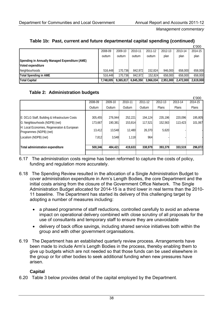|  |  |  |  | Table 1b: Past, current and future departmental capital spending (continued) |  |  |  |
|--|--|--|--|------------------------------------------------------------------------------|--|--|--|
|--|--|--|--|------------------------------------------------------------------------------|--|--|--|

|                                                |           |           |           |           |           |           | £'000     |
|------------------------------------------------|-----------|-----------|-----------|-----------|-----------|-----------|-----------|
|                                                | 2008-09   | 2009-10   | 2010-11   | 2011-12   | 2012-13   | 2013-14   | 2014-15   |
|                                                | outturn   | outturn   | outturn   | outturn   | plan      | plan      | plan      |
| Spending in Annually Managed Expenditure (AME) |           |           |           |           |           |           |           |
| Voted expenditure                              |           |           |           |           |           |           |           |
| Neighbourhoods                                 | 516,448   | 170.736   | 842.972   | 152.824   | 946,000   | 658,000   | 658,000   |
| Total Spending in AME                          | 516,448   | 170.736   | 842.972   | 152.824   | 658,000   | 658,000   | 658,000   |
| <b>Total Capital</b>                           | 7.748.005 | 9.365.817 | 6.845.350 | 3.966.034 | 2.951.000 | 2,472,000 | 2.619.000 |

### **Table 2: Administration budgets**

|                                                                        |         |         |         |         |         |         | £'000   |
|------------------------------------------------------------------------|---------|---------|---------|---------|---------|---------|---------|
|                                                                        | 2008-09 | 2009-10 | 2010-11 | 2011-12 | 2012-13 | 2013-14 | 2014-15 |
|                                                                        | Outturn | Outturn | Outturn | Outturn | Plans   | Plans   | Plans   |
|                                                                        |         |         |         |         |         |         |         |
| E: DCLG Staff, Building & Infrastructure Costs                         | 305,455 | 276.944 | 252,221 | 194.124 | 235,196 | 220.096 | 195,805 |
| G: Neighbourhoods (NDPB) (net)                                         | 173,667 | 190,381 | 153,814 | 117,521 | 152.563 | 113,423 | 101,067 |
| H: Local Economies, Regeneration & European<br>Programmes (NDPB) (net) | 13,412  | 13,548  | 12,480  | 26,370  | 5,620   |         |         |
| Localism (NDPB) (net)                                                  | 7,812   | 3,548   | 1.118   | 964     |         |         |         |
|                                                                        |         |         |         |         |         |         |         |
| <b>Total administration expenditure</b>                                | 500,346 | 484,421 | 419,633 | 338,979 | 393,379 | 333,519 | 296,872 |
|                                                                        |         |         |         |         |         |         |         |

- 6.17 The administration costs regime has been reformed to capture the costs of policy, funding and regulation more accurately.
- 6.18 The Spending Review resulted in the allocation of a Single Administration Budget to cover administration expenditure in Arm's Length Bodies, the core Department and the initial costs arising from the closure of the Government Office Network. The Single Administration Budget allocated for 2014-15 is a third lower in real terms than the 2010- 11 baseline. The Department has started its delivery of this challenging target by adopting a number of measures including:
	- a phased programme of staff reductions, controlled carefully to avoid an adverse impact on operational delivery combined with close scrutiny of all proposals for the use of consultants and temporary staff to ensure they are unavoidable
	- delivery of back office savings, including shared service initiatives both within the group and with other government organisations.
- 6.19 The Department has an established quarterly review process. Arrangements have been made to include Arm's Length Bodies in the process, thereby enabling them to give up budgets which are not needed so that those funds can be used elsewhere in the group or for other bodies to seek additional funding when new pressures have arisen.

# **Capital**

6.20 Table 3 below provides detail of the capital employed by the Department.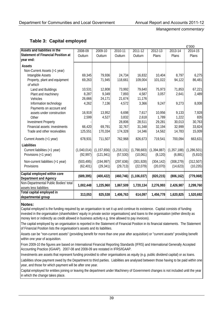| Table 3: Capital employed |  |
|---------------------------|--|
|---------------------------|--|

|                                                                       |             |               |             |               |             |               | £'000         |
|-----------------------------------------------------------------------|-------------|---------------|-------------|---------------|-------------|---------------|---------------|
| Assets and liabilities in the                                         | 2008-09     | 2009-10       | 2010-11     | $2011 - 12$   | $2012 - 13$ | 2013-14       | $2014 - 15$   |
| <b>Statement of Financial Position at</b>                             | Outturn     | Outturn       | Outturn     | Outturn       | Plans       | Plans         | Plans         |
| year end:                                                             |             |               |             |               |             |               |               |
| Assets                                                                |             |               |             |               |             |               |               |
| Non-Current Assets (>1 year)                                          |             |               |             |               |             |               |               |
| Intangible Assets                                                     | 69,345      | 79,936        | 24,734      | 16,832        | 10,404      | 8,797         | 6,275         |
| Property, plant and equipment                                         | 69,263      | 71,945        | 118,661     | 109,004       | 101,022     | 94,122        | 86,481        |
| of which                                                              |             |               |             |               |             |               |               |
| Land and Buildings                                                    | 10,531      | 12,808        | 73,992      | 79,640        | 75,973      | 71,853        | 67,221        |
| Plant and machinery                                                   | 8,287       | 9,349         | 7,893       | 4,587         | 3,057       | 2,641         | 2,489         |
| Vehicles                                                              | 26,666      | 24,171        | 21,674      | 11,176        |             |               |               |
| Information technology                                                | 4,262       | 7,136         | 4,572       | 3,366         | 9,247       | 9,273         | 8,008         |
| Payments on account and                                               |             |               |             |               |             |               |               |
| assets under construction                                             | 16,919      | 13,952        | 6,698       | 7,617         | 10,956      | 9,133         | 7,928         |
| Other                                                                 | 2,599       | 4,527         | 3,832       | 2,618         | 1,789       | 1,222         | 835           |
| <b>Investment Property</b>                                            |             |               | 28,806      | 28,511        | 29,281      | 30,013        | 30,763        |
| Financial assets: investments                                         | 66,420      | 69,791        | 32,767      | 31,348        | 32,194      | 32,999        | 33,824        |
| Trade and other receivables                                           | 125,551     | 170,334       | 174,328     | 14,346        | 14,562      | 14,783        | 15,009        |
| Current Assets (<1 year)                                              | 678,931     | 711,507       | 762,968     | 826,673       | 719,541     | 700,094       | 663,631       |
| Liabilities                                                           |             |               |             |               |             |               |               |
| Current liabilities (<1 year)                                         | (1,040,014) | (1, 157, 656) | (1,218,131) | (1,798,683)   | (1,394,887) | (1, 357, 188) | (1, 286, 501) |
| Provisions (<1 year)                                                  | (92, 997)   | (121, 941)    | (57, 530)   | (10,061)      | (8, 120)    | (6,881)       | (5, 810)      |
| Non-current liabilities (>1 year)                                     | (503, 495)  | (194, 997)    | (297, 636)  | (301, 928)    | (304, 142)  | (308, 279)    | (312, 507)    |
| Provisions                                                            | (62, 401)   | (29, 341)     | (29, 713)   | (22,079)      | (20,070)    | (14,623)      | (10, 235)     |
| Capital employed within core                                          |             |               |             |               |             |               |               |
|                                                                       | (689, 395)  | (400, 422)    | (460, 746)  | (1, 106, 037) | (820, 215)  | (806, 162)    | (779,068)     |
| <b>Department and Agency</b><br>Non-Departmental Public Bodies' total |             |               |             |               |             |               |               |
| assets less liabilities                                               | 1,002,448   | 1,225,960     | 1,867,509   | 1,720,134     | 2,276,993   | 2,426,987     | 2,299,760     |
| Total capital employed in                                             |             |               |             |               |             |               |               |
|                                                                       | 313,053     | 825,538       | 1,406,763   | 614,097       | 1,456,778   | 1,620,825     | 1,520,692     |
| departmental group                                                    |             |               |             |               |             |               |               |

### **Notes:**

Capital employed is the funding required by an organisation to set it up and continue its existence. Capital consists of funding invested in the organisation (shareholders' equity in private sector organisations) and loans to the organisation (either directly as money lent or indirectly as credit allowed in business activity e.g. time allowed to pay invoices).

The capital employed by an organisation is reported in the Statement of Financial Position in its financial statements. The Statement of Financial Position lists the organisation's assets and its liabilities.

Assets can be "non-current assets" (providing benefit for more than one year after acquisition) or "current assets" providing benefit within one year of acquisition.

From 2009-10 the figures are based on International Financial Reporting Standards (IFRS) and International Generally Accepted Accounting Practice (IGAAP). 2007-08 and 2008-09 are restated in IFRS/IGAAP.

Investments are assets that represent funding provided to other organisations as equity (e.g. public dividend capital) or as loans.

Liabilities show payment owed by the Department to third parties. Liabilities are analysed between those having to be paid within one year, and those for which payment will be after one year.

Capital employed for entities joining or leaving the department under Machinery of Government changes is not included until the year in which the change takes place.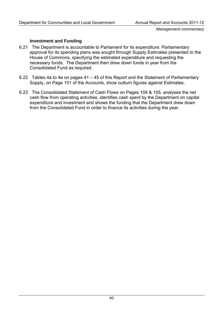# **Investment and Funding**

- 6.21 The Department is accountable to Parliament for its expenditure. Parliamentary approval for its spending plans was sought through Supply Estimates presented to the House of Commons, specifying the estimated expenditure and requesting the necessary funds. The Department then drew down funds in year from the Consolidated Fund as required.
- 6.22 Tables 4a to 4e on pages 41 45 of this Report and the Statement of Parliamentary Supply, on Page 101 of the Accounts, show outturn figures against Estimates.
- 6.23 The Consolidated Statement of Cash Flows on Pages 104 & 105, analyses the net cash flow from operating activities, identifies cash spent by the Department on capital expenditure and investment and shows the funding that the Department drew down from the Consolidated Fund in order to finance its activities during the year.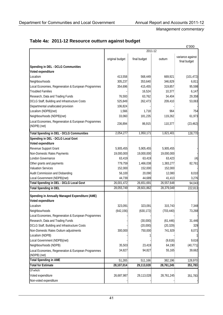|                                                                     |                 |              |            | £'000                            |
|---------------------------------------------------------------------|-----------------|--------------|------------|----------------------------------|
|                                                                     |                 | 2011-12      |            |                                  |
|                                                                     | original budget | final budget | outturn    | variance against<br>final budget |
| Spending in DEL - DCLG Communities                                  |                 |              |            |                                  |
| Voted expenditure                                                   |                 |              |            |                                  |
| Localism                                                            | 413,558         | 568,449      | 669,921    | (101, 472)                       |
| Neighbourhoods                                                      | 305,237         | 353,640      | 346,829    | 6,811                            |
| Local Economies, Regeneration & European Programmes                 | 354,696         | 415,455      | 319,857    | 95,598                           |
| <b>Troubled Families</b>                                            |                 | 16,524       | 10,377     | 6,147                            |
| Research, Data and Trading Funds                                    | 76,593          | 63,762       | 34,404     | 29,358                           |
| DCLG Staff, Building and Infrastructure Costs                       | 525,849         | 262,473      | 209,410    | 53,063                           |
| Departmental unallocated provision                                  | 106,824         |              |            |                                  |
| Localism (NDPB)(net)                                                | 1,566           | 1,718        | 964        | 754                              |
| Neighbourhoods (NDPB)(net)                                          | 33,060          | 181,235      | 119,262    | 61,973                           |
| Local Economies, Regeneration & European Programmes<br>(NDPB) (net) | 236,894         | 86,915       | 110,377    | (23, 462)                        |
| <b>Total Spending in DEL - DCLG Communities</b>                     | 2,054,277       | 1,950,171    | 1,821,401  | 128,770                          |
| Spending in DEL - DCLG Local Govt                                   |                 |              |            |                                  |
| Voted expenditure                                                   |                 |              |            |                                  |
| Revenue Support Grant                                               | 5,905,455       | 5,905,455    | 5,905,455  |                                  |
| Non-Domestic Rates Payments                                         | 19,000,000      | 19,000,000   | 19,000,000 |                                  |
| London Governance                                                   | 63,419          | 63,419       | 63,423     | (4)                              |
| Other grants and payments                                           | 779,759         | 1,466,038    | 1,383,277  | 82,761                           |
| <b>Valuation Services</b>                                           | 152,000         | 152,000      | 152,000    |                                  |
| Audit Commission and Disbanding                                     | 56,100          | 20,090       | 12,080     | 8,010                            |
| Local Government (NDPB)(net)                                        | 44,739          | 44,689       | 41,413     | 3,276                            |
| Total Spending in DEL - DCLG Local Govt                             | 26,001,472      | 26,651,691   | 26,557,648 | 94,043                           |
| <b>Total Spending in DEL</b>                                        | 28,055,749      | 28,601,862   | 28,379,049 | 222,813                          |
| Spending in Annually Managed Expenditure (AME)                      |                 |              |            |                                  |
| Voted expenditure                                                   |                 |              |            |                                  |
| Localism                                                            | 323,091         | 323,091      | 315,743    | 7,348                            |
| Neighbourhoods                                                      | (642, 156)      | (630, 172)   | (703, 440) | 73,268                           |
| Local Economies, Regeneration & European Programmes                 |                 |              |            |                                  |
| Research, Data and Trading Funds                                    |                 | (30,000)     | (61, 446)  | 31,446                           |
| DCLG Staff, Building and Infrastructure Costs                       |                 | (20,000)     | (20, 329)  | 329                              |
| Non-Domestic Rates Outturn adjustments                              | 300,000         | 750,000      | 741,929    | 8,071                            |
| Localism (NDPB)                                                     |                 |              |            |                                  |
| Local Government (NDPB)(net)                                        |                 |              | (9,616)    | 9,616                            |
| Neighbourhoods (NDPB)                                               | 35,503          | 23,419       | 64,190     | (40, 771)                        |
| Local Economies, Regeneration & European Programmes<br>(NDPB) (net) | 34,827          | 94,827       | 55,165     | 39,662                           |
| <b>Total Spending in AME</b>                                        | 51,265          | 511,166      | 382,196    | 128,970                          |
| <b>Total for Estimate</b>                                           | 28,107,014      | 29,113,028   | 28,761,245 | 351,783                          |
| Of which:                                                           |                 |              |            |                                  |
| Voted expenditure                                                   | 26,687,987      | 29,113,028   | 28,761,245 | 351,783                          |
| Non-voted expenditure                                               |                 |              |            |                                  |

# **Table 4a: 2011-12 Resource outturn against budget**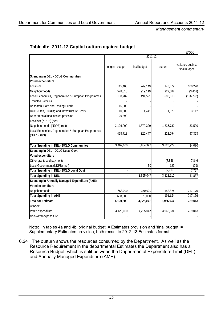|                                                                     |                 |              |           | £'000                            |  |  |  |
|---------------------------------------------------------------------|-----------------|--------------|-----------|----------------------------------|--|--|--|
|                                                                     | 2011-12         |              |           |                                  |  |  |  |
|                                                                     | original budget | final budget | outturn   | variance against<br>final budget |  |  |  |
| Spending in DEL - DCLG Communities                                  |                 |              |           |                                  |  |  |  |
| Voted expenditure                                                   |                 |              |           |                                  |  |  |  |
| Localism                                                            | 115,400         | 249,149      | 148,879   | 100,270                          |  |  |  |
| Neighbourhoods                                                      | 578,810         | 919,119      | 922,582   | (3, 463)                         |  |  |  |
| Local Economies, Regeneration & European Programmes                 | 158,782         | 491,521      | 688,313   | (196, 792)                       |  |  |  |
| <b>Troubled Families</b>                                            |                 |              |           |                                  |  |  |  |
| Research, Data and Trading Funds                                    | 15,000          |              |           |                                  |  |  |  |
| DCLG Staff, Building and Infrastructure Costs                       | 10,000          | 4,441        | 1,329     | 3,112                            |  |  |  |
| Departmental unallocated provision                                  | 29,890          |              |           |                                  |  |  |  |
| Localism (NDPB) (net)                                               |                 |              |           |                                  |  |  |  |
| Neighbourhoods (NDPB) (net)                                         | 2,126,000       | 1,870,320    | 1,836,730 | 33,590                           |  |  |  |
| Local Economies, Regeneration & European Programmes<br>(NDPB) (net) | 428,718         | 320,447      | 223,094   | 97,353                           |  |  |  |
| <b>Total Spending in DEL - DCLG Communities</b>                     | 3,462,600       | 3,854,997    | 3,820,927 | 34,070                           |  |  |  |
| Spending in DEL - DCLG Local Govt                                   |                 |              |           |                                  |  |  |  |
| Voted expenditure                                                   |                 |              |           |                                  |  |  |  |
| Other grants and payments                                           |                 |              | (7, 846)  | 7,846                            |  |  |  |
| Local Government (NDPB) (net)                                       |                 | 50           | 129       | (79)                             |  |  |  |
| <b>Total Spending in DEL - DCLG Local Govt</b>                      |                 | 50           | (7, 717)  | 7,767                            |  |  |  |
| <b>Total Spending in DEL</b>                                        |                 | 3,855,047    | 3,813,210 | 41,837                           |  |  |  |
| Spending in Annually Managed Expenditure (AME)                      |                 |              |           |                                  |  |  |  |
| Voted expenditure                                                   |                 |              |           |                                  |  |  |  |
| Neighbourhoods                                                      | 658,000         | 370,000      | 152,824   | 217,176                          |  |  |  |
| <b>Total Spending in AME</b>                                        | 658,000         | 370,000      | 152,824   | 217,176                          |  |  |  |
| <b>Total for Estimate</b>                                           | 4,120,600       | 4,225,047    | 3,966,034 | 259,013                          |  |  |  |
| Of which:                                                           |                 |              |           |                                  |  |  |  |
| Voted expenditure                                                   | 4,120,600       | 4,225,047    | 3,966,034 | 259,013                          |  |  |  |
| Non-voted expenditure                                               |                 |              |           |                                  |  |  |  |

# **Table 4b: 2011-12 Capital outturn against budget**

Note: In tables 4a and 4b 'original budget' = Estimates provision and 'final budget' = Supplementary Estimates provision, both recast to 2012-13 Estimates format.

6.24 The outturn shows the resources consumed by the Department. As well as the Resource Requirement in the departmental Estimates the Department also has a Resource Budget, which is split between the Departmental Expenditure Limit (DEL) and Annually Managed Expenditure (AME).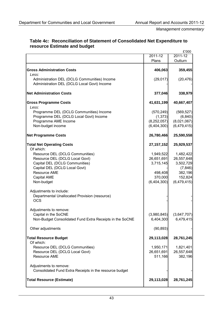|                                                                                             |                                    | £'000                              |
|---------------------------------------------------------------------------------------------|------------------------------------|------------------------------------|
|                                                                                             | 2011-12                            | $2011 - 12$                        |
|                                                                                             | Plans                              | Outturn                            |
| <b>Gross Administration Costs</b><br>Less:                                                  | 406,063                            | 359,455                            |
| Administration DEL (DCLG Communities) Income<br>Administration DEL (DCLG Local Govt) Income | (29, 017)                          | (20, 476)                          |
| <b>Net Administration Costs</b>                                                             | 377,046                            | 338,979                            |
| <b>Gross Programme Costs</b><br>Less:                                                       | 41,631,199                         | 40,667,407                         |
| Programme DEL (DCLG Communities) Income                                                     | (570, 249)                         | (569, 527)                         |
| Programme DEL (DCLG Local Govt) Income                                                      | (1, 373)                           | (6, 840)                           |
| Programme AME Income                                                                        | (8, 252, 057)                      | (8,021,067)                        |
| Non-budget income                                                                           | (6,404,300)                        | (6,479,415)                        |
| <b>Net Programme Costs</b>                                                                  | 26,780,466                         | 25,590,558                         |
| <b>Total Net Operating Costs</b><br>Of which:                                               | 27, 157, 152                       | 25,929,537                         |
| Resource DEL (DCLG Communities)                                                             | 1,949,522                          | 1,482,422                          |
| Resource DEL (DCLG Local Govt)                                                              | 26,651,691                         | 26,557,648                         |
| Capital DEL (DCLG Communities)                                                              | 3,715,145                          | 3,502,729                          |
| Capital DEL (DCLG Local Govt)                                                               |                                    | (7, 846)                           |
| <b>Resource AME</b>                                                                         | 498,408                            | 382,196                            |
| Capital AME                                                                                 | 370,000                            | 152,824                            |
| Non-budget                                                                                  | (6,404,300)                        | (6,479,415)                        |
| Adjustments to include:<br>Departmental Unallocated Provision (resource)<br><b>OCS</b>      |                                    |                                    |
| Adjustments to remove:                                                                      |                                    |                                    |
| Capital in the SoCNE                                                                        | (3,980,845)                        | (3,647,707)                        |
| Non-Budget Consolidated Fund Extra Receipts in the SoCNE                                    | 6,404,300                          | 6,479,415                          |
| Other adjustments                                                                           | (90, 893)                          |                                    |
| <b>Total Resource Budget</b><br>Of which:                                                   | 29,113,028                         | 28,761,245                         |
| Resource DEL (DCLG Communities)<br>Resource DEL (DCLG Local Govt)<br>Resource AME           | 1,950,171<br>26,651,691<br>511,166 | 1,821,401<br>26,557,648<br>382,196 |
| Adjustments to remove:<br>Consolidated Fund Extra Receipts in the resource budget           |                                    |                                    |
| <b>Total Resource (Estimate)</b>                                                            | 29,113,028                         | 28,761,245                         |

# **Table 4c: Reconciliation of Statement of Consolidated Net Expenditure to resource Estimate and budget**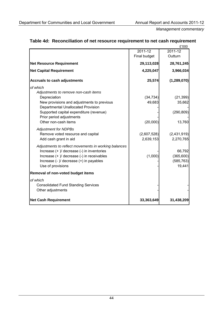|                                                      |              | £'000         |
|------------------------------------------------------|--------------|---------------|
|                                                      | 2011-12      | 2011-12       |
|                                                      | Final budget | Outturn       |
| <b>Net Resource Requirement</b>                      | 29,113,028   | 28,761,245    |
| <b>Net Capital Requirement</b>                       | 4,225,047    | 3,966,034     |
| <b>Accruals to cash adjustments</b>                  | 25,574       | (1, 289, 070) |
| of which                                             |              |               |
| Adjustments to remove non-cash items                 |              |               |
| Depreciation                                         | (34, 734)    | (21, 399)     |
| New provisions and adjustments to previous           | 49,683       | 35,662        |
| <b>Departmental Unallocated Provision</b>            |              |               |
| Supported capital expenditure (revenue)              |              | (290, 809)    |
| Prior period adjustments                             |              |               |
| Other non-cash items                                 | (20,000)     | 13,760        |
| <b>Adjustment for NDPBs</b>                          |              |               |
| Remove voted resource and capital                    | (2,607,528)  | (2,431,919)   |
| Add cash grant in aid                                | 2,639,153    | 2,270,765     |
| Adjustments to reflect movements in working balances |              |               |
| Increase (+ )/ decrease (-) in inventories           |              | 66,792        |
| Increase (+ )/ decrease (-) in receivables           | (1,000)      | (365, 600)    |
| Increase (- )/ decrease (+) in payables              |              | (585, 763)    |
| Use of provisions                                    |              | 19,441        |
| Removal of non-voted budget items                    |              |               |
| of which                                             |              |               |
| <b>Consolidated Fund Standing Services</b>           |              |               |
| Other adjustments                                    |              |               |
| <b>Net Cash Requirement</b>                          | 33,363,649   | 31,438,209    |

# **Table 4d: Reconciliation of net resource requirement to net cash requirement**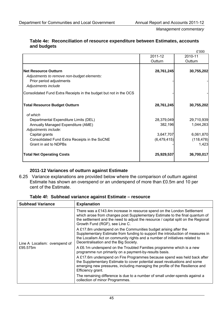|                                                                                                                              |             | £'000      |
|------------------------------------------------------------------------------------------------------------------------------|-------------|------------|
|                                                                                                                              | 2011-12     | 2010-11    |
|                                                                                                                              | Outturn     | Outturn    |
| <b>Net Resource Outturn</b><br>Adjustments to remove non-budget elements:<br>Prior period adjustments<br>Adjustments include | 28,761,245  | 30,755,202 |
| Consolidated Fund Extra Receipts in the budget but not in the OCS                                                            |             |            |
| <b>Total Resource Budget Outturn</b>                                                                                         | 28,761,245  | 30,755,202 |
| of which                                                                                                                     |             |            |
| Departmental Expenditure Limits (DEL)                                                                                        | 28,379,049  | 29,710,939 |
| Annually Managed Expenditure (AME)                                                                                           | 382,196     | 1,044,263  |
| Adjustments include:<br>Capital grants                                                                                       | 3,647,707   | 6,061,870  |
| Consolidated Fund Extra Receipts in the SoCNE                                                                                | (6,479,415) | (118, 478) |
| Grant in aid to NDPBs                                                                                                        |             | 1,423      |
| <b>Total Net Operating Costs</b>                                                                                             | 25,929,537  | 36,700,017 |

### **Table 4e: Reconciliation of resource expenditure between Estimates, accounts and budgets**

# **2011-12 Variances of outturn against Estimate**

6.25 Variance explanations are provided below where the comparison of outturn against Estimate has shown an overspend or an underspend of more than £0.5m and 10 per cent of the Estimate.

| <b>Subhead Variance</b>                   | <b>Explanation</b>                                                                                                                                                                                                                                                              |  |
|-------------------------------------------|---------------------------------------------------------------------------------------------------------------------------------------------------------------------------------------------------------------------------------------------------------------------------------|--|
| Line A Localism: overspend of<br>£95.575m | There was a £143.4m increase in resource spend on the London Settlement<br>which arose from changes post Supplementary Estimate to the final quantum of<br>the settlement and the need to adjust the resource / capital split on the Regional<br>Growth Fund (RGF), see Line C. |  |
|                                           | A £17.8m underspend on the Communities budget arising after the<br>Supplementary Estimate from funding to support the introduction of measures in<br>the Localism Act on community rights and a number of initiatives related to<br>Decentralisation and the Big Society.       |  |
|                                           | A £6.1m underspend on the Troubled Families programme which is a new<br>programme run primarily on a payment-by-results basis.                                                                                                                                                  |  |
|                                           | A £17.6m underspend on Fire Programmes because spend was held back after<br>the Supplementary Estimate to cover potential asset revaluations and some<br>emerging new pressures, including managing the profile of the Resilience and<br>Efficiency grant.                      |  |
|                                           | The remaining difference is due to a number of small under-spends against a<br>collection of minor Programmes.                                                                                                                                                                  |  |

**Table 4f: Subhead variance against Estimate – resource**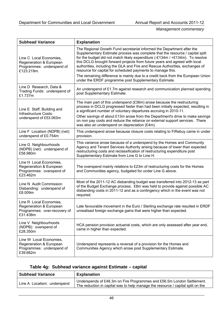| <b>Subhead Variance</b>                                                                        | <b>Explanation</b>                                                                                                                                                                                                                                                                                                                                                                                                                                                    |  |
|------------------------------------------------------------------------------------------------|-----------------------------------------------------------------------------------------------------------------------------------------------------------------------------------------------------------------------------------------------------------------------------------------------------------------------------------------------------------------------------------------------------------------------------------------------------------------------|--|
| Line C Local Economies,<br>Regeneration & European<br>Programmes: underspend of<br>£123.219m.  | The Regional Growth Fund secretariat informed the Department after the<br>Supplementary Estimate process was complete that the resource / capital split<br>for the budget did not match likely expenditure (-£134m / +£134m). To resolve<br>this DCLG brought forward projects from future years and agreed with local<br>authorities, including the GLA and Fire and Rescue Authorities, exchanges of<br>resource for capital for scheduled payments to manage this. |  |
|                                                                                                | The remaining difference is mainly due to a credit back from the European Union<br>under the ERDF programme post Supplementary Estimate.                                                                                                                                                                                                                                                                                                                              |  |
| Line D Research, Data &<br>Trading Funds: underspend of<br>£1.737m                             | An underspend of $£1.7m$ against research and communication planned spending<br>post Supplementary Estimate.                                                                                                                                                                                                                                                                                                                                                          |  |
| Line E Staff, Building and<br>Infrastructure Costs:<br>underspend of £53.063m                  | The main part of this underspend (£36m) arose because the restructuring<br>process in DCLG progressed faster than had been initially expected, resulting in<br>a significant number of voluntary departures accruing in 2010-11.<br>Other savings of about £13m arose from the Department's drive to make savings<br>on non pay costs and reduce the reliance on external support services. There<br>was also an underspend on depreciation (£4m).                    |  |
| Line F Localism (NDPB) (net):<br>underspend of £0.754m                                         | This underspend arose because closure costs relating to FiRebuy came in under<br>provision.                                                                                                                                                                                                                                                                                                                                                                           |  |
| Line G Neighbourhoods<br>(NDPB) (net): underspend of<br>£58.980m                               | This variance arose because of a underspend by the Homes and Community<br>Agency and Tenant Services Authority arising because of lower than expected<br>restructuring costs and reclassification of restructuring expenditure post<br>Supplementary Estimate from Line G to Line H.                                                                                                                                                                                  |  |
| Line H Local Economies,<br>Regeneration & European<br>Programmes: overspend of<br>£23.462m     | The overspend mainly relations to £23m of restructuring costs for the Homes<br>and Communities agency, budgeted for under Line G above.                                                                                                                                                                                                                                                                                                                               |  |
| Line N Audit Commission<br>Disbanding: underspend of<br>£8.009m                                | Most of the 2011-12 AC disbanding budget was transferred into 2012-13 as part<br>of the Budget Exchange process. £8m was held to provide against possible AC<br>disbanding costs in 2011-12 and as a contingency which in the event was not<br>required.                                                                                                                                                                                                              |  |
| Line R Local Economies,<br>Regeneration & European<br>Programmes: over-recovery of<br>£31.438m | Late favourable movement in the Euro / Sterling exchange rate resulted in ERDF<br>unrealised foreign exchange gains that were higher than expected.                                                                                                                                                                                                                                                                                                                   |  |
| Line V Neighbourhoods<br>(NDPB): overspend of<br>£28.350m                                      | HCA pension provision actuarial costs, which are only assessed after year end,<br>came in higher than expected.                                                                                                                                                                                                                                                                                                                                                       |  |
| Line W Local Economies,<br>Regeneration & European<br>Programmes: underspend of<br>£39.662m    | Underspend represents a reversal of a provision for the Homes and<br>Communities Agency which arose post Supplementary Estimate.                                                                                                                                                                                                                                                                                                                                      |  |

# **Table 4g: Subhead variance against Estimate – capital**

| <b>Subhead Variance</b>     | <b>Explanation</b>                                                                                                                                        |
|-----------------------------|-----------------------------------------------------------------------------------------------------------------------------------------------------------|
| Line A Localism: underspend | Underspends of £48.3m on Fire Programmes and £56.5m London Settlement.<br>The reduction in capital was to help manage the resource / capital split on the |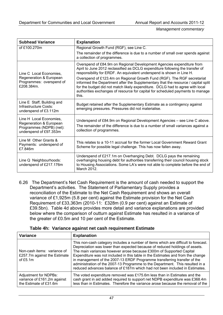| <b>Subhead Variance</b>                                                                                  | <b>Explanation</b>                                                                                                                                                                                                                                                                                                                                                                                                                                                                                                                                                          |  |  |
|----------------------------------------------------------------------------------------------------------|-----------------------------------------------------------------------------------------------------------------------------------------------------------------------------------------------------------------------------------------------------------------------------------------------------------------------------------------------------------------------------------------------------------------------------------------------------------------------------------------------------------------------------------------------------------------------------|--|--|
| of £100.270m                                                                                             | Regional Growth Fund (RGF), see Line C.                                                                                                                                                                                                                                                                                                                                                                                                                                                                                                                                     |  |  |
|                                                                                                          | The remainder of the difference is due to a number of small over spends against<br>a collection of programmes.                                                                                                                                                                                                                                                                                                                                                                                                                                                              |  |  |
| Line C Local Economies,<br>Regeneration & European<br>Programmes: overspend of<br>£208.384m.             | Overspend of £84.9m on Regional Development Agencies expenditure from<br>April to June 2012 reclassified as DCLG expenditure following the transfer of<br>responsibility for ERDF. An equivalent underspend is shown in Line H.<br>Overspend of £123.4m on Regional Growth Fund (RGF). The RGF secretariat<br>informed the Department after the Supplementary that the resource / capital split<br>for the budget did not match likely expenditure. DCLG had to agree with local<br>authorities exchanges of resource for capital for scheduled payments to manage<br>this. |  |  |
| Line E Staff, Building and<br>Infrastructure Costs:<br>underspend of £3.112m                             | Budget retained after the Supplementary Estimate as a contingency against<br>emerging pressures. Pressures did not materialise.                                                                                                                                                                                                                                                                                                                                                                                                                                             |  |  |
| Line H Local Economies,<br>Regeneration & European<br>Programmes (NDPB) (net):<br>underspend of £97.353m | Underspend of £84.9m on Regional Development Agencies - see Line C above.<br>The remainder of the difference is due to a number of small variances against a<br>collection of programmes.                                                                                                                                                                                                                                                                                                                                                                                   |  |  |
| Line M Other Grants &<br>Payments: underspend of<br>£7.846m                                              | This relates to a 10-11 accrual for the former Local Government Reward Grant<br>Scheme for possible legal challenge. This has now fallen away.                                                                                                                                                                                                                                                                                                                                                                                                                              |  |  |
| Line Q Neighbourhoods:<br>underspend of £217.176m                                                        | Underspend of £217.1m on Overhanging Debt. DCLG pays the remaining<br>overhanging housing debt for authorities transferring their council housing stock<br>to Housing Associations. Some LA's were not able to complete before the end of<br>March 2012.                                                                                                                                                                                                                                                                                                                    |  |  |

6.26 The Department's Net Cash Requirement is the amount of cash needed to support the Department's activities. The Statement of Parliamentary Supply provides a reconciliation of the Estimate to the Net Cash Requirement and shows an overall variance of £1,925m (5.8 per cent) against the Estimate provision for the Net Cash Requirement of £33,363m (2010-11: £328m (0.9 per cent) against an Estimate of £39.5bn). Table 4d above provides more detail and variance explanations are provided below where the comparison of outturn against Estimate has resulted in a variance of the greater of £0.5m and 10 per cent of the Estimate.

|  | Table 4h: Variance against net cash requirement Estimate |  |  |  |
|--|----------------------------------------------------------|--|--|--|
|--|----------------------------------------------------------|--|--|--|

| <b>Variance</b>                                                                | <b>Explanation</b>                                                                                                                                                                                                                                                                                                                                                                                                                                                                                                                                                      |
|--------------------------------------------------------------------------------|-------------------------------------------------------------------------------------------------------------------------------------------------------------------------------------------------------------------------------------------------------------------------------------------------------------------------------------------------------------------------------------------------------------------------------------------------------------------------------------------------------------------------------------------------------------------------|
| Non-cash items: variance of<br>£257.7m against the Estimate<br>of $£5.1m$      | This non-cash category includes a number of items which are difficult to forecast.<br>Depreciation was lower than expected because of reduced holdings of assets.<br>The main variances however arose because £300m of Supported Capital<br>Expenditure was not included in this table in the Estimates and from the change<br>in management of the 2007-13 ERDF Programme transferring transfer of the<br>administration of the 2007-13 Programme to the Department. This resulted in a<br>reduced advances balance of £187m which had not been included in Estimates. |
| Adjustment for NDPBs:<br>variance of £161.2m against<br>the Estimate of £31.6m | The voted expenditure removed was £175.6m less than in Estimates and the<br>cash grant in aid added required to support net NDPB expenditure was £368.4m<br>less than in Estimates. Therefore the variance arose because the removal of the                                                                                                                                                                                                                                                                                                                             |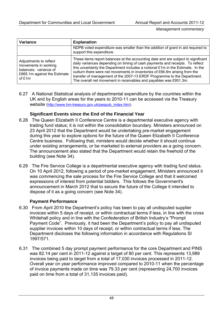| <b>Variance</b>                                                                                                   | <b>Explanation</b>                                                                                                                                                                                                                                                                                                                                                                                                                                                                  |  |
|-------------------------------------------------------------------------------------------------------------------|-------------------------------------------------------------------------------------------------------------------------------------------------------------------------------------------------------------------------------------------------------------------------------------------------------------------------------------------------------------------------------------------------------------------------------------------------------------------------------------|--|
|                                                                                                                   | NDPB voted expenditure was smaller than the addition of grant in aid required to<br>support this expenditure.                                                                                                                                                                                                                                                                                                                                                                       |  |
| Adjustments to reflect<br>movements in working<br>balances; variance of<br>£865.1m against the Estimate<br>of £1m | These items report balances at the accounting date and are subject to significant<br>daily variances depending on timing of cash payments and receipts. To reflect<br>this uncertainty the Department includes a notional £1m in the Estimate. In the<br>outturn there were net movements in inventories of £66.8m arising from the<br>transfer of management of the 2007-13 ERDF Programme to the Department.<br>The overall net movement in receivables and payables was £951.3m. |  |

6.27 A National Statistical analysis of departmental expenditure by the countries within the UK and by English areas for the years to 2010-11 can be accessed via the Treasury website ([http://www.hm-treasury.gov.uk/pespub\\_index.htm](http://www.hm-treasury.gov.uk/pespub_index.htm)).

# **Significant Events since the End of the Financial Year**

- 6.28 The Queen Elizabeth II Conference Centre is a departmental executive agency with trading fund status; it is not within the consolidation boundary. Ministers announced on 23 April 2012 that the Department would be undertaking pre-market engagement during this year to explore options for the future of the Queen Elizabeth II Conference Centre business. Following that, ministers would decide whether it should continue under existing arrangements, or be marketed to external providers as a going concern. The announcement also stated that the Department would retain the freehold of the building (see Note 34).
- 6.29 The Fire Service College is a departmental executive agency with trading fund status. On 10 April 2012, following a period of pre-market engagement, Ministers announced it was commencing the sale process for the Fire Service College and that it welcomed expressions of interest from potential bidders. This follows the Government's announcement in March 2012 that to secure the future of the College it intended to dispose of it as a going concern (see Note 34).

# **Payment Performance**

- 6.30 From April 2010 the Department's policy has been to pay all undisputed supplier invoices within 5 days of receipt, or within contractual terms if less, in line with the cross Whitehall policy and in line with the Confederation of British Industry's "Prompt Payment Code". Previously, it had been the Department's policy to pay all undisputed supplier invoices within 10 days of receipt, or within contractual terms if less. The Department discloses the following information in accordance with Regulations SI 1997/571.
- 6.31 The combined 5 day prompt payment performance for the core Department and PINS was 82.14 per cent in 2011-12 against a target of 80 per cent. This represents 13,989 invoices being paid to target from a total of 17,030 invoices processed in 2011-12. Overall year on year performance improved compared to 2010-11 when the percentage of invoice payments made on time was 79.33 per cent (representing 24,700 invoices paid on time from a total of 31,135 invoices paid).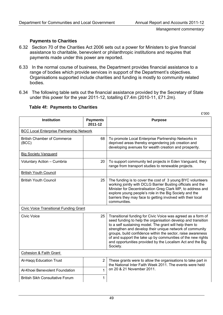### **Payments to Charities**

- 6.32 Section 70 of the Charities Act 2006 sets out a power for Ministers to give financial assistance to charitable, benevolent or philanthropic institutions and requires that payments made under this power are reported.
- 6.33 In the normal course of business, the Department provides financial assistance to a range of bodies which provide services in support of the Department's objectives. Organisations supported include charities and funding is mostly to community related bodies.
- 6.34 The following table sets out the financial assistance provided by the Secretary of State under this power for the year 2011-12, totalling £7.4m (2010-11, £71.2m).

|  | <b>Table 4f: Payments to Charities</b> |  |
|--|----------------------------------------|--|
|--|----------------------------------------|--|

| <b>Institution</b>                              | <b>Payments</b><br>2011-12 | <b>Purpose</b>                                                                                                                                                                                                                                                                                                                                                                                                                                              |
|-------------------------------------------------|----------------------------|-------------------------------------------------------------------------------------------------------------------------------------------------------------------------------------------------------------------------------------------------------------------------------------------------------------------------------------------------------------------------------------------------------------------------------------------------------------|
| <b>BCC Local Enterprise Partnership Network</b> |                            |                                                                                                                                                                                                                                                                                                                                                                                                                                                             |
| <b>British Chamber of Commerce</b><br>(BCC)     | 68                         | To promote Local Enterprise Partnership Networks in<br>deprived areas thereby engendering job creation and<br>developing avenues for wealth creation and prosperity.                                                                                                                                                                                                                                                                                        |
| <b>Big Society Vanguard</b>                     |                            |                                                                                                                                                                                                                                                                                                                                                                                                                                                             |
| Voluntary Action - Cumbria                      | 20                         | To support community led projects in Eden Vanguard, they<br>range from transport studies to renewable projects.                                                                                                                                                                                                                                                                                                                                             |
| <b>British Youth Council</b>                    |                            |                                                                                                                                                                                                                                                                                                                                                                                                                                                             |
| <b>British Youth Council</b>                    | 25                         | The funding is to cover the cost of 3 young BYC volunteers<br>working jointly with DCLG Barrier Busting officials and the<br>Minister for Decentralisation Greg Clark MP, to address and<br>explore young people's role in the Big Society and the<br>barriers they may face to getting involved with their local<br>communities.                                                                                                                           |
| <b>Civic Voice Transitional Funding Grant</b>   |                            |                                                                                                                                                                                                                                                                                                                                                                                                                                                             |
| Civic Voice                                     | 25                         | Transitional funding for Civic Voice was agreed as a form of<br>seed funding to help the organisation develop and transition<br>to a self sustaining model. The grant will help them to<br>strengthen and develop their unique network of community<br>groups, build confidence within the sector, raise awareness<br>of and support the take up by communities of the new rights<br>and opportunities provided by the Localism Act and the Big<br>Society. |
| Cohesion & Faith Grant                          |                            |                                                                                                                                                                                                                                                                                                                                                                                                                                                             |
| Al-Haqq Education Trust                         | $\overline{2}$             | These grants were to allow the organisations to take part in<br>the National Inter Faith Week 2011. The events were held                                                                                                                                                                                                                                                                                                                                    |
| Al-Khoei Benevolent Foundation                  | 1                          | on 20 & 21 November 2011.                                                                                                                                                                                                                                                                                                                                                                                                                                   |
| <b>British Sikh Consultative Forum</b>          | 1                          |                                                                                                                                                                                                                                                                                                                                                                                                                                                             |

£'000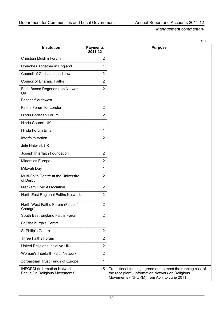|                                                                     |                            | £'000                                                                                                                                                          |
|---------------------------------------------------------------------|----------------------------|----------------------------------------------------------------------------------------------------------------------------------------------------------------|
| <b>Institution</b>                                                  | <b>Payments</b><br>2011-12 | <b>Purpose</b>                                                                                                                                                 |
| Christian Muslim Forum                                              | $\overline{2}$             |                                                                                                                                                                |
| Churches Together in England                                        | 1                          |                                                                                                                                                                |
| Council of Christians and Jews                                      | 2                          |                                                                                                                                                                |
| <b>Council of Dharmic Faiths</b>                                    | $\overline{2}$             |                                                                                                                                                                |
| Faith Based Regeneration Network<br>UK                              | $\overline{2}$             |                                                                                                                                                                |
| FaithnetSouthwest                                                   | 1                          |                                                                                                                                                                |
| Faiths Forum for London                                             | $\overline{2}$             |                                                                                                                                                                |
| Hindu Christian Forum                                               | $\overline{2}$             |                                                                                                                                                                |
| Hindu Council UK                                                    |                            |                                                                                                                                                                |
| Hindu Forum Britain                                                 | 1                          |                                                                                                                                                                |
| <b>Interfaith Action</b>                                            | $\overline{2}$             |                                                                                                                                                                |
| Jain Network UK                                                     | 1                          |                                                                                                                                                                |
| Joseph Interfaith Foundation                                        | $\overline{2}$             |                                                                                                                                                                |
| <b>Minorities Europe</b>                                            | $\overline{2}$             |                                                                                                                                                                |
| Mitzvah Day                                                         | 1                          |                                                                                                                                                                |
| Multi-Faith Centre at the University<br>of Derby                    | $\overline{2}$             |                                                                                                                                                                |
| Nishkam Civic Association                                           | $\overline{2}$             |                                                                                                                                                                |
| North East Regional Faiths Network                                  | $\overline{2}$             |                                                                                                                                                                |
| North West Faiths Forum (Faiths 4<br>Change)                        | $\overline{2}$             |                                                                                                                                                                |
| South East England Faiths Forum                                     | 2                          |                                                                                                                                                                |
| St Ethelburga's Centre                                              | 1                          |                                                                                                                                                                |
| St Philip's Centre                                                  | 2                          |                                                                                                                                                                |
| <b>Three Faiths Forum</b>                                           | $\overline{2}$             |                                                                                                                                                                |
| United Religions Initiative UK                                      | 2                          |                                                                                                                                                                |
| Woman's Interfaith Faith Network                                    | $\overline{2}$             |                                                                                                                                                                |
| Zoroastrian Trust Funds of Europe                                   | 1                          |                                                                                                                                                                |
| <b>INFORM</b> (Information Network<br>Focus On Religious Movements) | 45                         | Transitional funding agreement to meet the running cost of<br>the receipient - Information Network on Religious<br>Movements (INFORM) from April to June 2011. |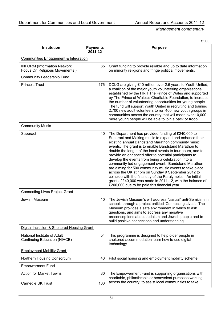£'000

| <b>Institution</b>                                                        | <b>Payments</b><br>2011-12 | <b>Purpose</b>                                                                                                                                                                                                                                                                                                                                                                                                                                                                                                                                                                                                                                                                                                                                             |  |
|---------------------------------------------------------------------------|----------------------------|------------------------------------------------------------------------------------------------------------------------------------------------------------------------------------------------------------------------------------------------------------------------------------------------------------------------------------------------------------------------------------------------------------------------------------------------------------------------------------------------------------------------------------------------------------------------------------------------------------------------------------------------------------------------------------------------------------------------------------------------------------|--|
| Communities Engagement & Integration                                      |                            |                                                                                                                                                                                                                                                                                                                                                                                                                                                                                                                                                                                                                                                                                                                                                            |  |
| 65<br><b>INFORM (Information Network</b><br>Focus On Religious Movements) |                            | Grant funding to provide reliable and up to date information<br>on minority religions and fringe political movements.                                                                                                                                                                                                                                                                                                                                                                                                                                                                                                                                                                                                                                      |  |
| <b>Community Leadership Fund</b>                                          |                            |                                                                                                                                                                                                                                                                                                                                                                                                                                                                                                                                                                                                                                                                                                                                                            |  |
| Prince's Trust                                                            | 176                        | DCLG are giving £10 million over 2.5 years to Youth United,<br>a coalition of the major youth volunteering organisations,<br>established by the HRH The Prince of Wales and supported<br>by The Prince of Wales's Charitable Foundation, to increase<br>the number of volunteering opportunities for young people.<br>The fund will support Youth United in recruiting and training<br>2,700 new adult volunteers to run 400 new youth groups in<br>communities across the country that will mean over 10,000<br>more young people will be able to join a pack or troop.                                                                                                                                                                                   |  |
| <b>Community Music</b>                                                    |                            |                                                                                                                                                                                                                                                                                                                                                                                                                                                                                                                                                                                                                                                                                                                                                            |  |
| Superact                                                                  | 40                         | The Department has provided funding of £240,000 to<br>Superact and Making music to expand and enhance their<br>existing annual Bandstand Marathon community music<br>events. The grant is to enable Bandstand Marathon to<br>double the length of the local events to four hours, and to<br>provide an enhanced offer to potential participants to<br>develop the events from being a celebration into a<br>community-led engagement event. Bandstand Marathon<br>are aiming for 500 community music events to take place<br>across the UK at 1pm on Sunday 9 September 2012 to<br>coincide with the final day of the Paralympics. An initial<br>grant of £40,000 was made in 2011-12, with the balance of<br>£200,000 due to be paid this financial year. |  |
| <b>Connecting Lives Project Grant</b>                                     |                            |                                                                                                                                                                                                                                                                                                                                                                                                                                                                                                                                                                                                                                                                                                                                                            |  |
| 10<br>Jewish Museum                                                       |                            | The Jewish Museum's will address "casual" anti-Semitism in<br>schools through a project entitled 'Connecting Lives'. The<br>Museum provides a safe environment in which to ask<br>questions, and aims to address any negative<br>preconceptions about Judaism and Jewish people and to<br>build positive connections and understanding.                                                                                                                                                                                                                                                                                                                                                                                                                    |  |
| Digital Inclusion & Sheltered Housing Grant                               |                            |                                                                                                                                                                                                                                                                                                                                                                                                                                                                                                                                                                                                                                                                                                                                                            |  |
| National Institute of Adult<br>Continuing Education (NIACE)               | 54                         | This programme is designed to help older people in<br>sheltered accommodation learn how to use digital<br>technology.                                                                                                                                                                                                                                                                                                                                                                                                                                                                                                                                                                                                                                      |  |
| <b>Employment Mobility Grant</b>                                          |                            |                                                                                                                                                                                                                                                                                                                                                                                                                                                                                                                                                                                                                                                                                                                                                            |  |
| Northern Housing Consortium                                               | 43                         | Pilot social housing and employment mobility scheme.                                                                                                                                                                                                                                                                                                                                                                                                                                                                                                                                                                                                                                                                                                       |  |
| <b>Empowerment Fund</b>                                                   |                            |                                                                                                                                                                                                                                                                                                                                                                                                                                                                                                                                                                                                                                                                                                                                                            |  |
| <b>Action for Market Towns</b>                                            | 80                         | The Empowerment Fund is supporting organisations with<br>charitable, philanthropic or benevolent purposes working                                                                                                                                                                                                                                                                                                                                                                                                                                                                                                                                                                                                                                          |  |
| Carnegie UK Trust                                                         | 100                        | across the country, to assist local communities to take                                                                                                                                                                                                                                                                                                                                                                                                                                                                                                                                                                                                                                                                                                    |  |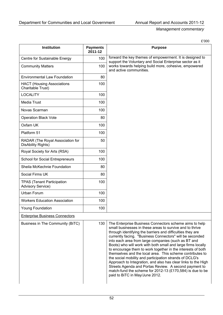|                                                               |                            | £'000                                                                                                                                                                                                                                                                                                                                                                                                                                                                                                                                                                                                                                                                                                                                                                                 |
|---------------------------------------------------------------|----------------------------|---------------------------------------------------------------------------------------------------------------------------------------------------------------------------------------------------------------------------------------------------------------------------------------------------------------------------------------------------------------------------------------------------------------------------------------------------------------------------------------------------------------------------------------------------------------------------------------------------------------------------------------------------------------------------------------------------------------------------------------------------------------------------------------|
| Institution                                                   | <b>Payments</b><br>2011-12 | <b>Purpose</b>                                                                                                                                                                                                                                                                                                                                                                                                                                                                                                                                                                                                                                                                                                                                                                        |
| Centre for Sustainable Energy                                 | 100                        | forward the key themes of empowerment. It is designed to<br>support the Voluntary and Social Enterprise sector as it                                                                                                                                                                                                                                                                                                                                                                                                                                                                                                                                                                                                                                                                  |
| <b>Community Matters</b>                                      | 100                        | works towards helping build more, cohesive, empowered<br>and active communities.                                                                                                                                                                                                                                                                                                                                                                                                                                                                                                                                                                                                                                                                                                      |
| <b>Environmental Law Foundation</b>                           | 80                         |                                                                                                                                                                                                                                                                                                                                                                                                                                                                                                                                                                                                                                                                                                                                                                                       |
| <b>HACT (Housing Associations</b><br>Charitable Trust)        | 100                        |                                                                                                                                                                                                                                                                                                                                                                                                                                                                                                                                                                                                                                                                                                                                                                                       |
| <b>LOCALITY</b>                                               | 100                        |                                                                                                                                                                                                                                                                                                                                                                                                                                                                                                                                                                                                                                                                                                                                                                                       |
| Media Trust                                                   | 100                        |                                                                                                                                                                                                                                                                                                                                                                                                                                                                                                                                                                                                                                                                                                                                                                                       |
| Novas Scarman                                                 | 100                        |                                                                                                                                                                                                                                                                                                                                                                                                                                                                                                                                                                                                                                                                                                                                                                                       |
| <b>Operation Black Vote</b>                                   | 80                         |                                                                                                                                                                                                                                                                                                                                                                                                                                                                                                                                                                                                                                                                                                                                                                                       |
| Oxfam UK                                                      | 100                        |                                                                                                                                                                                                                                                                                                                                                                                                                                                                                                                                                                                                                                                                                                                                                                                       |
| Platform 51                                                   | 100                        |                                                                                                                                                                                                                                                                                                                                                                                                                                                                                                                                                                                                                                                                                                                                                                                       |
| RADAR (The Royal Association for<br>DisAbility Rights)        | 50                         |                                                                                                                                                                                                                                                                                                                                                                                                                                                                                                                                                                                                                                                                                                                                                                                       |
| Royal Society for Arts (RSA)                                  | 100                        |                                                                                                                                                                                                                                                                                                                                                                                                                                                                                                                                                                                                                                                                                                                                                                                       |
| <b>School for Social Entrepreneurs</b>                        | 100                        |                                                                                                                                                                                                                                                                                                                                                                                                                                                                                                                                                                                                                                                                                                                                                                                       |
| Sheila McKechnie Foundation                                   | 80                         |                                                                                                                                                                                                                                                                                                                                                                                                                                                                                                                                                                                                                                                                                                                                                                                       |
| Social Firms UK                                               | 80                         |                                                                                                                                                                                                                                                                                                                                                                                                                                                                                                                                                                                                                                                                                                                                                                                       |
| <b>TPAS (Tenant Participation</b><br><b>Advisory Service)</b> | 100                        |                                                                                                                                                                                                                                                                                                                                                                                                                                                                                                                                                                                                                                                                                                                                                                                       |
| Urban Forum                                                   | 100                        |                                                                                                                                                                                                                                                                                                                                                                                                                                                                                                                                                                                                                                                                                                                                                                                       |
| <b>Workers Education Association</b>                          | 100                        |                                                                                                                                                                                                                                                                                                                                                                                                                                                                                                                                                                                                                                                                                                                                                                                       |
| <b>Young Foundation</b>                                       | 100                        |                                                                                                                                                                                                                                                                                                                                                                                                                                                                                                                                                                                                                                                                                                                                                                                       |
| <b>Enterprise Business Connectors</b>                         |                            |                                                                                                                                                                                                                                                                                                                                                                                                                                                                                                                                                                                                                                                                                                                                                                                       |
| Business in The Community (BiTC)                              | 130                        | The Enterprise Business Connectors scheme aims to help<br>small businesses in these areas to survive and to thrive<br>through identifying the barriers and difficulties they are<br>currently facing. "Business Connectors" will be seconded<br>into each area from large companies (such as BT and<br>Boots) who will work with both small and large firms locally<br>to encourage them to work together in the interests of both<br>themselves and the local area. This scheme contributes to<br>the social mobility and participation strands of DCLG's<br>Approach to Integration, and also has clear links to the High<br>Streets Agenda and Portas Review. A second payment to<br>match-fund the scheme for 2012-13 $(E170,584)$ is due to be<br>paid to BiTC in May/June 2012. |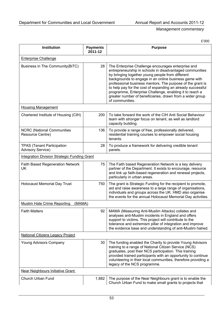£'000

| <b>Institution</b>                                            | <b>Payments</b><br>2011-12 | <b>Purpose</b>                                                                                                                                                                                                                                                                                                                                                                                                                                                                                      |  |  |
|---------------------------------------------------------------|----------------------------|-----------------------------------------------------------------------------------------------------------------------------------------------------------------------------------------------------------------------------------------------------------------------------------------------------------------------------------------------------------------------------------------------------------------------------------------------------------------------------------------------------|--|--|
| <b>Enterprise Challenge</b>                                   |                            |                                                                                                                                                                                                                                                                                                                                                                                                                                                                                                     |  |  |
| Business in The Community(BiTC)                               | 28                         | The Enterprise Challenge encourages enterprise and<br>entrepreneurship in schools in disadvantaged communities<br>by bringing together young people from different<br>backgrounds to engage in an online business game with<br>professional business mentors. The purpose of the grant is<br>to help pay for the cost of expanding an already successful<br>programme, Enterprise Challenge, enabling it to reach a<br>greater number of beneficiaries, drawn from a wider group<br>of communities. |  |  |
| <b>Housing Management</b>                                     |                            |                                                                                                                                                                                                                                                                                                                                                                                                                                                                                                     |  |  |
| Chartered Institute of Housing (CIH)                          | 200                        | To take forward the work of the CIH Anti Social Behaviour<br>team with stronger focus on tenant, as well as landlord<br>capacity building.                                                                                                                                                                                                                                                                                                                                                          |  |  |
| <b>NCRC</b> (National Communities<br>Resource Centre)         | 136                        | To provide a range of free, professionally delivered,<br>residential training courses to empower social housing<br>tenants.                                                                                                                                                                                                                                                                                                                                                                         |  |  |
| <b>TPAS (Tenant Participation</b><br><b>Advisory Service)</b> | 28                         | To produce a framework for delivering credible tenant<br>panels.                                                                                                                                                                                                                                                                                                                                                                                                                                    |  |  |
| <b>Integration Division Strategic Funding Grant</b>           |                            |                                                                                                                                                                                                                                                                                                                                                                                                                                                                                                     |  |  |
| <b>Faith Based Regeneration Network</b><br>UK                 | 75                         | The Faith based Regeneration Network is a key delivery<br>partner of the Department. It exists to encourage, resource<br>and link up faith-based regeneration and renewal projects,<br>particularly in urban areas.                                                                                                                                                                                                                                                                                 |  |  |
| <b>Holocaust Memorial Day Trust</b>                           | 750                        | The grant is Strategic Funding for the recipient to promote,<br>aid and raise awareness to a large range of organisations,<br>individuals and groups across the UK. HMD also organise<br>the events for the annual Holocaust Memorial Day activities.                                                                                                                                                                                                                                               |  |  |
| (MAMA)<br><b>Muslim Hate Crime Reporting</b>                  |                            |                                                                                                                                                                                                                                                                                                                                                                                                                                                                                                     |  |  |
| <b>Faith Matters</b>                                          | 92                         | MAMA (Measuring Anti-Muslim Attacks) collates and<br>analyses anti-Muslim incidents in England and offers<br>support to victims. This project will contribute to the<br>tolerance and extremism pillar of integration and improve<br>the evidence base and understanding of anti-Muslim hatred.                                                                                                                                                                                                     |  |  |
| <b>National Citizens Legacy Project</b>                       |                            |                                                                                                                                                                                                                                                                                                                                                                                                                                                                                                     |  |  |
| Young Advisors Company                                        | 30                         | The funding enabled the Charity to provide Young Advisors<br>training to a range of National Citizen Service (NCS)<br>graduates, post their NCS participation. This training<br>provided trained participants with an opportunity to continue<br>volunteering in their local communities, therefore providing a<br>legacy of the NCS programme.                                                                                                                                                     |  |  |
| Near Neighbours Initiative Grant                              |                            |                                                                                                                                                                                                                                                                                                                                                                                                                                                                                                     |  |  |
| Church Urban Fund                                             | 1,882                      | The purpose of the Near Neighbours grant is to enable the<br>Church Urban Fund to make small grants to projects that                                                                                                                                                                                                                                                                                                                                                                                |  |  |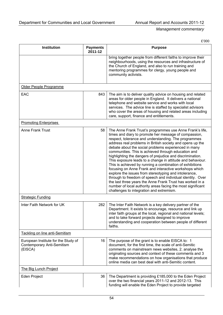£'000

| <b>Institution</b>                                                           | <b>Payments</b><br>2011-12 | <b>Purpose</b>                                                                                                                                                                                                                                                                                                                                                                                                                                                                                                                                                                                                                                                                                                                                                                                                                                                                                        |
|------------------------------------------------------------------------------|----------------------------|-------------------------------------------------------------------------------------------------------------------------------------------------------------------------------------------------------------------------------------------------------------------------------------------------------------------------------------------------------------------------------------------------------------------------------------------------------------------------------------------------------------------------------------------------------------------------------------------------------------------------------------------------------------------------------------------------------------------------------------------------------------------------------------------------------------------------------------------------------------------------------------------------------|
|                                                                              |                            | bring together people from different faiths to improve their<br>neighbourhoods, using the resources and infrastructure of<br>the Church of England, and also to run training and<br>mentoring programmes for clergy, young people and<br>community activists.                                                                                                                                                                                                                                                                                                                                                                                                                                                                                                                                                                                                                                         |
| Older People Programme                                                       |                            |                                                                                                                                                                                                                                                                                                                                                                                                                                                                                                                                                                                                                                                                                                                                                                                                                                                                                                       |
| EAC                                                                          | 843                        | The aim is to deliver quality advice on housing and related<br>areas for older people in England. It delivers a national<br>telephone and website service and works with local<br>services. The advice line is staffed by specialist advisors<br>who cover the areas of housing and related areas including<br>care, support, finance and entitlements.                                                                                                                                                                                                                                                                                                                                                                                                                                                                                                                                               |
| <b>Promoting Enterprises</b>                                                 |                            |                                                                                                                                                                                                                                                                                                                                                                                                                                                                                                                                                                                                                                                                                                                                                                                                                                                                                                       |
| Anne Frank Trust                                                             | 58                         | The Anne Frank Trust's programmes use Anne Frank's life,<br>times and diary to promote her message of compassion,<br>respect, tolerance and understanding. The programmes<br>address real problems in British society and opens up the<br>debate about the social problems experienced in many<br>communities. This is achieved through education and<br>highlighting the dangers of prejudice and discrimination.<br>This exposure leads to a change in attitude and behaviour.<br>This is achieved by running a combination of exhibitions<br>focusing on Anne Frank and interactive workshops which<br>explore the issues from stereotyping and intolerance,<br>through to freedom of speech and individual identity. Over<br>the last three years the Anne Frank Trust has worked in a<br>number of local authority areas facing the most significant<br>challenges to integration and extremism. |
| <b>Strategic Funding</b>                                                     |                            |                                                                                                                                                                                                                                                                                                                                                                                                                                                                                                                                                                                                                                                                                                                                                                                                                                                                                                       |
| Inter Faith Network for UK                                                   | 282                        | The Inter Faith Network is a key delivery partner of the<br>Department. It exists to encourage, resource and link up<br>inter faith groups at the local, regional and national levels;<br>and to take forward projects designed to improve<br>understanding and cooperation between people of different<br>faiths.                                                                                                                                                                                                                                                                                                                                                                                                                                                                                                                                                                                    |
| Tackling on line anti-Semitism                                               |                            |                                                                                                                                                                                                                                                                                                                                                                                                                                                                                                                                                                                                                                                                                                                                                                                                                                                                                                       |
| European Institute for the Study of<br>Contemporary Anti-Semitism<br>(EISCA) | 16                         | The purpose of the grant is to enable EISCA to: 1<br>document, for the first time, the scale of anti-Semitic<br>comments on mainstream news websites, 2. analyse the<br>originating sources and context of these comments and 3<br>make recommendations on how organisations that produce<br>online media can best deal with anti-Semitic content.                                                                                                                                                                                                                                                                                                                                                                                                                                                                                                                                                    |
| <b>The Big Lunch Project</b>                                                 |                            |                                                                                                                                                                                                                                                                                                                                                                                                                                                                                                                                                                                                                                                                                                                                                                                                                                                                                                       |
| Eden Project                                                                 | 36                         | The Department is providing £185,000 to the Eden Project<br>over the two financial years 2011-12 and 2012-13. This<br>funding will enable the Eden Project to provide targeted                                                                                                                                                                                                                                                                                                                                                                                                                                                                                                                                                                                                                                                                                                                        |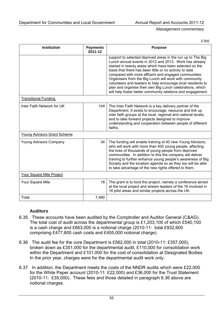£'000

| <b>Institution</b>                 | <b>Payments</b><br>2011-12 | <b>Purpose</b>                                                                                                                                                                                                                                                                                                                                                                                                                                                                                                                                           |
|------------------------------------|----------------------------|----------------------------------------------------------------------------------------------------------------------------------------------------------------------------------------------------------------------------------------------------------------------------------------------------------------------------------------------------------------------------------------------------------------------------------------------------------------------------------------------------------------------------------------------------------|
|                                    |                            | support to selected deprived areas in the run up to The Big<br>Lunch annual events in 2012 and 2013. Work has already<br>started in twenty areas which have been selected on the<br>basis that there has been little or no activity to date<br>compared with more affluent and engaged communities.<br>Organisers from the Big Lunch will work with community<br>volunteers and leaders to help encourage local residents to<br>plan and organise their own Big Lunch celebrations, which<br>will help foster better community relations and engagement. |
| <b>Transitional Funding</b>        |                            |                                                                                                                                                                                                                                                                                                                                                                                                                                                                                                                                                          |
| Inter Faith Network for UK         | 104                        | The Inter Faith Network is a key delivery partner of the<br>Department. It exists to encourage, resource and link up<br>inter faith groups at the local, regional and national levels;<br>and to take forward projects designed to improve<br>understanding and cooperation between people of different<br>faiths.                                                                                                                                                                                                                                       |
| <b>Young Advisors Grant Scheme</b> |                            |                                                                                                                                                                                                                                                                                                                                                                                                                                                                                                                                                          |
| Young Advisors Company             | 34                         | The funding will enable training of 40 new Young Advisors,<br>who will work with more than 400 young people, affecting<br>the lives of thousands of young people from deprived<br>communities. In addition to this the company will deliver<br>training to further enhance young people's awareness of Big<br>Society and the localism agenda so as they too will be able<br>to take advantage of the new rights offered to them.                                                                                                                        |
| Your Square Mile Project           |                            |                                                                                                                                                                                                                                                                                                                                                                                                                                                                                                                                                          |
| Your Square Mile                   | 18                         | The grant is to fund the project, namely a conference aimed<br>at the local project and stream leaders of the 16 involved in<br>16 pilot areas and similar projects across the UK.                                                                                                                                                                                                                                                                                                                                                                       |
| Total                              | 7,480                      |                                                                                                                                                                                                                                                                                                                                                                                                                                                                                                                                                          |

# **Auditors**

- 6.35 These accounts have been audited by the Comptroller and Auditor General (C&AG). The total cost of audit across the departmental group is £1,203,100 of which £540,100 is a cash charge and £663,000 is a notional charge (2010-11: total £932,600 comprising £477,600 cash costs and £455,000 notional charge).
- 6.36 The audit fee for the core Department is £562,000 in total (2010-11: £357,000), broken down as £351,000 for the departmental audit, £110,000 for consolidation work within the Department and £101,000 for the cost of consolidation at Designated Bodies. In the prior year, charges were for the departmental audit work only.
- 6.37 In addition, the Department meets the costs of the NNDR audits which were £22,000 for the White Paper account (2010-11: £22,000) and £36,000 for the Trust Statement (2010-11: £35,000). These fees and those detailed in paragraph 6.36 above are notional charges.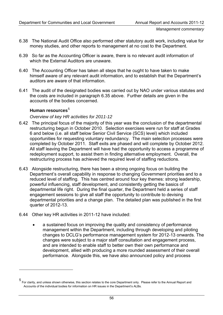- <span id="page-59-0"></span>6.38 The National Audit Office also performed other statutory audit work, including value for money studies, and other reports to management at no cost to the Department.
- 6.39 So far as the Accounting Officer is aware, there is no relevant audit information of which the External Auditors are unaware.
- 6.40 The Accounting Officer has taken all steps that he ought to have taken to make himself aware of any relevant audit information, and to establish that the Department's auditors are aware of that information.
- 6.41 The audit of the designated bodies was carried out by NAO under various statutes and the costs are included in paragraph 6.35 above. Further details are given in the accounts of the bodies concerned.

# Human resources<sup>[5](#page-59-0)</sup>

# *Overview of key HR activities for 2011-12*

- 6.42 The principal focus of the majority of this year was the conclusion of the departmental restructuring begun in October 2010. Selection exercises were run for staff at Grades 6 and below (i.e. all staff below Senior Civil Service (SCS) level) which included opportunities for requesting voluntary redundancy. The main selection processes were completed by October 2011. Staff exits are phased and will complete by October 2012. All staff leaving the Department will have had the opportunity to access a programme of redeployment support, to assist them in finding alternative employment. Overall, the restructuring process has achieved the required level of staffing reductions.
- 6.43 Alongside restructuring, there has been a strong ongoing focus on building the Department's overall capability in response to changing Government priorities and to a reduced level of staffing. This has centred around four key themes: strong leadership, powerful influencing, staff development, and consistently getting the basics of departmental life right. During the final quarter, the Department held a series of staff engagement sessions to give all staff the opportunity to contribute to devising departmental priorities and a change plan. The detailed plan was published in the first quarter of 2012-13.
- 6.44 Other key HR activities in 2011-12 have included:
	- a sustained focus on improving the quality and consistency of performance management within the Department, including through developing and piloting changes to DCLG's performance management system for 2012-13 onwards. The changes were subject to a major staff consultation and engagement process, and are intended to enable staff to better own their own performance and development, allied with producing a more rounded assessment of their overall performance. Alongside this, we have also announced policy and process

<sup>5</sup> For clarity, and unless shown otherwise, this section relates to the core Department only. Please refer to the Annual Report and Accounts of the individual bodies for information on HR issues in the Department's ALBs.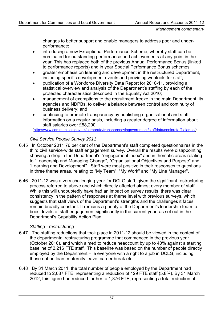changes to better support and enable managers to address poor and underperformance;

- introducing a new Exceptional Performance Scheme, whereby staff can be nominated for outstanding performance and achievements at any point in the year. This has replaced both of the previous Annual Performance Bonus (linked to performance reports) and in year Special Performance Bonus schemes;
- greater emphasis on learning and development in the restructured Department, including specific development events and providing webtools for staff;
- publication of a Workforce Diversity Data Report for 2010-11, providing a statistical overview and analysis of the Department's staffing by each of the protected characteristics described in the Equality Act 2010;
- management of exemptions to the recruitment freeze in the main Department, its agencies and NDPBs, to deliver a balance between control and continuity of business delivery; and
- continuing to promote transparency by publishing organisational and staff information on a regular basis, including a greater degree of information about staff salaries over £58,200

[\(http://www.communities.gov.uk/corporate/transparencyingovernment/staffdata/seniorstaffsalaries/](http://www.communities.gov.uk/corporate/transparencyingovernment/staffdata/seniorstaffsalaries/)*).*

# *Civil Service People Survey 2011*

- 6.45 In October 2011 76 per cent of the Department's staff completed questionnaires in the third civil service-wide staff engagement survey. Overall the results were disappointing, showing a drop in the Department's "engagement index" and in thematic areas relating to "Leadership and Managing Change", "Organisational Objectives and Purpose" and "Learning and Development". Staff were most positive in their responses to questions in three theme areas, relating to "My Team", "My Work" and "My Line Manager".
- 6.46 2011-12 was a very challenging year for DCLG staff, given the significant restructuring process referred to above and which directly affected almost every member of staff. While this will undoubtedly have had an impact on survey results, there was clear consistency in the pattern of responses at theme level with previous surveys, which suggests that staff views of the Department's strengths and the challenges it faces remain broadly constant. It remains a priority of the Department's leadership team to boost levels of staff engagement significantly in the current year, as set out in the Department's Capability Action Plan.

# *Staffing - restructuring*

- 6.47 The staffing reductions that took place in 2011-12 should be viewed in the context of the departmental restructuring programme that commenced in the previous year (October 2010), and which aimed to reduce headcount by up to 40% against a starting baseline of 2,216 FTE staff. This baseline was based on the number of people directly employed by the Department – ie everyone with a right to a job in DCLG, including those out on loan, maternity leave, career break etc.
- 6.48 By 31 March 2011, the total number of people employed by the Department had reduced to 2,087 FTE, representing a reduction of 129 FTE staff (5.8%). By 31 March 2012, this figure had reduced further to 1,876 FTE, representing a total reduction of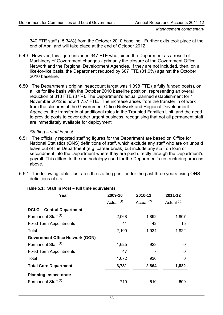340 FTE staff (15.34%) from the October 2010 baseline. Further exits took place at the end of April and will take place at the end of October 2012.

- 6.49 However, this figure includes 347 FTE who joined the Department as a result of Machinery of Government changes - primarily the closure of the Government Office Network and the Regional Development Agencies. If they are not included, then, on a like-for-like basis, the Department reduced by 687 FTE (31.0%) against the October 2010 baseline.
- 6.50 The Department's original headcount target was 1,398 FTE (ie fully funded posts), on a like for like basis with the October 2010 baseline position, representing an overall reduction of 818 FTE (37%). The Department's actual planned establishment for 1 November 2012 is now 1,757 FTE. The increase arises from the transfer in of work from the closures of the Government Office Network and Regional Development Agencies, the transfer in of additional roles in the Troubled Families Unit, and the need to provide posts to cover other urgent business, recognising that not all permanent staff are immediately available for deployment.

# *Staffing – staff in post*

- 6.51 The officially reported staffing figures for the Department are based on Office for National Statistics (ONS) definitions of staff, which exclude any staff who are on unpaid leave out of the Department (e.g. career break) but include any staff on loan or secondment into the Department where they are paid directly through the Department's payroll. This differs to the methodology used for the Department's restructuring process above.
- 6.52 The following table illustrates the staffing position for the past three years using ONS definitions of staff:

| Year                                   | 2009-10               | 2010-11               | 2011-12               |  |
|----------------------------------------|-----------------------|-----------------------|-----------------------|--|
|                                        | Actual <sup>(1)</sup> | Actual <sup>(2)</sup> | Actual <sup>(3)</sup> |  |
| <b>DCLG - Central Department</b>       |                       |                       |                       |  |
| Permanent Staff <sup>(4)</sup>         | 2,068                 | 1,892                 | 1,807                 |  |
| <b>Fixed Term Appointments</b>         | 41                    | 42                    | 15                    |  |
| Total                                  | 2,109                 | 1,934                 | 1,822                 |  |
| <b>Government Office Network (GON)</b> |                       |                       |                       |  |
| Permanent Staff <sup>(4)</sup>         | 1,625                 | 923                   | 0                     |  |
| <b>Fixed Term Appointments</b>         | 47                    | 7                     | 0                     |  |
| Total                                  | 1,672                 | 930                   | 0                     |  |
| <b>Total Core Department</b>           | 3,781                 | 2,864                 | 1,822                 |  |
| <b>Planning Inspectorate</b>           |                       |                       |                       |  |
| Permanent Staff <sup>(4)</sup>         | 719                   | 610                   | 600                   |  |

### **Table 5.1: Staff in Post – full time equivalents**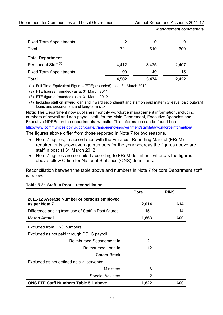| <b>Fixed Term Appointments</b> | 2     | 0     |       |
|--------------------------------|-------|-------|-------|
| Total                          | 721   | 610   | 600   |
| <b>Total Department</b>        |       |       |       |
| Permanent Staff <sup>(4)</sup> | 4,412 | 3,425 | 2,407 |
| <b>Fixed Term Appointments</b> | 90    | 49    | 15    |
| <b>Total</b>                   | 4,502 | 3,474 | 2,422 |

(1) Full Time Equivalent Figures (FTE) (rounded) as at 31 March 2010

(2) FTE figures (rounded) as at 31 March 2011

(3) FTE figures (rounded) as at 31 March 2012

(4) Includes staff on inward loan and inward secondment and staff on paid maternity leave, paid outward loans and secondment and long-term sick.

**Note**: The Department now publishes monthly workforce management information, including numbers of payroll and non-payroll staff, for the Main Department, Executive Agencies and Executive NDPBs on the departmental website. This information can be found here: <http://www.communities.gov.uk/corporate/transparencyingovernment/staffdata/workforceinformation/>

The figures above differ from those reported in Note 7 for two reasons.

- Note 7 figures, in accordance with the Financial Reporting Manual (FReM) requirements show average numbers for the year whereas the figures above are staff in post at 31 March 2012.
- Note 7 figures are compiled according to FReM definitions whereas the figures above follow Office for National Statistics (ONS) definitions.

Reconciliation between the table above and numbers in Note 7 for core Department staff is below:

|                                                             | Core  | <b>PINS</b> |
|-------------------------------------------------------------|-------|-------------|
| 2011-12 Average Number of persons employed<br>as per Note 7 | 2,014 | 614         |
| Difference arising from use of Staff in Post figures        | 151   | 14          |
| <b>March Actual</b>                                         | 1,863 | 600         |
| Excluded from ONS numbers:                                  |       |             |
| Excluded as not paid through DCLG payroll:                  |       |             |
| Reimbursed Secondment In                                    | 21    |             |
| Reimbursed Loan In                                          | 12    |             |
| Career Break                                                |       |             |
| Excluded as not defined as civil servants:                  |       |             |
| <b>Ministers</b>                                            | 6     |             |
| <b>Special Advisers</b>                                     | 2     |             |
| <b>ONS FTE Staff Numbers Table 5.1 above</b>                | 1,822 | 600         |

### **Table 5.2: Staff in Post – reconciliation**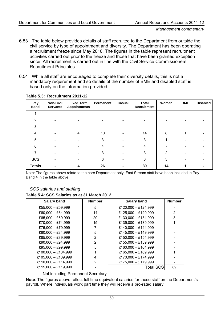- 6.53 The table below provides details of staff recruited to the Department from outside the civil service by type of appointment and diversity. The Department has been operating a recruitment freeze since May 2010. The figures in the table represent recruitment activities carried out prior to the freeze and those that have been granted exception since. All recruitment is carried out in line with the Civil Service Commissioners' Recruitment Principles.
- 6.54 While all staff are encouraged to complete their diversity details, this is not a mandatory requirement and so details of the number of BME and disabled staff is based only on the information provided.

| Pay<br><b>Band</b> | <b>Non-Civil</b><br><b>Servants</b> | <b>Fixed Term</b><br><b>Appointments</b> | Permanent | <b>Casual</b> | <b>Total</b><br><b>Recruitment</b> | Women | <b>BME</b> | <b>Disabled</b> |
|--------------------|-------------------------------------|------------------------------------------|-----------|---------------|------------------------------------|-------|------------|-----------------|
|                    |                                     |                                          |           |               |                                    |       |            |                 |
| 2                  |                                     |                                          |           |               |                                    |       |            |                 |
| 3                  |                                     |                                          |           |               |                                    |       |            |                 |
| 4                  |                                     |                                          | 10        |               | 14                                 | 8     |            |                 |
| 5                  |                                     |                                          | 3         |               | 3                                  |       |            |                 |
| 6                  |                                     |                                          | 4         |               | 4                                  |       |            |                 |
|                    |                                     |                                          | 3         |               | 3                                  | 2     |            |                 |
| SCS                |                                     |                                          | 6         |               | 6                                  | 3     |            |                 |
| <b>Totals</b>      |                                     |                                          | 26        |               | 30                                 | 14    |            |                 |

### **Table 5.3: Recruitment 2011-12**

Note: The figures above relate to the core Department only. Fast Stream staff have been included in Pay Band 4 in the table above.

### *SCS salaries and staffing*

### **Table 5.4: SCS Salaries as at 31 March 2012**

| <b>Salary band</b>  | <b>Number</b> | <b>Salary band</b>  | <b>Number</b>  |
|---------------------|---------------|---------------------|----------------|
| £55,000 $-$ £59,999 | 5             | £120,000 - £124,999 |                |
| £60,000 - £64,999   | 14            | £125,000 - £129,999 | $\overline{2}$ |
| £65,000 - £69,999   | 20            | £130,000 - £134,999 | 3              |
| £70,000 - £74,999   | 15            | £135,000 - £139,999 |                |
| £75,000 - £79,999   |               | £140,000 - £144,999 |                |
| £80,000 $-$ £84,999 | 5             | £145,000 - £149,999 |                |
| £85,000 - £89,999   | 2             | £150,000 - £154,999 |                |
| $£90,000 - £94,999$ | 2             | £155,000 - £159,999 |                |
| £95,000 - £99,999   | 5             | £160,000 - £164,999 |                |
| £100,000 - £104,999 |               | £165,000 - £169,999 |                |
| £105,000 - £109,999 | 4             | £170,000 - £174,999 |                |
| £110,000 - £114,999 | 2             | £175,000 - £179,999 |                |
| £115,000 - £119,999 |               | <b>Total SCS</b>    | 89             |

Not including Permanent Secretary

**Note**: The figures above reflect full time equivalent salaries for those staff on the Department's payroll. Where individuals work part time they will receive a pro-rated salary.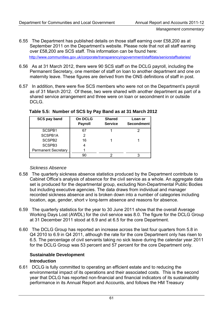- 6.55 The Department has published details on those staff earning over £58,200 as at September 2011 on the Department's website. Please note that not all staff earning over £58,200 are SCS staff. This information can be found here: <http://www.communities.gov.uk/corporate/transparencyingovernment/staffdata/seniorstaffsalaries/>
- 6.56 As at 31 March 2012, there were 90 SCS staff on the DCLG payroll, including the Permanent Secretary, one member of staff on loan to another department and one on maternity leave. These figures are derived from the ONS definitions of staff in post.
- 6.57 In addition, there were five SCS members who were not on the Department's payroll as of 31 March 2012. Of these, two were shared with another department as part of a shared service arrangement and three were on loan or secondment in or outside DCLG.

| SCS pay band               | On DCLG<br><b>Payroll</b> | <b>Shared</b><br><b>Service</b> | Loan or<br>Secondment |
|----------------------------|---------------------------|---------------------------------|-----------------------|
| SCSPB1                     | -67                       |                                 |                       |
| SCSPB1A                    | 2                         |                                 |                       |
| SCSPB <sub>2</sub>         | 16                        |                                 |                       |
| SCSPB3                     |                           |                                 |                       |
| <b>Permanent Secretary</b> |                           |                                 |                       |
|                            |                           |                                 |                       |

# **Table 5.5: Number of SCS by Pay Band as at 31 March 2012**

# *Sickness Absence*

- 6.58 The quarterly sickness absence statistics produced by the Department contribute to Cabinet Office's analysis of absence for the civil service as a whole. An aggregate data set is produced for the departmental group, excluding Non-Departmental Public Bodies but including executive agencies. The data draws from individual and manager recorded sickness absence and is broken down into a number of categories including location, age, gender, short v long-term absence and reasons for absence.
- 6.59 The quarterly statistics for the year to 30 June 2011 show that the overall Average Working Days Lost (AWDL) for the civil service was 8.0. The figure for the DCLG Group at 31 December 2011 stood at 6.9 and at 6.5 for the core Department.
- 6.60 The DCLG Group has reported an increase across the last four quarters from 5.8 in Q4 2010 to 6.9 in Q4 2011, although the rate for the core Department only has risen to 6.5. The percentage of civil servants taking no sick leave during the calendar year 2011 for the DCLG Group was 53 percent and 57 percent for the core Department only.

# **Sustainable Development Introduction**

6.61 DCLG is fully committed to operating an efficient estate and to reducing the environmental impact of its operations and their associated costs. This is the second year that DCLG has reported non-financial and financial indicators of its sustainability performance in its Annual Report and Accounts, and follows the HM Treasury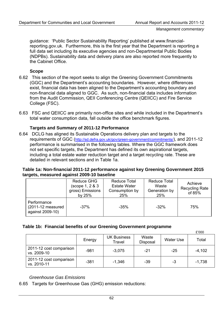guidance: 'Public Sector Sustainability Reporting' published at www.financialreporting.gov.uk. Furthermore, this is the first year that the Department is reporting a full data set including its executive agencies and non-Departmental Public Bodies (NDPBs). Sustainability data and delivery plans are also reported more frequently to the Cabinet Office.

### **Scope**

- 6.62 This section of the report seeks to align the Greening Government Commitments (GGC) and the Department's accounting boundaries. However, where differences exist, financial data has been aligned to the Department's accounting boundary and non-financial data aligned to GGC. As such, non-financial data includes information from the Audit Commission, QEII Conferencing Centre (QEIICC) and Fire Service College (FSC).
- 6.63 FSC and QEIICC are primarily non-office sites and while included in the Department's total water consumption data, fall outside the office benchmark figures.

# **Targets and Summary of 2011-12 Performance**

6.64 DCLG has aligned its Sustainable Operations delivery plan and targets to the requirements of GGC ([http://sd.defra.gov.uk/gov/green-government/commitments/\)](http://sd.defra.gov.uk/gov/green-government/commitments/), and 2011-12 performance is summarised in the following tables. Where the GGC framework does not set specific targets, the Department has defined its own aspirational targets, including a total estate water reduction target and a target recycling rate. These are detailed in relevant sections and in Table 1a.

# **Table 1a: Non-financial 2011-12 performance against key Greening Government 2015 targets, measured against 2009-10 baseline**

|                                                         | Reduce GHG<br>(scope 1, 2 & 3<br>gross) Emissions<br>by 25% | Reduce Total<br><b>Estate Water</b><br>Consumption by<br>25% | <b>Reduce Total</b><br>Waste<br>Generation by<br>25% | Achieve<br><b>Recycling Rate</b><br>of 85% |
|---------------------------------------------------------|-------------------------------------------------------------|--------------------------------------------------------------|------------------------------------------------------|--------------------------------------------|
| Performance<br>$(2011-12)$ measured<br>against 2009-10) | -37%                                                        | $-35%$                                                       | $-32\%$                                              | 75%                                        |

# **Table 1b: Financial benefits of our Greening Government programme**

|                                        |        |                              |                   |           | £'000    |
|----------------------------------------|--------|------------------------------|-------------------|-----------|----------|
|                                        | Energy | <b>UK Business</b><br>Travel | Waste<br>Disposal | Water Use | Total    |
| 2011-12 cost comparison<br>vs. 2009-10 | $-981$ | $-3,075$                     | -21               | $-25$     | $-4,102$ |
| 2011-12 cost comparison<br>vs. 2010-11 | $-381$ | $-1,346$                     | $-39$             | -3        | $-1,738$ |

### *Greenhouse Gas Emissions*

6.65 Targets for Greenhouse Gas (GHG) emission reductions: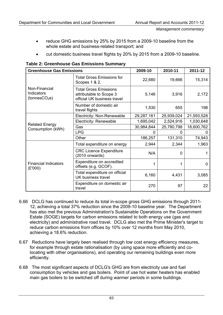- reduce GHG emissions by 25% by 2015 from a 2009-10 baseline from the whole estate and business-related transport; and
- cut domestic business travel flights by 20% by 2015 from a 2009-10 baseline.

| <b>Greenhouse Gas Emissions</b>                          |                                                                                        | 2009-10    | 2010-11    | 2011-12    |
|----------------------------------------------------------|----------------------------------------------------------------------------------------|------------|------------|------------|
|                                                          | <b>Total Gross Emissions for</b><br>Scopes 1 & 2.                                      | 22,680     | 19,666     | 15,314     |
| Non-Financial<br>Indicators<br>(tonnesCO <sub>2</sub> e) | <b>Total Gross Emissions</b><br>attributable to Scope 3<br>official UK business travel | 5,146      | 3,916      | 2,172      |
|                                                          | Number of domestic air<br>travel flights                                               | 1,530      | 655        | 198        |
| <b>Related Energy</b><br>Consumption (kWh)               | Electricity: Non-Renewable                                                             | 29,287,161 | 25,939,024 | 21,593,528 |
|                                                          | Electricity: Renewable                                                                 | 1,695,042  | 2,524,916  | 1,030,648  |
|                                                          | Gas                                                                                    | 30,984,844 | 25,780,798 | 18,600,762 |
|                                                          | <b>LPG</b>                                                                             | 0          | 0          | 0          |
|                                                          | Other                                                                                  | 186,257    | 131,310    | 74,943     |
| <b>Financial Indicators</b><br>(E'000)                   | Total expenditure on energy                                                            | 2,944      | 2,344      | 1,963      |
|                                                          | <b>CRC Licence Expenditure</b><br>$(2010$ onwards)                                     | N/A        | $\Omega$   | 1          |
|                                                          | Expenditure on accredited<br>offsets (e.g. GCOF).                                      | 1          |            | $\Omega$   |
|                                                          | Total expenditure on official<br>UK business travel                                    | 6,160      | 4,431      | 3,085      |
|                                                          | Expenditure on domestic air<br>travel                                                  | 270        | 97         | 22         |

**Table 2: Greenhouse Gas Emissions Summary** 

- 6.66 DCLG has continued to reduce its total in-scope gross GHG emissions through 2011- 12, achieving a total 37% reduction since the 2009-10 baseline year. The Department has also met the previous Administration's Sustainable Operations on the Government Estate (SOGE) targets for carbon emissions related to both energy use (gas and electricity) and administrative road travel. DCLG also met the Prime Minister's target to reduce carbon emissions from offices by 10% over 12 months from May 2010, achieving a 18.6% reduction.
- 6.67 Reductions have largely been realised through low cost energy efficiency measures, for example through estate rationalisation (by using space more efficiently and colocating with other organisations), and operating our remaining buildings even more efficiently.
- 6.68 The most significant aspects of DCLG's GHG are from electricity use and fuel consumption by vehicles and gas boilers. Point of use hot water heaters has enabled main gas boilers to be switched off during warmer periods in some buildings.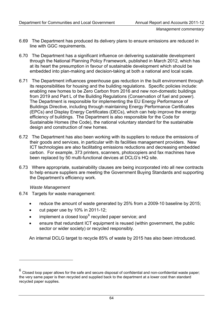- <span id="page-67-0"></span>6.69 The Department has produced its delivery plans to ensure emissions are reduced in line with GGC requirements.
- 6.70 The Department has a significant influence on delivering sustainable development through the National Planning Policy Framework, published in March 2012, which has at its heart the presumption in favour of sustainable development which should be embedded into plan-making and decision-taking at both a national and local scale.
- 6.71 The Department influences greenhouse gas reduction in the built environment through its responsibilities for housing and the building regulations. Specific policies include: enabling new homes to be Zero Carbon from 2016 and new non-domestic buildings from 2019 and Part L of the Building Regulations (Conservation of fuel and power). The Department is responsible for implementing the EU Energy Performance of Buildings Directive, including through maintaining Energy Performance Certificates (EPCs) and Display Energy Certificates (DECs), which can help improve the energy efficiency of buildings. The Department is also responsible for the Code for Sustainable Homes (the Code), the national voluntary standard for the sustainable design and construction of new homes.
- 6.72 The Department has also been working with its suppliers to reduce the emissions of their goods and services, in particular with its facilities management providers. New ICT technologies are also facilitating emissions reductions and decreasing embedded carbon. For example, 373 printers, scanners, photocopiers and fax machines have been replaced by 50 multi-functional devices at DCLG's HQ site.
- 6.73 Where appropriate, sustainability clauses are being incorporated into all new contracts to help ensure suppliers are meeting the Government Buying Standards and supporting the Department's efficiency work.

# *Waste Management*

- 6.74 Targets for waste management:
	- reduce the amount of waste generated by 25% from a 2009-10 baseline by 2015;
	- cut paper use by 10% in 2011-12;
	- $\bullet$  implement a closed loop<sup>[6](#page-67-0)</sup> recycled paper service; and
	- ensure that redundant ICT equipment is reused (within government, the public sector or wider society) or recycled responsibly.

An internal DCLG target to recycle 85% of waste by 2015 has also been introduced.

 $6$  Closed loop paper allows for the safe and secure disposal of confidential and non-confidential waste paper; the very same paper is then recycled and supplied back to the department at a lower cost than standard recycled paper supplies.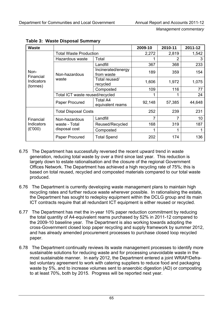| <b>Waste</b>                                |                                                 |                                     | 2009-10 | 2010-11 | 2011-12 |
|---------------------------------------------|-------------------------------------------------|-------------------------------------|---------|---------|---------|
|                                             | <b>Total Waste Production</b>                   |                                     | 2,272   | 2,819   | 1,542   |
| Non-<br>Financial<br>Indicators<br>(tonnes) | Hazardous waste                                 | Total                               |         | 2       | 3       |
|                                             | Non-hazardous<br>waste                          | Landfill                            | 367     | 368     | 233     |
|                                             |                                                 | Incinerated/energy<br>from waste    | 189     | 359     | 154     |
|                                             |                                                 | Total reused/<br>recycled           | 1,606   | 1,972   | 1,075   |
|                                             |                                                 | Composted                           | 109     | 116     | 77      |
|                                             | Total ICT waste reused/recycled                 |                                     |         |         | 24      |
|                                             | Paper Procured                                  | <b>Total A4</b><br>equivalent reams | 92,148  | 57,385  | 44,648  |
|                                             | <b>Total Disposal Costs</b>                     |                                     | 252     | 239     | 231     |
| Financial<br>Indicators<br>(E'000)          | Non-hazardous<br>waste - Total<br>disposal cost | Landfill                            | 7       | 7       | 10      |
|                                             |                                                 | Reused/Recycled                     | 168     | 319     | 187     |
|                                             |                                                 | Composted                           |         | 1       |         |
|                                             | Paper Procured                                  | <b>Total Spend</b>                  | 202     | 174     | 136     |

**Table 3: Waste Disposal Summary** 

- 6.75 The Department has successfully reversed the recent upward trend in waste generation, reducing total waste by over a third since last year. This reduction is largely down to estate rationalisation and the closure of the regional Government Offices Network. The Department has achieved a high recycling rate of 75%; this is based on total reused, recycled and composted materials compared to our total waste produced.
- 6.76 The Department is currently developing waste management plans to maintain high recycling rates and further reduce waste wherever possible. In rationalising the estate, the Department has sought to redeploy equipment within the DCLG group and its main ICT contracts require that all redundant ICT equipment is either reused or recycled.
- 6.77 The Department has met the in-year 10% paper reduction commitment by reducing the total quantity of A4-equivalent reams purchased by 52% in 2011-12 compared to the 2009-10 baseline year. The Department is also working towards adopting the cross-Government closed loop paper recycling and supply framework by summer 2012, and has already amended procurement processes to purchase closed loop recycled paper.
- 6.78 The Department continually reviews its waste management processes to identify more sustainable solutions for reducing waste and for processing unavoidable waste in the most sustainable manner. In early 2012, the Department entered a joint WRAP/Defraled voluntary agreement to work with catering suppliers to reduce food and packaging waste by 5%, and to increase volumes sent to anaerobic digestion (AD) or composting to at least 70%, both by 2015. Progress will be reported next year.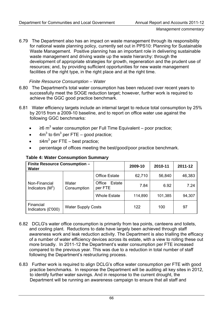6.79 The Department also has an impact on waste management through its responsibility for national waste planning policy, currently set out in PPS10: Planning for Sustainable Waste Management. Positive planning has an important role in delivering sustainable waste management and driving waste up the waste hierarchy: through the development of appropriate strategies for growth, regeneration and the prudent use of resources; and, by providing sufficient opportunities for new waste management facilities of the right type, in the right place and at the right time.

# *Finite Resource Consumption – Water*

- 6.80 The Department's total water consumption has been reduced over recent years to successfully meet the SOGE reduction target; however, further work is required to achieve the GGC good practice benchmark.
- 6.81 Water efficiency targets include an internal target to reduce total consumption by 25% by 2015 from a 2009-10 baseline, and to report on office water use against the following GGC benchmarks:
	- $\geq 6$  m<sup>3</sup> water consumption per Full Time Equivalent poor practice;
	- $4m^3$  to 6m<sup>3</sup> per FTE good practice;
	- $\leq 4m^3$  per FTE best practice;
	- percentage of offices meeting the best/good/poor practice benchmark.

| <b>Finite Resource Consumption -</b><br><b>Water</b> |                           |                             | 2009-10 | 2010-11 | 2011-12 |
|------------------------------------------------------|---------------------------|-----------------------------|---------|---------|---------|
| Non-Financial<br>Indicators $(M^3)$                  | Water<br>Consumption      | <b>Office Estate</b>        | 62,710  | 56,840  | 46,383  |
|                                                      |                           | Office<br>Estate<br>per FTE | 7.84    | 6.92    | 7.24    |
|                                                      |                           | <b>Whole Estate</b>         | 114,890 | 101,385 | 94,307  |
| Financial<br>Indicators (£'000)                      | <b>Water Supply Costs</b> |                             | 122     | 100     | 97      |

# **Table 4: Water Consumption Summary**

- 6.82 DCLG's water office consumption is primarily from tea points, canteens and toilets, and cooling plant. Reductions to date have largely been achieved through staff awareness work and leak reduction activity. The Department is also trialling the efficacy of a number of water efficiency devices across its estate, with a view to rolling these out more broadly. In 2011-12 the Department's water consumption per FTE increased compared to the previous year. This was due to a reduction in total number of staff following the Department's restructuring process.
- 6.83 Further work is required to align DCLG's office water consumption per FTE with good practice benchmarks. In response the Department will be auditing all key sites in 2012, to identify further water savings. And in response to the current drought, the Department will be running an awareness campaign to ensure that all staff and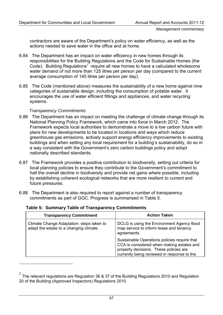<span id="page-70-0"></span>contractors are aware of the Department's policy on water efficiency, as well as the actions needed to save water in the office and at home.

- 6.84 The Department has an impact on water efficiency in new homes through its responsibilities for the Building Regulations and the Code for Sustainable Homes (the Code). Building Regulations<sup>[7](#page-70-0)</sup> require all new homes to have a calculated wholesome water demand of not more than 125 litres per person per day (compared to the current average consumption of 145 litres per person per day).
- 6.85 The Code (mentioned above) measures the sustainability of a new home against nine categories of sustainable design, including the consumption of potable water. It encourages the use of water efficient fittings and appliances, and water recycling systems.

# *Transparency Commitments*

- 6.86 The Department has an impact on meeting the challenge of climate change through its National Planning Policy Framework, which came into force in March 2012. The Framework expects local authorities to demonstrate a move to a low carbon future with plans for new developments to be located in locations and ways which reduce greenhouse gas emissions, actively support energy efficiency improvements to existing buildings and when setting any local requirement for a building's sustainability, do so in a way consistent with the Government's zero carbon buildings policy and adopt nationally described standards.
- 6.87 The Framework provides a positive contribution to biodiversity, setting out criteria for local planning policies to ensure they contribute to the Government's commitment to halt the overall decline in biodiversity and provide net gains where possible, including by establishing coherent ecological networks that are more resilient to current and future pressures.
- 6.88 The Department is also required to report against a number of transparency commitments as part of GGC. Progress is summarised in Table 5.

| <b>Transparency Commitment</b>                                                       | <b>Action Taken</b>                                                                                                                                                                |
|--------------------------------------------------------------------------------------|------------------------------------------------------------------------------------------------------------------------------------------------------------------------------------|
| Climate Change Adaptation: steps taken to<br>adapt the estate to a changing climate. | DCLG is using the Environment Agency flood<br>map service to inform lease and tenancy<br>agreements.                                                                               |
|                                                                                      | Sustainable Operations policies require that<br>CCA is considered when making estates and<br>property decisions. These policies are<br>currently being reviewed in response to the |

**Table 5: Summary Table of Transparency Commitments** 

<sup>&</sup>lt;sup>7</sup> The relevant regulations are Regulation 36 & 37 of the Building Regulations 2010 and Regulation 20 of the Building (Approved Inspectors) Regulations 2010.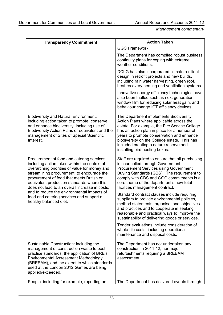| <b>Transparency Commitment</b>                                                                                                                                                                                                                                                                                                         | <b>Action Taken</b>                                                                                                                                                                                                                                                                                                                                         |
|----------------------------------------------------------------------------------------------------------------------------------------------------------------------------------------------------------------------------------------------------------------------------------------------------------------------------------------|-------------------------------------------------------------------------------------------------------------------------------------------------------------------------------------------------------------------------------------------------------------------------------------------------------------------------------------------------------------|
|                                                                                                                                                                                                                                                                                                                                        | <b>GGC Framework.</b>                                                                                                                                                                                                                                                                                                                                       |
|                                                                                                                                                                                                                                                                                                                                        | The Department has compiled robust business<br>continuity plans for coping with extreme<br>weather conditions.                                                                                                                                                                                                                                              |
|                                                                                                                                                                                                                                                                                                                                        | DCLG has also incorporated climate resilient<br>design in retrofit projects and new builds,<br>including rain water harvesting, green roof,<br>heat recovery heating and ventilation systems.                                                                                                                                                               |
|                                                                                                                                                                                                                                                                                                                                        | Innovative energy efficiency technologies have<br>also been trialled such as next generation<br>window film for reducing solar heat gain, and<br>behaviour change ICT efficiency devices.                                                                                                                                                                   |
| <b>Biodiversity and Natural Environment:</b><br>including action taken to promote, conserve<br>and enhance biodiversity, including use of<br>Biodiversity Action Plans or equivalent and the<br>management of Sites of Special Scientific<br>Interest.                                                                                 | The Department implements Biodiversity<br>Action Plans where applicable across the<br>estate. For example, the Fire Service College<br>has an action plan in place for a number of<br>years to promote conservation and enhance<br>biodiversity on the College estate. This has<br>included creating a nature reserve and<br>installing bird nesting boxes. |
| Procurement of food and catering services:<br>including action taken within the context of<br>overarching priorities of value for money and<br>streamlining procurement, to encourage the<br>procurement of food that meets British or<br>equivalent production standards where this<br>does not lead to an overall increase in costs; | Staff are required to ensure that all purchasing<br>is channelled through Government<br><b>Procurement Services using Government</b><br>Buying Standards (GBS). The requirement to<br>comply with GBS and GGC commitments is a<br>core theme of the department's new total<br>facilities management contract.                                               |
| and to reduce the environmental impacts of<br>food and catering services and support a<br>healthy balanced diet.                                                                                                                                                                                                                       | Standard contract clauses include requiring<br>suppliers to provide environmental policies,<br>method statements, organisational objectives<br>and practices and to cooperate in seeking<br>reasonable and practical ways to improve the<br>sustainability of delivering goods or services.                                                                 |
|                                                                                                                                                                                                                                                                                                                                        | Tender evaluations include consideration of<br>whole-life costs, including operational,<br>maintenance and disposal costs.                                                                                                                                                                                                                                  |
| Sustainable Construction: including the<br>management of construction waste to best<br>practice standards, the application of BRE's<br><b>Environmental Assessment Methodology</b><br>(BREEAM), and the extent to which standards<br>used at the London 2012 Games are being<br>applied/exceeded.                                      | The Department has not undertaken any<br>construction in 2011-12, nor major<br>refurbishments requiring a BREEAM<br>assessment.                                                                                                                                                                                                                             |
| People: including for example, reporting on                                                                                                                                                                                                                                                                                            | The Department has delivered events through                                                                                                                                                                                                                                                                                                                 |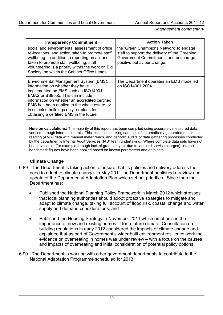*Management commentary* 

| <b>Transparency Commitment</b>                                                                                                                                                                                                                                                                                                                   | <b>Action Taken</b>                                                                                                                                            |
|--------------------------------------------------------------------------------------------------------------------------------------------------------------------------------------------------------------------------------------------------------------------------------------------------------------------------------------------------|----------------------------------------------------------------------------------------------------------------------------------------------------------------|
| social and environmental assessment of office<br>re-locations, and action taken to promote staff<br>wellbeing. In addition to reporting on actions<br>taken to promote staff wellbeing, staff<br>volunteering is a priority within the work on Big<br>Society, on which the Cabinet Office Leads.                                                | the 'Green Champions Network' to engage<br>staff to support the delivery of the Greening<br>Government Commitments and encourage<br>positive behaviour change. |
| Environmental Management System (EMS):<br>information on whether they have<br>implemented an EMS such as ISO14001,<br>EMAS or BS8555. This can include<br>information on whether an accredited certified<br>EMS has been applied to the whole estate, or<br>in selected buildings only, or plans for<br>obtaining a certified EMS in the future. | The Department operates an EMS modelled<br>on ISO14001:2004.                                                                                                   |

**Note on calculations:** The majority of this report has been compiled using accurately measured data, verified through internal controls. This includes checking samples of automatically generated meter reading (AMR) data with manual meter reads, and periodic audits of data gathering processes conducted by the department's Internal Audit Services (IAS) team undertaking. Where complete data sets have not been available, (for example through lack of granularity, or due to landlord service charges), internal benchmark figures have been applied based on known parameters and data sets.

#### **Climate Change**

- 6.89 The Department is taking action to ensure that its policies and delivery address the need to adapt to climate change. In May 2011 the Department published a review and update of the Departmental Adaptation Plan which set out priorities. Since then the Department has:
	- Published the National Planning Policy Framework in March 2012 which stresses that local planning authorities should adopt proactive strategies to mitigate and adapt to climate change, taking full account of flood risk, coastal change and water supply and demand considerations; and
	- Published the Housing Strategy in November 2011 which emphasises the importance of new and existing homes fit for a future climate. Consultation on building regulations in early 2012 considered the impacts of climate change and explained that as part of Government's wider built environment resilience work the evidence on overheating in homes was under review – with a focus on the causes and impacts of overheating and initial consideration of potential policy options.
- 6.90 The Department is working with other government departments to contribute to the National Adaptation Programme scheduled for 2013.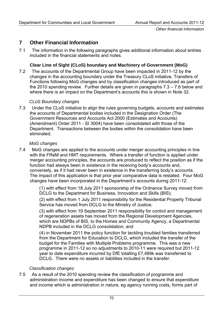# **7 Other Financial Information**

7.1 The information in the following paragraphs gives additional information about entries included in the financial statements and notes.

## **Clear Line of Sight (CLoS) boundary and Machinery of Government (MoG)**

7.2 The accounts of the Departmental Group have been impacted in 2011-12 by the changes in the accounting boundary under the Treasury CLoS initiative, Transfers of Functions following MoG changes and by classification changes introduced as part of the 2010 spending review. Further details are given in paragraphs 7.3 – 7.6 below and where there is an impact on the Department's accounts this is shown in Note 32.

#### *CLoS Boundary changes*

7.3 Under the CLoS initiative to align the rules governing budgets, accounts and estimates the accounts of Departmental bodies included in the Designation Order (The Government Resources and Accounts Act 2000 (Estimates and Accounts) (Amendment) Order 2011 - SI 3004) have been consolidated with those of the Department. Transactions between the bodies within the consolidation have been eliminated.

#### *MoG changes*

7.4 MoG changes are applied to the accounts under merger accounting principles in line with the FReM and HMT requirements. Where a transfer of function is applied under merger accounting principles, the accounts are produced to reflect the position as if the function had always been in existence in the receiving body's accounts and, conversely, as if it had never been in existence in the transferring body's accounts. The impact of this application is that prior year comparative data is restated. Four MoG changes have been incorporated in the Department's accounts during 2011-12:

> (1) with effect from 18 July 2011 sponsorship of the Ordnance Survey moved from DCLG to the Department for Business, Innovation and Skills (BIS);

> (2) with effect from 1 July 2011 responsibility for the Residential Property Tribunal Service has moved from DCLG to the Ministry of Justice;

> (3) with effect from 19 September 2011 responsibility for control and management of regeneration assets has moved from the Regional Development Agencies, which are NDPBs of BIS, to the Homes and Community Agency, a Departmental NDPB included in the DCLG consolidation; and

(4) in November 2011 the policy function for tackling troubled families transferred from the Department for Education to DCLG, which included the transfer of the budget for the Families with Multiple Problems programme. This was a new programme in 2011-12 so no adjustments to 2010-11 were required but 2011-12 year to date expenditure incurred by DfE totalling £7,489k was transferred to DCLG. There were no assets or liabilities included in the transfer.

#### *Classification changes*

7.5 As a result of the 2010 spending review the classification of programme and administration income and expenditure has been changed to ensure that expenditure and income which is administration in nature, eg agency running costs, forms part of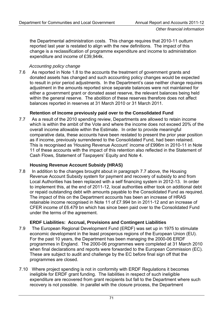the Departmental administration costs. This change requires that 2010-11 outturn reported last year is restated to align with the new definitions. The impact of this change is a reclassification of programme expenditure and income to administration expenditure and income of £39,944k.

## *Accounting policy change*

7.6 As reported in Note 1.8 to the accounts the treatment of government grants and donated assets has changed and such accounting policy changes would be expected to result in prior period adjustments. In the Department's case neither change requires adjustment in the amounts reported since separate balances were not maintained for either a government grant or donated asset reserve, the relevant balances being held within the general reserve. The abolition of these reserves therefore does not affect balances reported in reserves at 31 March 2010 or 31 March 2011.

## **Retention of Income previously paid over to the Consolidated Fund**

7.7 As a result of the 2010 spending review, Departments are allowed to retain income which is within the ambit of the Vote and where the income does not exceed 20% of the overall income allowable within the Estimate. In order to provide meaningful comparative data, these accounts have been restated to present the prior year position as if income, previously surrendered to the Consolidated Fund, had been retained. This is recognised as 'Housing Revenue Account' income of £996m in 2010-11 in Note 11 of these accounts with the impact of this retention also reflected in the Statement of Cash Flows, Statement of Taxpayers' Equity and Note 4.

## **Housing Revenue Account Subsidy (HRAS)**

7.8 In addition to the changes brought about in paragraph 7.7 above, the Housing Revenue Account Subsidy system for payment and recovery of subsidy to and from Local Authorities has been replaced with a self financing system in 2012-13. In order to implement this, at the end of 2011-12, local authorities either took on additional debt or repaid outstanding debt with amounts payable to the Consolidated Fund as required. The impact of this on the Department accounts has been an increase of HRAS retainable income recognised in Note 11 of £7.994 bn in 2011-12 and an increase of CFER income of £6.479 bn which has since been paid over to the Consolidated Fund under the terms of the agreement.

## **ERDF Liabilities: Accrual, Provisions and Contingent Liabilities**

- 7.9 The European Regional Development Fund (ERDF) was set up in 1975 to stimulate economic development in the least prosperous regions of the European Union (EU). For the past 10 years, the Department has been managing the 2000-06 ERDF programmes in England. The 2000-06 programmes were completed at 31 March 2010 when final declarations and reports were forwarded to the European Commission (EC). These are subject to audit and challenge by the EC before final sign off that the programmes are closed.
- 7.10 Where project spending is not in conformity with ERDF Regulations it becomes ineligible for ERDF grant funding. The liabilities in respect of such ineligible expenditure are recovered from grant recipients but fall to the Department where such recovery is not possible. In parallel with the closure process, the Department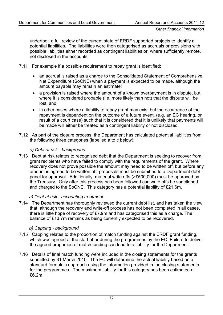undertook a full review of the current state of ERDF supported projects to identify all potential liabilities. The liabilities were then categorised as accruals or provisions with possible liabilities either recorded as contingent liabilities or, where sufficiently remote, not disclosed in the accounts.

- 7.11 For example if a possible requirement to repay grant is identified:
	- an accrual is raised as a charge to the Consolidated Statement of Comprehensive Net Expenditure (SoCNE) when a payment is expected to be made, although the amount payable may remain an estimate;
	- a provision is raised where the amount of a known overpayment is in dispute, but where it is considered probable (i.e. more likely than not) that the dispute will be lost; and
	- in other cases where a liability to repay grant may exist but the occurrence of the repayment is dependent on the outcome of a future event, (e.g. an EC hearing, or result of a court case) such that it is considered that it is unlikely that payments will be made will either be treated as a contingent liability or not disclosed.
- 7.12 As part of the closure process, the Department has calculated potential liabilities from the following three categories (labelled a to c below):

## *a) Debt at risk - background*

7.13 Debt at risk relates to recognised debt that the Department is seeking to recover from grant recipients who have failed to comply with the requirements of the grant. Where recovery does not prove possible the amount may need to be written off, but before any amount is agreed to be written off, proposals must be submitted to a Department debt panel for approval. Additionally, material write offs (>£500,000) must be approved by the Treasury. Only after this process has been followed can write offs be sanctioned and charged to the SoCNE. This category has a potential liability of £21.6m.

## *a) Debt at risk - accounting treatment*

7.14 The Department has thoroughly reviewed the current debt list, and has taken the view that, although the recovery and write-off process has not been completed in all cases, there is little hope of recovery of £7.9m and has categorised this as a charge. The balance of £13.7m remains as being currently expected to be recovered.

## *b) Capping - background*

- 7.15 Capping relates to the proportion of match funding against the ERDF grant funding, which was agreed at the start of or during the programmes by the EC. Failure to deliver the agreed proportion of match funding can lead to a liability for the Department.
- 7.16 Details of final match funding were included in the closing statements for the grants submitted by 31 March 2010. The EC will determine the actual liability based on a standard formulaic approach using the information provided in the closing statements for the programmes. The maximum liability for this category has been estimated at £6.2m.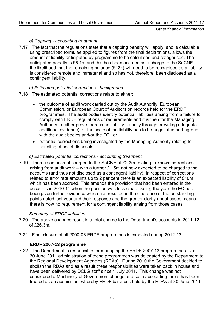## *b) Capping - accounting treatment*

7.17 The fact that the regulations state that a capping penalty will apply, and is calculable using prescribed formulae applied to figures from the final declarations, allows the amount of liability anticipated by programme to be calculated and categorised. The anticipated penalty is £6.1m and this has been accrued as a charge to the SoCNE – the likelihood that the remaining balance (£13k) will need to be recognised as a liability is considered remote and immaterial and so has not, therefore, been disclosed as a contingent liability.

## *c) Estimated potential corrections - background*

- 7.18 The estimated potential corrections relate to either:
	- the outcome of audit work carried out by the Audit Authority, European Commission, or European Court of Auditors on records held for the ERDF programmes. The audit bodies identify potential liabilities arising from a failure to comply with ERDF regulations or requirements and it is then for the Managing Authority to either prove there is no liability (usually through providing adequate additional evidence), or the scale of the liability has to be negotiated and agreed with the audit bodies and/or the EC; or
	- potential corrections being investigated by the Managing Authority relating to handling of asset disposals.

## *c) Estimated potential corrections - accounting treatment*

7.19 There is an accrual charged to the SoCNE of £2.3m relating to known corrections arising from audit work – with a further £1.5m not now expected to be charged to the accounts (and thus not disclosed as a contingent liability). In respect of corrections related to error rate amounts up to 2 per cent there is an expected liability of £10m which has been accrued. This amends the provision that had been entered in the accounts in 2010-11 when the position was less clear. During the year the EC has been given further evidence which has resulted in the clearance of the outstanding points noted last year and their response and the greater clarity about cases means there is now no requirement for a contingent liability arising from those cases.

## *Summary of ERDF liabilities*

- 7.20 The above changes result in a total charge to the Department's accounts in 2011-12 of £26.3m.
- 7.21 Final closure of all 2000-06 ERDF programmes is expected during 2012-13.

## **ERDF 2007-13 programme**

7.22 The Department is responsible for managing the ERDF 2007-13 programmes. Until 30 June 2011 administration of these programmes was delegated by the Department to the Regional Development Agencies (RDAs). During 2010 the Government decided to abolish the RDAs and as a result these responsibilities were taken back in house and have been delivered by DCLG staff since 1 July 2011. This change was not considered a Machinery of Government change and so in accounting terms has been treated as an acquisition, whereby ERDF balances held by the RDAs at 30 June 2011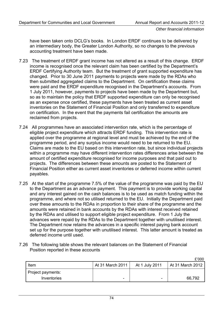*Other financial information* 

have been taken onto DCLG's books. In London ERDF continues to be delivered by an intermediary body, the Greater London Authority, so no changes to the previous accounting treatment have been made.

- 7.23 The treatment of ERDF grant income has not altered as a result of this change. ERDF income is recognised once the relevant claim has been certified by the Department's ERDF Certifying Authority team. But the treatment of grant supported expenditure has changed. Prior to 30 June 2011 payments to projects were made by the RDAs who then submitted aggregated claims to the Department. On certification these claims were paid and the ERDF expenditure recognised in the Department's accounts. From 1 July 2011, however, payments to projects have been made by the Department but, so as to maintain the policy that ERDF supported expenditure can only be recognised as an expense once certified, these payments have been treated as current asset inventories on the Statement of Financial Position and only transferred to expenditure on certification. In the event that the payments fail certification the amounts are reclaimed from projects.
- 7.24 All programmes have an associated intervention rate, which is the percentage of eligible project expenditure which attracts ERDF funding. This intervention rate is applied over the programme at regional level and must be achieved by the end of the programme period, and any surplus income would need to be returned to the EU. Claims are made to the EU based on this intervention rate, but since individual projects within a programme may have different intervention rates differences arise between the amount of certified expenditure recognised for income purposes and that paid out to projects. The differences between these amounts are posted to the Statement of Financial Position either as current asset inventories or deferred income within current payables.
- 7.25 At the start of the programme 7.5% of the value of the programme was paid by the EU to the Department as an advance payment. This payment is to provide working capital and any interest gained on the cash balances is to be used as match funding within the programme, and where not so utilised returned to the EU. Initially the Department paid over these amounts to the RDAs in proportion to their share of the programme and the amounts were retained in bank accounts by the RDAs with interest received retained by the RDAs and utilised to support eligible project expenditure. From 1 July the advances were repaid by the RDAs to the Department together with unutilised interest. The Department now retains the advances in a specific interest paying bank account set up for the purpose together with unutilised interest. This latter amount is treated as deferred income until used.
- 7.26 The following table shows the relevant balances on the Statement of Financial Position reported in these accounts

|                   |                  |                | £'000            |
|-------------------|------------------|----------------|------------------|
| Item              | At 31 March 2011 | At 1 July 2011 | At 31 March 2012 |
| Project payments: |                  |                |                  |
| Inventories       | -                | -              | 66,792           |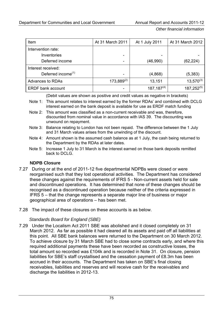*Other financial information* 

| Item                           | At 31 March 2011 | At 1 July 2011   | At 31 March 2012 |
|--------------------------------|------------------|------------------|------------------|
| Intervention rate:             |                  |                  |                  |
| Inventories                    |                  | -                |                  |
| Deferred income                |                  | (46,990)         | (62, 224)        |
| Interest received:             |                  |                  |                  |
| Deferred income <sup>(1)</sup> |                  | (4,868)          | (5, 383)         |
| <b>Advances to RDAs</b>        | $173,889^{(2)}$  | 13,151           | $13,570^{(3)}$   |
| <b>ERDF bank account</b>       |                  | $187, 187^{(4)}$ | $187,252^{(5)}$  |

(Debit values are shown as positive and credit values as negative in brackets)

- Note 1: This amount relates to interest earned by the former RDAs' and combined with DCLG interest earned on the bank deposit is available for use as ERDF match funding
- Note 2: This amount was classified as a non-current receivable and was, therefore, discounted from nominal value in accordance with IAS 39. The discounting was unwound on repayment.
- Note 3: Balance relating to London has not been repaid. The difference between the 1 July and 31 March values arises from the unwinding of the discount.
- Note 4: Amount shown is the assumed cash balance as at 1 July, the cash being returned to the Department by the RDAs at later dates.
- Note 5: Increase 1 July to 31 March is the interest earned on those bank deposits remitted back to DCLG.

## **NDPB Closure**

- 7.27 During or at the end of 2011-12 five departmental NDPBs were closed or were reorganised such that they lost operational activities. The Department has considered these changes against the requirements of IFRS 5 - Non-current assets held for sale and discontinued operations. It has determined that none of these changes should be recognised as a discontinued operation because neither of the criteria expressed in IFRS 5 – that the change represents a separate major line of business or major geographical area of operations – has been met.
- 7.28 The impact of these closures on these accounts is as below.

## *Standards Board for England (SBE)*

7.29 Under the Localism Act 2011 SBE was abolished and it closed completely on 31 March 2012. As far as possible it had cleared all its assets and paid off all liabilities at this point. All SBE bank balances were returned to the Department on 30 March 2012. To achieve closure by 31 March SBE had to close some contracts early, and where this required additional payments these have been recorded as constructive losses, the total amount so recorded was £104k and is recorded in Note 31. On closure, pension liabilities for SBE's staff crystallised and the cessation payment of £8.3m has been accrued in their accounts. The Department has taken on SBE's final closing receivables, liabilities and reserves and will receive cash for the receivables and discharge the liabilities in 2012-13.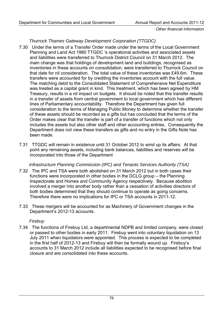*Other financial information* 

## *Thurrock Thames Gateway Development Corporation (TTGDC)*

- 7.30 Under the terms of a Transfer Order made under the terms of the Local Government Planning and Land Act 1980 TTGDC 's operational activities and associated assets and liabilities were transferred to Thurrock District Council on 31 March 2012. The main change was that holdings of development land and buildings, recognised as inventories in these accounts on consolidation, were transferred to Thurrock Council on that date for nil consideration. The total value of these inventories was £49.6m. These transfers were accounted for by crediting the inventories account with the full value. The matching debit to the Consolidated Statement of Comprehensive Net Expenditure was treated as a capital grant in kind. This treatment, which has been agreed by HM Treasury, results in a nil impact on budgets. It should be noted that this transfer results in a transfer of assets from central government to local government which has different lines of Parliamentary accountability. Therefore the Department has given full consideration to the terms of Managing Public Money to determine whether the transfer of these assets should be recorded as a gifts but has concluded that the terms of the Order makes clear that the transfer is part of a transfer of functions which not only includes the assets but also other staff and other accounting entries. Consequently the Department does not view these transfers as gifts and no entry in the Gifts Note has been made.
- 7.31 TTGDC will remain in existence until 31 October 2012 to wind up its affairs. At that point any remaining assets, including bank balances, liabilities and reserves will be incorporated into those of the Department

#### *Infrastructure Planning Commission (IPC) and Tenants Services Authority (TSA)*

- 7.32 The IPC and TSA were both abolished on 31 March 2012 but in both cases their functions were incorporated in other bodies in the DCLG group – the Planning Inspectorate and Homes and Community Agency respectively. Because abolition involved a merger into another body rather than a cessation of activities directors of both bodies determined that they should continue to operate as going concerns. Therefore there were no implications for IPC or TSA accounts in 2011-12.
- 7.33 These mergers will be accounted for as Machinery of Government changes in the Department's 2012-13 accounts.

## *Firebuy*

7.34 The functions of Firebuy Ltd, a departmental NDPB and limited company, were closed or passed to other bodies in early 2011. Firebuy went into voluntary liquidation on 13 July 2011 when liquidators were appointed. This process is expected to be completed in the first half of 2012-13 and Firebuy will then be formally wound up. Firebuy's accounts to 31 March 2012 include all liabilities expected to be recognised before final closure and are consolidated into these accounts.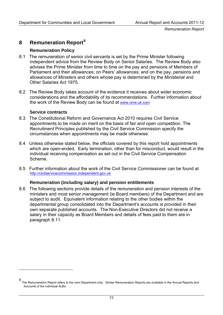## <span id="page-80-0"></span>**8 Remuneration Report[8](#page-80-0)**

#### **Remuneration Policy**

- 8.1 The remuneration of senior civil servants is set by the Prime Minister following independent advice from the Review Body on Senior Salaries. The Review Body also advises the Prime Minister from time to time on the pay and pensions of Members of Parliament and their allowances; on Peers' allowances; and on the pay, pensions and allowances of Ministers and others whose pay is determined by the Ministerial and Other Salaries Act 1975.
- 8.2 The Review Body takes account of the evidence it receives about wider economic considerations and the affordability of its recommendations. Further information about the work of the Review Body can be found at [www.ome.uk.com](http://www.ome.uk.com/)

#### **Service contracts**

 $\overline{a}$ 

- 8.3 The Constitutional Reform and Governance Act 2010 requires Civil Service appointments to be made on merit on the basis of fair and open competition. The Recruitment Principles published by the Civil Service Commission specify the circumstances when appointments may be made otherwise.
- 8.4 Unless otherwise stated below, the officials covered by this report hold appointments which are open-ended. Early termination, other than for misconduct, would result in the individual receiving compensation as set out in the Civil Service Compensation Scheme.
- 8.5 Further information about the work of the Civil Service Commissioner can be found at [http://civilservicecommission.independent.gov.uk](http://civilservicecommission.independent.gov.uk/)

#### **Remuneration (including salary) and pension entitlements**

8.6 The following sections provide details of the remuneration and pension interests of the ministers and most senior management (ie Board members) of the Department and are subject to audit. Equivalent information relating to the other bodies within the departmental group consolidated into the Department's accounts is provided in their own separate published accounts. The Non-Executive Directors did not receive a salary in their capacity as Board Members and details of fees paid to them are in paragraph 8.11.

<sup>8</sup> The Remuneration Report refers to the core Department only. Similar Remuneration Reports are available in the Annual Reports and Accounts of the individual ALBs.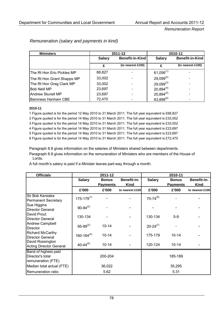| <b>Ministers</b>           |                                         | 2011-12           |                | 2010-11                  |
|----------------------------|-----------------------------------------|-------------------|----------------|--------------------------|
|                            | <b>Benefit-in-Kind</b><br><b>Salary</b> |                   | <b>Salary</b>  | <b>Benefit-in-Kind</b>   |
|                            |                                         | (to nearest £100) | f              | (to nearest £100)        |
| The Rt Hon Eric Pickles MP | 68,827                                  |                   | $61,056^{(1)}$ |                          |
| The Rt Hon Grant Shapps MP | 33,002                                  |                   | $29,099^{(2)}$ | $\blacksquare$           |
| The Rt Hon Greg Clark MP   | 33,002                                  |                   | $29,099^{(3)}$ | -                        |
| <b>Bob Neill MP</b>        | 23,697                                  |                   | $20,894^{(4)}$ | $\overline{\phantom{a}}$ |
| <b>Andrew Stunell MP</b>   | 23,697                                  |                   | $20,894^{(5)}$ | ٠                        |
| <b>Baroness Hanham CBE</b> | 72,470                                  |                   | $63,898^{(6)}$ |                          |

## *Remuneration (salary and payments in kind)*

#### **2010-11**

1 Figure quoted is for the period 12 May 2010 to 31 March 2011. The full year equivalent is £68,827

2 Figure quoted is for the period 14 May 2010 to 31 March 2011. The full year equivalent is £33,002

3 Figure quoted is for the period 14 May 2010 to 31 March 2011. The full year equivalent is £33,002

4 Figure quoted is for the period 14 May 2010 to 31 March 2011. The full year equivalent is £23,697

5 Figure quoted is for the period 14 May 2010 to 31 March 2011. The full year equivalent is £23,697

6 Figure quoted is for the period 14 May 2010 to 31 March 2011. The full year equivalent is £72,470

Paragraph 8.8 gives information on the salaries of Ministers shared between departments.

Paragraph 8.9 gives information on the remuneration of Ministers who are members of the House of Lords.

A full month's salary is paid if a Minister leaves part-way through a month.

| <b>Officials</b>                                               |                   | 2011-12                         |                            |                 | 2010-11                         |                            |
|----------------------------------------------------------------|-------------------|---------------------------------|----------------------------|-----------------|---------------------------------|----------------------------|
|                                                                | <b>Salary</b>     | <b>Bonus</b><br><b>Payments</b> | Benefit-in-<br><b>Kind</b> | <b>Salary</b>   | <b>Bonus</b><br><b>Payments</b> | Benefit-in-<br><b>Kind</b> |
|                                                                | £'000             | £'000                           | to nearest £100            | £'000           | £'000                           | to nearest £100            |
| Sir Bob Kerslake<br><b>Permanent Secretary</b>                 | $175 - 179^{(1)}$ |                                 |                            | $70 - 74^{(6)}$ |                                 |                            |
| Sue Higgins<br><b>Director General</b>                         | $90-94^{(2)}$     |                                 |                            |                 |                                 |                            |
| David Prout<br><b>Director General</b>                         | 130-134           |                                 |                            | 130-134         | $5-9$                           |                            |
| Andrew Campbell<br><b>Director</b>                             | $95-99^{(3)}$     | $10 - 14$                       |                            | $20 - 24^{(7)}$ |                                 |                            |
| <b>Richard McCarthy</b><br><b>Director General</b>             | $160 - 164^{(4)}$ | $10 - 14$                       |                            | 175-179         | $10 - 14$                       |                            |
| David Rossington<br><b>Acting Director General</b>             | $40 - 44^{(5)}$   | $10 - 14$                       |                            | 120-124         | $10 - 14$                       |                            |
| Band of highest paid<br>Director's total<br>remuneration (FTE) |                   | 200-204                         |                            |                 | 185-189                         |                            |
| Median total actual (FTE)                                      |                   | 36,022                          |                            |                 | 35,295                          |                            |
| Remuneration ratio                                             |                   | 5.62                            |                            |                 | 5.31                            |                            |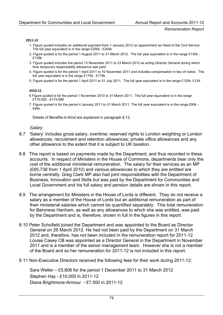#### **2011-12**

- 1. Figure quoted includes an additional payment from 1 January 2012 on appointment as Head of the Civil Service. The full year equivalent is in the range £200k - £204k
- 2. Figure quoted is for the period 1 August 2011 to 31 March 2012. The full year equivalent is in the range £135k £139k.
- 3. Figure quoted includes the period 13 November 2011 to 23 March 2012 as acting Director General during which time temporary responsibility allowance was paid.
- 4. Figure quoted is for the period 1 April 2011 to 10 November 2011 and includes compensation in lieu of notice. The full year equivalent is in the range £175k - £179k
- 5. Figure quoted is for the period 1 April 2011 to 31 July 2011. The full year equivalent is in the range £120k- £124.

#### **2010-11**

- 6 Figure quoted is for the period 1 November 2010 to 31 March 2011. The full year equivalent is in the range £170,000 - £174,999.
- 7. Figure quoted is for the period 4 January 2011 to 31 March 2011. The full year equivalent is in the range £90k £94k.

Details of Benefits-in-Kind are explained in paragraph 8.12.

#### *Salary*

- 8.7 *'*Salary' includes gross salary; overtime; reserved rights to London weighting or London allowances; recruitment and retention allowances; private office allowances and any other allowance to the extent that it is subject to UK taxation.
- 8.8 This report is based on payments made by the Department, and thus recorded in these accounts. In respect of Ministers in the House of Commons, departments bear only the cost of the additional ministerial remuneration. The salary for their services as an MP (£65,738 from 1 April 2010) and various allowances to which they are entitled are borne centrally. Greg Clark MP also had joint responsibilities with the Department of Business, Innovation and Skills but was paid by the Department for Communities and Local Government and his full salary and pension details are shown in this report.
- 8.9 The arrangement for Ministers in the House of Lords is different. They do not receive a salary as a member of the House of Lords but an additional remuneration as part of their ministerial salaries which cannot be quantified separately. This total remuneration for Baroness Hanham, as well as any allowances to which she was entitled, was paid by the Department and is, therefore, shown in full in the figures in this report.
- 8.10 Peter Schofield joined the Department and was appointed to the Board as Director General on 26 March 2012. He had not been paid by the Department on 31 March 2012 and, therefore, has not been included in the remuneration report for 2011-12. Louise Casey CB was appointed as a Director General in the Department in November 2011 and is a member of the senior management team. However she is not a member of the Board and so her remuneration for 2011-12 is not included in this report.
- 8.11 Non-Executive Directors received the following fees for their work during 2011-12:

Sara Weller – £5,806 for the period 1 December 2011 to 31 March 2012 Stephen Hay - £10,000 in 2011-12 Diana Brightmore-Armour - £7,500 in 2011-12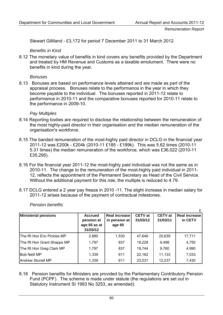£

Stewart Gilliland - £3,172 for period 7 December 2011 to 31 March 2012.

*Benefits in Kind* 

8.12 The monetary value of benefits in kind covers any benefits provided by the Department and treated by HM Revenue and Customs as a taxable emolument. There were no benefits in kind during the year.

#### *Bonuses*

8.13 Bonuses are based on performance levels attained and are made as part of the appraisal process. Bonuses relate to the performance in the year in which they become payable to the individual. The bonuses reported in 2011-12 relate to performance in 2010-11 and the comparative bonuses reported for 2010-11 relate to the performance in 2009-10.

#### *Pay Multiples*

- 8.14 Reporting bodies are required to disclose the relationship between the remuneration of the most highly-paid director in their organisation and the median remuneration of the organisation's workforce.
- 8.15 The banded remuneration of the most-highly paid director in DCLG in the financial year 2011-12 was £200k - £204k (2010-11 £185 - £189k). This was 5.62 times (2010-11 5.31 times) the median remuneration of the workforce, which was £36,022 (2010-11 £35,295).
- 8.16 For the financial year 2011-12 the most-highly paid individual was not the same as in 2010-11. The change to the remuneration of the most-highly paid individual in 2011- 12, reflects the appointment of the Permanent Secretary as Head of the Civil Service. Without the additional payment for this role, the multiple is reduced to 4.79.
- 8.17 DCLG entered a 2 year pay freeze in 2010 -11. The slight increase in median salary for 2011-12 arises because of the payment of contractual milestones.

| <b>Ministerial pensions</b> | <b>Accrued</b><br>pension at<br>age 65 as at<br>31/03/12 | Real increase<br>in pension at<br>age 65 | <b>CETV</b> at<br>31/03/12 | <b>CETV</b> at<br>31/03/11 | <b>Real increase</b><br>in CETV |
|-----------------------------|----------------------------------------------------------|------------------------------------------|----------------------------|----------------------------|---------------------------------|
| The Rt Hon Eric Pickles MP  | 2,880                                                    | 1,530                                    | 47,646                     | 20,639                     | 17,711                          |
| The Rt Hon Grant Shapps MP  | 1,797                                                    | 837                                      | 19,228                     | 9,498                      | 4,750                           |
| The Rt Hon Greg Clark MP    | 1,797                                                    | 837                                      | 19,744                     | 9,760                      | 4,990                           |
| <b>Bob Neill MP</b>         | 1,339                                                    | 611                                      | 22,162                     | 11,133                     | 7,033                           |
| <b>Andrew Stunell MP</b>    | 1,339                                                    | 611                                      | 23,031                     | 12,237                     | 7,430                           |

*Pension benefits* 

8.18 Pension benefits for Ministers are provided by the Parliamentary Contributory Pension Fund (PCPF). The scheme is made under statute (the regulations are set out in Statutory Instrument SI 1993 No 3253, as amended).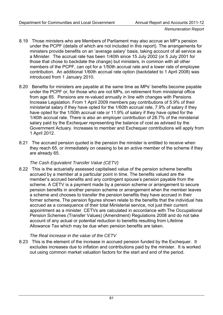- 8.19 Those ministers who are Members of Parliament may also accrue an MP's pension under the PCPF (details of which are not included in this report). The arrangements for ministers provide benefits on an 'average salary' basis, taking account of all service as a Minister. The accrual rate has been 1/40th since 15 July 2002 (or 5 July 2001 for those that chose to backdate the change) but ministers, in common with all other members of the PCPF, can opt for a 1/50th accrual rate and a lower rate of employee contribution. An additional 1/60th accrual rate option (backdated to 1 April 2008) was introduced from 1 January 2010.
- 8.20 Benefits for ministers are payable at the same time as MPs' benefits become payable under the PCPF or, for those who are not MPs, on retirement from ministerial office from age 65. Pensions are re-valued annually in line with changes with Pensions Increase Legislation. From 1 April 2009 members pay contributions of 5.9% of their ministerial salary if they have opted for the 1/60th accrual rate, 7.9% of salary if they have opted for the 1/50th accrual rate or 11.9% of salary if they have opted for the 1/40th accrual rate. There is also an employer contribution of 28.7% of the ministerial salary paid by the Exchequer representing the balance of cost as advised by the Government Actuary. Increases to member and Exchequer contributions will apply from 1 April 2012.
- 8.21 The accrued pension quoted is the pension the minister is entitled to receive when they reach 65, or immediately on ceasing to be an active member of the scheme if they are already 65.

#### *The Cash Equivalent Transfer Value (CETV)*

8.22 This is the actuarially assessed capitalised value of the pension scheme benefits accrued by a member at a particular point in time. The benefits valued are the member's accrued benefits and any contingent spouse's pension payable from the scheme. A CETV is a payment made by a pension scheme or arrangement to secure pension benefits in another pension scheme or arrangement when the member leaves a scheme and chooses to transfer the pension benefits they have accrued in their former scheme. The pension figures shown relate to the benefits that the individual has accrued as a consequence of their total Ministerial service, not just their current appointment as a minister. CETVs are calculated in accordance with The Occupational Pension Schemes (Transfer Values) (Amendment) Regulations 2008 and do not take account of any actual or potential reduction to benefits resulting from Lifetime Allowance Tax which may be due when pension benefits are taken.

#### *The Real increase in the value of the CETV*

8.23 This is the element of the increase in accrued pension funded by the Exchequer. It excludes increases due to inflation and contributions paid by the minister. It is worked out using common market valuation factors for the start and end of the period.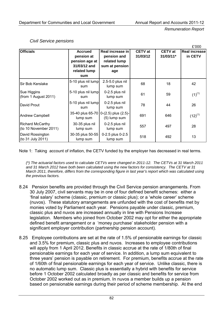$\overline{a}$ 

|                                                  |                                                                                       |                                                                          |                            |                               | £000                            |
|--------------------------------------------------|---------------------------------------------------------------------------------------|--------------------------------------------------------------------------|----------------------------|-------------------------------|---------------------------------|
| <b>Officials</b>                                 | <b>Accrued</b><br>pension at<br>pension age at<br>31/03/12 and<br>related lump<br>sum | Real increase in<br>pension and<br>related lump<br>sum at pension<br>age | <b>CETV</b> at<br>31/03/12 | <b>CETV</b> at<br>$31/03/11*$ | <b>Real increase</b><br>in CETV |
| Sir Bob Kerslake                                 | 5-10 plus nil lump<br>sum                                                             | 2.5-5.0 plus nil<br>lump sum                                             | 68                         | 18                            | 42                              |
| Sue Higgins<br>(from 1 August 2011)              | 5-10 plus nil lump<br>sum                                                             | 0-2.5 plus nil<br>lump sum                                               | 61                         | 59                            | $(1)^{(1)}$                     |
| David Prout                                      | 5-10 plus nil lump<br>sum                                                             | 0-2.5 plus nil<br>lump sum                                               | 78                         | 44                            | 26                              |
| <b>Andrew Campbell</b>                           | lump sum                                                                              | 35-40 plus 65-70 0-(2.5) plus (2.5)-<br>(5) lump sum                     | 691                        | 646                           | $(12)^{(1)}$                    |
| <b>Richard McCarthy</b><br>(to 10 November 2011) | 30-35 plus nil<br>lump sum                                                            | 0-2.5 plus nil<br>lump sum                                               | 557                        | 497                           | 28                              |
| David Rossington<br>(to 31 July 2011)            | 30-35 plus 50-55<br>lump sum                                                          | 0-2.5 plus 0-2.5<br>lump sum                                             | 518                        | 492                           | 13                              |

#### *Civil Service pensions*

Note 1: Taking account of inflation, the CETV funded by the employer has decreased in real terms.

*(\*) The actuarial factors used to calculate CETVs were changed in 2011-12. The CETVs at 31 March 2011 and 31 March 2012 have both been calculated using the new factors for consistency. The CETV at 31 March 2011, therefore, differs from the corresponding figure in last year's report which was calculated using the previous factors.* 

- 8.24 Pension benefits are provided through the Civil Service pension arrangements. From 30 July 2007, civil servants may be in one of four defined benefit schemes: either a 'final salary' scheme (classic, premium or classic plus); or a 'whole career' scheme (nuvos). These statutory arrangements are unfunded with the cost of benefits met by monies voted by Parliament each year. Pensions payable under classic, premium, classic plus and nuvos are increased annually in line with Pensions Increase legislation. Members who joined from October 2002 may opt for either the appropriate defined benefit arrangement or a 'money purchase' stakeholder pension with a significant employer contribution (partnership pension account).
- 8.25 Employee contributions are set at the rate of 1.5% of pensionable earnings for classic and 3.5% for premium, classic plus and nuvos. Increases to employee contributions will apply from 1 April 2012. Benefits in classic accrue at the rate of 1/80th of final pensionable earnings for each year of service. In addition, a lump sum equivalent to three years' pension is payable on retirement. For premium, benefits accrue at the rate of 1/60th of final pensionable earnings for each year of service. Unlike classic, there is no automatic lump sum. Classic plus is essentially a hybrid with benefits for service before 1 October 2002 calculated broadly as per classic and benefits for service from October 2002 worked out as in premium. In nuvos a member builds up a pension based on pensionable earnings during their period of scheme membership. At the end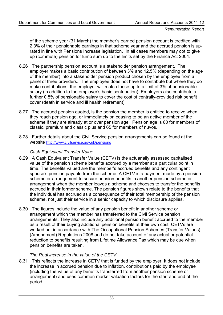of the scheme year (31 March) the member's earned pension account is credited with 2.3% of their pensionable earnings in that scheme year and the accrued pension is uprated in line with Pensions Increase legislation. In all cases members may opt to give up (commute) pension for lump sum up to the limits set by the Finance Act 2004.

- 8.26 The partnership pension account is a stakeholder pension arrangement. The employer makes a basic contribution of between 3% and 12.5% (depending on the age of the member) into a stakeholder pension product chosen by the employee from a panel of three providers. The employee does not have to contribute but where they do make contributions, the employer will match these up to a limit of 3% of pensionable salary (in addition to the employer's basic contribution). Employers also contribute a further 0.8% of pensionable salary to cover the cost of centrally-provided risk benefit cover (death in service and ill health retirement).
- 8.27 The accrued pension quoted, is the pension the member is entitled to receive when they reach pension age, or immediately on ceasing to be an active member of the scheme if they are already at or over pension age. Pension age is 60 for members of classic, premium and classic plus and 65 for members of nuvos.
- 8.28 Further details about the Civil Service pension arrangements can be found at the website<http://www.civilservice.gov.uk/pensions>

## *Cash Equivalent Transfer Value*

- 8.29 A Cash Equivalent Transfer Value (CETV) is the actuarially assessed capitalised value of the pension scheme benefits accrued by a member at a particular point in time. The benefits valued are the member's accrued benefits and any contingent spouse's pension payable from the scheme. A CETV is a payment made by a pension scheme or arrangement to secure pension benefits in another pension scheme or arrangement when the member leaves a scheme and chooses to transfer the benefits accrued in their former scheme. The pension figures shown relate to the benefits that the individual has accrued as a consequence of their total membership of the pension scheme, not just their service in a senior capacity to which disclosure applies.
- 8.30 The figures include the value of any pension benefit in another scheme or arrangement which the member has transferred to the Civil Service pension arrangements. They also include any additional pension benefit accrued to the member as a result of their buying additional pension benefits at their own cost. CETVs are worked out in accordance with The Occupational Pension Schemes (Transfer Values) (Amendment) Regulations 2008 and do not take account of any actual or potential reduction to benefits resulting from Lifetime Allowance Tax which may be due when pension benefits are taken.

#### *The Real increase in the value of the CETV*

8.31 This reflects the increase in CETV that is funded by the employer. It does not include the increase in accrued pension due to inflation, contributions paid by the employee (including the value of any benefits transferred from another pension scheme or arrangement) and uses common market valuation factors for the start and end of the period.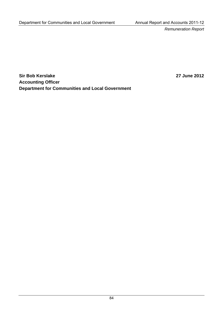**Sir Bob Kerslake 2012 Accounting Officer Department for Communities and Local Government**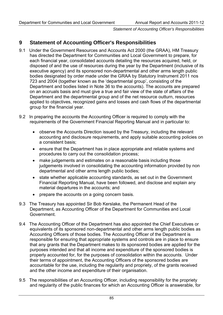*Statement of Accounting Officer's Responsibilities* 

# **9 Statement of Accounting Officer's Responsibilities**

- 9.1 Under the Government Resources and Accounts Act 2000 (the GRAA), HM Treasury has directed the Department for Communities and Local Government to prepare, for each financial year, consolidated accounts detailing the resources acquired, held, or disposed of and the use of resources during the year by the Department (inclusive of its executive agency) and its sponsored non-departmental and other arms length public bodies designated by order made under the GRAA by Statutory Instrument 2011 nos 723 and 2004 (together known as the 'departmental group', consisting of the Department and bodies listed in Note 36 to the accounts). The accounts are prepared on an accruals basis and must give a true and fair view of the state of affairs of the Department and the departmental group and of the net resource outturn, resources applied to objectives, recognized gains and losses and cash flows of the departmental group for the financial year.
- 9.2 In preparing the accounts the Accounting Officer is required to comply with the requirements of the Government Financial Reporting Manual and in particular to:
	- observe the Accounts Direction issued by the Treasury, including the relevant accounting and disclosure requirements, and apply suitable accounting policies on a consistent basis;
	- ensure that the Department has in place appropriate and reliable systems and procedures to carry out the consolidation process;
	- make judgements and estimates on a reasonable basis including those judgements involved in consolidating the accounting information provided by non departmental and other arms length public bodies;
	- state whether applicable accounting standards, as set out in the Government Financial Reporting Manual, have been followed, and disclose and explain any material departures in the accounts; and
	- prepare the accounts on a going concern basis.
- 9.3 The Treasury has appointed Sir Bob Kerslake, the Permanent Head of the Department, as Accounting Officer of the Department for Communities and Local Government.
- 9.4 The Accounting Officer of the Department has also appointed the Chief Executives or equivalents of its sponsored non-departmental and other arms length public bodies as Accounting Officers of those bodies. The Accounting Officer of the Department is responsible for ensuring that appropriate systems and controls are in place to ensure that any grants that the Department makes to its sponsored bodies are applied for the purposes intended and that all income and expenditure of the sponsored bodies is properly accounted for, for the purposes of consolidation within the accounts. Under their terms of appointment, the Accounting Officers of the sponsored bodies are accountable for the use, including the regularity and propriety, of the grants received and the other income and expenditure of their organisation.
- 9.5 The responsibilities of an Accounting Officer, including responsibility for the propriety and regularity of the public finances for which an Accounting Officer is answerable, for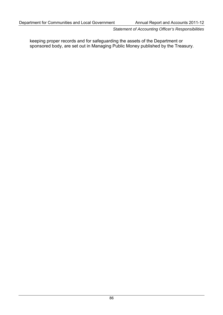*Statement of Accounting Officer's Responsibilities* 

keeping proper records and for safeguarding the assets of the Department or sponsored body, are set out in Managing Public Money published by the Treasury.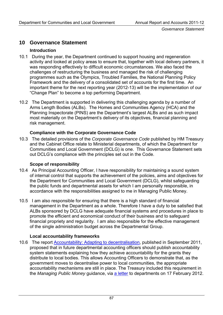*Governance Statement* 

# **10 Governance Statement**

## **Introduction**

- 10.1 During the year, the Department continued to support housing and regeneration activity and looked at policy areas to ensure that, together with local delivery partners, it was responding effectively to difficult economic circumstances. We also faced the challenges of restructuring the business and managed the risk of challenging programmes such as the Olympics, Troubled Families, the National Planning Policy Framework and the delivery of a consolidated set of accounts for the first time. An important theme for the next reporting year (2012-13) will be the implementation of our "Change Plan" to become a top performing Department.
- 10.2 The Department is supported in delivering this challenging agenda by a number of Arms Length Bodies (ALBs). The Homes and Communities Agency (HCA) and the Planning Inspectorate (PINS) are the Department's largest ALBs and as such impact most materially on the Department's delivery of its objectives, financial planning and risk management.

## **Compliance with the Corporate Governance Code**

10.3 The detailed provisions of the *Corporate Governance Code* published by HM Treasury and the Cabinet Office relate to Ministerial departments, of which the Department for Communities and Local Government (DCLG) is one. This Governance Statement sets out DCLG's compliance with the principles set out in the Code.

#### **Scope of responsibility**

- 10.4 As Principal Accounting Officer, I have responsibility for maintaining a sound system of internal control that supports the achievement of the policies, aims and objectives for the Department for Communities and Local Government (DCLG), whilst safeguarding the public funds and departmental assets for which I am personally responsible, in accordance with the responsibilities assigned to me in Managing Public Money.
- 10.5 I am also responsible for ensuring that there is a high standard of financial management in the Department as a whole. Therefore I have a duty to be satisfied that ALBs sponsored by DCLG have adequate financial systems and procedures in place to promote the efficient and economical conduct of their business and to safeguard financial propriety and regularity. I am also responsible for the effective management of the single administration budget across the Departmental Group.

#### **Local accountability frameworks**

10.6 The report [Accountability: Adapting to decentralisation,](http://www.communities.gov.uk/publications/localgovernment/accountabilitydecentralisation) published in September 2011, proposed that in future departmental accounting officers should publish accountability system statements explaining how they achieve accountability for the grants they distribute to local bodies. This allows Accounting Officers to demonstrate that, as the government moves to decentralise power to local communities, the appropriate accountability mechanisms are still in place. The Treasury included this requirement in the *Managing Public Money* guidance, via [a letter](http://www.hm-treasury.gov.uk/psr_governance_dao_letters.htm) to departments on 17 February 2012.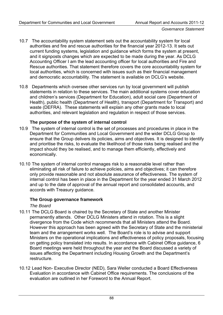- 10.7 The accountability system statement sets out the accountability system for local authorities and fire and rescue authorities for the financial year 2012-13. It sets out current funding systems, legislation and guidance which forms the system at present, and it signposts changes which are expected to be made during the year. As DCLG Accounting Officer I am the lead accounting officer for local authorities and Fire and Rescue authorities. That statement therefore covers the core accountability system for local authorities, which is concerned with issues such as their financial management and democratic accountability. The statement is available on DCLG's website.
- 10.8 Departments which oversee other services run by local government will publish statements in relation to these services. The main additional systems cover education and children's services (Department for Education), adult social care (Department of Health), public health (Department of Health), transport (Department for Transport) and waste (DEFRA). These statements will explain any other grants made to local authorities, and relevant legislation and regulation in respect of those services.

## **The purpose of the system of internal control**

- 10.9 The system of internal control is the set of processes and procedures in place in the Department for Communities and Local Government and the wider DCLG Group to ensure that the Group delivers its policies, aims and objectives. It is designed to identify and prioritise the risks, to evaluate the likelihood of those risks being realised and the impact should they be realised, and to manage them efficiently, effectively and economically.
- 10.10 The system of internal control manages risk to a reasonable level rather than eliminating all risk of failure to achieve policies, aims and objectives; it can therefore only provide reasonable and not absolute assurance of effectiveness. The system of internal control has been in place in the Department for the year ended 31 March 2012 and up to the date of approval of the annual report and consolidated accounts, and accords with Treasury guidance.

#### **The Group governance framework**

*The Board* 

- 10.11 The DCLG Board is chaired by the Secretary of State and another Minister permanently attends. Other DCLG Ministers attend in rotation. This is a slight divergence from the Code which recommends that all Ministers attend the Board. However this approach has been agreed with the Secretary of State and the ministerial team and the arrangement works well. The Board's role is to advise and support Ministers on the operational implications and effectiveness of policy proposals, focusing on getting policy translated into results. In accordance with Cabinet Office guidance, 6 Board meetings were held throughout the year and the Board discussed a variety of issues affecting the Department including Housing Growth and the Department's restructure.
- 10.12 Lead Non- Executive Director (NED), Sara Weller conducted a Board Effectiveness Evaluation in accordance with Cabinet Office requirements. The conclusions of the evaluation are outlined in her Foreword to the Annual Report.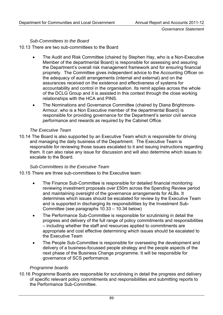*Governance Statement* 

#### *Sub-Committees to the Board*

10.13 There are two sub-committees to the Board

- The Audit and Risk Committee (chaired by Stephen Hay, who is a Non-Executive Member of the departmental Board) is responsible for assessing and assuring the Department's overall risk management framework and for ensuring financial propriety. The Committee gives independent advice to the Accounting Officer on the adequacy of audit arrangements (internal and external) and on the assurances received on the existence and effectiveness of systems for accountability and control in the organisation. Its remit applies across the whole of the DCLG Group and it is assisted in this context through the close working relationships with the HCA and PINS.
- The Nominations and Governance Committee (chaired by Diana Brightmore-Armour, who is a Non Executive member of the departmental Board) is responsible for providing governance for the Department's senior civil service performance and rewards as required by the Cabinet Office.

#### *The Executive Team*

10.14 The Board is also supported by an Executive Team which is responsible for driving and managing the daily business of the Department. The Executive Team is responsible for reviewing those issues escalated to it and issuing instructions regarding them. It can also raise any issue for discussion and will also determine which issues to escalate to the Board.

#### *Sub-Committees to the Executive Team*

- 10.15 There are three sub-committees to the Executive team:
	- The Finance Sub-Committee is responsible for detailed financial monitoring reviewing investment proposals over £50m across the Spending Review period and maintaining oversight of the governance arrangements for ALBs. It determines which issues should be escalated for review by the Executive Team and is supported in discharging its responsibilities by the Investment Sub-Committee (see paragraphs 10.33 – 10.34 below)
	- The Performance Sub-Committee is responsible for scrutinising in detail the progress and delivery of the full range of policy commitments and responsibilities – including whether the staff and resources applied to commitments are appropriate and cost effective determining which issues should be escalated to the Executive Team
	- The People Sub-Committee is responsible for overseeing the development and delivery of a business-focussed people strategy and the people aspects of the next phase of the Business Change programme. It will be responsible for governance of SCS performance.

#### *Programme boards*

10.16 Programme Boards are responsible for scrutinising in detail the progress and delivery of specific relevant policy commitments and responsibilities and submitting reports to the Performance Sub-Committee.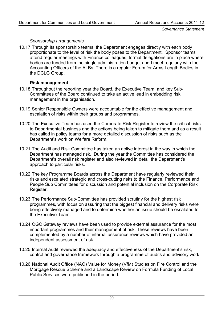#### *Sponsorship arrangements*

10.17 Through its sponsorship teams, the Department engages directly with each body proportionate to the level of risk the body poses to the Department. Sponsor teams attend regular meetings with Finance colleagues, formal delegations are in place where bodies are funded from the single administration budget and I meet regularly with the Accounting Officers of the ALBs. There is a regular Forum for Arms Length Bodies in the DCLG Group.

#### **Risk management**

- 10.18 Throughout the reporting year the Board, the Executive Team, and key Sub-Committees of the Board continued to take an active lead in embedding risk management in the organisation.
- 10.19 Senior Responsible Owners were accountable for the effective management and escalation of risks within their groups and programmes.
- 10.20 The Executive Team has used the Corporate Risk Register to review the critical risks to Departmental business and the actions being taken to mitigate them and as a result has called in policy teams for a more detailed discussion of risks such as the Department's work on Welfare Reform.
- 10.21 The Audit and Risk Committee has taken an active interest in the way in which the Department has managed risk. During the year the Committee has considered the Department's overall risk register and also reviewed in detail the Department's approach to particular risks.
- 10.22 The key Programme Boards across the Department have regularly reviewed their risks and escalated strategic and cross-cutting risks to the Finance, Performance and People Sub Committees for discussion and potential inclusion on the Corporate Risk Register.
- 10.23 The Performance Sub-Committee has provided scrutiny for the highest risk programmes, with focus on assuring that the biggest financial and delivery risks were being effectively managed and to determine whether an issue should be escalated to the Executive Team.
- 10.24 OGC Gateway reviews have been used to provide external assurance for the most important programmes and their management of risk. These reviews have been complemented by a number of internal assurance reviews which have provided an independent assessment of risk.
- 10.25 Internal Audit reviewed the adequacy and effectiveness of the Department's risk, control and governance framework through a programme of audits and advisory work.
- 10.26 National Audit Office (NAO) Value for Money (VfM) Studies on Fire Control and the Mortgage Rescue Scheme and a Landscape Review on Formula Funding of Local Public Services were published in the period.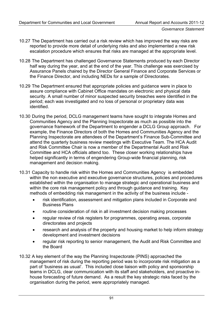- 10.27 The Department has carried out a risk review which has improved the way risks are reported to provide more detail of underlying risks and also implemented a new risk escalation procedure which ensures that risks are managed at the appropriate level.
- 10.28 The Department has challenged Governance Statements produced by each Director half way during the year, and at the end of the year. This challenge was exercised by Assurance Panels chaired by the Director General Finance and Corporate Services or the Finance Director, and including NEDs for a sample of Directorates.
- 10.29 The Department ensured that appropriate policies and guidance were in place to assure compliance with Cabinet Office mandates on electronic and physical data security. A small number of minor suspected security breaches were identified in the period; each was investigated and no loss of personal or proprietary data was identified.
- 10.30 During the period, DCLG management teams have sought to integrate Homes and Communities Agency and the Planning Inspectorate as much as possible into the governance framework of the Department to engender a DCLG Group approach. For example, the Finance Directors of both the Homes and Communities Agency and the Planning Inspectorate are attendees of the Department's Finance Sub-Committee and attend the quarterly business review meetings with Executive Team. The HCA Audit and Risk Committee Chair is now a member of the Departmental Audit and Risk Committee and HCA officials attend too. These closer working relationships have helped significantly in terms of engendering Group-wide financial planning, risk management and decision making.
- 10.31 Capacity to handle risk within the Homes and Communities Agency is embedded within the non executive and executive governance structures, policies and procedures established within the organisation to manage strategic and operational business and within the core risk management policy and through guidance and training. Key methods of embedding risk management in the activity of the business include -
	- risk identification, assessment and mitigation plans included in Corporate and Business Plans
	- routine consideration of risk in all investment decision making processes
	- regular review of risk registers for programmes, operating areas, corporate directorates and projects
	- research and analysis of the property and housing market to help inform strategy development and investment decisions
	- regular risk reporting to senior management, the Audit and Risk Committee and the Board
- 10.32 A key element of the way the Planning Inspectorate (PINS) approached the management of risk during the reporting period was to incorporate risk mitigation as a part of 'business as usual'. This included close liaison with policy and sponsorship teams in DCLG, clear communication with its staff and stakeholders, and proactive inhouse forecasting of future demand. As a result the key strategic risks faced by the organisation during the period, were appropriately managed.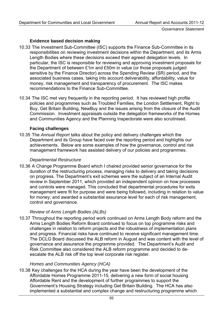## **Evidence based decision making**

- 10.33 The Investment Sub-Committee (ISC) supports the Finance Sub-Committee in its responsibilities on reviewing investment decisions within the Department, and its Arms Length Bodies where these decisions exceed their agreed delegation levels. In particular, the ISC is responsible for reviewing and approving investment proposals for the Department of between £1m and £50m in value (or those proposals judged sensitive by the Finance Director) across the Spending Review (SR) period, and the associated business cases, taking into account deliverability, affordability, value for money, risk management and transparency of procurement. The ISC makes recommendations to the Finance Sub-Committee.
- 10.34 The ISC met very frequently in the reporting period. It has reviewed high profile policies and programmes such as Troubled Families, the London Settlement, Right to Buy, Get Britain Building, NewBuy and the issues arising from the closure of the Audit Commission. Investment appraisals outside the delegation frameworks of the Homes and Communities Agency and the Planning Inspectorate were also scrutinised.

#### **Facing challenges**

10.35 The *Annual Report* talks about the policy and delivery challenges which the Department and its Group have faced over the reporting period and highlights our achievements. Below are some examples of how the governance, control and risk management framework has assisted delivery of our policies and programmes.

#### *Departmental Restructure*

10.36 A Change Programme Board which I chaired provided senior governance for the duration of the restructuring process, managing risks to delivery and taking decisions on progress. The Department's exit schemes were the subject of an Internal Audit review in September 2011, which provided an independent opinion on how processes and controls were managed. This concluded that departmental procedures for exits management were fit for purpose and were being followed, including in relation to value for money; and awarded a substantial assurance level for each of risk management, control and governance.

#### *Review of Arms Length Bodies (ALBs)*

10.37 Throughout the reporting period work continued on Arms Length Body reform and the Arms Length Bodies Reform Board continued to focus on top programme risks and challenges in relation to reform projects and the robustness of implementation plans and progress. Financial risks have continued to receive significant management time. The DCLG Board discussed the ALB reform in August and was content with the level of governance and assurance the programme provided. The Department's Audit and Risk Committee also considered the ALB reform programme and decided to deescalate the ALB risk off the top level corporate risk register.

#### *Homes and Communities Agency (HCA)*

10.38 Key challenges for the HCA during the year have been the development of the Affordable Homes Programme 2011-15, delivering a new form of social housing Affordable Rent and the development of further programmes to support the Government's Housing Strategy including Get Britain Building. The HCA has also implemented a substantial and complex change and restructuring programme which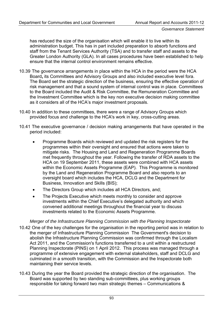has reduced the size of the organisation which will enable it to live within its administration budget. This has in part included preparation to absorb functions and staff from the Tenant Services Authority (TSA) and to transfer staff and assets to the Greater London Authority (GLA). In all cases procedures have been established to help ensure that the internal control environment remains effective.

- 10.39 The governance arrangements in place within the HCA in the period were the HCA Board**,** its Committees and Advisory Groups and also included executive level fora. The Board set the strategic direction of the business, ensuring the effective operation of risk management and that a sound system of internal control was in place. Committees to the Board included the Audit & Risk Committee, the Remuneration Committee and the Investment Committee which is the key non executive decision making committee as it considers all of the HCA's major investment proposals.
- 10.40 In addition to these committees, there were a range of Advisory Groups which provided focus and challenge to the HCA's work in key, cross-cutting areas.
- 10.41 The executive governance / decision making arrangements that have operated in the period included:
	- Programme Boards which reviewed and updated the risk registers for the programmes within their oversight and ensured that actions were taken to mitigate risks. The Housing and Land and Regeneration Programme Boards met frequently throughout the year. Following the transfer of RDA assets to the HCA on 19 September 2011, these assets were combined with HCA assets within the Economic Assets Programme (EAP). This Programme is monitored by the Land and Regeneration Programme Board and also reports to an oversight board which includes the HCA, DCLG and the Department for Business, Innovation and Skills (BIS);
	- The Directors Group which includes all HCA Directors, and;
	- The Projects Executive which meets monthly to consider and approve investments within the Chief Executive's delegated authority and which convened additional meetings throughout the financial year to discuss investments related to the Economic Assets Programme.

#### *Merger of the Infrastructure Planning Commission with the Planning Inspectorate*

- 10.42 One of the key challenges for the organisation in the reporting period was in relation to the merger of Infrastructure Planning Commission The Government's decision to abolish the Infrastructure Planning Commission was confirmed through the Localism Act 2011, and the Commission's functions transferred to a unit within a restructured Planning Inspectorate (PINS) on 1 April 2012. This process was managed through a programme of extensive engagement with external stakeholders, staff and DCLG and culminated in a smooth transition, with the Commission and the Inspectorate both maintaining their service levels.
- 10.43 During the year the Board provided the strategic direction of the organisation. The Board was supported by two standing sub-committees, plus working groups responsible for taking forward two main strategic themes – Communications &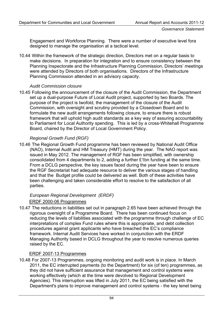Engagement and Workforce Planning. There were a number of executive level fora designed to manage the organisation at a tactical level.

10.44 Within the framework of the strategic direction, Directors met on a regular basis to make decisions. In preparation for integration and to ensure consistency between the Planning Inspectorate and the Infrastructure Planning Commission, Directors' meetings were attended by Directors of both organisations. Directors of the Infrastructure Planning Commission attended in an advisory capacity.

## *Audit Commission closure*

10.45 Following the announcement of the closure of the Audit Commission, the Department set up a dual-purpose Future of Local Audit project, supported by two Boards. The purpose of the project is twofold, the management of the closure of the Audit Commission, with oversight and scrutiny provided by a Closedown Board and to formulate the new audit arrangements following closure, to ensure there is robust framework that will uphold high audit standards as a key way of assuring accountability to Parliament for Local Authority spending. This is led by a cross-Whitehall Programme Board, chaired by the Director of Local Government Policy.

## *Regional Growth Fund (RGF)*

10.46 The Regional Growth Fund programme has been reviewed by National Audit Office (NAO), Internal Audit and HM Treasury (HMT) during the year. The NAO report was issued in May 2012. The management of RGF has been simplified, with ownership consolidated from 4 departments to 2, adding a further £1bn funding at the same time. From a DCLG perspective, the key issues faced during the year have been to ensure the RGF Secretariat had adequate resource to deliver the various stages of handling and that the Budget profile could be delivered as well. Both of these activities have been challenging and taken considerable effort to resolve to the satisfaction of all parties.

## *European Regional Development (ERDF)*  ERDF 2000-06 Programmes

10.47 The reductions in liabilities set out in paragraph 2.65 have been achieved through the rigorous oversight of a Programme Board. There has been continued focus on reducing the levels of liabilities associated with the programme through challenge of EC interpretations of complex Fund rules where this is appropriate, and debt collection procedures against grant applicants who have breached the EC's compliance framework. Internal Audit Services have worked in conjunction with the ERDF Managing Authority based in DCLG throughout the year to resolve numerous queries raised by the EC.

## ERDF 2007-13 Programmes

10.48 For 2007-13 Programmes, ongoing monitoring and audit work is in place. In March 2011, the EC interrupted payments (to the Department) for six (of ten) programmes, as they did not have sufficient assurance that management and control systems were working effectively (which at the time were devolved to Regional Development Agencies). This interruption was lifted in July 2011, the EC being satisfied with the Department's plans to improve management and control systems - the key tenet being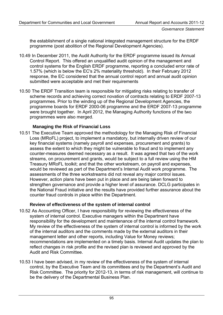the establishment of a single national integrated management structure for the ERDF programme (post abolition of the Regional Development Agencies).

- 10.49 In December 2011, the Audit Authority for the ERDF programme issued its Annual Control Report. This offered an unqualified audit opinion of the management and control systems for the English ERDF programme, reporting a concluded error rate of 1.57% (which is below the EC's 2% materiality threshold). In their February 2012 response, the EC considered that the annual control report and annual audit opinion submitted were acceptable and met their requirements
- 10.50 The ERDF Transition team is responsible for mitigating risks relating to transfer of scheme records and achieving correct novation of contracts relating to ERDF 2007-13 programmes. Prior to the winding up of the Regional Development Agencies, the programme boards for ERDF 2000-06 programme and the ERDF 2007-13 programme were brought together. In April 2012, the Managing Authority functions of the two programmes were also merged.

## **Managing the Risk of Financial Loss**

10.51 The Executive Team approved the methodology for the Managing Risk of Financial Loss (MRoFL) project, to implement a mandatory, but internally driven review of our key financial systems (namely payroll and expenses, procurement and grants) to assess the extent to which they might be vulnerable to fraud and to implement any counter-measures deemed necessary as a result. It was agreed that two of the work streams, on procurement and grants, would be subject to a full review using the HM Treasury MRoFL toolkit; and that the other workstream, on payroll and expenses, would be reviewed as part of the Department's Internal Audit work programme. The assessments of the three workstreams did not reveal any major control issues. However, action plans have been put in place and are being taken forward to strengthen governance and provide a higher level of assurance. DCLG participates in the National Fraud initiative and the results have provided further assurance about the counter fraud controls in place within the Department.

## **Review of effectiveness of the system of internal control**

- 10.52 As Accounting Officer, I have responsibility for reviewing the effectiveness of the system of internal control. Executive managers within the Department have responsibility for the development and maintenance of the internal control framework. My review of the effectiveness of the system of internal control is informed by the work of the internal auditors and the comments made by the external auditors in their management letter and other reports, including Value for Money reviews; recommendations are implemented on a timely basis. Internal Audit updates the plan to reflect changes in risk profile and the revised plan is reviewed and approved by the Audit and Risk Committee.
- 10.53 I have been advised, in my review of the effectiveness of the system of internal control, by the Executive Team and its committees and by the Department's Audit and Risk Committee. The priority for 2012-13, in terms of risk management, will continue to be the delivery of the Departmental Business Plan.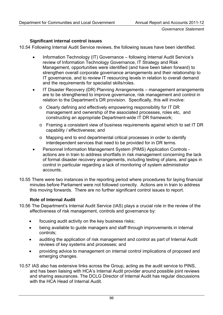## **Significant internal control issues**

10.54 Following Internal Audit Service reviews, the following issues have been identified.

- Information Technology (IT) Governance following Internal Audit Service's review of Information Technology Governance, IT Strategy and Risk Management, opportunities were identified (and have been taken forward) to strengthen overall corporate governance arrangements and their relationship to IT governance, and to review IT resourcing levels in relation to overall demand and the requirements for specialist skills/roles.
- IT Disaster Recovery (DR) Planning Arrangements management arrangements are to be strengthened to improve governance, risk management and control in relation to the Department's DR provision. Specifically, this will involve:
	- o Clearly defining and effectively empowering responsibility for IT DR management and ownership of the associated processes, roles etc, and constructing an appropriate Department-wide IT DR framework;
	- o Framing a consistent view of business requirements against which to set IT DR capability / effectiveness; and
	- o Mapping end to end departmental critical processes in order to identify interdependent services that need to be provided for in DR terms.
- Personnel Information Management System (PIMS) Application Controls actions are in train to address shortfalls in risk management concerning the lack of formal disaster recovery arrangements, including testing of plans, and gaps in control in particular regarding a lack of monitoring of system administrator accounts.
- 10.55 There were two instances in the reporting period where procedures for laying financial minutes before Parliament were not followed correctly. Actions are in train to address this moving forwards. There are no further significant control issues to report.

## **Role of Internal Audit**

- 10.56 The Department's Internal Audit Service (IAS) plays a crucial role in the review of the effectiveness of risk management, controls and governance by:
	- focusing audit activity on the key business risks;
	- being available to guide managers and staff through improvements in internal controls;
	- auditing the application of risk management and control as part of Internal Audit reviews of key systems and processes; and
	- providing advice to management on internal control implications of proposed and emerging changes.
- 10.57 IAS also has extensive links across the Group, acting as the audit service to PINS, and has been liaising with HCA's Internal Audit provider around possible joint reviews and sharing assurances. The DCLG Director of Internal Audit has regular discussions with the HCA Head of Internal Audit.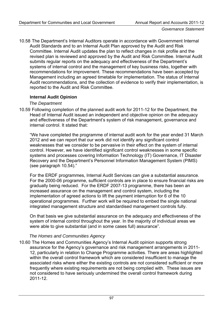10.58 The Department's Internal Auditors operate in accordance with Government Internal Audit Standards and to an Internal Audit Plan approved by the Audit and Risk Committee. Internal Audit updates the plan to reflect changes in risk profile and the revised plan is reviewed and approved by the Audit and Risk Committee. Internal Audit submits regular reports on the adequacy and effectiveness of the Department's systems of internal control and the management of key business risks, together with recommendations for improvement. These recommendations have been accepted by Management including an agreed timetable for implementation. The status of Internal Audit recommendations, and the collection of evidence to verify their implementation, is reported to the Audit and Risk Committee.

## **Internal Audit Opinion**

## *The Department*

10.59 Following completion of the planned audit work for 2011-12 for the Department, the Head of Internal Audit issued an independent and objective opinion on the adequacy and effectiveness of the Department's system of risk management, governance and internal control. It stated that:

"We have completed the programme of internal audit work for the year ended 31 March 2012 and we can report that our work did not identify any significant control weaknesses that we consider to be pervasive in their effect on the system of internal control. However, we have identified significant control weaknesses in some specific systems and processes covering Information Technology (IT) Governance, IT Disaster Recovery and the Department's Personnel Information Management System (PIMS) (see paragraph 10.54)."

For the ERDF programmes, Internal Audit Services can give a substantial assurance. For the 2000-06 programme, sufficient controls are in place to ensure financial risks are gradually being reduced. For the ERDF 2007-13 programme, there has been an increased assurance on the management and control system, including the implementation of agreed actions to lift the payment interruption for 6 of the 10 operational programmes. Further work will be required to embed the single national integrated management structure and standardised management controls fully.

On that basis we give substantial assurance on the adequacy and effectiveness of the system of internal control throughout the year. In the majority of individual areas we were able to give substantial (and in some cases full) assurance".

## *The Homes and Communities Agency*

10.60 The Homes and Communities Agency's Internal Audit opinion supports strong assurance for the Agency's governance and risk management arrangements in 2011- 12, particularly in relation to Change Programme activities. There are areas highlighted within the overall control framework which are considered insufficient to manage the associated risks where either the existing controls are not considered sufficient or more frequently where existing requirements are not being complied with. These issues are not considered to have seriously undermined the overall control framework during 2011-12.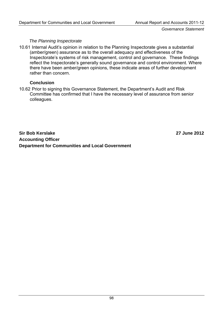*Governance Statement* 

### *The Planning Inspectorate*

10.61 Internal Audit's opinion in relation to the Planning Inspectorate gives a substantial (amber/green) assurance as to the overall adequacy and effectiveness of the Inspectorate's systems of risk management, control and governance. These findings reflect the Inspectorate's generally sound governance and control environment. Where there have been amber/green opinions, these indicate areas of further development rather than concern.

## **Conclusion**

10.62 Prior to signing this Governance Statement, the Department's Audit and Risk Committee has confirmed that I have the necessary level of assurance from senior colleagues.

**Sir Bob Kerslake 27 June 2012 Accounting Officer Department for Communities and Local Government**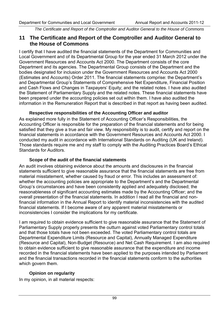*The Certificate and Report of the Comptroller and Auditor General to the House of Commons* 

## **11 The Certificate and Report of the Comptroller and Auditor General to the House of Commons**

I certify that I have audited the financial statements of the Department for Communities and Local Government and of its Departmental Group for the year ended 31 March 2012 under the Government Resources and Accounts Act 2000. The Department consists of the core Department and its agencies. The Departmental Group consists of the Department and the bodies designated for inclusion under the Government Resources and Accounts Act 2000 (Estimates and Accounts) Order 2011. The financial statements comprise: the Department's and Departmental Group's Statements of Comprehensive Net Expenditure, Financial Position and Cash Flows and Changes in Taxpayers' Equity; and the related notes. I have also audited the Statement of Parliamentary Supply and the related notes. These financial statements have been prepared under the accounting policies set out within them. I have also audited the information in the Remuneration Report that is described in that report as having been audited.

#### **Respective responsibilities of the Accounting Officer and auditor**

As explained more fully in the Statement of Accounting Officer's Responsibilities, the Accounting Officer is responsible for the preparation of the financial statements and for being satisfied that they give a true and fair view. My responsibility is to audit, certify and report on the financial statements in accordance with the Government Resources and Accounts Act 2000. I conducted my audit in accordance with International Standards on Auditing (UK and Ireland). Those standards require me and my staff to comply with the Auditing Practices Board's Ethical Standards for Auditors.

### **Scope of the audit of the financial statements**

An audit involves obtaining evidence about the amounts and disclosures in the financial statements sufficient to give reasonable assurance that the financial statements are free from material misstatement, whether caused by fraud or error. This includes an assessment of: whether the accounting policies are appropriate to the Department's and the Departmental Group's circumstances and have been consistently applied and adequately disclosed; the reasonableness of significant accounting estimates made by the Accounting Officer; and the overall presentation of the financial statements. In addition I read all the financial and nonfinancial information in the Annual Report to identify material inconsistencies with the audited financial statements. If I become aware of any apparent material misstatements or inconsistencies I consider the implications for my certificate.

I am required to obtain evidence sufficient to give reasonable assurance that the Statement of Parliamentary Supply properly presents the outturn against voted Parliamentary control totals and that those totals have not been exceeded. The voted Parliamentary control totals are Departmental Expenditure Limits (Resource and Capital), Annually Managed Expenditure (Resource and Capital), Non-Budget (Resource) and Net Cash Requirement. I am also required to obtain evidence sufficient to give reasonable assurance that the expenditure and income recorded in the financial statements have been applied to the purposes intended by Parliament and the financial transactions recorded in the financial statements conform to the authorities which govern them.

## **Opinion on regularity**

In my opinion, in all material respects: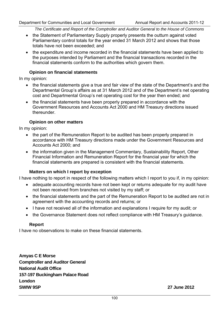*The Certificate and Report of the Comptroller and Auditor General to the House of Commons* 

- the Statement of Parliamentary Supply properly presents the outturn against voted Parliamentary control totals for the year ended 31 March 2012 and shows that those totals have not been exceeded; and
- the expenditure and income recorded in the financial statements have been applied to the purposes intended by Parliament and the financial transactions recorded in the financial statements conform to the authorities which govern them.

#### **Opinion on financial statements**

In my opinion:

- the financial statements give a true and fair view of the state of the Department's and the Departmental Group's affairs as at 31 March 2012 and of the Department's net operating cost and Departmental Group's net operating cost for the year then ended; and
- the financial statements have been properly prepared in accordance with the Government Resources and Accounts Act 2000 and HM Treasury directions issued thereunder.

#### **Opinion on other matters**

In my opinion:

- the part of the Remuneration Report to be audited has been properly prepared in accordance with HM Treasury directions made under the Government Resources and Accounts Act 2000; and
- the information given in the Management Commentary, Sustainability Report, Other Financial Information and Remuneration Report for the financial year for which the financial statements are prepared is consistent with the financial statements.

#### **Matters on which I report by exception**

I have nothing to report in respect of the following matters which I report to you if, in my opinion:

- adequate accounting records have not been kept or returns adequate for my audit have not been received from branches not visited by my staff; or
- the financial statements and the part of the Remuneration Report to be audited are not in agreement with the accounting records and returns; or
- I have not received all of the information and explanations I require for my audit; or
- the Governance Statement does not reflect compliance with HM Treasury's guidance.

#### **Report**

I have no observations to make on these financial statements.

**Amyas C E Morse Comptroller and Auditor General National Audit Office 157-197 Buckingham Palace Road London SWIW 9SP 27 June 2012**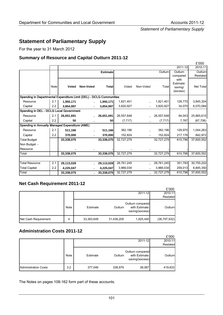*Statement of Parliamentary Supply* 

# **Statement of Parliamentary Supply**

For the year to 31 March 2012

#### **Summary of Resource and Capital Outturn 2011-12**

|      |            |                  |                                                                                           |            |                                                                                             |            |                                  | £'000                                                                                                                                                     |
|------|------------|------------------|-------------------------------------------------------------------------------------------|------------|---------------------------------------------------------------------------------------------|------------|----------------------------------|-----------------------------------------------------------------------------------------------------------------------------------------------------------|
|      |            |                  |                                                                                           |            |                                                                                             |            | 2011-12                          | 2010-11                                                                                                                                                   |
|      |            |                  | Estimatel                                                                                 |            |                                                                                             | Outturn    | Outturn                          | Outturn                                                                                                                                                   |
|      |            |                  |                                                                                           |            |                                                                                             |            |                                  | Restated                                                                                                                                                  |
| Note | Voted      | <b>Non-Voted</b> | <b>Total</b>                                                                              | Voted      | Non-Voted                                                                                   | Total      | Estimate:<br>saving/<br>(excess) | Net Total                                                                                                                                                 |
|      |            |                  |                                                                                           |            |                                                                                             |            |                                  |                                                                                                                                                           |
|      | 1,950,171  |                  |                                                                                           | 1,821,401  |                                                                                             |            |                                  | 3,845,324                                                                                                                                                 |
| 2.2  | 3,854,997  |                  | 3,854,997                                                                                 | 3,820,927  |                                                                                             | 3,820,927  | 34,070                           | 6,070,084                                                                                                                                                 |
|      |            |                  |                                                                                           |            |                                                                                             |            |                                  |                                                                                                                                                           |
| 2.1  | 26,651,691 |                  | 26,651,691                                                                                | 26,557,648 |                                                                                             |            | 94,043                           | 25,865,615                                                                                                                                                |
| 2.2  | 50         |                  | 50                                                                                        | (7, 717)   |                                                                                             | (7, 717)   | 7,767                            | (67, 706)                                                                                                                                                 |
|      |            |                  |                                                                                           |            |                                                                                             |            |                                  |                                                                                                                                                           |
| 2.1  | 511,166    |                  | 511,166                                                                                   | 382,196    |                                                                                             |            | 128,970                          | 1,044,263                                                                                                                                                 |
| 2.2  | 370,000    |                  |                                                                                           | 152,824    |                                                                                             |            | 217,176                          | 842,972                                                                                                                                                   |
|      | 33,338,075 |                  | 33,338,075                                                                                | 32,727,279 |                                                                                             |            | 610,796                          | 37,600,552                                                                                                                                                |
|      |            |                  |                                                                                           |            |                                                                                             |            |                                  |                                                                                                                                                           |
|      |            |                  |                                                                                           |            |                                                                                             |            |                                  |                                                                                                                                                           |
|      | 33,338,075 |                  | 33,338,075                                                                                | 32,727,279 |                                                                                             | 32,727,279 | 610,796                          | 37,600,552                                                                                                                                                |
|      |            |                  |                                                                                           |            |                                                                                             |            |                                  |                                                                                                                                                           |
| 2.1  | 29,113,028 |                  | 29,113,028                                                                                | 28,761,245 |                                                                                             |            |                                  | 30,755,202                                                                                                                                                |
| 2.2  | 4,225,047  |                  | 4,225,047                                                                                 | 3,966,034  |                                                                                             |            |                                  | 6,845,350                                                                                                                                                 |
|      | 33,338,075 |                  | 33,338,075                                                                                | 32,727,279 |                                                                                             |            | 610,796                          | 37,600,552                                                                                                                                                |
|      | 2.1        |                  | Spending in DEL - DCLG Local Government<br>Spending in Annually Managed Expenditure (AME) |            | Spending in Departmental Expenditure Limit (DEL) - DCLG Communities<br>1,950,171<br>370,000 |            |                                  | compared<br>with<br>1,821,401<br>128,770<br>26,557,648<br>382,196<br>152,824<br>32,727,279<br>351,783<br>28,761,245<br>259,013<br>3,966,034<br>32,727,279 |

#### **Net Cash Requirement 2011-12**

|                      |      |            |            |                                                       | £'000          |
|----------------------|------|------------|------------|-------------------------------------------------------|----------------|
|                      |      |            |            | 2011-12                                               | 2010-11        |
|                      |      |            |            |                                                       | Restated       |
|                      | Note | Estimate   | Outturn    | Outturn compared<br>with Estimate:<br>saving/(excess) | Outturn        |
| Net Cash Requirement | 4    | 33,363,649 | 31,438,209 | 1,925,440                                             | (36, 797, 932) |

### **Administration Costs 2011-12**

|                             |      |          |         |                                                       | £'000    |
|-----------------------------|------|----------|---------|-------------------------------------------------------|----------|
|                             |      |          |         | 2011-12                                               | 2010-11  |
|                             |      |          |         |                                                       | Restated |
|                             | Note | Estimate | Outturn | Outturn compared<br>with Estimate:<br>saving/(excess) | Outturn  |
| <b>Administration Costs</b> | 3.2  | 377,046  | 338,979 | 38,067                                                | 419,633  |

The Notes on pages 108-162 form part of these accounts.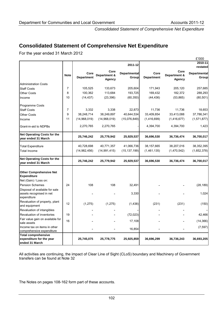£'000

*Consolidated Statement of Comprehensive Net Expenditure* 

# **Consolidated Statement of Comprehensive Net Expenditure**

For the year ended 31 March 2012

|                                                                               |                |                           |                                       |                       |                           |                                       | £000                         |
|-------------------------------------------------------------------------------|----------------|---------------------------|---------------------------------------|-----------------------|---------------------------|---------------------------------------|------------------------------|
|                                                                               |                |                           |                                       | 2011-12               |                           |                                       | 2010-11<br>restated          |
|                                                                               | <b>Note</b>    | Core<br><b>Department</b> | Core<br>Department &<br><b>Agency</b> | Departmental<br>Group | Core<br><b>Department</b> | Core<br>Department &<br><b>Agency</b> | <b>Departmental</b><br>Group |
| <b>Administration Costs</b>                                                   |                |                           |                                       |                       |                           |                                       |                              |
| <b>Staff Costs</b>                                                            | $\overline{7}$ | 105,525                   | 133,673                               | 205,604               | 171,943                   | 205,120                               | 257,685                      |
| <b>Other Costs</b>                                                            | 8              | 100,362                   | 113,684                               | 193,725               | 169,432                   | 182,372                               | 288,293                      |
| Income                                                                        | 10             | (14, 437)                 | (23, 396)                             | (60, 350)             | (44, 436)                 | (53, 865)                             | (80, 501)                    |
| <b>Programme Costs</b>                                                        |                |                           |                                       |                       |                           |                                       |                              |
| <b>Staff Costs</b>                                                            | $\overline{7}$ | 3,332                     | 3,338                                 | 22,873                | 11,736                    | 11,736                                | 18,653                       |
| <b>Other Costs</b>                                                            | 9              | 38,248,714                | 38,249,897                            | 40,644,534            | 33,409,854                | 33,413,088                            | 37,786,341                   |
| Income                                                                        | 11             | (14,968,019)              | (14,968,019)                          | (15,076,849)          | (1,416,699)               | (1,416,677)                           | (1,571,877)                  |
| Grant-in-aid to NDPBs                                                         |                | 2,270,765                 | 2,270,765                             |                       | 4,394,700                 | 4,394,700                             | 1,423                        |
| <b>Net Operating Costs for the</b><br>year ended 31 March                     |                | 25,746,242                | 25,779,942                            | 25,929,537            | 36,696,530                | 36,736,474                            | 36,700,017                   |
| <b>Total Expenditure</b>                                                      |                | 40,728,698                | 40,771,357                            | 41,066,736            | 38,157,665                | 38,207,016                            | 38,352,395                   |
| Total Income                                                                  |                | (14,982,456)              | (14, 991, 415)                        | (15, 137, 199)        | (1,461,135)               | (1,470,542)                           | (1,652,378)                  |
| Net Operating Costs for the<br>vear ended 31 March                            |                | 25,746,242                | 25,779,942                            | 25,929,537            | 36,696,530                | 36,736,474                            | 36,700,017                   |
| <b>Other Comprehensive Net</b><br><b>Expenditure</b><br>Net (Gain) / Loss on: |                |                           |                                       |                       |                           |                                       |                              |
| <b>Pension Schemes</b>                                                        | 24             | 108                       | 108                                   | 32,491                |                           |                                       | (28, 189)                    |
| Disposal of available for sale<br>assets recognised in net<br>expenditure     |                |                           |                                       | 3,330                 |                           |                                       | 1,024                        |
| Revaluation of property, plant<br>and equipment                               | 12             | (1, 275)                  | (1, 275)                              | (1, 438)              | (231)                     | (231)                                 | (150)                        |
| Revaluation of intangibles                                                    |                |                           |                                       |                       |                           |                                       |                              |
| Revaluation of inventories                                                    | 19             |                           |                                       | (72, 023)             |                           |                                       | 42,466                       |
| Fair value gain on available for<br>sale assets                               | 16             |                           |                                       | 17,108                |                           |                                       | (14, 366)                    |
| Income tax on items in other<br>comprehensive expenditure                     |                |                           |                                       | 16,854                |                           |                                       | (7, 597)                     |
| <b>Total comprehensive</b>                                                    |                |                           |                                       |                       |                           |                                       |                              |
| expenditure for the year<br>ended 31 March                                    |                | 25,745,075                | 25,778,775                            | 25,925,859            | 36,696,299                | 36,736,243                            | 36,693,205                   |
|                                                                               |                |                           |                                       |                       |                           |                                       |                              |

All activities are continuing, the impact of Clear Line of Sight (CLoS) boundary and Machinery of Government transfers can be found at Note 32

The Notes on pages 108-162 form part of these accounts.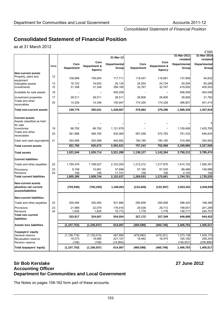*Consolidated Statement of Financial Position* 

# **Consolidated Statement of Financial Position**

as at 31 March 2012

|                                                                          |          |                   |                        |                      |                   |                          |                         | £'000                   |
|--------------------------------------------------------------------------|----------|-------------------|------------------------|----------------------|-------------------|--------------------------|-------------------------|-------------------------|
|                                                                          |          |                   |                        | 31-Mar-12            |                   |                          | 31-Mar-2011<br>restated | 31-Mar-2010<br>restated |
|                                                                          |          | Core              | Core                   | Departmental         | Core              | Core                     | <b>Departmental</b>     | Departmental            |
|                                                                          | Note     | <b>Department</b> | Department &<br>Agency | Group                | <b>Department</b> | Department &<br>Agency   | Group                   | Group                   |
| <b>Non-current assets</b>                                                |          |                   |                        |                      |                   |                          |                         |                         |
| Property, plant and<br>equipment                                         | 12       | 108,868           | 109,004                | 117,711              | 118,457           | 118,661                  | 137,858                 | 94,832                  |
| Intangible assets<br>Investments                                         | 13<br>15 | 16,722<br>31,348  | 16,832<br>31,348       | 20,130<br>356,160    | 24,554<br>32,767  | 24,734<br>32,767         | 29,294<br>419,005       | 85,288<br>400,553       |
| Available for sale assets                                                | 16       |                   |                        | 550,208              |                   | $\overline{\phantom{a}}$ | 556,556                 | 454,049                 |
| Investment properties                                                    | 17       | 28,511            | 28,511                 | 28,511               | 28,806            | 28,806                   | 28,806                  | 21,782                  |
| Trade and other<br>receivables                                           | 20       | 14,329            | 14,346                 | 155,947              | 174,300           | 174,328                  | 396,807                 | 401,414                 |
| Total non-current assets                                                 |          | 199,778           | 200,041                | 1,228,667            | 378,884           | 379,296                  | 1,568,326               | 1,457,918               |
| <b>Current assets</b>                                                    |          |                   |                        |                      |                   |                          |                         |                         |
| Assets classified as held                                                |          |                   |                        |                      |                   |                          |                         | 5                       |
| for sale<br>Inventories                                                  | 19       | 66,792            | 66,792                 | 1,121,879            |                   |                          | 1,109,489               | 1,425,765               |
| Trade and other                                                          | 20       | 361,888           | 366,795                | 530,060              | 567,058           | 572,783                  | 761,032                 | 646,834                 |
| receivables                                                              |          |                   |                        |                      |                   |                          |                         |                         |
| Cash and cash equivalents                                                | 21       | 393,086           | 393,086                | 440.682              | 190.185           | 190,185                  | 319,365                 | 254,952                 |
| Total current assets                                                     |          | 821,766           | 826,673                | 2,092,621            | 757,243           | 762,968                  | 2,189,886               | 2,327,556               |
| <b>Total assets</b>                                                      |          | 1,021,544         | 1,026,714              | 3,321,288            | 1,136,127         | 1,142,264                | 3,758,212               | 3,785,474               |
| <b>Current liabilities</b>                                               |          |                   |                        |                      |                   |                          |                         |                         |
| Trade and other payables                                                 | 22       | 1,795,476         | 1,798,527              | 2,103,200            | 1,212,212         | 1,217,975                | 1,614,120               | 1,585,391               |
| Provisions                                                               | 23       | 9,748             | 10,061                 | 37,696               | 57,185            | 57,530                   | 88,486                  | 149,988                 |
| Pensions<br>Total current liabilities                                    | 24       | 156<br>1,805,380  | 156<br>1,808,744       | 11,741<br>2,152,637  | 156<br>1,269,553  | 156<br>1,275,661         | 2,155<br>1,704,761      | 156<br>1,735,535        |
|                                                                          |          |                   |                        |                      |                   |                          |                         |                         |
| <b>Non-current assets</b><br>plus/less net current<br>assets/liabilities |          | (783, 836)        | (782, 030)             | 1,168,651            | (133, 426)        | (133, 397)               | 2,053,451               | 2,049,939               |
| <b>Non-current liabilities</b>                                           |          |                   |                        |                      |                   |                          |                         |                         |
| Trade and other payables                                                 | 22       | 300,094           | 300,094                | 301,866              | 295,858           | 295,858                  | 298,420                 | 198,366                 |
| Provisions                                                               | 23       | 21,989            | 22,079                 | 176,916              | 29,536            | 29,713                   | 199,551                 | 201,299                 |
| Pensions<br><b>Total non current</b>                                     | 24       | 1,834             | 1,834                  | 75,772               | 1,778             | 1,778                    | 148,717                 | 244,757                 |
| liabilities                                                              |          | 323,917           | 324,007                | 554,554              | 327,172           | 327,349                  | 646,688                 | 644,422                 |
| <b>Assets less liabilities</b>                                           |          | (1, 107, 753)     | (1, 106, 037)          | 614,097              | (460, 598)        | (460, 746)               | 1,406,763               | 1,405,517               |
| Taxpayers' equity                                                        |          |                   |                        |                      |                   |                          |                         |                         |
| General reserve                                                          |          | (1, 126, 718)     | (1, 125, 014)          | 467,894              | (479,060)         | (479, 221)               | 1,373,138               | 1,439,170               |
| <b>Revaluation reserve</b><br>Pension reserve                            |          | 19,073<br>(108)   | 19,085<br>(108)        | 221,107<br>(74, 904) | 18,462            | 18,475                   | 180,182<br>(146, 557)   | 206,245<br>(239, 898)   |
| Total taxpayers' equity                                                  |          | (1, 107, 753)     | (1, 106, 037)          | 614,097              | (460, 598)        | (460, 746)               | 1,406,763               | 1,405,517               |

### **Sir Bob Kerslake 27 June 2012 Accounting Officer Department for Communities and Local Government**

The Notes on pages 108-162 form part of these accounts.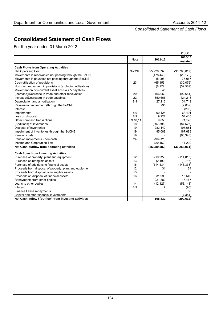*Consolidated Statement of Cash Flows* 

# **Consolidated Statement of Cash Flows**

For the year ended 31 March 2012

|                                                         |             |                | £'000               |
|---------------------------------------------------------|-------------|----------------|---------------------|
|                                                         | <b>Note</b> | 2011-12        | 2010-11<br>restated |
|                                                         |             |                |                     |
| <b>Cash Flows from Operating Activities</b>             |             |                |                     |
| Net Operating Cost                                      | SoCNE       | (25, 929, 537) | (36,700,017)        |
| Movements in receivables not passing through the SoCNE  |             | (178, 449)     | (20, 179)           |
| Movements in payables not passing through the SoCNE     |             | (5,008)        | 75,067              |
| Cash utilisation of provisions                          | 23          | (65, 153)      | (30,076)            |
| Non cash movement in provisions (excluding utilisation) |             | (8,272)        | (52, 569)           |
| Movement on non current asset accruals & payables       |             | 45             |                     |
| (Increase)/Decrease in trade and other receivables      | 20          | 466,069        | (92, 681)           |
| Increase/(Decrease) in trade payables                   | 22          | 350,666        | 124,218             |
| Depreciation and amortisation                           | 8,9         | 27,213         | 31,719              |
| Revaluation movement (through the SoCNE)                |             | 295            | (7,039)             |
| Interest                                                |             |                | (208)               |
| Impairments                                             | 8,9         | 90,424         | 63,491              |
| Loss on disposal                                        | 8,9         | 9,922          | 54,410              |
| Other non-cash transactions                             | 8,9,10,11   | 9,853          | 71,178              |
| (Additions) of inventories                              | 19          | (307, 598)     | (87, 526)           |
| Disposal of inventories                                 | 19          | 282,142        | 197,681             |
| Impairment of inventories through the SoCNE             | 19          | 85,089         | 167,683             |
| Pension costs                                           | 19          |                | (65, 343)           |
| Pension movements - non cash                            | 24          | (96, 621)      |                     |
| Income and Corporation Tax                              |             | (20, 462)      | 11,230              |
| Net Cash outflow from operating activities              |             | (25, 289, 382) | (36, 258, 961)      |
| <b>Cash flows from Investing Activities</b>             |             |                |                     |
| Purchase of property, plant and equipment               | 12          | (19, 227)      | (114, 813)          |
| Purchase of intangible assets                           | 13          | (2, 190)       | (3,716)             |
| Purchase of additions to financial assets               | 16          | (114, 534)     | (143, 338)          |
| Proceeds from disposal of property, plant and equipment | 12          | 31             | 64                  |
| Proceeds from disposal of intangible assets             | 13          |                |                     |
| Proceeds on disposal of financial assets                | 16          | 31,990         | 15,549              |
| Repayments from other bodies                            |             | 221,882        | 16,167              |
| Loans to other bodies                                   | 14          | (12, 127)      | (53, 148)           |
| Interest                                                | 8,9         | 7              | (96)                |
| Finance Lease repayments                                |             |                | 68                  |
| Capital and other financial investments                 |             |                | (7, 351)            |
| Net Cash inflow / (outflow) from investing activities   |             | 105,832        | (290, 612)          |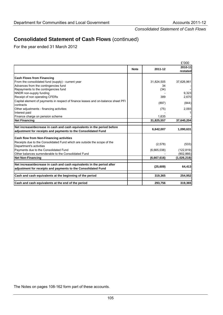*Consolidated Statement of Cash Flows* 

# **Consolidated Statement of Cash Flows** (continued)

For the year ended 31 March 2012

|                                                                                                |             |             | £'000               |
|------------------------------------------------------------------------------------------------|-------------|-------------|---------------------|
|                                                                                                | <b>Note</b> | 2011-12     | 2010-11<br>restated |
|                                                                                                |             |             |                     |
| <b>Cash Flows from Financing</b>                                                               |             |             |                     |
| From the consolidated fund (supply) - current year                                             |             | 31,824,505  | 37,626,961          |
| Advances from the contingencies fund                                                           |             | 34          |                     |
| Repayments to the contingencies fund                                                           |             | (34)        |                     |
| NNDR non-supply funding                                                                        |             |             | 9,323               |
| Receipt of non operating CFERs                                                                 |             | 389         | 2,670               |
| Capital element of payments in respect of finance leases and on-balance sheet PFI<br>contracts |             | (897)       | (844)               |
| Other adjustments - financing activities                                                       |             | (75)        | 2,093               |
| Interest paid                                                                                  |             |             |                     |
| Finance charge on pension scheme                                                               |             | 1,635       |                     |
| <b>Net Financing</b>                                                                           |             | 31,825,557  | 37,640,204          |
|                                                                                                |             |             |                     |
| Net increase/decrease in cash and cash equivalents in the period before                        |             | 6,642,007   | 1,090,631           |
| adjustment for receipts and payments to the Consolidated Fund                                  |             |             |                     |
| <b>Cash flow from Non-Financing activities</b>                                                 |             |             |                     |
| Receipts due to the Consolidated Fund which are outside the scope of the                       |             |             | (533)               |
| Department's activities                                                                        |             | (2,578)     |                     |
| Payments due to the Consolidated Fund                                                          |             | (6,665,038) | (122, 819)          |
| Other balances surrenderable to the Consolidated Fund                                          |             |             | (902, 866)          |
| <b>Net Non-Financing</b>                                                                       |             | (6,667,616) | (1,026,218)         |
| Net increase/decrease in cash and cash equivalents in the period after                         |             |             |                     |
| adjustment for receipts and payments to the Consolidated Fund                                  |             | (25, 609)   | 64,413              |
| Cash and cash equivalents at the beginning of the period                                       |             | 319,365     | 254,952             |
| Cash and cash equivalents at the end of the period                                             |             | 293,756     | 319,365             |
|                                                                                                |             |             |                     |

The Notes on pages 108-162 form part of these accounts.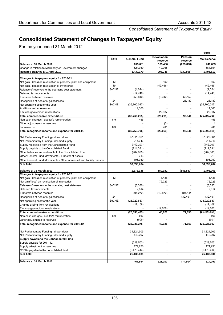*Consolidated Statement of Taxpayers' Equity* 

# **Consolidated Statement of Changes in Taxpayers' Equity**

For the year ended 31 March 2012

|                                                                              |              |                     |                               |                           | £'000                 |
|------------------------------------------------------------------------------|--------------|---------------------|-------------------------------|---------------------------|-----------------------|
|                                                                              | Note         | <b>General Fund</b> | <b>Revaluation</b><br>Reserve | Pension<br><b>Reserve</b> | <b>Total Reserve</b>  |
| Balance at 31 March 2010                                                     |              | 815,081             | 165,480                       | (239, 898)                | 740,663               |
| Change in relation to Machinery of Government changes                        |              | 624,089             | 40,765                        |                           | 664,854               |
| Restated Balance at 1 April 2010                                             |              | 1,439,170           | 206,245                       | (239, 898)                | 1,405,517             |
| Changes in taxpayers' equity for 2010-11                                     |              |                     |                               |                           |                       |
| Net gain / (loss) on revaluation of property, plant and equipment            | 12           |                     | 150                           |                           | 150                   |
| Net gain / (loss) on revaluation of inventories                              | 19           |                     | (42, 466)                     |                           | (42, 466)             |
| Release of reserves to the operating cost statement                          | SoCNE        | (1,024)             |                               |                           | (1,024)               |
| Deferred tax movements                                                       |              | (14, 740)           |                               |                           | (14, 740)             |
| Transfers between reserves                                                   |              | (58, 840)           | (6, 312)                      | 65,152                    |                       |
| Recognition of Actuarial gains/losses                                        | 24           |                     |                               | 28,189                    | 28,189                |
| Net operating cost for the year                                              | <b>SoCNE</b> | (36,700,017)        |                               |                           | (36,700,017)          |
| Additions - other reserves                                                   |              | 14,366              |                               |                           | 14,366                |
| Tax charge/credit on revaluations                                            |              |                     | 22,337                        | $\overline{\phantom{a}}$  | 22,337                |
|                                                                              |              | (36,760,255)        |                               |                           |                       |
| Total comprehensive expenditure<br>Non-cash charges - auditor's remuneration | 8,9          | 455                 | (26, 291)                     | 93,341                    | (36, 693, 205)<br>455 |
|                                                                              |              | 4                   | (3)                           |                           | 1                     |
| Other adjustments to reserves                                                | 8,9          |                     | 231                           |                           | 231                   |
| Impairments<br>Total recognised income and expense for 2010-11               |              | (36, 759, 796)      | (26,063)                      | 93,341                    | (36,692,518)          |
|                                                                              |              |                     |                               |                           |                       |
| Net Parliamentary Funding - drawn down                                       |              | 37,626,961          |                               |                           | 37,626,961            |
| Net Parliamentary Funding - deemed supply                                    |              | 216,043             |                               |                           | 216,043               |
| Supply receivable from the Consolidated Fund                                 |              | (142, 207)          |                               |                           | (142, 207)            |
| Supply payable to the Consolidated Fund                                      |              | (211, 331)          |                               |                           | (211, 331)            |
| Other balances surrenderable to the Consolidated Fund                        |              | (902, 865)          |                               |                           | (902, 865)            |
| Other General Fund Movements - Transfer of Assets                            |              | 213                 |                               |                           | 213                   |
| Other General Fund Movements - Other non-asset and liability transfer        |              | 106,950             |                               |                           | 106,950               |
| <b>Sub Total</b>                                                             |              | 36,693,764          |                               |                           | 36,693,764            |
| Balance at 31 March 2011                                                     |              | 1,373,138           | 180,182                       | (146, 557)                | 1,406,763             |
| Changes in taxpayers' equity for 2011-12                                     |              |                     |                               |                           |                       |
| Net gain / (loss) on revaluation of property, plant and equipment            | 12           |                     | 1,438                         |                           | 1,438                 |
| Net gain/(loss) on revaluation of inventories                                |              |                     | 72,023                        |                           | 72,023                |
| Release of reserves to the operating cost statement                          | SoCNE        | (3,330)             |                               |                           | (3,330)               |
| Deferred tax movements                                                       |              | 2,814               |                               |                           | 2,814                 |
| Transfers between reserves                                                   |              | (91, 272)           | (12, 872)                     | 104,144                   |                       |
| Recognition of Actuarial gains/losses                                        | 24           |                     |                               | (32, 491)                 | (32, 491)             |
| Net operating cost for the year                                              | SoCNE        | (25, 929, 537)      |                               |                           | (25, 929, 537)        |
| Change arising from revaluations                                             |              | (17, 108)           |                               |                           | (17, 108)             |
| Tax charge/credit on revaluations                                            |              |                     | (19,668)                      |                           | (19,668)              |
| Total comprehensive expenditure                                              |              | (26, 038, 433)      | 40,921                        | 71,653                    | (25, 925, 859)        |
| Non-cash charges - auditor's remuneration                                    | 8.9          | 663                 |                               |                           | 663                   |
| Other adjustments to reserves                                                |              | (505)               | 4                             | $\overline{\phantom{a}}$  | (501)                 |
| Total recognised income and expense for 2011-12                              |              | (26,038,275)        | 40,925                        | 71,653                    | (25, 925, 697)        |
|                                                                              |              |                     |                               |                           |                       |
| Net Parliamentary Funding - drawn down                                       |              | 31,824,505          |                               |                           | 31,824,505            |
| Net Parliamentary Funding - deemed supply                                    |              | 142,207             |                               |                           | 142,207               |
| Supply payable to the Consolidated Fund                                      |              |                     |                               |                           |                       |
| Supply payable for 2011-12                                                   |              | (528, 503)          |                               |                           | (528, 503)            |
| Supply adjustment to reserves                                                |              | 174,236             |                               |                           | 174,236               |
| CFERs payable to the consolidated fund                                       |              | (6,479,414)         |                               |                           | (6,479,414)           |
| <b>Sub Total</b>                                                             |              | 25,133,031          | ٠                             | $\blacksquare$            | 25,133,031            |
|                                                                              |              |                     |                               |                           |                       |
| Balance at 31 March 2012                                                     |              | 467,894             | 221,107                       | (74,904)                  | 614,097               |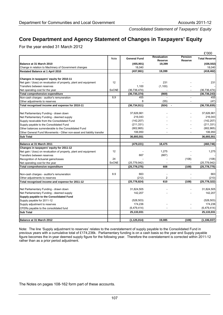*Consolidated Statement of Taxpayers' Equity* 

# **Core Department and Agency Statement of Changes in Taxpayers' Equity**

For the year ended 31 March 2012

|                                                                       |       |                     |                               |                           | £'000                |  |
|-----------------------------------------------------------------------|-------|---------------------|-------------------------------|---------------------------|----------------------|--|
|                                                                       | Note  | <b>General Fund</b> | <b>Revaluation</b><br>Reserve | <b>Pension</b><br>Reserve | <b>Total Reserve</b> |  |
| Balance at 31 March 2010                                              |       | (455, 901)          | 19,399                        |                           | (436, 502)           |  |
| Change in relation to Machinery of Government changes                 |       | 18,040              |                               |                           | 18,040               |  |
| Restated Balance at 1 April 2010                                      |       | (437, 861)          | 19,399                        |                           | (418,462)            |  |
|                                                                       |       |                     |                               |                           |                      |  |
| Changes in taxpayers' equity for 2010-11                              |       |                     |                               |                           |                      |  |
| Net gain / (loss) on revaluation of property, plant and equipment     | 12    |                     | 231                           |                           | 231                  |  |
| Transfers between reserves                                            |       | 1,100               | (1, 100)                      |                           |                      |  |
| Net operating cost for the year                                       | SoCNE | (36, 736, 474)      |                               |                           | (36, 736, 474)       |  |
| Total comprehensive expenditure                                       |       | (36, 735, 374)      | (869)                         |                           | (36, 736, 243)       |  |
| Non-cash charges - auditor's remuneration                             | 8,9   | 455                 |                               |                           | 455                  |  |
| Other adjustments to reserves                                         |       | 8                   | (55)                          |                           | (47)                 |  |
| Total recognised income and expense for 2010-11                       |       | (36, 734, 911)      | (924)                         |                           | (36, 735, 835)       |  |
|                                                                       |       |                     |                               |                           |                      |  |
| Net Parliamentary Funding - drawn down                                |       | 37,626,961          |                               |                           | 37,626,961           |  |
| Net Parliamentary Funding - deemed supply                             |       | 216,043             |                               |                           | 216,043              |  |
| Supply receivable from the Consolidated Fund                          |       | (142, 207)          |                               |                           | (142, 207)           |  |
| Supply payable to the Consolidated Fund                               |       | (211, 331)          |                               |                           | (211, 331)           |  |
| Other balances surrenderable to the Consolidated Fund                 |       | (902, 865)          |                               |                           | (902, 865)           |  |
| Other General Fund Movements - Other non-asset and liability transfer |       | 106,950             |                               |                           | 106,950              |  |
| <b>Sub Total</b>                                                      |       | 36,693,551          |                               |                           | 36,693,551           |  |
|                                                                       |       |                     |                               |                           |                      |  |
| Balance at 31 March 2011                                              |       | (479, 221)          | 18,475                        |                           | (460, 746)           |  |
| Changes in taxpayers' equity for 2011-12                              | 12    |                     |                               |                           |                      |  |
| Net gain / (loss) on revaluation of property, plant and equipment     |       |                     | 1,275                         |                           | 1,275                |  |
| Transfers between reserves                                            | 24    | 667                 | (667)                         |                           |                      |  |
| Recognition of Actuarial gains/losses                                 |       |                     |                               | (108)                     | (108)                |  |
| Net operating cost for the year                                       | SoCNE | (25, 779, 942)      |                               |                           | (25, 779, 942)       |  |
| Total comprehensive expenditure                                       |       | (25, 779, 275)      | 608                           | (108)                     | (25, 778, 775)       |  |
| Non-cash charges - auditor's remuneration                             | 8.9   | 663                 |                               |                           | 663                  |  |
| Other adjustments to reserves                                         |       | (212)               | 2                             |                           | (210)                |  |
| Total recognised income and expense for 2011-12                       |       | (25, 778, 824)      | 610                           | (108)                     | (25, 778, 322)       |  |
|                                                                       |       |                     |                               |                           |                      |  |
| Net Parliamentary Funding - drawn down                                |       | 31,824,505          |                               |                           | 31,824,505           |  |
| Net Parliamentary Funding - deemed supply                             |       | 142,207             |                               |                           | 142,207              |  |
| Supply payable to the Consolidated Fund                               |       |                     |                               |                           |                      |  |
| Supply payable for 2011-12                                            |       | (528, 503)          |                               |                           | (528, 503)           |  |
| Supply adjustment to reserves                                         |       | 174,236             |                               |                           | 174,236              |  |
| CFERs payable to the consolidated fund                                |       | (6,479,414)         |                               |                           | (6,479,414)          |  |
| <b>Sub Total</b>                                                      |       | 25,133,031          |                               |                           | 25,133,031           |  |
|                                                                       |       |                     |                               |                           |                      |  |
| Balance at 31 March 2012                                              |       | (1, 125, 014)       | 19,085                        | (108)                     | (1, 106, 037)        |  |
|                                                                       |       |                     |                               |                           |                      |  |

Note: The line 'Supply adjustment to reserves' relates to the overstatement of supply payable to the Consolidated Fund in previous years with a cumulative total of £174,236k. Parliamentary funding is on a cash basis so the year end Supply payable figure becomes the in-year deemed supply figure for the following year. Therefore the overstatement is corrected within 2011-12 rather than as a prior period adjustment.

The Notes on pages 108-162 form part of these accounts.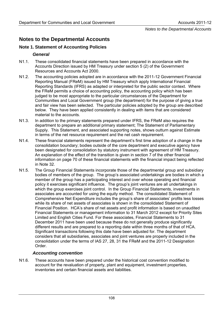# **Notes to the Departmental Accounts**

# **Note 1. Statement of Accounting Policies**

# *General*

- N1.1. These consolidated financial statements have been prepared in accordance with the Accounts Direction issued by HM Treasury under section 5 (2) of the Government Resources and Accounts Act 2000.
- N1.2. The accounting policies adopted are in accordance with the 2011-12 Government Financial Reporting Manual (FReM) issued by HM Treasury which apply International Financial Reporting Standards (IFRS) as adapted or interpreted for the public sector context. Where the FReM permits a choice of accounting policy, the accounting policy which has been judged to be most appropriate to the particular circumstances of the Department for Communities and Local Government group (the department) for the purpose of giving a true and fair view has been selected. The particular policies adopted by the group are described below. They have been applied consistently in dealing with items that are considered material to the accounts.
- N1.3. In addition to the primary statements prepared under IFRS, the FReM also requires the department to prepare an additional primary statement; The Statement of Parliamentary Supply. This Statement, and associated supporting notes, shows outturn against Estimate in terms of the net resource requirement and the net cash requirement.
- N1.4. These financial statements represent the department's first time adoption of a change in the consolidation boundary; bodies outside of the core department and executive agency have been designated for consolidation by statutory instrument with agreement of HM Treasury. An explanation of the effect of the transition is given in section 7 of the other financial information on page 70 of these financial statements with the financial impact being reflected in Note 32.
- N1.5. The Group Financial Statements incorporate those of the departmental group and subsidiary bodies of members of the group. The group's associated undertakings are bodies in which a member of the group has a participating interest and over whose operating and financial policy it exercises significant influence. The group's joint ventures are all undertakings in which the group exercises joint control. In the Group Financial Statements, investments in associates are accounted for using the equity method. The consolidated Statement of Comprehensive Net Expenditure includes the group's share of associates' profits less losses while its share of net assets of associates is shown in the consolidated Statement of Financial Position. HCA's share of net assets and profit information is based on unaudited Financial Statements or management information to 31 March 2012 except for Priority Sites Limited and English Cities Fund. For these associates, Financial Statements to 31 December 2011 have been used because these do not generally produce significantly different results and are prepared to a reporting date within three months of that of HCA. Significant transactions following this date have been adjusted for. The department considers that all subsidiaries, associates and joint ventures are properly included in the consolidation under the terms of IAS 27, 28, 31 the FReM and the 2011-12 Designation Order.

# *Accounting convention*

N1.6. These accounts have been prepared under the historical cost convention modified to account for the revaluation of property, plant and equipment, investment properties, inventories and certain financial assets and liabilities.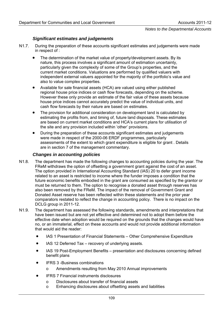# *Significant estimates and judgements*

- N1.7. During the preparation of these accounts significant estimates and judgements were made in respect of :
	- The determination of the market value of property/development assets. By its nature, this process involves a significant amount of estimation uncertainty, particularly given the complexity of some of the Group's properties, and the current market conditions. Valuations are performed by qualified valuers with independent external valuers appointed for the majority of the portfolio's value and also to value complex properties.
	- Available for sale financial assets (HCA) are valued using either published regional house price indices or cash flow forecasts, depending on the scheme. However these only provide an estimate of the fair value of these assets because house price indices cannot accurately predict the value of individual units, and cash flow forecasts by their nature are based on estimates.
	- The provision for additional consideration on development land is calculated by estimating the profits from, and timing of, future land disposals. These estimates are based on current market conditions and HCA's current plans for utilisation of the site and any provision included within 'other' provisions.
	- During the preparation of these accounts significant estimates and judgements were made in respect of the 2000-06 ERDF programmes, particularly assessments of the extent to which grant expenditure is eligible for grant . Details are in section 7 of the management commentary.

#### *Changes in accounting policies*

- N1.8. The department has made the following changes to accounting policies during the year. The FReM withdraws the option of offsetting a government grant against the cost of an asset. The option provided in International Accounting Standard (IAS) 20 to defer grant income related to an asset is restricted to income where the funder imposes a condition that the future economic benefits embodied in the grant are consumed as specified by the grantor or must be returned to them. The option to recognise a donated asset through reserves has also been removed by the FReM. The impact of the removal of Government Grant and Donated Asset reserve has been reflected within these statements and the prior year comparators restated to reflect the change in accounting policy. There is no impact on the DCLG group in 2011-12.
- N1.9. The department has assessed the following standards, amendments and interpretations that have been issued but are not yet effective and determined not to adopt them before the effective date when adoption would be required on the grounds that the changes would have no, or an immaterial, effect on these accounts and would not provide additional information that would aid the reader:
	- IAS 1 Presentation of Financial Statements Other Comprehensive Expenditure
	- IAS 12 Deferred Tax recovery of underlying assets.
	- IAS 19 Post-Employment Benefits presentation and disclosures concerning defined benefit plans
	- IFRS 3 -Business combinations
		- o Amendments resulting from May 2010 Annual improvements
	- IFRS 7 Financial instruments disclosures
		- o Disclosures about transfer of financial assets
		- o Enhancing disclosures about offsetting assets and liabilities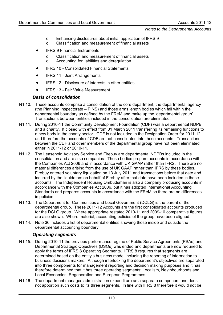- o Enhancing disclosures about initial application of IFRS 9
- o Classification and measurement of financial assets
- **IFRS 9 Financial Instruments** 
	- o Classification and measurement of financial assets
	- o Accounting for liabilities and deregulation
- IFRS 10 Consolidated Financial Statements
- IFRS 11 Joint Arrangements
- IFRS 12 Disclosure of interests in other entities
- IFRS 13 Fair Value Measurement

#### *Basis of consolidation*

- N1.10. These accounts comprise a consolidation of the core department, the departmental agency (the Planning Inspectorate – PINS) and those arms length bodies which fall within the departmental boundary as defined by the FReM and make up the 'departmental group'. Transactions between entities included in the consolidation are eliminated.
- N1.11. During 2010-11 the Community Development Foundation (CDF) was a departmental NDPB and a charity. It closed with effect from 31 March 2011 transferring its remaining functions to a new body in the charity sector. CDF is not included in the Designation Order for 2011-12 and therefore the accounts of CDF are not consolidated into these accounts. Transactions between the CDF and other members of the departmental group have not been eliminated either in 2011-12 or 2010-11.
- N1.12. The Leasehold Advisory Service and Firebuy are departmental NDPBs included in the consolidation and are also companies. These bodies prepare accounts in accordance with the Companies Act 2006 and in accordance with UK GAAP rather than IFRS. There are no material differences arising from the use of UK GAAP rather than IFRS by these bodies. Firebuy entered voluntary liquidation on 13 July 2011 and transactions before that date and incurred by the liquidators on behalf of Firebuy after that date have been included in these accounts. The Independent Housing Ombudsman is also a company producing accounts in accordance with the Companies Act 2006, but it has adopted International Accounting Standards and prepares accounts in accordance with the FReM so there are no differences in policies.
- N1.13. The Department for Communities and Local Government (DCLG) is the parent of the departmental group. These 2011-12 Accounts are the first consolidated accounts produced for the DCLG group. Where appropriate restated 2010-11 and 2009-10 comparative figures are also shown. Where material, accounting policies of the group have been aligned.
- N1.14. Note 36 includes a list of departmental entities showing those inside and outside the departmental accounting boundary.

#### *Operating segments*

- N1.15. During 2010-11 the previous performance regime of Public Service Agreements (PSAs) and Departmental Strategic Objectives (DSOs) was ended and departments are now required to apply the terms of IFRS 8 Operating Segments. IFRS 8 requires that segments are determined based on the entity's business model including the reporting of information to business decisions makers. Although interlocking the department's objectives are separated into three components for management reporting and decision making purposes and it has therefore determined that it has three operating segments: Localism, Neighbourhoods and Local Economies, Regeneration and European Programmes.
- N1.16. The department manages administration expenditure as a separate component and does not apportion such costs to its three segments. In line with IFRS 8 therefore it would not be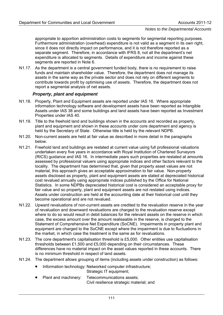appropriate to apportion administration costs to segments for segmental reporting purposes. Furthermore administration (overhead) expenditure is not valid as a segment in its own right, since it does not directly impact on performance, and it is not therefore reported as a separate segment. Therefore, in accordance with IFRS 8, not all the department's net expenditure is allocated to segments. Details of expenditure and income against these segments are reported in Note 6.

N1.17. As the department is a central government funded body, there is no requirement to raise funds and maintain shareholder value. Therefore, the department does not manage its assets in the same way as the private sector and does not rely on different segments to contribute towards profit by optimising use of assets. Therefore, the department does not report a segmental analysis of net assets.

#### *Property, plant and equipment*

- N1.18. Property, Plant and Equipment assets are reported under IAS 16. Where appropriate information technology software and development assets have been reported as Intangible Assets under IAS 38 and some buildings and land assets have been reported as Investment Properties under IAS 40.
- N1.19. Title to the freehold land and buildings shown in the accounts and recorded as property, plant and equipment and shown in these accounts under core department and agency is held by the Secretary of State. Otherwise title is held by the relevant NDPB.
- N1.20. Non-current assets are held at fair value as described in more detail in the paragraphs below.
- N1.21. Freehold land and buildings are restated at current value using full professional valuations undertaken every five years in accordance with Royal Institution of Chartered Surveyors (RICS) guidance and IAS 16. In intermediate years such properties are restated at amounts assessed by professional valuers using appropriate indices and other factors relevant to the locality. The department has determined that, given that property asset values are not material, this approach gives an acceptable approximation to fair value. Non-property assets disclosed as property, plant and equipment assets are stated at depreciated historical cost revalued annually using appropriate indices published by the Office for National Statistics. In some NDPBs depreciated historical cost is considered an acceptable proxy for fair value and so property, plant and equipment assets are not restated using indices. Assets under construction are held at the accounting date at their historical cost until they become operational and are not revalued.
- N1.22. Upward revaluations of non-current assets are credited to the revaluation reserve in the year of revaluation and downward revaluations are charged to the revaluation reserve except where to do so would result in debit balances for the relevant assets on the reserve in which case, the excess amount over the amount realiseable in the reserve, is charged to the Statement of Comprehensive Net Expenditure (SoCNE). Impairments in property plant and equipment are charged to the SoCNE except where the impairment is due to fluctuations in the market, in which case the treatment is the same as for revaluations.
- N1.23. The core department's capitalisation threshold is £5,000. Other entities use capitalisation thresholds between £1,500 and £5,000 depending on their circumstances. These differences have no material impact on the asset values reported in these accounts. There is no minimum threshold in respect of land assets.
- N1.24. The department allows grouping of items (including assets under construction) as follows:
	- Information technology: Networked computer infrastructure; Strategic IT equipment;
	- Plant and machinery: Telecommunications assets; Civil resilience strategic material; and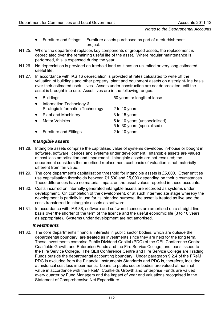- Furniture and fittings: Furniture assets purchased as part of a refurbishment project.
- N1.25. Where the department replaces key components of grouped assets, the replacement is depreciated over the remaining useful life of the asset. Where regular maintenance is performed, this is expensed during the year.
- N1.26. No depreciation is provided on freehold land as it has an unlimited or very long estimated useful life.
- N1.27. In accordance with IAS 16 depreciation is provided at rates calculated to write off the valuation of buildings and other property, plant and equipment assets on a straight-line basis over their estimated useful lives. Assets under construction are not depreciated until the asset is brought into use. Asset lives are in the following ranges:

| <b>Buildings</b>                                                    | 50 years or length of lease                                  |
|---------------------------------------------------------------------|--------------------------------------------------------------|
| Information Technology &<br><b>Strategic Information Technology</b> | 2 to 10 years                                                |
| <b>Plant and Machinery</b>                                          | 3 to 15 years                                                |
| <b>Motor Vehicles</b>                                               | 5 to 10 years (unspecialised)<br>5 to 30 years (specialised) |
| <b>Furniture and Fittings</b>                                       | 2 to 10 years                                                |

#### *Intangible assets*

- N1.28. Intangible assets comprise the capitalised value of systems developed in-house or bought in software, software licences and systems under development. Intangible assets are valued at cost less amortisation and impairment. Intangible assets are not revalued; the department considers the amortised replacement cost basis of valuation is not materially different from fair value.
- N1.29. The core department's capitalisation threshold for intangible assets is £5,000. Other entities use capitalisation thresholds between £1,500 and £5,000 depending on their circumstances. These differences have no material impact on the asset values reported in these accounts.
- N1.30. Costs incurred on internally generated intangible assets are recorded as systems under development. On completion of the development, or at such intermediate stage whereby the development is partially in use for its intended purpose, the asset is treated as live and the costs transferred to intangible assets as software.
- N1.31. In accordance with IAS 38, software and software licences are amortised on a straight line basis over the shorter of the term of the licence and the useful economic life (3 to 10 years as appropriate). Systems under development are not amortised.

#### *Investments*

N1.32. The core department's financial interests in public sector bodies, which are outside the departmental boundary, are treated as investments since they are held for the long term. These investments comprise Public Dividend Capital (PDC) of the QEII Conference Centre, Coalfields Growth and Enterprise Funds and the Fire Service College, and loans issued to the Fire Service College. The QEII Conference Centre and Fire Service College are Trading Funds outside the departmental accounting boundary. Under paragraph 9.2.4 of the FReM PDC is excluded from the Financial Instruments Standards and PDC is, therefore, included at historical cost less impairments. Loans to public sector bodies are valued at nominal value in accordance with the FReM. Coalfields Growth and Enterprise Funds are valued every quarter by Fund Managers and the impact of year end valuations recognised in the Statement of Comprehensive Net Expenditure.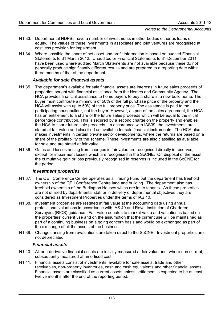- N1.33. Departmental NDPBs have a number of investments in other bodies either as loans or equity. The values of these investments in associates and joint ventures are recognised at cost less provision for impairment.
- N1.34. Where possible the share of net asset and profit information is based on audited Financial Statements to 31 March 2012. Unaudited or Financial Statements to 31 December 2011 have been used where audited March Statements are not available because these do not generally produce significantly different results and are prepared to a reporting date within three months of that of the department.

# *Available for sale financial assets*

- N1.35. The department's available for sale financial assets are interests in future sales proceeds of properties bought with financial assistance from the Homes and Community Agency. The HCA provides financial assistance to home buyers to buy a share in a new build home. The buyer must contribute a minimum of 50% of the full purchase price of the property and the HCA will assist with up to 50% of the full property price. The assistance is paid to the participating housebuilder, not the buyer. However, as part of the sales agreement, the HCA has an entitlement to a share of the future sales proceeds which will be equal to the initial percentage contribution. This is secured by a second charge on the property and enables the HCA to share future sale proceeds. In accordance with IAS39, the investments are stated at fair value and classified as available for sale financial instruments. The HCA also makes investments in certain private sector developments, where the returns are based on a share of the profitability of the scheme. These investments are also classified as available for sale and are stated at fair value.
- N1.36. Gains and losses arising from changes in fair value are recognised directly in reserves, except for impairment losses which are recognised in the SoCNE. On disposal of the asset the cumulative gain or loss previously recognised in reserves is included in the SoCNE for the period.

#### *Investment properties*

- N1.37. The QEII Conference Centre operates as a Trading Fund but the department has freehold ownership of the QEII Conference Centre land and building. The department also has freehold ownership of the Burlington Houses which are let to tenants. As these properties are not utilised by departmental staff or in delivery of departmental objectives they are considered as Investment Properties under the terms of IAS 40.
- N1.38. Investment properties are restated at fair value at the accounting date using annual professional valuations in accordance with IAS 40 and Royal Institution of Chartered Surveyors (RICS) guidance. Fair value equates to market value and valuation is based on the properties' current use and on the assumption that the current use will be maintained as part of a continuing business on a going concern basis and would be exchanged as part of the exchange of all the assets of the business.
- N1.39. Changes arising from revaluations are taken direct to the SoCNE. Investment properties are not depreciated.

#### *Financial assets*

- N1.40. All non-derivative financial assets are initially measured at fair value and, where non current, subsequently measured at amortised cost.
- N1.41. Financial assets consist of investments, available for sale assets, trade and other receivables, non-property inventories, cash and cash equivalents and other financial assets. Financial assets are classified as current assets unless settlement is expected to be at least twelve months after the end of the reporting period.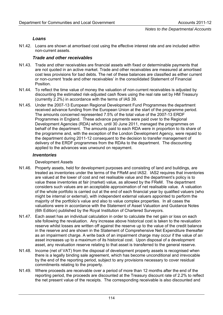# *Loans*

N1.42. Loans are shown at amortised cost using the effective interest rate and are included within non-current assets.

# *Trade and other receivables*

- N1.43. Trade and other receivables are financial assets with fixed or determinable payments that are not quoted in an active market. Trade and other receivables are measured at amortised cost less provisions for bad debts. The net of these balances are classified as either current or non-current 'trade and other receivables' in the consolidated Statement of Financial Position.
- N1.44. To reflect the time value of money the valuation of non-current receivables is adjusted by discounting the estimated risk-adjusted cash flows using the real rate set by HM Treasury (currently 2.2%) in accordance with the terms of IAS 39.
- N1.45. Under the 2007-13 European Regional Development Fund Programmes the department received advance funding from the European Union at the start of the programme period. The amounts concerned represented 7.5% of the total value of the 2007-13 ERDF Programmes in England. These advance payments were paid over to the Regional Development Agencies (RDA) which, until 30 June 2011, managed the programmes on behalf of the department. The amounts paid to each RDA were in proportion to its share of the programme and, with the exception of the London Development Agency, were repaid to the department during 2011-12 consequent to the decision to transfer management of delivery of the ERDF programmes from the RDAs to the department. The discounting applied to the advances was unwound on repayment.

# *Inventories*

#### Development Assets

- N1.46. Property assets, held for development purposes and consisting of land and buildings, are treated as inventories under the terms of the FReM and IAS2. IAS2 requires that inventories are valued at the lower of cost and net realisable value and the department's policy is to value these inventories at fair (market) value, as allowed by the FReM. The department considers such values are an acceptable approximation of net realisable value. A valuation of the whole portfolio is carried out at the end of each financial year by qualified valuers (who might be internal or external), with independent external valuers appointed to perform the majority of the portfolio's value and also to value complex properties. In all cases the valuations were in accordance with the Statement of Asset Valuation and Guidance Notes (6th Edition) published by the Royal Institution of Chartered Surveyors.
- N1.47. Each asset has an individual calculation in order to calculate the net gain or loss on each site following the revaluation. Any increase above historical cost is taken to the revaluation reserve whilst losses are written off against the reserve up to the value of the credit balance in the reserve and are shown in the Statement of Comprehensive Net Expenditure thereafter as an impairment charge. A write back of an impairment charge may occur if the value of an asset increases up to a maximum of its historical cost. Upon disposal of a development asset, any revaluation reserve relating to that asset is transferred to the general reserve.
- N1.48. Income (net of VAT) from the disposal of development property assets is recognised when there is a legally binding sale agreement, which has become unconditional and irrevocable by the end of the reporting period, subject to any provisions necessary to cover residual commitments relating to the property.
- N1.49. Where proceeds are receivable over a period of more than 12 months after the end of the reporting period, the proceeds are discounted at the Treasury discount rate of 2.2% to reflect the net present value of the receipts. The corresponding receivable is also discounted and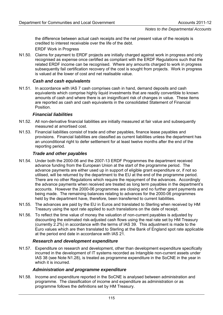the difference between actual cash receipts and the net present value of the receipts is credited to interest receivable over the life of the debt.

ERDF Work in Progress

N1.50. Claims for payment to ERDF projects are initially charged against work in progress and only recognised as expense once certified as compliant with the ERDF Regulations such that the related ERDF income can be recognised. Where any amounts charged to work in progress subsequently fail certification recovery of the cost is sought from projects. Work in progress is valued at the lower of cost and net realisable value.

# *Cash and cash equivalents*

N1.51. In accordance with IAS 7 cash comprises cash in hand, demand deposits and cash equivalents which comprise highly liquid investments that are readily convertible to known amounts of cash and where there is an insignificant risk of changes in value. These items are reported as cash and cash equivalents in the consolidated Statement of Financial Position.

# *Financial liabilities*

- N1.52. All non-derivative financial liabilities are initially measured at fair value and subsequently measured at amortised cost.
- N1.53. Financial liabilities consist of trade and other payables, finance lease payables and provisions. Financial liabilities are classified as current liabilities unless the department has an unconditional right to defer settlement for at least twelve months after the end of the reporting period.

# *Trade and other payables*

- N1.54. Under both the 2000-06 and the 2007-13 ERDF Programmes the department received advance funding from the European Union at the start of the programme period. The advance payments are either used up in support of eligible grant expenditure or, if not so utilised, will be returned by the department to the EU at the end of the programme period. There are no other Regulations which require the repayment of the advances. Accordingly the advance payments when received are treated as long term payables in the department's accounts. However the 2000-06 programmes are closing and no further grant payments are being made. The remaining balances relating to advances for the 2000-06 programmes held by the department have, therefore, been transferred to current liabilities.
- N1.55. The advances are paid by the EU in Euros and translated to Sterling when received by HM Treasury using the spot rate applied to such translations on the date of receipt.
- N1.56. To reflect the time value of money the valuation of non-current payables is adjusted by discounting the estimated risk-adjusted cash flows using the real rate set by HM Treasury (currently 2.2%) in accordance with the terms of IAS 39. This adjustment is made to the Euro values which are then translated to Sterling at the Bank of England spot rate applicable at the period end date in accordance with IAS 21.

# *Research and development expenditure*

N1.57. Expenditure on research and development, other than development expenditure specifically incurred in the development of IT systems recorded as Intangible non-current assets under IAS 38 (see Note N1.28), is treated as programme expenditure in the SoCNE in the year in which it is incurred.

#### *Administration and programme expenditure*

N1.58. Income and expenditure reported in the SoCNE is analysed between administration and programme. The classification of income and expenditure as administration or as programme follows the definitions set by HM Treasury.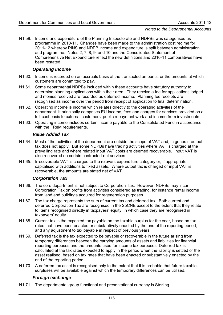N1.59. Income and expenditure of the Planning Inspectorate and NDPBs was categorised as programme in 2010-11. Changes have been made to the administration cost regime for 2011-12 whereby PINS and NDPB income and expenditure is split between administration and programme. Notes 2, 7, 8, 9, and 10 and the Consolidated Statement of Comprehensive Net Expenditure reflect the new definitions and 2010-11 comparatives have been restated.

#### *Operating income*

- N1.60. Income is recorded on an accruals basis at the transacted amounts, or the amounts at which customers are committed to pay.
- N1.61. Some departmental NDPBs included within these accounts have statutory authority to determine planning applications within their area. They receive a fee for applications lodged and monies received are recorded as deferred income. Planning fee receipts are recognised as income over the period from receipt of application to final determination.
- N1.62. Operating income is income which relates directly to the operating activities of the department. It principally comprises EU income, fees and charges for services provided on a full-cost basis to external customers, public repayment work and income from investments.
- N1.63. Operating income includes certain income payable to the Consolidated Fund in accordance with the FReM requirements.

#### *Value Added Tax*

- N1.64. Most of the activities of the department are outside the scope of VAT and, in general, output tax does not apply. But some NDPBs have trading activities where VAT is charged at the prevailing rate and where related input VAT costs are deemed recoverable. Input VAT is also recovered on certain contracted-out services.
- N1.65. Irrecoverable VAT is charged to the relevant expenditure category or, if appropriate, capitalised with additions to fixed assets. Where output tax is charged or input VAT is recoverable, the amounts are stated net of VAT.

#### *Corporation Tax*

- N1.66. The core department is not subject to Corporation Tax. However, NDPBs may incur Corporation Tax on profits from activities considered as trading, for instance rental income from land and buildings acquired for regeneration purposes.
- N1.67. The tax charge represents the sum of current tax and deferred tax. Both current and deferred Corporation Tax are recognised in the SoCNE except to the extent that they relate to items recognised directly in taxpayers' equity, in which case they are recognised in taxpayers' equity.
- N1.68. Current tax is the expected tax payable on the taxable surplus for the year, based on tax rates that have been enacted or substantively enacted by the end of the reporting period, and any adjustment to tax payable in respect of previous years.
- N1.69. Deferred tax is the tax expected to be payable or recoverable in the future arising from temporary differences between the carrying amounts of assets and liabilities for financial reporting purposes and the amounts used for income tax purposes. Deferred tax is calculated at the tax rates expected to apply in the period when the liability is settled or the asset realised, based on tax rates that have been enacted or substantively enacted by the end of the reporting period.
- N1.70. A deferred tax asset is recognised only to the extent that it is probable that future taxable surpluses will be available against which the temporary differences can be utilised.

#### *Foreign exchange*

N1.71. The departmental group functional and presentational currency is Sterling.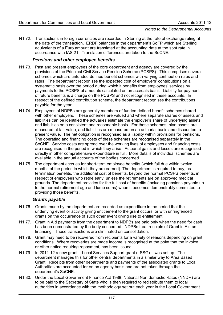N1.72. Transactions in foreign currencies are recorded in Sterling at the rate of exchange ruling at the date of the transaction. ERDF balances in the department's SoFP which are Sterling equivalents of a Euro amount are translated at the accounting date at the spot rate in accordance with IAS 21. Translation differences are taken to the SoCNE.

# *Pensions and other employee benefits*

- N1.73. Past and present employees of the core department and agency are covered by the provisions of the Principal Civil Service Pension Scheme (PCSPS). This comprises several schemes which are unfunded defined benefit schemes with varying contribution rules and rates. The department recognises the expected cost of employers' contributions on a systematic basis over the period during which it benefits from employees' services by payments to the PCSPS of amounts calculated on an accruals basis. Liability for payment of future benefits is a charge on the PCSPS and not recognised in these accounts. In respect of the defined contribution scheme, the department recognises the contributions payable for the year.
- N1.74. Employees of NDPBs are generally members of funded defined benefit schemes shared with other employers. These schemes are valued and where separate shares of assets and liabilities can be identified the actuaries estimate the employer's share of underlying assets and liabilities on a consistent and reasonable basis. For these schemes, plan assets are measured at fair value, and liabilities are measured on an actuarial basis and discounted to present value. The net obligation is recognised as a liability within provisions for pensions. The operating and financing costs of these schemes are recognised separately in the SoCNE. Service costs are spread over the working lives of employees and financing costs are recognised in the period in which they arise. Actuarial gains and losses are recognised directly in other comprehensive expenditure in full. More details of individual schemes are available in the annual accounts of the bodies concerned.
- N1.75. The department accrues for short-term employee benefits (which fall due within twelve months of the period in which they are earned). The department is required to pay, as termination benefits, the additional cost of benefits, beyond the normal PCSPS benefits, in respect of employees who retire early, unless the retirements are on approved medical grounds. The department provides for the full cost of benefits (including pensions payable up to the normal retirement age and lump sums) when it becomes demonstrably committed to providing those benefits.

#### *Grants payable*

- N1.76. Grants made by the department are recorded as expenditure in the period that the underlying event or activity giving entitlement to the grant occurs, or with unringfenced grants on the occurrence of such other event giving rise to entitlement.
- N1.77. Grant in Aid payments from the department to NDPBs are paid only when the need for cash has been demonstrated by the body concerned. NDPBs treat receipts of Grant in Aid as financing. These transactions are eliminated on consolidation.
- N1.78. Grant may need to be recovered from recipients for a variety of reasons depending on grant conditions. Where recoveries are made income is recognised at the point that the invoice, or other notice requiring repayment, has been issued.
- N1.79. In 2011-12 a new grant Local Services Support grant (LSSG) was set up. The department manages this for other central departments in a similar way to Area Based Grant. Receipts from other departments and payments of the associated grants to Local Authorities are accounted for on an agency basis and are not taken through the department's SoCNE.
- N1.80. Under the Local Government Finance Act 1988, National Non-domestic Rates (NNDR) are to be paid to the Secretary of State who is then required to redistribute them to local authorities in accordance with the methodology set out each year in the Local Government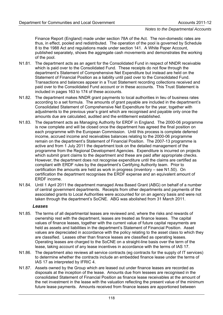Finance Report (England) made under section 78A of the Act. The non-domestic rates are thus, in effect, pooled and redistributed. The operation of the pool is governed by Schedule 8 to the 1988 Act and regulations made under section 141. A White Paper Account, published separately, shows the aggregate cash movements and demonstrates the working of the pool.

- N1.81. The department acts as an agent for the Consolidated Fund in respect of NNDR receivable which is paid over to the Consolidated Fund. These receipts do not flow through the department's Statement of Comprehensive Net Expenditure but instead are held on the Statement of Financial Position as a liability until paid over to the Consolidated Fund. Transactions and balances appear in a Trust Statement recording collections received and paid over to the Consolidated Fund account or in these accounts. This Trust Statement is included in pages 163 to 174 of these accounts.
- N1.82. The department makes NNDR grant payments to local authorities in lieu of business rates according to a set formula. The amounts of grant payable are included in the department's Consolidated Statement of Comprehensive Net Expenditure for the year, together with adjustments to the previous year's grant which are recognised and payable only once the amounts due are calculated, audited and the entitlement established.
- N1.83. The department acts as Managing Authority for ERDF in England. The 2000-06 programme is now complete and will be closed once the department has agreed the final position on each programme with the European Commission. Until this process is complete deferred income, accrued income and receivables balances relating to the 2000-06 programme remain on the department's Statement of Financial Position. The 2007-13 programme is active and from 1 July 2011 the department took on the detailed management of the programme from the Regional Development Agencies. Expenditure is incurred on projects which submit grant claims to the department and these are paid after appropriate checks. However, the department does not recognise expenditure until the claims are certified as compliant with ERDF rules by the department's Certifying Authority team. Prior to certification the amounts are held as work in progress (inventory – see N1.50). On certification the department recognises the ERDF expense and an equivalent amount of ERDF income.
- N1.84. Until 1 April 2011 the department managed Area Based Grant (ABG) on behalf of a number of central government departments. Receipts from other departments and payments of the associated grants to Local Authorities were accounted for on an agency basis and were not taken through the department's SoCNE. ABG was abolished from 31 March 2011.

#### *Leases*

- N1.85. The terms of all departmental leases are reviewed and, where the risks and rewards of ownership rest with the department, leases are treated as finance leases. The capital values of finance leases, together with the current value of future capital repayments are held as assets and liabilities in the department's Statement of Financial Position. Asset values are depreciated in accordance with the policy relating to the asset class to which they are classified. Leases other than finance leases are classified as operating leases. Operating leases are charged to the SoCNE on a straight-line basis over the term of the lease, taking account of any lease incentives in accordance with the terms of IAS 17.
- N1.86. The department also reviews all service contracts (eg contracts for the supply of IT services) to determine whether the contracts include an embedded finance lease under the terms of IAS 17 as interpreted by IFRIC 4.
- N1.87. Assets owned by the Group which are leased out under finance leases are recorded as disposals at the inception of the lease. Amounts due from lessees are recognised in the consolidated Statement of Financial Position as finance lease receivables at the amount of the net investment in the lease with the valuation reflecting the present value of the minimum future lease payments. Amounts received from finance leases are apportioned between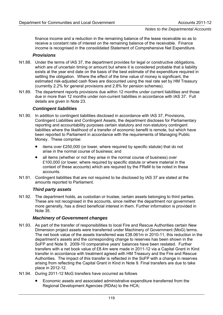finance income and a reduction in the remaining balance of the lease receivable so as to receive a constant rate of interest on the remaining balance of the receivable. Finance income is recognised in the consolidated Statement of Comprehensive Net Expenditure.

#### *Provisions*

- N1.88. Under the terms of IAS 37, the department provides for legal or constructive obligations, which are of uncertain timing or amount but where it is considered probable that a liability exists at the year end date on the basis of the best estimate of the expenditure required in settling the obligation. Where the effect of the time value of money is significant, the estimated risk-adjusted cash flows are discounted using the real rate set by HM Treasury (currently 2.2% for general provisions and 2.8% for pension schemes).
- N1.89. The department reports provisions due within 12 months under current liabilities and those due in more than 12 months under non-current liabilities in accordance with IAS 37. Full details are given in Note 23.

#### *Contingent liabilities*

- N1.90. In addition to contingent liabilities disclosed in accordance with IAS 37, Provisions, Contingent Liabilities and Contingent Assets, the department discloses for Parliamentary reporting and accountability purposes certain statutory and non-statutory contingent liabilities where the likelihood of a transfer of economic benefit is remote, but which have been reported to Parliament in accordance with the requirements of Managing Public Money. These comprise:
	- items over £250,000 (or lower, where required by specific statute) that do not arise in the normal course of business; and
	- all items (whether or not they arise in the normal course of business) over £100,000 (or lower, where required by specific statute or where material in the context of these accounts) which are required by the FReM to be noted in these accounts.
- N1.91. Contingent liabilities that are not required to be disclosed by IAS 37 are stated at the amounts reported to Parliament.

#### *Third party assets*

N1.92. The department holds, as custodian or trustee, certain assets belonging to third parties. These are not recognised in the accounts, since neither the department nor government more generally, has a direct beneficial interest in them. Further information is provided in Note 35.

#### *Machinery of Government changes*

- N1.93. As part of the transfer of responsibilities to local Fire and Rescue Authorities certain New Dimension project assets were transferred under Machinery of Government (MoG) terms. The net book value of the assets transferred was £38.061m in 2010-11, this reduction in the department's assets and the corresponding change to reserves has been shown in the SoFP and Note 9. 2009-10 comparative years' balances have been restated. Further transfers with a net book value of £8.4m were made in 2011-12 via a Capital Grant in Kind transfer in accordance with treatment agreed with HM Treasury and the Fire and Rescue Authorities. The impact of this transfer is reflected in the SoFP with a change in reserves arising from reflecting the Capital Grant in Kind in Note 9. Final transfers are due to take place in 2012-12.
- N1.94. During 2011-12 MoG transfers have occurred as follows
	- Economic assets and associated administrative expenditure transferred from the Regional Development Agencies (RDAs) to the HCA;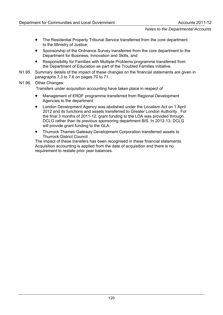- The Residential Property Tribunal Service transferred from the core department to the Ministry of Justice;
- Sponsorship of the Ordnance Survey transferred from the core department to the Department for Business, Innovation and Skills, and
- Responsibility for Families with Multiple Problems programme transferred from the Department of Education as part of the Troubled Families initiative.
- N1.95. Summary details of the impact of these changes on the financial statements are given in paragraphs 7.3 to 7.6 on pages 70 to 71.

#### N1.96. Other Changes:

Transfers under acquisition accounting have taken place in respect of

- Management of ERDF programme transferred from Regional Development Agencies to the department
- London Development Agency was abolished under the Localism Act on 1 April 2012 and its functions and assets transferred to Greater London Authority. For the final 3 months of 2011-12, grant funding to the LDA was provided through DCLG rather than its previous sponsoring department BIS. In 2012-13, DCLG will provide grant funding to the GLA.
- Thurrock Thames Gateway Development Corporation transferred assets to Thurrock District Council

The impact of these transfers has been recognised in these financial statements. Acquisition accounting is applied from the date of acquisition and there is no requirement to restate prior year balances.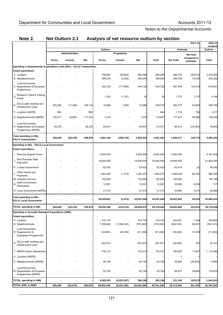| Note 2.                                                             | <b>Net Outturn 2.1</b> |                |            | Analysis of net resource outturn by section |                          |                       |                       |                       |                         |                       |
|---------------------------------------------------------------------|------------------------|----------------|------------|---------------------------------------------|--------------------------|-----------------------|-----------------------|-----------------------|-------------------------|-----------------------|
|                                                                     |                        |                |            |                                             |                          |                       |                       |                       | 2011-12                 | 2010-11<br>restated   |
|                                                                     |                        |                |            | Outturn                                     |                          |                       |                       |                       | <b>Estimate</b>         | Outturn               |
|                                                                     |                        | Administration |            |                                             | Programme                |                       |                       |                       | Net total               |                       |
|                                                                     | Gross                  | Income         | <b>Net</b> | Gross                                       | Income                   | Net                   | Total                 | <b>Net Total</b>      | compared to<br>Estimate | Total                 |
| Spending in Departmental Expenditure Limit (DEL) - DCLG Communities |                        |                |            |                                             |                          |                       |                       |                       |                         |                       |
| Voted expenditure                                                   |                        |                |            |                                             |                          |                       |                       |                       |                         |                       |
| A Localism<br><b>B</b> Neighbourhoods                               |                        |                |            | 706,900<br>359,079                          | (26, 602)<br>(2, 425)    | 680,298<br>356,654    | 680,298<br>356,654    | 584,723<br>366,708    | (95, 575)<br>10,054     | 2,433,954<br>202,255  |
| Local Economies,<br>C Regeneration & European<br>Programmes         |                        |                |            | 522,532                                     | (177, 806)               | 344,726               | 344,726               | 467,945               | 123,219                 | 618,851               |
| Research, Data & Trading<br>D<br>Funds                              |                        |                |            | 1,162                                       | (1, 127)                 | 35                    | 35                    | 1,772                 | 1,737                   | 4,169                 |
| DCLG staff, building and<br>infrastructure costs                    | 205,550                | (11, 426)      | 194,124    | 16,068                                      | (782)                    | 15,286                | 209,410               | 262,473               | 53,063                  | 308,793               |
| F Localism (NDPB)                                                   | 964                    |                | 964        |                                             |                          |                       | 964                   | 1,718                 | 754                     | 1,217                 |
| G Neighbourhoods (NDPB)                                             | 126,571                | (9,050)        | 117,521    | 1,416                                       |                          | 1,416                 | 118,937               | 177,917               | 58,980                  | 199,232               |
| Local Economies,<br>H Regeneration & European<br>Programmes (NDPB)  | 26,370                 |                | 26,370     | 84,007                                      |                          | 84,007                | 110,377               | 86,915                | (23, 462)               | 76,853                |
| Total spending in DEL -<br><b>DCLG Communities</b>                  | 359,455                | (20, 476)      | 338,979    | 1,691,164                                   | (208, 742)               | 1,482,422             | 1,821,401             | 1,950,171             | 128,770                 | 3,845,324             |
| Spending in DEL - DCLG Local Government                             |                        |                |            |                                             |                          |                       |                       |                       |                         |                       |
| Voted expenditure                                                   |                        |                |            |                                             |                          |                       |                       |                       |                         |                       |
| I Revenue Support Grant                                             |                        |                |            | 5,905,455                                   |                          | 5,905,455             | 5,905,455             | 5,905,455             |                         | 3,167,008             |
| Non-Domestic Rate<br>Payments                                       |                        |                |            | 19,000,000                                  |                          | 19,000,000            | 19,000,000            | 19,000,000            |                         | 21,500,000            |
| K London Governance                                                 |                        |                |            | 63,423                                      |                          | 63,423                | 63,423                | 63,419                | (4)                     | 46,540                |
| Other Grants and<br>Payments                                        |                        |                |            | 1,384,648                                   | (1, 373)                 | 1,383,275             | 1,383,275             | 1,466,038             | 82,763                  | 980,458               |
| M Valuation Service                                                 |                        |                |            | 152,000                                     |                          | 152,000               | 152,000               | 152,000               |                         | 150,196               |
| <b>Audit Commission</b><br>N<br>Disbanding                          |                        |                |            | 12,081                                      |                          | 12,081                | 12,081                | 20,090                | 8,009                   | 517                   |
| O Local Government (NDPB)                                           |                        |                |            | 41,414                                      | $\overline{\phantom{a}}$ | 41,414                | 41,414                | 44,689                | 3,275                   | 20,896                |
| Total spending in DEL -<br><b>DCLG Local Government</b>             |                        |                |            | 26,559,021                                  | (1, 373)                 | 26,557,648            | 26,557,648            | 26,651,691            | 94,043                  | 25,865,615            |
| <b>TOTAL spending in DEL</b>                                        | 359,455                | (20, 476)      | 338,979    | 28,250,185                                  | (210, 115)               | 28,040,070            | 28,379,049            | 28,601,862            | 222,813                 | 29,710,939            |
| Spending in Annually Managed Expenditure (AME)                      |                        |                |            |                                             |                          |                       |                       |                       |                         |                       |
| Voted expenditure                                                   |                        |                |            |                                             |                          |                       |                       |                       |                         |                       |
| P Localism<br>Q Neighbourhoods                                      |                        |                |            | 315,743<br>7,290,882                        | (7,994,322)              | 315,743<br>(703, 440) | 315,743<br>(703, 440) | 323,091<br>(642, 593) | 7,348<br>60,847         | 383,803<br>(581, 415) |
| Local Economies,<br>R Regeneration &<br>Eupropean Programmes        |                        |                |            | (34, 693)                                   | (26, 745)                | (61, 438)             | (61, 438)             | (30,000)              | 31,438                  | (71, 450)             |
| DCLG staff, building and<br>S<br>infrastructure costs               |                        |                |            | (20, 337)                                   |                          | (20, 337)             | (20, 337)             | (20,000)              | 337                     | 20,701                |
| T NNDR Outturn Adjustment                                           |                        |                |            | 732,313                                     |                          | 732,313               | 732,313               | 750,000               | 17,687                  | 1,110,883             |
| U Localism (NDPB)                                                   |                        |                |            |                                             |                          |                       |                       | $\mathbf{1}$          |                         |                       |
| V Neighbourhoods (NDPB)                                             |                        |                |            | 64,190                                      |                          | 64,190                | 64,190                | 35,840                | (28, 350)               | 11068                 |
| Local Economies,<br>W Regeneration & European<br>Programmes (NDPB)  |                        |                |            | 55,165                                      |                          | 55,165                | 55,165                | 94,827                | 39,662                  | 170,673               |
| <b>TOTAL spending in AME</b>                                        | $\blacksquare$         | $\blacksquare$ |            | 8,403,263                                   | (8,021,067)              | 382,196               | 382,196               | 511,166               | 128,970                 | 1,044,263             |
| <b>TOTAL (DEL &amp; AME)</b>                                        | 359,455                | (20, 476)      | 338,979    | 36,653,448                                  | (8,231,182)              | 28,422,266            | 28,761,245            | 29,113,028            | 351,783                 | 30,755,202            |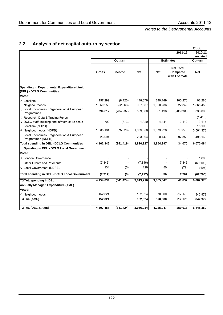# **2.2 Analysis of net capital outturn by section**

|                                                                        |           |               |            |            |                                               | £'000               |
|------------------------------------------------------------------------|-----------|---------------|------------|------------|-----------------------------------------------|---------------------|
|                                                                        |           |               |            |            | 2011-12                                       | 2010-11             |
|                                                                        |           | Outturn       |            |            | <b>Estimates</b>                              | restated<br>Outturn |
|                                                                        | Gross     | <b>Income</b> | <b>Net</b> | <b>Net</b> | <b>Net Total</b><br>Compared<br>with Estimate | <b>Net</b>          |
| Spending in Departmental Expenditure Limit<br>(DEL) - DCLG Communities |           |               |            |            |                                               |                     |
| Voted:                                                                 |           |               |            |            |                                               |                     |
| A Localism                                                             | 157,299   | (8,420)       | 148,879    | 249,149    | 100,270                                       | 92,288              |
| <b>B</b> Neighbourhoods                                                | 1,050,250 | (52, 363)     | 997,887    | 1,020,236  | 22,349                                        | 1,565,450           |
| Local Economies, Regeneration & European<br>C.<br>Programmes           | 794,817   | (204, 937)    | 589,880    | 381,496    | (208, 384)                                    | 336,000             |
| D Research, Data & Trading Funds                                       |           |               |            |            |                                               | (1, 418)            |
| E DCLG staff, building and infrastructure costs                        | 1,702     | (373)         | 1,329      | 4,441      | 3,112                                         | 3,117               |
| F Localism (NDPB)                                                      |           |               |            |            |                                               | 15,100              |
| G Neighbourhoods (NDPB)                                                | 1,935,184 | (75, 326)     | 1,859,858  | 1,879,228  | 19,370                                        | 3,561,378           |
| Local Economies, Regeneration & European<br>Programmes (NDPB)          | 223,094   |               | 223,094    | 320,447    | 97,353                                        | 498,169             |
| <b>Total spending in DEL - DCLG Communities</b>                        | 4,162,346 | (341, 419)    | 3,820,927  | 3,854,997  | 34,070                                        | 6,070,084           |
| Spending in DEL - DCLG Local Government                                |           |               |            |            |                                               |                     |
| Voted:                                                                 |           |               |            |            |                                               |                     |
| K London Governance                                                    |           |               |            |            |                                               | 1,600               |
| L Other Grants and Payments                                            | (7, 846)  |               | (7, 846)   |            | 7,846                                         | (69, 109)           |
| O Local Government (NDPB)                                              | 134       | (5)           | 129        | 50         | (79)                                          | (197)               |
| <b>Total spending in DEL - DCLG Local Government</b>                   | (7, 712)  | (5)           | (7, 717)   | 50         | 7,767                                         | (67, 706)           |
| <b>TOTAL spending in DEL</b>                                           | 4,154,634 | (341, 424)    | 3,813,210  | 3,855,047  | 41,837                                        | 6,002,378           |
| <b>Annually Managed Expenditure (AME)</b>                              |           |               |            |            |                                               |                     |
| Voted:                                                                 |           |               |            |            |                                               |                     |
| Q Neighbourhoods                                                       | 152,824   |               | 152,824    | 370,000    | 217,176                                       | 842,972             |
| <b>TOTAL (AME)</b>                                                     | 152,824   |               | 152,824    | 370,000    | 217,176                                       | 842,972             |
| <b>TOTAL (DEL &amp; AME)</b>                                           | 4,307,458 | (341, 424)    | 3,966,034  | 4,225,047  | 259,013                                       | 6,845,350           |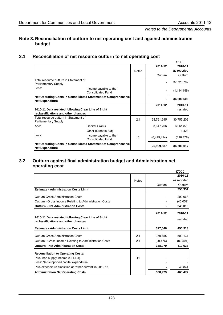# **Note 3. Reconciliation of outturn to net operating cost and against administration budget**

# **3.1 Reconciliation of net resource outturn to net operating cost**

|                                                                                          |                                                   |              |             | £'000         |
|------------------------------------------------------------------------------------------|---------------------------------------------------|--------------|-------------|---------------|
|                                                                                          |                                                   |              | 2011-12     | 2010-11       |
|                                                                                          |                                                   | <b>Notes</b> |             | as reported   |
|                                                                                          |                                                   |              | Outturn     | Outturn       |
| Total resource outturn in Statement of                                                   |                                                   |              |             | 37,720,702    |
| Parliamentary Supply                                                                     |                                                   |              |             |               |
| Less:                                                                                    | Income payable to the<br><b>Consolidated Fund</b> |              |             | (1, 114, 196) |
| Net Operating Costs in Consolidated Statement of Comprehensive<br><b>Net Expenditure</b> |                                                   |              |             | 36,606,506    |
|                                                                                          |                                                   |              | 2011-12     | 2010-11       |
| 2010-11 Data restated following Clear Line of Sight                                      |                                                   |              |             | restated      |
| reclassifications and other changes                                                      |                                                   |              |             |               |
| Total resource outturn in Statement of                                                   |                                                   | 2.1          | 28,761,245  | 30,755,202    |
| <b>Parliamentary Supply</b>                                                              |                                                   |              |             |               |
| Add:                                                                                     | <b>Capital Grants</b>                             |              | 3,647,706   | 6,061,870     |
|                                                                                          | Other (Grant in Aid)                              |              |             | 1,423         |
| Less:                                                                                    | Income payable to the<br><b>Consolidated Fund</b> | 5            | (6,479,414) | (118, 478)    |
| Net Operating Costs in Consolidated Statement of Comprehensive<br><b>Net Expenditure</b> |                                                   |              | 25,929,537  | 36,700,017    |

## **3.2 Outturn against final administration budget and Administration net operating cost**

|                                                                            |              |           | £'000       |
|----------------------------------------------------------------------------|--------------|-----------|-------------|
|                                                                            |              |           | 2010-11     |
|                                                                            | <b>Notes</b> |           | as reported |
|                                                                            |              | Outturn   | Outturn     |
| <b>Estimate - Administration Costs Limit</b>                               |              |           | 256,351     |
| Outturn Gross Administration Costs                                         |              |           | 292,068     |
| Outturn - Gross Income Relating to Administration Costs                    |              |           | (46, 052)   |
| <b>Outturn - Net Administration Costs</b>                                  |              |           | 246,016     |
|                                                                            |              | 2011-12   | 2010-11     |
| 2010-11 Data restated following Clear Line of Sight                        |              |           |             |
| reclassifications and other changes                                        |              |           | restated    |
| <b>Estimate - Administration Costs Limit</b>                               |              | 377,046   | 450,913     |
| <b>Outturn Gross Administration Costs</b>                                  | 2.1          | 359.455   | 500,134     |
| Outturn - Gross Income Relating to Administration Costs                    | 2.1          | (20, 476) | (80, 501)   |
| <b>Outturn - Net Administration Costs</b>                                  |              | 338,979   | 419,633     |
| <b>Reconciliation to Operating Costs:</b>                                  |              |           |             |
|                                                                            | 11           |           |             |
| Plus: non supply income (CFERs)<br>Less: Net supported capital expenditure |              |           |             |
|                                                                            |              |           |             |
| Plus expenditure classified as 'other current' in 2010-11                  |              |           | 45,844      |
| <b>Administration Net Operating Costs</b>                                  |              | 338,979   | 465,477     |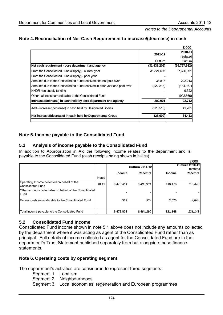| Note 4. Reconciliation of Net Cash Requirement to increase/(decrease) in cash |  |  |
|-------------------------------------------------------------------------------|--|--|
|-------------------------------------------------------------------------------|--|--|

|                                                                           |                | £'000               |
|---------------------------------------------------------------------------|----------------|---------------------|
|                                                                           | 2011-12        | 2010-11<br>restated |
|                                                                           | Outturn        | Outturn             |
| Net cash requirement - core department and agency                         | (31, 438, 209) | (36,797,932)        |
| From the Consolidated Fund (Supply) - current year                        | 31,824,505     | 37,626,961          |
| From the Consolidated Fund (Supply) - prior year                          |                |                     |
| Amounts due to the Consolidated Fund received and not paid over           | 38,818         | 222,213             |
| Amounts due to the Consolidated Fund received in prior year and paid over | (222, 213)     | (134, 987)          |
| NNDR non supply funding                                                   |                | 9,322               |
| <b>Other balances surrenderable to the Consolidated Fund</b>              |                | (902, 866)          |
| Increase/(decrease) in cash held by core department and agency            | 202,901        | 22,712              |
| Add - increase/(decrease) in cash held by Designated Bodies               | (228, 510)     | 41,701              |
| Net increase/(decrease) in cash held by Departmental Group                | (25, 609)      | 64,413              |
|                                                                           |                |                     |

# **Note 5. Income payable to the Consolidated Fund**

# **5.1 Analysis of income payable to the Consolidated Fund**

In addition to Appropriation in Aid the following income relates to the department and is payable to the Consolidated Fund (cash receipts being shown in italics).

|                                                                  |              |               | <b>Outturn 2011-12</b> |               | £'000<br><b>Outturn 2010-11</b><br>restated |
|------------------------------------------------------------------|--------------|---------------|------------------------|---------------|---------------------------------------------|
|                                                                  |              | <b>Income</b> | <b>Receipts</b>        | <b>Income</b> | Receipts                                    |
|                                                                  | <b>Notes</b> |               |                        |               |                                             |
| Operating Income collected on behalf of the<br>Consolidated Fund | 10, 11       | 6,479,414     | 6,483,901              | 118,478       | 118,478                                     |
| Other amounts collectable on behalf of the Consolidated<br>Fund  |              |               |                        |               |                                             |
| Excess cash surrenderable to the Consolidated Fund               |              | 389           | 389                    | 2,670         | 2,670                                       |
| Total income payable to the Consolidated Fund                    |              | 6,479,803     | 6,484,290              | 121.148       | 121,148                                     |

# **5.2 Consolidated Fund Income**

Consolidated Fund income shown in note 5.1 above does not include any amounts collected by the department where it was acting as agent of the Consolidated Fund rather than as principal. Full details of income collected as agent for the Consolidated Fund are in the department's Trust Statement published separately from but alongside these finance statements.

#### **Note 6. Operating costs by operating segment**

The department's activities are considered to represent three segments:

Segment 1 Localism

Segment 2 Neighbourhoods

Segment 3 Local economies, regeneration and European programmes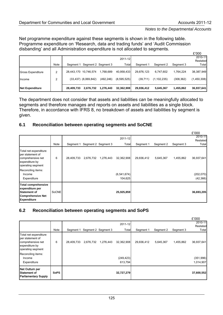$\overline{a}$ 

#### *Notes to the Departmental Accounts*

Net programme expenditure against these segments is shown in the following table. Programme expenditure on 'Research, data and trading funds' and 'Audit Commission disbanding' and all Administration expenditure is not allocated to segments.

|                          |      |                       |                          |                     |             |            |               |            | L UUU       |
|--------------------------|------|-----------------------|--------------------------|---------------------|-------------|------------|---------------|------------|-------------|
|                          |      |                       |                          |                     | 2011-12     |            |               |            | 2010-11     |
|                          |      |                       |                          |                     |             |            |               |            | Restated    |
|                          | Note | Seament 1             |                          | Segment 2 Segment 3 | Total       | Segment 1  | Seament 2     | Segment 3  | Total       |
|                          |      |                       |                          |                     |             |            |               |            |             |
| <b>Gross Expenditure</b> | 2    | 28,443,170 10,746,574 |                          | 1.768.689           | 40,958,433  | 29,876,123 | 6.747.602     | 1.764.224  | 38,387,949  |
|                          | ◠    |                       | $(33,437)$ $(8,069,842)$ | (492, 246)          | (8,595,525) | (39,711)   | (1, 102, 235) | (308, 362) | (1,450,308) |
| Income                   |      |                       |                          |                     |             |            |               |            |             |
|                          |      |                       |                          |                     |             |            |               |            |             |
| <b>Net Expenditure</b>   |      | 28,409,733            | 2,676,732                | 1,276,443           | 32,362,908  | 29,836,412 | 5,645,367     | 1,455,862  | 36,937,641  |

The department does not consider that assets and liabilities can be meaningfully allocated to segments and therefore manages and reports on assets and liabilities as a single block. Therefore, in accordance with IFRS 8, no breakdown of assets and liabilities by segment is given.

# **6.1 Reconciliation between operating segments and SoCNE**

|                                                                                                                 |       |            |           |                     |                          |            |           |           | £'000                   |
|-----------------------------------------------------------------------------------------------------------------|-------|------------|-----------|---------------------|--------------------------|------------|-----------|-----------|-------------------------|
|                                                                                                                 |       |            |           |                     | 2011-12                  |            |           |           | 2010-11                 |
|                                                                                                                 |       |            |           |                     |                          |            |           |           | Restated                |
|                                                                                                                 | Note  | Segment 1  |           | Segment 2 Segment 3 | Total                    | Segment 1  | Segment 2 | Segment 3 | Total                   |
| Total net expenditure<br>per statement of<br>comprehensive net<br>expenditure by<br>operating segment           | 6     | 28,409,733 | 2,676,732 | 1,276,443           | 32,362,908               | 29,836,412 | 5,645,367 | 1,455,862 | 36,937,641              |
| Reconciling items:<br>Income<br>Expenditure                                                                     |       |            |           |                     | (6, 541, 674)<br>104,625 |            |           |           | (202, 070)<br>(42, 366) |
| <b>Total comprehensive</b><br>expenditure per<br>Statement of<br><b>Comprehensive Net</b><br><b>Expenditure</b> | SoCNE |            |           |                     | 25,925,859               |            |           |           | 36,693,205              |

# **6.2 Reconciliation between operating segments and SoPS**

|                                                                                                       |             |            |                               |           |                       |            |           |           | £'000                   |
|-------------------------------------------------------------------------------------------------------|-------------|------------|-------------------------------|-----------|-----------------------|------------|-----------|-----------|-------------------------|
|                                                                                                       |             |            |                               |           | 2011-12               |            |           |           | 2010-11<br>Restated     |
|                                                                                                       | Note        |            | Segment 1 Segment 2 Segment 3 |           | Total                 | Segment 1  | Segment 2 | Segment 3 | Total                   |
| Total net expenditure<br>per statement of<br>comprehensive net<br>expenditure by<br>operating segment | 6           | 28,409,733 | 2,676,732                     | 1,276,443 | 32,362,908            | 29,836,412 | 5,645,367 | 1,455,862 | 36,937,641              |
| Reconciling items:<br>Income<br>Expenditure                                                           |             |            |                               |           | (249, 423)<br>613,794 |            |           |           | (351, 996)<br>1,014,907 |
| Net Outturn per<br><b>Statement of</b><br><b>Parliamentary Supply</b>                                 | <b>SoPS</b> |            |                               |           | 32,727,279            |            |           |           | 37,600,552              |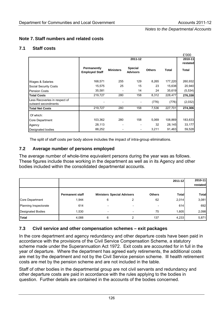# **Note 7. Staff numbers and related costs**

# **7.1 Staff costs**

|                               |                                      |                  |                                   |               |         | £'000    |
|-------------------------------|--------------------------------------|------------------|-----------------------------------|---------------|---------|----------|
|                               |                                      |                  | 2011-12                           |               |         | 2010-11  |
|                               |                                      |                  |                                   |               |         | restated |
|                               | Permanently<br><b>Employed Staff</b> | <b>Ministers</b> | <b>Special</b><br><b>Advisors</b> | <b>Others</b> | Total   | Total    |
| Wages & Salaries              | 168,571                              | 255              | 129                               | 8,265         | 177,220 | 260,932  |
| Social Security Costs         | 15,575                               | 25               | 15                                | 23            | 15,638  | 20,940   |
| <b>Pension Costs</b>          | 35,581                               |                  | 14                                | 24            | 35,619  | (5,534)  |
| <b>Total Costs</b>            | 219,727                              | 280              | 158                               | 8,312         | 228,477 | 276,338  |
| Less Recoveries in respect of |                                      |                  |                                   | (776)         | (776)   | (2,032)  |
| outward secondments           |                                      |                  |                                   |               |         |          |
| <b>Total Net Costs</b>        | 219,727                              | 280              | 158                               | 7,536         | 227,701 | 274,306  |
| Of which:                     |                                      |                  |                                   |               |         |          |
| Core Department               | 103,362                              | 280              | 158                               | 5,069         | 108,869 | 183,633  |
| Agency                        | 28,113                               |                  |                                   | 32            | 28,145  | 33,177   |
| Designated bodies             | 88,252                               |                  | -                                 | 3,211         | 91,463  | 59,528   |

The split of staff costs per body above includes the impact of intra-group eliminations.

# **7.2 Average number of persons employed**

The average number of whole-time equivalent persons during the year was as follows. These figures include those working in the department as well as in its Agency and other bodies included within the consolidated departmental accounts.

|                              |                        |                                   |                          |               | 2011-12      | 2010-11<br>restated |
|------------------------------|------------------------|-----------------------------------|--------------------------|---------------|--------------|---------------------|
|                              | <b>Permanent staff</b> | <b>Ministers Special Advisers</b> |                          | <b>Others</b> | <b>Total</b> | <b>Total</b>        |
| Core Department              | 1,944                  | 6                                 |                          | 62            | 2,014        | 3,081               |
| <b>Planning Inspectorate</b> | 614                    | $\overline{\phantom{0}}$          | $\overline{\phantom{a}}$ |               | 614          | 692                 |
| <b>Designated Bodies</b>     | 1,530                  | $\overline{\phantom{a}}$          | $\overline{\phantom{a}}$ | 75            | 1,605        | 2,098               |
| <b>Total</b>                 | 4,088                  | 6                                 | າ                        | 137           | 4,233        | 5,871               |

# **7.3 Civil service and other compensation schemes – exit packages**

In the core department and agency redundancy and other departure costs have been paid in accordance with the provisions of the Civil Service Compensation Scheme, a statutory scheme made under the Superannuation Act 1972. Exit costs are accounted for in full in the year of departure. Where the department has agreed early retirements, the additional costs are met by the department and not by the Civil Service pension scheme. Ill health retirement costs are met by the pension scheme and are not included in the table.

Staff of other bodies in the departmental group are not civil servants and redundancy and other departure costs are paid in accordance with the rules applying to the bodies in question. Further details are contained in the accounts of the bodies concerned.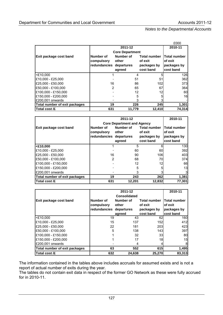|                               |              |                        |                     | £000                |  |
|-------------------------------|--------------|------------------------|---------------------|---------------------|--|
|                               |              | 2011-12                |                     | 2010-11             |  |
|                               |              | <b>Core Department</b> |                     |                     |  |
| <b>Exit package cost band</b> | Number of    | Number of              | <b>Total number</b> | <b>Total number</b> |  |
|                               | compulsory   | other                  | of exit             | of exit             |  |
|                               | redundancies | departures             | packages by         | packages by         |  |
|                               |              | agreed                 | cost band           | cost band           |  |
| <£10,000                      |              | 4                      |                     | 126                 |  |
| £10,000 - £25,000             |              | 51                     | 51                  | 362                 |  |
| £25,000 - £50,000             | 16           | 86                     | 102                 | 373                 |  |
| £50,000 - £100,000            | 2            | 65                     | 67                  | 364                 |  |
| £100.000 - £150.000           |              | 12                     | 12                  | 60                  |  |
| £150,000 - £200,000           |              | 5                      |                     | 16                  |  |
| £200,001 onwards              |              | 3                      |                     |                     |  |
| Total number of exit packages | 19           | 226                    | 245                 | 1,301               |  |
| Total cost /£                 | 631          | 11,779                 | 12,410              | 74,314              |  |

|                               |                         | 2011-12                           |                     | 2010-11             |
|-------------------------------|-------------------------|-----------------------------------|---------------------|---------------------|
|                               |                         | <b>Core Department and Agency</b> |                     |                     |
| <b>Exit package cost band</b> | Number of               | Number of                         | <b>Total number</b> | <b>Total number</b> |
|                               | compulsory              | other                             | of exit             | of exit             |
|                               | redundancies departures |                                   | packages by         | packages by         |
|                               |                         | agreed                            | cost band           | cost band           |
| <£10,000                      |                         | 5                                 | 61                  | 130                 |
| £10,000 - £25,000             |                         | 60                                | 60                  | 392                 |
| £25,000 - £50,000             | 16                      | 90                                | 106                 | 403                 |
| £50,000 - £100,000            | 2                       | 68                                | 70                  | 374                 |
| £100,000 - £150,000           |                         | 12                                | 12                  | 66                  |
| £150,000 - £200,000           |                         | 5                                 |                     | 13                  |
| £200,001 onwards              |                         | 3                                 |                     | 3                   |
| Total number of exit packages | 19                      | 243                               | 262                 | 1,381               |
| Total cost /£                 | 631                     | 12,201                            | 12,832              | 77,301              |

|                               |                     | 2011-12             |                     |              |  |  |  |  |
|-------------------------------|---------------------|---------------------|---------------------|--------------|--|--|--|--|
|                               |                     | <b>Consolidated</b> |                     |              |  |  |  |  |
| Exit package cost band        | Number of           | Number of           | <b>Total number</b> | Total number |  |  |  |  |
|                               | compulsory          | other               | of exit             | of exit      |  |  |  |  |
|                               | <b>redundancies</b> | departures          | packages by         | packages by  |  |  |  |  |
|                               |                     | agreed              | cost band           | cost band    |  |  |  |  |
| $<$ £10.000                   | 19                  | 43                  | 62                  | 160          |  |  |  |  |
| £10,000 - £25,000             | 15                  | 137                 | 152                 | 412          |  |  |  |  |
| £25,000 - £50,000             | 22                  | 181                 | 203                 | 423          |  |  |  |  |
| E50.000 - £100.000            | 5                   | 138                 | 143                 | 397          |  |  |  |  |
| £100,000 - £150,000           |                     | 32                  | 33                  | 80           |  |  |  |  |
| £150,000 - £200,000           |                     | 17                  | 18                  | 15           |  |  |  |  |
| £200,001 onwards              |                     | 4                   |                     |              |  |  |  |  |
| Total number of exit packages | 63                  | 552                 | 615                 | 1,495        |  |  |  |  |
| Total cost /£                 | 632                 | 24,638              | 25,270              | 83,313       |  |  |  |  |

The information contained in the tables above includes accruals for assumed exists and is not a report of actual number of exits during the year.

The tables do not contain exit data in respect of the former GO Network as these were fully accrued for in 2010-11.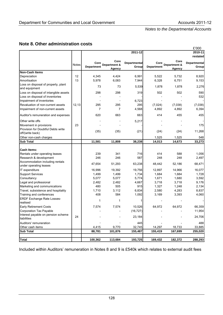# **Note 8. Other administration costs**

|                                                           |        |                           |                                |                              |                           |                                | £'000                 |
|-----------------------------------------------------------|--------|---------------------------|--------------------------------|------------------------------|---------------------------|--------------------------------|-----------------------|
|                                                           |        |                           |                                | 2011-12                      |                           |                                | 2010-11               |
|                                                           |        |                           |                                |                              |                           |                                | restated              |
|                                                           | Notes  | Core<br><b>Department</b> | Core<br>Department &<br>Agency | <b>Departmental</b><br>Group | Core<br><b>Department</b> | Core<br>Department &<br>Agency | Departmental<br>Group |
| <b>Non-Cash Items</b>                                     |        |                           |                                |                              |                           |                                |                       |
| Depreciation                                              | 12     | 4,345                     | 4,424                          | 6,991                        | 5,522                     | 5,732                          | 8,920                 |
| Amortisation                                              | 13     | 5,978                     | 6,083                          | 7,944                        | 6,328                     | 6,751                          | 9,153                 |
| Loss on disposal of property, plant                       |        | 73                        | 73                             | 5,539                        | 1,878                     | 1,878                          | 2,276                 |
| and equipment<br>Loss on disposal of intangible assets    |        | 298                       | 298                            | 319                          | 502                       | 502                            | 590                   |
| Loss on disposal of inventories                           |        |                           |                                |                              |                           |                                | 532                   |
| Impairment of inventories                                 |        |                           |                                | 6,723                        |                           |                                |                       |
| Revaluation of non-current assets                         | 12, 13 | 295                       | 295                            | 295                          | (7,024)                   | (7,038)                        | (7,038)               |
| Impairment of non-current assets                          |        | 7                         | 7                              | 4,568                        | 4,892                     | 4,892                          | 6,394                 |
| Auditor's remuneration and expenses                       |        | 620                       | 663                            | 663                          | 414                       | 455                            | 455                   |
| Other write offs                                          |        |                           |                                | 5,217                        |                           |                                |                       |
| Movement in provisions                                    | 23     |                           |                                |                              |                           |                                | 175                   |
| Provision for Doubtful Debts write                        |        |                           |                                |                              |                           |                                |                       |
| off/(write back)                                          |        | (35)                      | (35)                           | (21)                         | (24)                      | (24)                           | 11,268                |
| Other non-cash charges                                    |        |                           |                                |                              | 1,525                     | 1,525                          | 548                   |
| <b>Sub Total</b>                                          |        | 11,581                    | 11,808                         | 38,238                       | 14,013                    | 14,673                         | 33,273                |
|                                                           |        |                           |                                |                              |                           |                                |                       |
| <b>Cash Items:</b>                                        |        |                           |                                |                              |                           |                                |                       |
| Rentals under operating leases                            |        | 239                       | 341                            | 716                          | 414                       | 588                            | 1,056                 |
| Research & development<br>Accommodation including rentals |        | 246                       | 246                            | 587                          | 248                       | 248                            | 2,497                 |
| under operating leases                                    |        | 47,654                    | 51,293                         | 63,238                       | 48,442                    | 52,186                         | 68,471                |
| IT expenditure                                            |        | 16,996                    | 19,392                         | 19,756                       | 12,897                    | 14,966                         | 16,077                |
| <b>Support Services</b>                                   |        | 1,499                     | 1,499                          | 1,734                        | 1,684                     | 1,684                          | 1,728                 |
| Consultancy                                               |        | 5,077                     | 5,077                          | 5,774                        | 1,671                     | 1,680                          | 3,592                 |
| Legal and professional                                    |        | 2,482                     | 2,482                          | 4,667                        | 3,718                     | 3,718                          | 9,176                 |
| Marketing and communications                              |        | 480                       | 505                            | 915                          | 1,327                     | 1,248                          | 2,134                 |
| Travel, subsistence and hospitality                       |        | 1,710                     | 3,112                          | 6,834                        | 2,580                     | 4,283                          | 8,837                 |
| Training and conferences                                  |        | 408                       | 584                            | 1,092                        | 3,169                     | 3,393                          | 4,060                 |
| <b>ERDF Exchange Rate Losses-</b><br>realised             |        | 1                         | 1                              |                              |                           |                                |                       |
| <b>Early Retirement Costs</b>                             |        | 7,574                     | 7,574                          | 10,526                       | 64,972                    | 64,972                         | 66,359                |
| Corporation Tax Payable                                   |        |                           |                                | (16, 727)                    |                           |                                | 11,954                |
| Interest payable on pension scheme<br>liabilities         | 24     |                           |                                | 23,184                       |                           |                                | 24,706                |
| Auditors' remuneration                                    |        |                           |                                | 445                          |                           |                                | 488                   |
| Other cash items                                          |        | 4,415                     | 9,770                          | 32,745                       | 14,297                    | 18,733                         | 33,885                |
| <b>Sub Total</b>                                          |        | 88,781                    | 101,876                        | 155,487                      | 155,419                   | 167,699                        | 255,020               |
|                                                           |        |                           |                                |                              |                           |                                |                       |
| <b>Total</b>                                              |        | 100,362                   | 113,684                        | 193,725                      | 169,432                   | 182,372                        | 288,293               |

Included within Auditors' remuneration in Notes 8 and 9 is £540k which relates to external audit fees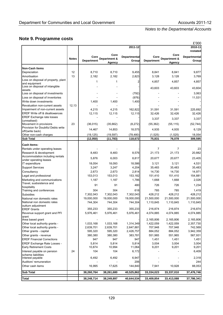# **Note 9. Programme costs**

|                                                              |              |                   |                        | 2011-12             |                   |                        | £'000<br>2010-11 |
|--------------------------------------------------------------|--------------|-------------------|------------------------|---------------------|-------------------|------------------------|------------------|
|                                                              |              |                   |                        |                     |                   |                        | restated         |
|                                                              |              | Core              | Core                   | <b>Departmental</b> | Core              | Core                   | Departmental     |
|                                                              | <b>Notes</b> | <b>Department</b> | Department &<br>Agency | Group               | <b>Department</b> | Department &<br>Agency | Group            |
| Non-Cash Items                                               |              |                   |                        |                     |                   |                        |                  |
| Depreciation                                                 | 12           | 8,710             | 8,710                  | 9,455               | 8,841             | 8,841                  | 9,877            |
| Amortisation                                                 | 13           | 2,182             | 2,182                  | 2,823               | 3,128             | 3,128                  | 3,769            |
| Loss on disposal of property, plant                          |              |                   |                        |                     |                   |                        |                  |
| and equipment                                                |              | 1                 | 1                      | 2                   | 4,857             | 4,857                  | 4,857            |
| Loss on disposal of intangible                               |              |                   |                        |                     | 43,603            | 43,603                 | 43,604           |
| assets<br>Loss on disposal of investments                    |              |                   |                        | (792)               |                   |                        | 3,063            |
| Loss on disposal of inventories                              |              |                   |                        | (976)               |                   |                        | 11,531           |
| Write down investments                                       |              | 1,400             | 1,400                  | 1,400               |                   |                        |                  |
| Revaluation non-current assets                               | 12,13        |                   |                        |                     |                   |                        |                  |
| Impairment of non-current assets                             |              | 4,215             | 4,215                  | 162,822             | 31,591            | 31,591                 | 225,692          |
| ERDF Write off & disallowances                               |              | 12,115            | 12,115                 | 12,115              | 32,426            | 32,426                 | 32,426           |
| ERDF Exchange rate losses                                    |              |                   |                        |                     | 3,337             | 3,337                  | 3,337            |
| (unrealised)                                                 |              |                   |                        |                     |                   |                        |                  |
| Movement in provisions<br>Provision for Doubtful Debts write | 23           | (36, 015)         | (35, 662)              | (8, 272)            | (55, 362)         | (55, 115)              | (52, 744)        |
| off/(write back)                                             |              | 14,467            | 14,853                 | 18,575              | 4,935             | 4,935                  | 6,129            |
| Other non-cash charges                                       |              | (19, 125)         | (19, 597)              | (78, 480)           | (1, 525)          | (1, 525)               | 18,054           |
| Sub Total                                                    |              | (12, 050)         | (11, 783)              | 118,672             | 75,831            | 76,078                 | 309,595          |
| <b>Cash Items:</b>                                           |              |                   |                        |                     |                   |                        |                  |
| Rentals under operating leases                               |              |                   |                        |                     | $\overline{7}$    | $\overline{7}$         | 23               |
| Research & development                                       |              | 8,483             | 8,483                  | 8,576               | 21,173            | 21,173                 | 20,882           |
| Accommodation including rentals<br>under operating leases    |              | 5,876             | 6,003                  | 8,817               | 20,677            | 20,677                 | 23,405           |
| IT expenditure                                               |              | 18,054            | 18,093                 | 18,586              | 3,121             | 3,121                  | 4,531            |
| <b>Support Services</b>                                      |              | 3,247             | 3,247                  | 4,204               | 35,483            | 35,483                 | 35,483           |
| Consultancy                                                  |              | 2,673             | 2,673                  | 2,814               | 14,730            | 14,730                 | 14,971           |
| Legal and professional                                       |              | 153,013           | 153,013                | 153,182             | 151,410           | 151,410                | 154,881          |
| Marketing and communications                                 |              | 1,187             | 1,187                  | 1,786               | 1,668             | 1,668                  | 2,026            |
| Travel, susbsistence and                                     |              | 91                | 91                     | 480                 | 726               | 726                    |                  |
| hospitality                                                  |              |                   |                        |                     |                   |                        | 1,234            |
| Training and conferences                                     |              | 304               | 304                    | 618                 | 785               | 785                    | 1,419            |
| Subsidies                                                    |              | 7,302,043         | 7,302,043              | 7,302,043           | 428,212           | 428,212                | 428,212          |
| National non domestic rates                                  |              | 19,000,000        | 19,000,000             | 19,000,000          | 21,500,000        | 21,500,000             | 21,500,000       |
| National non domestic rates                                  |              | 744,304           | 744,304                | 744,304             | 1,110,845         | 1,110,845              | 1,110,845        |
| outturn adjustment<br>ERDF Grants                            |              | 355,233           | 355,233                | 355,233             | 216,874           | 216,874                | 216,874          |
| Revenue support grant and PFI                                |              | 5,976,461         | 5,976,461              | 5,976,461           | 4,074,885         | 4,074,885              | 4,074,885        |
| arant                                                        |              |                   |                        |                     |                   |                        |                  |
| Area based grant                                             |              |                   |                        |                     | 2,165,806         | 2,165,806              | 2,165,806        |
| Other local authority grants -                               |              | 1,033,168         | 1,033,168              | 1,314,349           | 1,422,059         | 1,422,059              | 2,357,730        |
| Other local authority grants -                               |              | 2,639,701         | 2,639,701              | 2,647,881           | 707,948           | 707,948                | 742,569          |
| Other grants - capital                                       |              | 595,320           | 595,320                | 2,426,757           | 884,052           | 884,052                | 3,942,359        |
| Other grants - revenue                                       |              | 380,380           | 380,380                | 383,781             | 551,965           | 551,965                | 567,931          |
| <b>ERDF Financial Corrections</b>                            |              | 947               | 947                    | 947                 | 1,451             | 1,451                  | 1,451            |
| ERDF Exchange Rate Losses -                                  |              | 5,814             | 5,814                  | 5,814               | 3,004             | 3,004                  | 3,004            |
| <b>Early Retirement Costs</b>                                |              | 10,874            | 10,994                 | 11,064              | 9,201             | 9,201                  | 9,201            |
| Interest payable on pension                                  | 24           | 104               | 104                    | 6,172               |                   |                        | 6,409            |
| scheme liabilities<br>Interest payable                       |              | 6,492             | 6,492                  | 6,947               |                   |                        | 2,318            |
| Auditors' remuneration                                       |              |                   |                        | 206                 |                   |                        | 244              |
| Other cash items                                             |              | 16,995            | 17,625                 | 144,840             | 7,941             | 10,928                 | 88,053           |
| <b>Sub Total</b>                                             |              | 38,260,764        | 38,261,680             | 40,525,862          | 33,334,023        | 33,337,010             | 37,476,746       |
| Total                                                        |              | 38,248,714        | 38,249,897             | 40,644,534          | 33,409,854        | 33,413,088             | 37,786,341       |
|                                                              |              |                   |                        |                     |                   |                        |                  |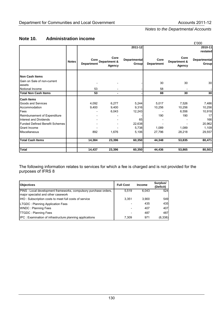# **Note 10. Administration income**

|                                       |              |                           |                                       |                              |                           |                                | £'000                        |
|---------------------------------------|--------------|---------------------------|---------------------------------------|------------------------------|---------------------------|--------------------------------|------------------------------|
|                                       |              |                           |                                       | 2011-12                      |                           |                                | 2010-11                      |
|                                       |              |                           |                                       |                              |                           |                                | restated                     |
|                                       | <b>Notes</b> | Core<br><b>Department</b> | Core<br>Department &<br><b>Agency</b> | <b>Departmental</b><br>Group | Core<br><b>Department</b> | Core<br>Department &<br>Agency | <b>Departmental</b><br>Group |
| <b>Non Cash Items</b>                 |              |                           |                                       |                              |                           |                                |                              |
| Gain on Sale of non-current<br>assets |              |                           |                                       |                              | 30                        | 30                             | 30                           |
| Notional Income                       |              | 53                        |                                       |                              | 58                        |                                |                              |
| <b>Total Non Cash Items</b>           |              | 53                        | $\blacksquare$                        |                              | 88                        | 30                             | 30 <sub>l</sub>              |
| <b>Cash Items</b>                     |              |                           |                                       |                              |                           |                                |                              |
| Goods and Services                    |              | 4,092                     | 6,277                                 | 5,244                        | 5,017                     | 7,526                          | 7,486                        |
| Accommodation                         |              | 9,400                     | 9,400                                 | 9,316                        | 10,256                    | 10,256                         | 10,256                       |
| Fees                                  |              |                           | 6,043                                 | 12,243                       |                           | 6,556                          | 10,918                       |
| Reimbursement of Expenditure          |              |                           |                                       |                              | 190                       | 190                            | 17 <sup>1</sup>              |
| Interest and Dividends                |              |                           |                                       | 65                           |                           |                                | 166                          |
| <b>Funded Defined Benefit Schemes</b> |              |                           |                                       | 22,638                       |                           |                                | 20,962                       |
| Grant Income                          |              |                           |                                       | 5,738                        | 1,089                     | 1,089                          | 1,109                        |
| Miscellaneous                         |              | 892                       | 1,676                                 | 5,106                        | 27,796                    | 28,218                         | 29,557                       |
| <b>Total Cash Items</b>               |              | 14,384                    | 23,396                                | 60,350                       | 44,348                    | 53,835                         | 80,471                       |
| <b>Total</b>                          |              | 14,437                    | 23,396                                | 60,350                       | 44,436                    | 53,865                         | 80,501                       |

The following information relates to services for which a fee is charged and is not provided for the purposes of IFRS 8

| <b>Objectives</b>                                                                                       | <b>Full Cost</b> | <b>Income</b> | Surplus/<br>(Deficit) |
|---------------------------------------------------------------------------------------------------------|------------------|---------------|-----------------------|
| PINS : Local development frameworks, compulsory purchase orders,<br>major specialist and other casework | 5,519            | 6.043         | 524                   |
| IHO: Subscription costs to meet full costs of service                                                   | 3.351            | 3.900         | 549                   |
| <b>LTGDC: Planning Application Fees</b>                                                                 |                  | 435           | 435                   |
| <b>WNDC: Planning Fees</b>                                                                              |                  | 407           | 407                   |
| <b>TTGDC: Planning Fees</b>                                                                             |                  | 487           | 487                   |
| <b>IPC</b> : Examination of infrastructure planning applications                                        | 7.309            | 971           | (6,338)               |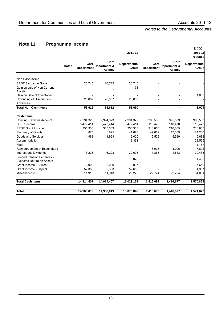# **Note 11. Programme income**

|                                  |              |                    |                                | 2011-12                      |                           |                                | £'000<br>2010-11                    |
|----------------------------------|--------------|--------------------|--------------------------------|------------------------------|---------------------------|--------------------------------|-------------------------------------|
|                                  |              |                    |                                |                              |                           |                                | restated                            |
|                                  | <b>Notes</b> | Core<br>Department | Core<br>Department &<br>Agency | <b>Departmental</b><br>Group | Core<br><b>Department</b> | Core<br>Department &<br>Agency | <b>Departmental</b><br><b>Group</b> |
| <b>Non Cash Items</b>            |              |                    |                                |                              |                           |                                |                                     |
| <b>ERDF Exchange Gains</b>       |              | 26,745             | 26,745                         | 26,745                       |                           |                                |                                     |
| Gain on sale of Non Current      |              |                    |                                | 78                           |                           |                                |                                     |
| <b>Assets</b>                    |              |                    |                                |                              |                           |                                |                                     |
| Gain on Sale of Inventories      |              |                    |                                |                              |                           |                                | 1,009                               |
| Unwinding of Discount on         |              | 26,867             | 26,867                         | 26,867                       |                           |                                |                                     |
| Advances                         |              |                    |                                |                              |                           |                                |                                     |
| <b>Total Non Cash Items</b>      |              | 53,612             | 53,612                         | 53,690                       |                           |                                | 1,009                               |
| <b>Cash Items</b>                |              |                    |                                |                              |                           |                                |                                     |
| <b>Housing Revenue Account</b>   |              | 7,994,323          | 7,994,323                      | 7,994,323                    | 995,533                   | 995,533                        | 995,533                             |
| <b>CFER Income</b>               |              | 6,479,414          | 6,479,414                      | 6,479,414                    | 118,478                   | 118,478                        | 118,478                             |
| <b>ERDF Grant Income</b>         |              | 355,333            | 355,333                        | 355,333                      | 216,865                   | 216,865                        | 216,865                             |
| Recovery of Grants               |              | 875                | 875                            | 41,678                       | 47,689                    | 47,689                         | 124,260                             |
| Goods and Services               |              | 11,963             | 11,963                         | 12,020                       | 5,529                     | 5,529                          | 5,688                               |
| Accommodation                    |              |                    |                                | 19,361                       |                           |                                | 22,525                              |
| Fees                             |              |                    |                                |                              |                           |                                | 1,167                               |
| Reimbursement of Expenditure     |              |                    |                                |                              | 8,028                     | 8.006                          | 7,801                               |
| <b>Interest and Dividends</b>    |              | 6,223              | 6,223                          | 32,003                       | 1,853                     | 1,853                          | 29,433                              |
| <b>Funded Pension Schemes -</b>  |              |                    |                                |                              |                           |                                |                                     |
| <b>Expected Return on Assets</b> |              |                    |                                | 5,078                        |                           |                                | 4,438                               |
| Grant Income - Current           |              | 2,000              | 2,000                          | 2,017                        |                           |                                | 5,652                               |
| Grant Income - Capital           |              | 52,363             | 52,363                         | 52,656                       |                           |                                | 4,967                               |
| Miscellaneous                    |              | 11,913             | 11,913                         | 29,276                       | 22,724                    | 22,724                         | 34,061                              |
| <b>Total Cash Items</b>          |              | 14,914,407         | 14,914,407                     | 15,023,159                   | 1,416,699                 | 1,416,677                      | 1,570,868                           |
| <b>Total</b>                     |              | 14,968,019         | 14,968,019                     | 15,076,849                   | 1,416,699                 | 1,416,677                      | 1,571,877                           |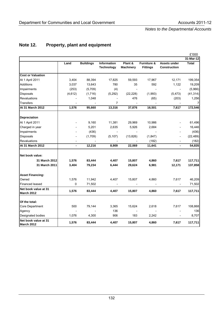|                                    |                |                  |                   |                  |                 |                              | £'000        |
|------------------------------------|----------------|------------------|-------------------|------------------|-----------------|------------------------------|--------------|
|                                    |                |                  |                   |                  |                 |                              | 31-Mar-12    |
|                                    | Land           | <b>Buildings</b> | Information       | Plant &          | Furniture &     | Assets under                 | <b>Total</b> |
|                                    |                |                  | <b>Technology</b> | <b>Machinery</b> | <b>Fittings</b> | <b>Construction</b>          |              |
| <b>Cost or Valuation</b>           |                |                  |                   |                  |                 |                              |              |
| At 1 April 2011                    | 3,404          | 88,394           | 17,825            | 59,593           | 17,967          | 12,171                       | 199,354      |
| <b>Additions</b>                   | 3,037          | 13,643           | 780               | 35               | 592             | 1,122                        | 19,209       |
| Impairments                        | (253)          | (5,709)          | (4)               |                  |                 |                              | (5,966)      |
| Disposals                          | (4, 612)       | (1,716)          | (5,292)           | (22, 228)        | (1,993)         | (5, 473)                     | (41, 314)    |
| Revaluations                       |                | 1,048            |                   | 476              | (65)            | (203)                        | 1,256        |
| Transfers                          |                |                  | 7                 |                  |                 |                              |              |
| At 31 March 2012                   | 1,576          | 95,660           | 13,316            | 37,876           | 16,501          | 7,617                        | 172,546      |
| <b>Depreciation</b>                |                |                  |                   |                  |                 |                              |              |
| At 1 April 2011                    |                | 9,160            | 11,381            | 29,969           | 10,986          |                              | 61,496       |
| Charged in year                    |                | 5,201            | 2,635             | 5,926            | 2,684           |                              | 16,446       |
| Impairments                        |                | (436)            |                   |                  |                 |                              | (436)        |
| Disposals                          | $\overline{a}$ | (1,709)          | (5, 107)          | (13, 826)        | (1, 847)        | $\qquad \qquad \blacksquare$ | (22, 489)    |
| Revaluations                       |                |                  |                   |                  | (182)           |                              | (182)        |
| At 31 March 2012                   | $\overline{a}$ | 12,216           | 8,909             | 22,069           | 11,641          | $\overline{a}$               | 54,835       |
| Net book value:                    |                |                  |                   |                  |                 |                              |              |
| 31 March 2012                      | 1,576          | 83,444           | 4,407             | 15,807           | 4,860           | 7,617                        | 117,711      |
| 31 March 2011                      | 3,404          | 79,234           | 6,444             | 29,624           | 6,981           | 12,171                       | 137,858      |
| <b>Asset Financing:</b>            |                |                  |                   |                  |                 |                              |              |
| Owned                              | 1,576          | 11,942           | 4,407             | 15,807           | 4,860           | 7,617                        | 46,209       |
| Financed leased                    | 0              | 71,502           |                   |                  |                 | $\overline{\phantom{a}}$     | 71,502       |
| Net book value at 31               | 1,576          | 83,444           | 4,407             | 15,807           | 4,860           | 7,617                        | 117,711      |
| March 2012                         |                |                  |                   |                  |                 |                              |              |
| Of the total:                      |                |                  |                   |                  |                 |                              |              |
| <b>Core Department</b>             | 500            | 79,144           | 3,365             | 15,624           | 2,618           | 7,617                        | 108,868      |
| Agency                             |                |                  | 136               |                  |                 |                              | 136          |
| <b>Designated bodies</b>           | 1,076          | 4,300            | 906               | 183              | 2,242           |                              | 8,707        |
| Net book value at 31<br>March 2012 | 1,576          | 83,444           | 4,407             | 15,807           | 4,860           | 7,617                        | 117,711      |

# **Note 12. Property, plant and equipment**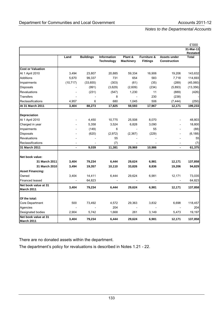|                                           |                              |                  |                                  |                             |                                           |                                     | £'000                 |
|-------------------------------------------|------------------------------|------------------|----------------------------------|-----------------------------|-------------------------------------------|-------------------------------------|-----------------------|
|                                           |                              |                  |                                  |                             |                                           |                                     | 31-Mar-11<br>Restated |
|                                           | Land                         | <b>Buildings</b> | Information<br><b>Technology</b> | Plant &<br><b>Machinery</b> | <b>Furniture &amp;</b><br><b>Fittings</b> | Assets under<br><b>Construction</b> | <b>Total</b>          |
| <b>Cost or Valuation</b>                  |                              |                  |                                  |                             |                                           |                                     |                       |
| At 1 April 2010                           | 3,494                        | 23,807           | 20,885                           | 59,334                      | 16,906                                    | 19,206                              | 143,632               |
| <b>Additions</b>                          | 5,670                        | 99,337           | 731                              | 654                         | 583                                       | 7,718                               | 114,693               |
| Impairments                               | (10, 717)                    | (33, 655)        | (303)                            | (61)                        | (35)                                      | (289)                               | (45,060)              |
| Disposals                                 |                              | (991)            | (3,629)                          | (2,609)                     | (234)                                     | (5,893)                             | (13, 356)             |
| <b>Revaluations</b>                       |                              | (231)            | (547)                            | 1,230                       | 11                                        | (889)                               | (426)                 |
| <b>Transfers</b>                          |                              |                  | 8                                |                             | 230                                       | (238)                               |                       |
| Reclassifications                         | 4,957                        | 6                | 680                              | 1,045                       | 506                                       | (7, 444)                            | (250)                 |
| At 31 March 2011                          | 3,404                        | 88,273           | 17,825                           | 59,593                      | 17,967                                    | 12,171                              | 199,233               |
| Depreciation                              |                              |                  |                                  |                             |                                           |                                     |                       |
| At 1 April 2010                           |                              | 4,450            | 10,775                           | 25,508                      | 8,070                                     |                                     | 48,803                |
| Charged in year                           |                              | 5,358            | 3,524                            | 6,828                       | 3,090                                     |                                     | 18,800                |
| Impairments                               |                              | (149)            | 6                                |                             | 55                                        |                                     | (88)                  |
| Disposals                                 |                              | (620)            | (2,972)                          | (2,367)                     | (229)                                     |                                     | (6, 188)              |
| Revaluations                              |                              |                  | 55                               |                             |                                           |                                     | 55                    |
| Reclassifications                         |                              |                  | (7)                              |                             |                                           |                                     | (7)                   |
| 31 March 2011                             | $\qquad \qquad \blacksquare$ | 9,039            | 11,381                           | 29,969                      | 10,986                                    | $\qquad \qquad \blacksquare$        | 61,375                |
|                                           |                              |                  |                                  |                             |                                           |                                     |                       |
| Net book value:                           |                              |                  |                                  |                             |                                           |                                     |                       |
| 31 March 2011                             | 3,404                        | 79,234           | 6,444                            | 29,624                      | 6,981                                     | 12,171                              | 137,858               |
| 31 March 2010                             | 3,494                        | 19,357           | 10,110                           | 33,826                      | 8,836                                     | 19,206                              | 94,829                |
| <b>Asset Financing:</b>                   |                              |                  |                                  |                             |                                           |                                     |                       |
| Owned                                     | 3,404                        | 14,411           | 6,444                            | 29,624                      | 6,981                                     | 12,171                              | 73,035                |
| Financed leased                           |                              | 64,823           |                                  |                             |                                           |                                     | 64,823                |
| Net book value at 31<br><b>March 2011</b> | 3,404                        | 79,234           | 6,444                            | 29,624                      | 6,981                                     | 12,171                              | 137,858               |
|                                           |                              |                  |                                  |                             |                                           |                                     |                       |
| Of the total:                             |                              |                  |                                  |                             |                                           |                                     |                       |
| Core Department                           | 500                          | 73,492           | 4,572                            | 29,363                      | 3,832                                     | 6,698                               | 118,457               |
| Agencies                                  |                              |                  | 204                              |                             |                                           |                                     | 204                   |
| Designated bodies                         | 2,904                        | 5,742            | 1,668                            | 261                         | 3,149                                     | 5,473                               | 19,197                |
| Net book value at 31<br><b>March 2011</b> | 3,404                        | 79,234           | 6,444                            | 29,624                      | 6,981                                     | 12,171                              | 137,858               |

There are no donated assets within the department.

The department's policy for revaluations is described in Notes 1.21 - 22.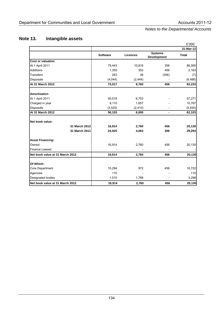# **Note 13. Intangible assets**

|                                 |                 |                 |                                      | £'000        |
|---------------------------------|-----------------|-----------------|--------------------------------------|--------------|
|                                 |                 |                 |                                      | 31-Mar-12    |
|                                 | <b>Software</b> | <b>Licences</b> | <b>Systems</b><br><b>Development</b> | <b>Total</b> |
| <b>Cost or valuation</b>        |                 |                 |                                      |              |
| At 1 April 2011                 | 75,443          | 10,816          | 306                                  | 86,565       |
| <b>Additions</b>                | 1,355           | 352             | 456                                  | 2,163        |
| <b>Transfers</b>                | 263             | 36              | (306)                                | (7)          |
| Disposals                       | (4,044)         | (2, 444)        |                                      | (6, 488)     |
| At 31 March 2012                | 73,017          | 8,760           | 456                                  | 82,233       |
| <b>Amortisation</b>             |                 |                 |                                      |              |
| At 1 April 2011                 | 50,518          | 6,753           |                                      | 57,271       |
| Charged in year                 | 9,110           | 1,657           |                                      | 10,767       |
| <b>Disposals</b>                | (3,525)         | (2, 410)        |                                      | (5,935)      |
| At 31 March 2012                | 56,103          | 6,000           |                                      | 62,103       |
| Net book value:                 |                 |                 |                                      |              |
| 31 March 2012                   | 16,914          | 2,760           | 456                                  | 20,130       |
| 31 March 2011                   | 24,925          | 4,063           | 306                                  | 29,294       |
| <b>Asset Financing:</b>         |                 |                 |                                      |              |
| Owned                           | 16,914          | 2,760           | 456                                  | 20,130       |
| <b>Finance Leased</b>           |                 |                 |                                      |              |
| Net book value at 31 March 2012 | 16,914          | 2,760           | 456                                  | 20,130       |
| Of Which:                       |                 |                 |                                      |              |
| Core Department                 | 15,294          | 972             | 456                                  | 16,722       |
| Agencies                        | 110             |                 |                                      | 110          |
| Designated bodies               | 1,510           | 1,788           |                                      | 3,298        |
| Net book value at 31 March 2012 | 16,914          | 2,760           | 456                                  | 20,130       |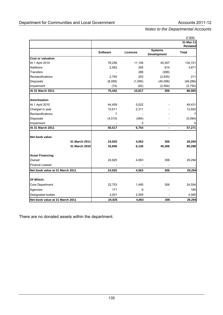|                                 |                 |                 |                               | £'000           |
|---------------------------------|-----------------|-----------------|-------------------------------|-----------------|
|                                 |                 |                 |                               | $31$ -Mar-11    |
|                                 |                 |                 |                               | <b>Restated</b> |
|                                 | <b>Software</b> | <b>Licences</b> | <b>Systems</b><br>Development | <b>Total</b>    |
| <b>Cost or valuation</b>        |                 |                 |                               |                 |
| At 1 April 2010                 | 78,256          | 11,158          | 45,307                        | 134,721         |
| <b>Additions</b>                | 2,562           | 295             | 814                           | 3,671           |
| Transfers                       |                 | 288             | (288)                         |                 |
| Reclassifications               | 2,793           | 253             | (2,835)                       | 211             |
| <b>Disposals</b>                | (8,095)         | (1,095)         | (40,098)                      | (49, 288)       |
| Impairment                      | (74)            | (82)            | (2,594)                       | (2,750)         |
| At 31 March 2011                | 75,442          | 10,817          | 306                           | 86,565          |
| <b>Amortisation</b>             |                 |                 |                               |                 |
| At 1 April 2010                 | 44,409          | 5,022           |                               | 49,431          |
| Charged in year                 | 10,611          | 2,311           |                               | 12,922          |
| Reclassifications               | 7               |                 |                               |                 |
| <b>Disposals</b>                | (4, 510)        | (584)           |                               | (5,094)         |
| Impairment                      |                 | 5               |                               |                 |
| At 31 March 2011                | 50,517          | 6,754           | $\overline{\phantom{a}}$      | 57,271          |
| Net book value:                 |                 |                 |                               |                 |
| 31 March 2011                   | 24,925          | 4,063           | 306                           | 29,294          |
| 31 March 2010                   | 33,846          | 6,136           | 45,306                        | 85,288          |
| <b>Asset Financing:</b>         |                 |                 |                               |                 |
| Owned                           | 24,925          | 4,063           | 306                           | 29,294          |
| Finance Leased                  |                 |                 |                               |                 |
| Net book value at 31 March 2011 | 24,925          | 4,063           | 306                           | 29,294          |
| Of Which:                       |                 |                 |                               |                 |
| Core Department                 | 22,753          | 1,495           | 306                           | 24,554          |
| Agencies                        | 171             | 9               |                               | 180             |
| Designated bodies               | 2,001           | 2,559           |                               | 4,560           |
| Net book value at 31 March 2011 | 24,925          | 4,063           | 306                           | 29,294          |

There are no donated assets within the department.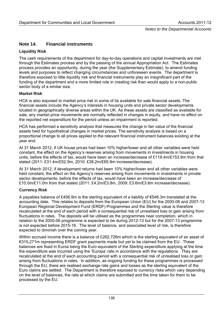# **Note 14. Financial instruments**

# **Liquidity Risk**

The cash requirements of the department for day-to-day operations and capital investments are met through the Estimates process and by the passing of the annual Appropriation Act. The Estimates process provides an opportunity, during the year (the Supplementary Estimate), to amend funding levels and purposes to reflect changing circumstances and unforeseen events. The department is therefore exposed to little liquidity risk and financial instruments play an insignificant part of the funding of the department and a more limited role in creating risk than would apply to a non-public sector body of a similar size.

# **Market Risk**

HCA is also exposed to market price risk in some of its available for sale financial assets. The financial assets include the Agency's interests in housing units and private sector developments located in geographically diverse areas within the UK. As these assets are classified as available for sale, any market price movements are normally reflected in changes in equity, and have no effect on the reported net expenditure for the period unless an impairment is reported.

HCA has performed a sensitivity analysis that measures the change in fair value of the financial assets held for hypothetical changes in market prices. The sensitivity analysis is based on a proportional change to all prices applied to the relevant financial instrument balances existing at the year end.

At 31 March 2012, if UK house prices had been 10% higher/lower and all other variables were held constant, the effect on the Agency's reserves arising from movements in investments in housing units, before the effects of tax, would have been an increase/decrease of £119.4m/£153.9m from that stated (2011: £31.4m/£52.9m, 2010: £38.2m/£65.9m increase/decrease).

At 31 March 2012, if development returns had been 10% higher/lower and all other variables were held constant, the effect on the Agency's reserves arising from movements in investments in private sector developments, before the effects of tax, would have been an increase/decrease of £10.0m/£11.0m from that stated (2011: £4.2m/£3.8m, 2009: £3.6m/£3.6m increase/decrease).

#### **Currency Risk**

A payables balance of £456.9m is the sterling equivalent of a liability of €548.3m translated at the accounting date. This relates to deposits from the European Union (EU) for the 2000-06 and 2007-13 European Regional Development Fund (ERDF) Programmes and the Sterling value is therefore recalculated at the end of each period with a consequential risk of unrealised loss or gain arising from fluctuations in rates. The deposits will be utilised as the programmes near completion, which in relation to the 2000-06 programme is expected to be during 2012-13 but for the 2007-13 programme is not expected before 2015-16. The level of balance, and associated level of risk, is therefore expected to diminish over the coming year.

Within accrued income there is a balance of £262,726m which is the sterling equivalent of an asset of €315,271m representing ERDF grant payments made but yet to be claimed from the EU. These balances are fixed in Euros being the Euro equivalent of the Sterling expenditure applying at the time the expenditure was incurred using the 'Europa' rate in accordance with the regulations. They are recalculated at the end of each accounting period with a consequential risk of unrealised loss or gain arising from fluctuations in rates. In addition, as ongoing funding for these programmes is processed through the EU, there are realised exchange rate gains and losses as the sterling equivalent of the Euro claims are settled. The Department is therefore exposed to currency risks which vary depending on the level of balances, the rate at which claims are submitted and the time taken for them to be processed by the EU.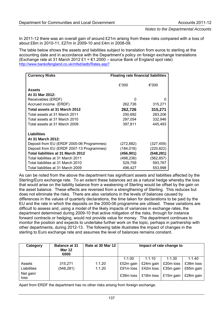In 2011-12 there was an overall gain of around £21m arising from these risks compared with a loss of about £6m in 2010-11, £27m in 2009-10 and £4m in 2008-09.

The table below shows the assets and liabilities subject to translation from euros to sterling at the accounting date and in accordance with the Department's policy on foreign exchange translations (Exchange rate at 31 March 2012 £1 =  $\epsilon$ 1.2000 – source Bank of England spot rate) [http://www.bankofengland.co.uk/mfsd/iadb/Rates.asp?](http://www.bankofengland.co.uk/mfsd/iadb/Rates.asp?%20)

| <b>Currency Risks</b>                     | <b>Floating rate financial liabilities</b> |            |  |  |  |
|-------------------------------------------|--------------------------------------------|------------|--|--|--|
|                                           | £'000                                      | €'000      |  |  |  |
| <b>Assets</b>                             |                                            |            |  |  |  |
| At 31 Mar 2012:                           |                                            |            |  |  |  |
| Receivables (ERDF)                        | <sup>0</sup>                               | 0          |  |  |  |
| Accrued income (ERDF)                     | 262,726                                    | 315,271    |  |  |  |
| Total assets at 31 March 2012             | 262,726                                    | 315,271    |  |  |  |
| Total assets at 31 March 2011             | 250,692                                    | 283,206    |  |  |  |
| Total assets at 31 March 2010             | 297,054                                    | 332,946    |  |  |  |
| Total assets at 31 March 2009:            | 397,811                                    | 445,493    |  |  |  |
| Liabilities                               |                                            |            |  |  |  |
| At 31 March 2012:                         |                                            |            |  |  |  |
| Deposit from EU (ERDF 2000-06 Programmes) | (272,882)                                  | (327, 459) |  |  |  |
| Deposit from EU (ERDF 2007-13 Programmes) | (184, 018)                                 | (220, 822) |  |  |  |
| Total liabilities at 31 March 2012        | (456,901)                                  | (548, 281) |  |  |  |
| Total liabilities at 31 March 2011        | (498,236)                                  | (562, 857) |  |  |  |
| Total liabilities at 31 March 2010        | 529,759                                    | 593,767    |  |  |  |
| Total liabilities at 31 March 2009        | 496,427                                    | 553,998    |  |  |  |

As can be noted from the above the department has significant assets and liabilities affected by the Sterling/Euro exchange rate. To an extent these balances act as a natural hedge whereby the loss that would arise on the liability balance from a weakening of Sterling would be offset by the gain on the asset balance. These effects are reversed from a strengthening of Sterling. This reduces but does not eliminate the risks. There are also variations in the levels of balances caused by differences in the values of quarterly declarations, the time taken for declarations to be paid by the EU and the rate in which the deposits on the 2000-06 programme are utilised. These variations are difficult to assess and, using a model of the likely impacts of variances in exchange rates, the department determined during 2009-10 that active mitigation of the risks, through for instance forward contracts or hedging, would not provide value for money. The department continues to monitor the position and expects to undertake further work on the topic, perhaps in partnership with other departments, during 2012-13. The following table illustrates the impact of changes in the sterling to Euro exchange rate and assumes the level of balances remains constant.

| Category          | <b>Balance at 31</b><br><b>Mar 12</b><br>$\bigoplus$ | Rate at 30 Mar 12 | Impact of rate change to |           |           |           |  |
|-------------------|------------------------------------------------------|-------------------|--------------------------|-----------|-----------|-----------|--|
|                   |                                                      |                   | 1:1.00                   | 1:1.10    | 1:1.30    | 1:1.40    |  |
| Assets            | 315,271                                              | 1:1.20            | £52m gain                | £24m gain | £20m loss | £38m loss |  |
| Liabilities       | (548, 281)                                           | 1:1.20            | £91m loss                | £42m loss | £35m gain | £65m gain |  |
| Net gain/<br>loss |                                                      |                   | £39m loss                | £18m loss | £15m gain | £28m gain |  |

Apart from ERDF the department has no other risks arising from foreign exchange.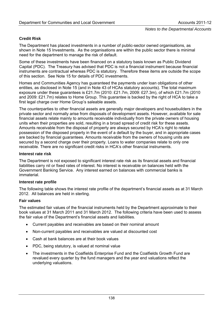#### **Credit Risk**

The Department has placed investments in a number of public-sector owned organisations, as shown in Note 15 Investments. As the organisations are within the public sector there is minimal need for the department to manage the risk of default.

Some of these investments have been financed on a statutory basis known as Public Dividend Capital (PDC). The Treasury has advised that PDC is not a financial instrument because financial instruments are contractual whereas PDC is statutory. Therefore these items are outside the scope of this section. See Note 15 for details of PDC investments.

Homes and Communities Agency has guaranteed the payments under loan obligations of other entities, as disclosed in Note 15 (and in Note 43 of HCAs statutory accounts). The total maximum exposure under these guarantees is £21.7m (2010: £21.7m, 2009: £27.3m), of which £21.7m (2010 and 2009: £21.7m) relates to Home Group. This guarantee is backed by the right of HCA to take a first legal charge over Home Group's saleable assets.

The counterparties to other financial assets are generally major developers and housebuilders in the private sector and normally arise from disposals of development assets. However, available for sale financial assets relate mainly to amounts receivable individually from the private owners of housing units when their properties are sold, resulting in a broad spread of credit risk for these assets. Amounts receivable from the disposal of property are always secured by HCA's right to retake possession of the disposed property in the event of a default by the buyer, and in appropriate cases are backed by financial guarantees. Amounts receivable from the owners of housing units are secured by a second charge over their property. Loans to water companies relate to only one receivable. There are no significant credit risks in HCA's other financial instruments.

#### **Interest rate risk**

The Department is not exposed to significant interest rate risk as its financial assets and financial liabilities carry nil or fixed rates of interest. No interest is receivable on balances held with the Government Banking Service. Any interest earned on balances with commercial banks is immaterial.

#### **Interest rate profile**

The following table shows the interest rate profile of the department's financial assets as at 31 March 2012. All balances are held in sterling.

#### **Fair values**

The estimated fair values of the financial instruments held by the Department approximate to their book values at 31 March 2011 and 31 March 2012. The following criteria have been used to assess the fair value of the Department's financial assets and liabilities.

- Current payables and receivables are based on their nominal amount
- Non-current payables and receivables are valued at discounted cost
- Cash at bank balances are at their book values
- PDC, being statutory, is valued at nominal value
- The investments in the Coalfields Enterprise Fund and the Coalfields Growth Fund are revalued every quarter by the fund managers and the year end valuations reflect the underlying valuations.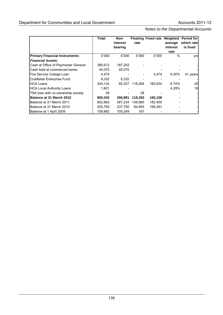|                                       | <b>Total</b> | Non-     |                          | <b>Floating Fixed rate Weighted</b> |          | <b>Period for</b> |
|---------------------------------------|--------------|----------|--------------------------|-------------------------------------|----------|-------------------|
|                                       |              | interest | rate                     |                                     | average  | which rate        |
|                                       |              | bearing  |                          |                                     | interest | is fixed          |
|                                       |              |          |                          |                                     | rate     |                   |
| <b>Primary Financial Instruments:</b> | £'000        | £'000    | £'000                    | £'000                               | $\%$     | yrs               |
| <b>Financial Assets:</b>              |              |          |                          |                                     |          |                   |
| Cash at Office of Paymaster General   | 395,612      | 187,252  |                          |                                     |          |                   |
| Cash held at commercial banks         | 45.070       | 45.070   |                          |                                     |          |                   |
| Fire Service College Loan             | 4,474        |          | $\overline{\phantom{a}}$ | 4,474                               | 8.30%    | 41 years          |
| Coalfields Enterprise Fund            | 9,332        | 9,332    |                          |                                     |          |                   |
| <b>HCA Loans</b>                      | 344,124      | 65.227   | 118.264                  | 160,634                             | 6.74%    | 20                |
| <b>HCA Local Authority Loans</b>      | 1,601        |          |                          |                                     | 4.29%    | 18                |
| TSA loan with co-ownership society    | 28           |          | 28                       |                                     |          |                   |
| Balance at 31 March 2012              | 800,242      | 306,881  | 118,292                  | 165,108                             |          |                   |
| Balance at 31 March 2011              | 602.862      | 267.234  | 148,985                  | 182,455                             |          |                   |
| Balance at 31 March 2010              | 535,750      | 237,700  | 94,655                   | 199,391                             |          |                   |
| Balance at 1 April 2009               | 109.982      | 105.249  | 167                      |                                     |          |                   |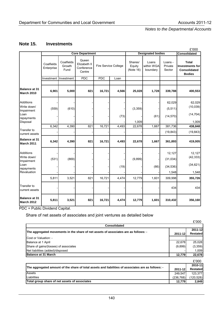# **Note 15. Investments**

|                                               |                          |                              |                                               |            |                      |                                |                                 |                              | £'000                                                                          |
|-----------------------------------------------|--------------------------|------------------------------|-----------------------------------------------|------------|----------------------|--------------------------------|---------------------------------|------------------------------|--------------------------------------------------------------------------------|
|                                               |                          |                              | <b>Core Department</b>                        |            |                      |                                | <b>Designated bodies</b>        |                              | Consolidated                                                                   |
|                                               | Coalfields<br>Enterprise | Coalfields<br>Growth<br>Fund | Queen<br>Elizabeth II<br>Conference<br>Centre |            | Fire Service College | Shares/<br>Equity<br>(Note 16) | Loans<br>within WGA<br>boundary | Loans -<br>Private<br>Sector | <b>Total</b><br><b>Investments for</b><br><b>Consolidated</b><br><b>Bodies</b> |
|                                               | Investment               | Investment                   | <b>PDC</b>                                    | <b>PDC</b> | Loan                 |                                |                                 |                              |                                                                                |
|                                               |                          |                              |                                               |            |                      |                                |                                 |                              |                                                                                |
| <b>Balance at 31</b><br>March 2010            | 6,901                    | 5,000                        | 821                                           | 16,721     | 4,566                | 25,028                         | 1,728                           | 339,788                      | 400,553                                                                        |
| <b>Additions</b><br>Write down/<br>Impairment | (559)                    | (610)                        |                                               |            |                      | (3, 359)                       |                                 | 62,029<br>(5, 511)           | 62,029<br>(10, 039)                                                            |
| Loan<br>repayments                            |                          |                              |                                               |            | (73)                 |                                | (61)                            | (14, 570)                    | (14, 704)                                                                      |
| Disposal                                      | 6,342                    | 4,390                        | 821                                           | 16,721     | 4,493                | 1,009<br>22,678                | 1,667                           | 381,736                      | 1,009<br>438,848                                                               |
| <b>Transfer to</b><br>current assets          |                          |                              |                                               |            |                      |                                |                                 | (19, 843)                    | (19, 843)                                                                      |
| <b>Balance at 31</b><br>March 2011            | 6,342                    | 4,390                        | 821                                           | 16,721     | 4,493                | 22,678                         | 1,667                           | 361,893                      | 419,005                                                                        |
| <b>Additions</b><br>Write down/<br>Impairment | (531)                    | (869)                        |                                               |            |                      | (9,899)                        |                                 | 12,127<br>(31, 034)          | 12,127<br>(42, 333)                                                            |
| Loan<br>repayments<br>Revaluation             |                          |                              |                                               |            | (19)                 |                                | (66)                            | (34, 536)                    | (34, 621)<br>1,548                                                             |
|                                               | 5,811                    | 3,521                        | 821                                           | 16,721     | 4,474                | 12,779                         | 1,601                           | 1,548<br>309,998             | 355,726                                                                        |
| Transfer to<br>current assets                 |                          |                              |                                               |            |                      |                                |                                 | 434                          | 434                                                                            |
| <b>Balance at 31</b><br>March 2012            | 5,811                    | 3,521                        | 821                                           | 16,721     | 4,474                | 12,779                         | 1,601                           | 310,432                      | 356,160                                                                        |

PDC = Public Dividend Capital.

#### Share of net assets of associates and joint ventures as detailed below

|                                                                                                    |            | £'000           |
|----------------------------------------------------------------------------------------------------|------------|-----------------|
| Consolidated                                                                                       |            |                 |
| The aggregated movements in the share of net assets of associates are as follows: -                |            | 2011-12         |
|                                                                                                    | 2011-12    | <b>Restated</b> |
| Cost or Valuation: -                                                                               |            |                 |
| Balance at 1 April                                                                                 | 22,678     | 25,028          |
| Share of gains/(losses) of associates                                                              | (9,899)    | (3,359)         |
| Net liabilities (added)/disposed                                                                   |            | 1,009           |
| <b>Balance at 31 March</b>                                                                         | 12,779     | 22,678          |
|                                                                                                    |            | £'000           |
|                                                                                                    |            | 2010-11         |
| The aggregated amount of the share of total assets and liabilities of associates are as follows: - | 2011-12    | <b>Restated</b> |
| Assets                                                                                             | 249,547    | 123,377         |
| Liabilities                                                                                        | (236, 768) | (120, 528)      |
| Total group share of net assets of associates                                                      | 12,779     | 2.849           |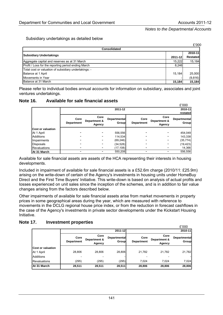#### Subsidiary undertakings as detailed below

|                                                       |         | £'000           |
|-------------------------------------------------------|---------|-----------------|
| <b>Consolidated</b>                                   |         |                 |
| <b>Subsidiary Undertakings</b>                        |         | 2010-11         |
|                                                       | 2011-12 | <b>Restated</b> |
| Aggregate capital and reserves as at 31 March         | 15,222  | 15,184          |
| Profit / Loss for the reporting period ending March   | 8,246   |                 |
| Total cost or valuation of subsidiary undertakings: - |         |                 |
| Balance at 1 April                                    | 15.184  | 25,000          |
| Movements in Year                                     |         | (9, 816)        |
| Balance at 31 March                                   | 15,184  | 15,184          |

Please refer to individual bodies annual accounts for information on subsidiary, associates and joint ventures undertakings.

#### **Note 16. Available for sale financial assets**

|                          |                           |                                |                              |                           |                                | £'000                        |
|--------------------------|---------------------------|--------------------------------|------------------------------|---------------------------|--------------------------------|------------------------------|
|                          |                           |                                | 2011-12                      |                           |                                | 2010-11                      |
|                          |                           |                                |                              |                           |                                | restated                     |
|                          | Core<br><b>Department</b> | Core<br>Department &<br>Agency | <b>Departmental</b><br>Group | Core<br><b>Department</b> | Core<br>Department &<br>Agency | <b>Departmental</b><br>Group |
| <b>Cost or valuation</b> |                           |                                |                              |                           |                                |                              |
| At 1 April               |                           |                                | 556,556                      | -                         |                                | 454,049                      |
| Additions                |                           |                                | 114,534                      |                           |                                | 143,338                      |
| Impairments              |                           |                                | (69, 246)                    |                           |                                | (35, 774)                    |
| Disposals                |                           |                                | (34, 528)                    | $\overline{\phantom{0}}$  |                                | (19, 423)                    |
| <b>Revaluations</b>      |                           |                                | (17, 108)                    | $\overline{\phantom{0}}$  |                                | 14,366                       |
| At 31 March              |                           |                                | 550,208                      | -                         |                                | 556,556                      |

Available for sale financial assets are assets of the HCA representing their interests in housing developments.

Included in impairment of available for sale financial assets is a £52.6m charge (2010/11: £25.9m) arising on the write-down of certain of the Agency's investments in housing units under HomeBuy Direct and the First Time Buyers' Initiative. This write-down is based on analysis of actual profits and losses experienced on unit sales since the inception of the schemes, and is in addition to fair value changes arising from the factors described below.

Other impairments of available for sale financial assets arise from market movements in property prices in some geographical areas during the year, which are measured with reference to movements in the DCLG regional house price index, or from the reduction in forecast cashflows in the case of the Agency's investments in private sector developments under the Kickstart Housing Initiative.

#### **Note 17. Investment properties**

|                          |                           |                                |                              |                           |                                | £'000                        |
|--------------------------|---------------------------|--------------------------------|------------------------------|---------------------------|--------------------------------|------------------------------|
|                          |                           |                                | 2011-12                      |                           |                                | 2010-11                      |
|                          | Core<br><b>Department</b> | Core<br>Department &<br>Agency | <b>Departmental</b><br>Group | Core<br><b>Department</b> | Core<br>Department &<br>Agency | <b>Departmental</b><br>Group |
| <b>Cost or valuation</b> |                           |                                |                              |                           |                                |                              |
| At 1 April               | 28,806                    | 28,806                         | 28,806                       | 21,782                    | 21,782                         | 21,782                       |
| Additions                |                           |                                |                              |                           |                                |                              |
| <b>Revaluations</b>      | (295)                     | (295)                          | (295)                        | 7.024                     | 7.024                          | 7,024                        |
| At 31 March              | 28,511                    | 28,511                         | 28,511                       | 28,806                    | 28,806                         | 28,806                       |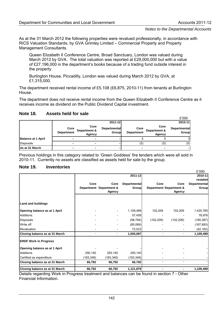As at the 31 March 2012 the following properties were revalued professionally, in accordance with RICS Valuation Standards, by GVA Grimley Limited – Commercial Property and Property Management Consultants.

Queen Elizabeth II Conference Centre, Broad Sanctuary, London was valued during March 2012 by GVA. The total valuation was reported at £29,000,000 but with a value of £27,196,000 in the department's books because of a trading fund outside interest in the property.

Burlington House, Piccadilly, London was valued during March 2012 by GVA, at £1,315,000.

The department received rental income of £5,108 (£6,875, 2010-11) from tenants at Burlington House.

The department does not receive rental income from the Queen Elizabeth II Conference Centre as it receives income as dividend on the Public Dividend Capital investment.

|                           |                           |                                |                              |                           |                                | £'000                 |
|---------------------------|---------------------------|--------------------------------|------------------------------|---------------------------|--------------------------------|-----------------------|
|                           |                           |                                | 2011-12                      |                           |                                | 2010-11               |
|                           | Core<br><b>Department</b> | Core<br>Department &<br>Agency | <b>Departmental</b><br>Group | Core<br><b>Department</b> | Core<br>Department &<br>Agency | Departmental<br>Group |
| <b>Balance at 1 April</b> | -                         | -                              |                              |                           |                                |                       |
| Disposals                 |                           |                                |                              | (5)                       | (5)                            | (5)                   |
| As at 31 March            | -                         |                                |                              |                           |                                |                       |

#### **Note 18. Assets held for sale**

Previous holdings in this category related to 'Green Goddess' fire tenders which were all sold in 2010-11. Currently no assets are classified as assets held for sale by the group.

#### **Note 19. Inventories**

|                                |           |                         |                     |            |                                    | £'000               |
|--------------------------------|-----------|-------------------------|---------------------|------------|------------------------------------|---------------------|
|                                |           |                         | 2011-12             |            |                                    | 2010-11             |
|                                |           |                         |                     |            |                                    | restated            |
|                                | Core      | Core                    | <b>Departmental</b> | Core       | Core                               | <b>Departmental</b> |
|                                |           | Department Department & | Group               |            | <b>Department Department &amp;</b> | <b>Group</b>        |
|                                |           | <b>Agency</b>           |                     |            | <b>Agency</b>                      |                     |
| Land and buildings             |           |                         |                     |            |                                    |                     |
| Opening balance as at 1 April  |           |                         | 1,109,489           | 102,209    | 102,209                            | 1,425,765           |
| <b>Additions</b>               |           |                         | 57,458              |            |                                    | 78,976              |
| Disposals                      |           |                         | (98, 794)           | (102, 209) | (102, 209)                         | (185, 387)          |
| Write off                      |           |                         | (85,089)            |            |                                    | (167, 683)          |
| Revaluation                    |           |                         | 72,023              |            |                                    | (42, 182)           |
| Closing balance as at 31 March |           |                         | 1,055,087           |            |                                    | 1,109,489           |
| <b>ERDF Work in Progress</b>   |           |                         |                     |            |                                    |                     |
| Opening balance as at 1 April  |           |                         |                     |            |                                    |                     |
| <b>Additions</b>               | 250,140   | 250,140                 | 250,140             |            |                                    |                     |
| Certified as expenditure       | (183,348) | (183, 348)              | (183, 348)          |            |                                    |                     |
| Closing balance as at 31 March | 66,792    | 66,792                  | 66,792              |            |                                    |                     |
| Closing balance as at 31 March | 66,792    | 66,792                  | 1,121,879           |            |                                    | 1,109,489           |

Details regarding Work in Progress treatment and balances can be found in section 7 - Other Financial Information.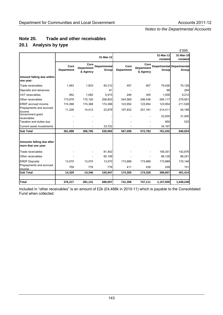|                                                  |                           |                                       |                                     |                           |                                       |                       | £'000                                            |
|--------------------------------------------------|---------------------------|---------------------------------------|-------------------------------------|---------------------------|---------------------------------------|-----------------------|--------------------------------------------------|
|                                                  |                           |                                       | 31-Mar-12                           |                           |                                       | 31-Mar-11<br>restated | 31-Mar-10<br>restated                            |
|                                                  | Core<br><b>Department</b> | Core<br><b>Department</b><br>& Agency | <b>Departmental</b><br><b>Group</b> | Core<br><b>Department</b> | Core<br><b>Department</b><br>& Agency | Group                 | <b>Departmental Departmental</b><br><b>Group</b> |
| Amount falling due within<br>one year:           |                           |                                       |                                     |                           |                                       |                       |                                                  |
| Trade receivables                                | 1,463                     | 1,833                                 | 83,312                              | 457                       | 907                                   | 79,426                | 70,128                                           |
| Deposits and advances                            |                           |                                       | 61                                  |                           |                                       | 69                    | 294                                              |
| <b>VAT receivables</b>                           | 952                       | 1,082                                 | 5,915                               | 246                       | 305                                   | 1,008                 | 9,212                                            |
| Other receivables                                | 173,879                   | 175,100                               | 208,803                             | 244,569                   | 246,436                               | 284,117               | 279,951                                          |
| ERDF accrued income                              | 174,368                   | 174,368                               | 174,368                             | 123,954                   | 123,954                               | 123,954               | 211,528                                          |
| Prepayments and accrued<br>income                | 11,226                    | 14,412                                | 23,879                              | 197,832                   | 201,181                               | 214,411               | 44,188                                           |
| Government grant<br>receivables                  |                           |                                       |                                     |                           |                                       | 23,000                | 31,000                                           |
| Taxation and duties due                          |                           |                                       |                                     |                           |                                       | 850                   | 533                                              |
| Current asset investments                        |                           |                                       | 33,722                              |                           |                                       | 34,197                |                                                  |
| <b>Sub Total</b>                                 | 361,888                   | 366,795                               | 530,060                             | 567,058                   | 572,783                               | 761,032               | 646,834                                          |
| Amounts falling due after<br>more that one year: |                           |                                       |                                     |                           |                                       |                       |                                                  |
| Trade receivables                                |                           |                                       | 81,402                              |                           |                                       | 156,351               | 142,876                                          |
| Other receivables                                |                           |                                       | 60,199                              |                           |                                       | 66,128                | 88,241                                           |
| <b>ERDF Deposits</b>                             | 13,570                    | 13,570                                | 13,570                              | 173,889                   | 173,889                               | 173,889               | 170,146                                          |
| Prepayments and accrued<br>income                | 759                       | 776                                   | 776                                 | 411                       | 439                                   | 439                   | 151                                              |
| <b>Sub Total</b>                                 | 14,329                    | 14,346                                | 155,947                             | 174,300                   | 174,328                               | 396,807               | 401,414                                          |
| <b>Total</b>                                     | 376,217                   | 381,141                               | 686,007                             | 741,358                   | 747,111                               | 1,157,839             | 1,048,248                                        |

# **Note 20. Trade and other receivables 20.1 Analysis by type**

Included in "other receivables" is an amount of £2k (£4,488k in 2010-11) which is payable to the Consolidated Fund when collected.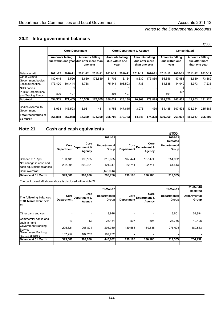# **20.2 Intra-government balances**

|                                                 |                        |         |                                                                               |         |                                                  |         |                                                           |         |                                                  | L UUU   |                                                           |         |  |  |
|-------------------------------------------------|------------------------|---------|-------------------------------------------------------------------------------|---------|--------------------------------------------------|---------|-----------------------------------------------------------|---------|--------------------------------------------------|---------|-----------------------------------------------------------|---------|--|--|
|                                                 |                        |         | <b>Core Department</b>                                                        |         |                                                  |         | <b>Core Department &amp; Agency</b>                       |         | <b>Consolidated</b>                              |         |                                                           |         |  |  |
|                                                 | <b>Amounts falling</b> |         | <b>Amounts falling</b><br>due within one year due after more than<br>one year |         | <b>Amounts falling</b><br>due within one<br>year |         | <b>Amounts falling</b><br>due after more<br>than one year |         | <b>Amounts falling</b><br>due within one<br>year |         | <b>Amounts falling</b><br>due after more<br>than one year |         |  |  |
| Balances with:                                  | 2011-12                | 2010-11 | 2011-12                                                                       | 2010-11 | 2011-12                                          | 2010-11 | 2011-12                                                   | 2010-11 | 2011-12                                          | 2010-11 | 2011-12                                                   | 2010-11 |  |  |
| <b>Other Central</b><br>Government bodies       | 180,645                | 16,520  | 8,630                                                                         | 173,889 | 181,705                                          | 18,164  | 8,630                                                     | 173,889 | 185,846                                          | 47,988  | 8,630                                                     | 173,889 |  |  |
| Local authorities                               | 173,420                | 104.444 | 1,738                                                                         |         | 175,441                                          | 106,503 | 1,738                                                     |         | 181,838                                          | 114,949 | 8,973                                                     | 7,235   |  |  |
| <b>NHS bodies</b>                               |                        |         |                                                                               |         |                                                  |         |                                                           |         |                                                  |         |                                                           |         |  |  |
| <b>Public Corporations</b><br>and Trading Funds | 890                    | 497     |                                                                               |         | 891                                              | 497     |                                                           |         | 891                                              | 497     |                                                           |         |  |  |
| Sub-total                                       | 354,955                | 121.465 | 10,368                                                                        | 173.889 | 358.037                                          | 125,168 | 10,368                                                    | 173.889 | 368.575                                          | 163.438 | 17,603                                                    | 181,124 |  |  |
| Bodies external to<br>Government                | 6,933                  | 445,593 | 3,961                                                                         | 411     | 8,758                                            | 447,615 | 3,978                                                     | 439     | 161.485                                          | 597,594 | 138,344                                                   | 215,683 |  |  |
| Total receivables at<br>31 March                | 361,888                | 567,058 | 14,329                                                                        | 174,300 | 366,795                                          | 572,783 | 14,346                                                    | 174,328 | 530,060                                          | 761,032 | 155,947                                                   | 396,807 |  |  |

# **Note 21. Cash and cash equivalents**

|                                                    |                           |                                |                              |                           |                                | £'000                        |
|----------------------------------------------------|---------------------------|--------------------------------|------------------------------|---------------------------|--------------------------------|------------------------------|
|                                                    |                           |                                | 2011-12                      |                           |                                | 2010-11                      |
|                                                    |                           |                                |                              |                           |                                | Restated                     |
|                                                    | Core<br><b>Department</b> | Core<br>Department &<br>Agency | <b>Departmental</b><br>Group | Core<br><b>Department</b> | Core<br>Department &<br>Agency | <b>Departmental</b><br>Group |
| Balance at 1 April                                 | 190.185                   | 190.185                        | 319,365                      | 167,474                   | 167.474                        | 254,952                      |
| Net change in cash and<br>cash equivalent balances | 202.901                   | 202,901                        | 121,317                      | 22.711                    | 22.711                         | 64,413                       |
| <b>Bank overdraft</b>                              |                           |                                | (146, 926)                   |                           |                                |                              |
| Balance at 31 March                                | 393,086                   | 393,086                        | 293,756                      | 190,185                   | 190.185                        | 319,365                      |

The bank overdraft shown above is disclosed within Note 22.

| The following balances<br>lat 31 March were held<br>lat: | Core<br><b>Department</b> | Core<br>Department &<br>Agency | 31-Mar-12<br><b>Departmental</b><br>Group | Core<br><b>Department</b> | Core<br>Department &<br>Agency | 31-Mar-11<br><b>Departmental</b><br>Group | 31-Mar-10<br>Restated<br><b>Departmental</b><br>Group |
|----------------------------------------------------------|---------------------------|--------------------------------|-------------------------------------------|---------------------------|--------------------------------|-------------------------------------------|-------------------------------------------------------|
| Other bank and cash                                      |                           |                                | 19,916                                    |                           |                                | 18,601                                    | 24,994                                                |
| Commercial banks and<br>cash in hand                     | 13                        | 13                             | 25,154                                    | 597                       | 597                            | 24,756                                    | 49,425                                                |
| Government Banking<br>Service                            | 205,821                   | 205.821                        | 208.360                                   | 189,588                   | 189,588                        | 276.008                                   | 180,533                                               |
| Government Banking<br>Service (ERDF)                     | 187,252                   | 187,252                        | 187,252                                   |                           |                                |                                           |                                                       |
| <b>Balance at 31 March</b>                               | 393,086                   | 393,086                        | 440,682                                   | 190,185                   | 190,185                        | 319,365                                   | 254,952                                               |
|                                                          |                           |                                |                                           |                           |                                |                                           |                                                       |

£'000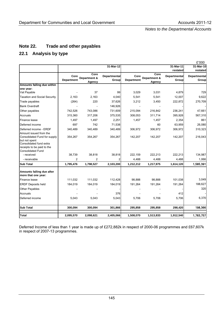# **Note 22. Trade and other payables**

# **22.1 Analysis by type**

|                                                                                                                                    |                           |                        |                                     | £'000                     |                        |                              |                              |  |
|------------------------------------------------------------------------------------------------------------------------------------|---------------------------|------------------------|-------------------------------------|---------------------------|------------------------|------------------------------|------------------------------|--|
|                                                                                                                                    |                           |                        | 31-Mar-12                           |                           |                        | 31-Mar-11                    | 31-Mar-10                    |  |
|                                                                                                                                    |                           | Core                   |                                     |                           | Core                   | restated                     | restated                     |  |
|                                                                                                                                    | Core<br><b>Department</b> | Department &<br>Agency | <b>Departmental</b><br><b>Group</b> | Core<br><b>Department</b> | Department &<br>Agency | <b>Departmental</b><br>Group | <b>Departmental</b><br>Group |  |
| Amounts falling due within                                                                                                         |                           |                        |                                     |                           |                        |                              |                              |  |
| one year:                                                                                                                          |                           |                        |                                     |                           |                        |                              |                              |  |
| Vat Payable                                                                                                                        |                           | 37                     | 99                                  | 3,029                     | 3,031                  | 4,879                        | 729                          |  |
| <b>Taxation and Social Security</b>                                                                                                | 2,163                     | 2.163                  | 4,040                               | 5,541                     | 5,541                  | 12,007                       | 9,622                        |  |
| Trade payables                                                                                                                     | (264)                     | 220                    | 37,626                              | 3,212                     | 3,450                  | 222,872                      | 270,709                      |  |
| <b>Bank Overdraft</b>                                                                                                              |                           |                        | 146,926                             |                           |                        |                              |                              |  |
| Other payables                                                                                                                     | 742,526                   | 743,086                | 731,609                             | 215,094                   | 216,842                | 236,241                      | 47,661                       |  |
| Accruals                                                                                                                           | 315,360                   | 317,206                | 375,535                             | 308,053                   | 311,714                | 395,928                      | 567,310                      |  |
| Finance lease                                                                                                                      | 1,497                     | 1,497                  | 2,251                               | 1,457                     | 1,457                  | 2,354                        | 861                          |  |
| Deferred income                                                                                                                    | 697                       | 742                    | 71,538                              |                           | 60                     | 63,959                       | 26,080                       |  |
| Deferred income - ERDF<br>Amount issued from the                                                                                   | 340,489                   | 340,489                | 340,489                             | 306,972                   | 306,972                | 306,972                      | 310,323                      |  |
| Consolidated Fund for supply<br>but not spent<br>Consolidated fund extra<br>receipts to be paid to the<br><b>Consolidated Fund</b> | 354,267                   | 354,267                | 354,267                             | 142,207                   | 142,207                | 142,207                      | 216,043                      |  |
| - received                                                                                                                         | 38,739                    | 38,818                 | 38,818                              | 222,159                   | 222,213                | 222,213                      | 134,987                      |  |
| - receivable                                                                                                                       | $\overline{2}$            | $\overline{2}$         | 2                                   | 4,488                     | 4,488                  | 4,488                        | 1,066                        |  |
| <b>Sub Total</b>                                                                                                                   | 1,795,476                 | 1,798,527              | 2,103,200                           | 1,212,212                 | 1,217,975              | 1,614,120                    | 1,585,391                    |  |
| Amounts falling due after<br>more that one year:                                                                                   |                           |                        |                                     |                           |                        |                              |                              |  |
| Finance lease                                                                                                                      | 111,032                   | 111,032                | 112,428                             | 98,888                    | 98,888                 | 101,038                      | 3,049                        |  |
| <b>ERDF Deposits held</b>                                                                                                          | 184,019                   | 184,019                | 184,019                             | 191,264                   | 191,264                | 191,264                      | 188,627                      |  |
| <b>Other Payables</b>                                                                                                              |                           |                        |                                     |                           |                        |                              | 320                          |  |
| Accruals                                                                                                                           |                           |                        | 376                                 |                           |                        | 412                          |                              |  |
| Deferred income                                                                                                                    | 5,043                     | 5,043                  | 5,043                               | 5,706                     | 5,706                  | 5,706                        | 6,370                        |  |
| <b>Sub Total</b>                                                                                                                   | 300,094                   | 300,094                | 301,866                             | 295,858                   | 295,858                | 298,420                      | 198,366                      |  |
| <b>Total</b>                                                                                                                       | 2,095,570                 | 2,098,621              | 2,405,066                           | 1,508,070                 | 1,513,833              | 1,912,540                    | 1,783,757                    |  |

Deferred Income of less than 1 year is made up of £272,882k in respect of 2000-06 programmes and £67,607k in respect of 2007-13 programmes.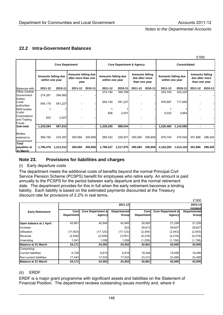## **22.2 Intra-Government Balances**

|                                             |                                        |                        |                                                    |         |                                        |                                     |                                                           |         |                                        |           | £'000                                                     |         |
|---------------------------------------------|----------------------------------------|------------------------|----------------------------------------------------|---------|----------------------------------------|-------------------------------------|-----------------------------------------------------------|---------|----------------------------------------|-----------|-----------------------------------------------------------|---------|
|                                             |                                        | <b>Core Department</b> |                                                    |         |                                        | <b>Core Department &amp; Agency</b> |                                                           |         | <b>Consolidated</b>                    |           |                                                           |         |
|                                             | Amounts falling due<br>within one year |                        | Amounts falling due<br>after more than one<br>year |         | Amounts falling due<br>within one year |                                     | <b>Amounts falling</b><br>due after more<br>than one year |         | Amounts falling due<br>within one year |           | <b>Amounts falling</b><br>due after more<br>than one year |         |
| Balances with:                              | 2011-12                                | 2010-11                | 2011-12                                            | 2010-11 | 2011-12                                | 2010-11                             | 2011-12                                                   | 2010-11 | 2011-12                                | 2010-11   | 2011-12                                                   | 2010-11 |
| <b>Other Central</b><br>Government          | 274,281                                | 394,560                |                                                    |         | 274,194                                | 394,789                             |                                                           |         | 244,740                                | 422,220   |                                                           |         |
| bodies<br>Local<br>authorities              | 954,179                                | 591,227                |                                                    |         | 954,184                                | 591,227                             |                                                           |         | 976,687                                | 717,695   |                                                           |         |
| <b>NHS</b> bodies<br>Public                 |                                        |                        |                                                    |         | 826                                    | 2,027                               |                                                           |         | 5,032                                  | 3,664     |                                                           |         |
| Corporations<br>and Trading<br><b>Funds</b> | 823                                    | 2,027                  |                                                    |         |                                        |                                     |                                                           |         |                                        |           |                                                           |         |
| Sub-total                                   | 1,229,284                              | 987,815                | $\blacksquare$                                     |         | 1,229,205                              | 988,044                             | $\blacksquare$                                            |         | 1,226,460                              | 1,143,580 | $\blacksquare$                                            |         |
| <b>Bodies</b><br>external to<br>Government  | 566,192                                | 224,397                | 300,094                                            | 295,858 | 569,322                                | 229,931                             | 300,094                                                   | 295,858 | 876,740                                | 470,540   | 301,866                                                   | 298,420 |
| <b>Total</b><br>payables at<br>31 March     | 1,795,476                              | 1,212,212              | 300,094                                            | 295,858 | 1,798,527                              | 1,217,975                           | 300,094                                                   | 295,858 | 2,103,200                              | 1,614,120 | 301,866                                                   | 298,420 |

#### **Note 23. Provisions for liabilities and charges**

(i) Early departure costs

The department meets the additional costs of benefits beyond the normal Principal Civil Service Pension Scheme (PCSPS) benefit for employees who retire early. An amount is paid annually to the PCSPS for the period between early departure and the normal retirement date. The department provides for this in full when the early retirement becomes a binding liability. Each liability is based on the estimated payments discounted at the Treasury discount rate for provisions of 2.2% in real terms.

|                         |                   |                              |                     |                   |                              | £'000               |
|-------------------------|-------------------|------------------------------|---------------------|-------------------|------------------------------|---------------------|
|                         |                   |                              | 2011-12             |                   |                              | 2010-11             |
|                         |                   |                              |                     |                   |                              | restated            |
| <b>Early Retirement</b> | Corel             | <b>Core Department &amp;</b> | <b>Departmental</b> | Corel             | <b>Core Department &amp;</b> | <b>Departmental</b> |
|                         | <b>Department</b> | Agency                       | Group               | <b>Department</b> | Agency                       | Group               |
|                         |                   |                              |                     |                   |                              |                     |
| Open balance at 1 April | 42,661            | 42,945                       | 42,945              | 20,820            | 21,238                       | 21,238              |
| Increase                |                   |                              | 523                 | 29,613            | 29,627                       | 29,627              |
| <b>Utilisation</b>      | (17,003)          | (17, 123)                    | (17, 123)           | (2,344)           | (2, 543)                     | (2, 543)            |
| Reversal                | (2,528)           | (2,528)                      | (3,051)             | (4,219)           | (4,219)                      | (4, 219)            |
| <b>Unwinding</b>        | 1,041             | 1,058                        | 1,058               | (1,209)           | (1, 158)                     | (1, 158)            |
| Balance at 31 March     | 24,171            | 24,352                       | 24,352              | 42,661            | 42,945                       | 42,945              |
| Comprising:             |                   |                              |                     |                   |                              |                     |
| Current liabilities     | 6,728             | 6,819                        | 6,819               | 19,349            | 19,456                       | 19,456              |
| Non-current liabilities | 17,443            | 17,533                       | 17,533              | 23,312            | 23,489                       | 23,489              |
| Balance at 31 March     | 24,171            | 24,352                       | 24,352              | 42,661            | 42,945                       | 42,945              |

#### (ii) ERDF

ERDF is a major grant programme with significant assets and liabilities on the Statement of Financial Position. The department reviews outstanding issues monthly and, where it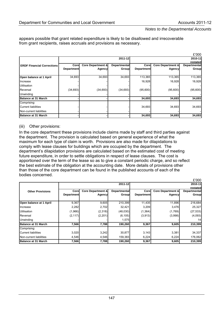appears possible that grant related expenditure is likely to be disallowed and irrecoverable from grant recipients, raises accruals and provisions as necessary.

|                                   |                   |                              |              |                   |                              | £'000        |
|-----------------------------------|-------------------|------------------------------|--------------|-------------------|------------------------------|--------------|
|                                   |                   |                              | 2011-12      |                   |                              | 2010-11      |
|                                   |                   |                              |              |                   |                              | restated     |
| <b>ERDF Financial Corrections</b> | Corel             | <b>Core Department &amp;</b> | Departmental | Core              | <b>Core Department &amp;</b> | Departmental |
|                                   | <b>Department</b> | Agency                       | Groupl       | <b>Department</b> | Agency                       | <b>Group</b> |
|                                   |                   |                              |              |                   |                              |              |
| Open balance at 1 April           | 34,693            | 34,693                       | 34,693       | 113,365           | 113,365                      | 113,365      |
| Increase                          |                   |                              |              | 16,928            | 16,928                       | 16,928       |
| <b>Utilisation</b>                |                   |                              |              |                   |                              |              |
| Reversal                          | (34, 693)         | (34, 693)                    | (34, 693)    | (95,600)          | (95,600)                     | (95,600)     |
| <b>Unwinding</b>                  |                   |                              |              |                   |                              |              |
| Balance at 31 March               |                   |                              |              | 34,693            | 34,693                       | 34,693       |
| Comprising:                       |                   |                              |              |                   |                              |              |
| <b>Current liabilities</b>        |                   |                              |              | 34,693            | 34,693                       | 34,693       |
| Non-current liabilities           |                   |                              |              |                   |                              |              |
| Balance at 31 March               |                   |                              |              | 34,693            | 34,693                       | 34,693       |

#### (iii) Other provisions:

In the core department these provisions include claims made by staff and third parties against the department. The provision is calculated based on general experience of what the maximum for each type of claim is worth. Provisions are also made for dilapidations to comply with lease clauses for buildings which are occupied by the department. The department's dilapidation provisions are calculated based on the estimated cost of meeting future expenditure, in order to settle obligations in respect of lease clauses. The cost is apportioned over the term of the lease so as to give a constant periodic charge, and so reflect the best estimate of the obligation at the accounting date. More details of provisions other than those of the core department can be found in the published accounts of each of the bodies concerned.

|                            |                   |                              |                     |                   |                              | £'000               |
|----------------------------|-------------------|------------------------------|---------------------|-------------------|------------------------------|---------------------|
|                            |                   |                              | 2011-12             |                   |                              | 2010-11             |
|                            |                   |                              |                     |                   |                              | restated            |
| <b>Other Provisions</b>    | Corel             | <b>Core Department &amp;</b> | <b>Departmental</b> | Corel             | <b>Core Department &amp;</b> | <b>Departmental</b> |
|                            | <b>Department</b> | Agency                       | Group               | <b>Department</b> | Agency                       | Group               |
| Open balance at 1 April    | 9,367             | 9,605                        | 210,399             | 11,435            | 11,896                       | 216,684             |
| Increase                   | 2,282             | 2,702                        | 32,421              | 3,209             | 3,476                        | 25,327              |
| <b>Utilisation</b>         | (1,966)           | (2,318)                      | (48,030)            | (1,364)           | (1,769)                      | (27, 533)           |
| Reversal                   | (2, 117)          | (2,201)                      | (6, 105)            | (3,913)           | (3,998)                      | (4,093)             |
| Unwinding                  |                   |                              | 1,575               |                   |                              | 14                  |
| Balance at 31 March        | 7,566             | 7,788                        | 190,260             | 9,367             | 9,605                        | 210,399             |
| Comprising:                |                   |                              |                     |                   |                              |                     |
| <b>Current liabilities</b> | 3,020             | 3,242                        | 30,877              | 3,143             | 3,381                        | 34,337              |
| Non-current liabilities    | 4,546             | 4,546                        | 159,383             | 6,224             | 6,224                        | 176,062             |
| Balance at 31 March        | 7,566             | 7,788                        | 190,260             | 9,367             | 9,605                        | 210,399             |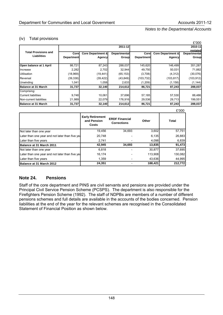#### (iv) Total provisions

|                             |                   |                              |                     |                   |                              | £'000        |
|-----------------------------|-------------------|------------------------------|---------------------|-------------------|------------------------------|--------------|
|                             |                   |                              | 2011-12             |                   |                              | 2010-11      |
| <b>Total Provisions and</b> |                   |                              |                     |                   |                              | restated     |
| <b>Liabilities</b>          | Corel             | <b>Core Department &amp;</b> | <b>Departmental</b> | Corel             | <b>Core Department &amp;</b> | Departmental |
|                             | <b>Department</b> | Agencyl                      | Group               | <b>Department</b> | Agency                       | Group        |
|                             |                   |                              |                     |                   |                              |              |
| Open balance at 1 April     | 86,721            | 87,243                       | 288,037             | 145,620           | 146,499                      | 351,287      |
| Increase                    | 2,282             | 2,702                        | 32,944              | 49,750            | 50,031                       | 71,882       |
| <b>Utilisation</b>          | (18,969)          | (19, 441)                    | (65, 153)           | (3,708)           | (4,312)                      | (30,076)     |
| Reversal                    | (39, 338)         | (39, 422)                    | (43, 849)           | (103, 732)        | (103, 817)                   | (103, 912)   |
| <b>Unwinding</b>            | 1,041             | 1,058                        | 2,633               | (1,209)           | (1, 158)                     | (1, 144)     |
| Balance at 31 March         | 31,737            | 32,140                       | 214,612             | 86,721            | 87,243                       | 288,037      |
| Comprising:                 |                   |                              |                     |                   |                              |              |
| Current liabilities         | 9,748             | 10,061                       | 37,696              | 57,185            | 57,530                       | 88,486       |
| Non-current liabilities     | 21,989            | 22,079                       | 176,916             | 29,536            | 29,713                       | 199,551      |
| Balance at 31 March         | 31,737            | 32,140                       | 214,612             | 86,721            | 87,243                       | 288,037      |

|                                                 |                                                 |                                             |         | £'000        |
|-------------------------------------------------|-------------------------------------------------|---------------------------------------------|---------|--------------|
|                                                 | <b>Early Retirement</b><br>and Pension<br>Costs | <b>ERDF Financial</b><br><b>Corrections</b> | Other   | <b>Total</b> |
| Not later than one year                         | 19,456                                          | 34,693                                      | 3,602   | 57,751       |
| Later than one year and not later than five yea | 20.748                                          |                                             | 6,135   | 26,883       |
| Later than five years                           | 2,741                                           |                                             | 4,098   | 6,839        |
| Balance at 31 March 2011                        | 42,945                                          | 34,693                                      | 13,835  | 91,473       |
| Not later than one year                         | 6,818                                           |                                             | 30,877  | 37,695       |
| Later than one year and not later than five yea | 16.174                                          |                                             | 113,908 | 130,082      |
| Later than five years                           | 1,359                                           |                                             | 43,636  | 44,995       |
| Balance at 31 March 2012                        | 24,351                                          |                                             | 188,421 | 212,772      |

## **Note 24. Pensions**

Staff of the core department and PINS are civil servants and pensions are provided under the Principal Civil Service Pension Scheme (PCSPS). The department is also responsible for the Firefighters Pension Scheme (1992). The staff of NDPBs are members of a number of different pensions schemes and full details are available in the accounts of the bodies concerned. Pension liabilities at the end of the year for the relevant schemes are recognised in the Consolidated Statement of Financial Position as shown below.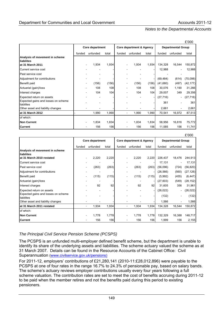|                                                   |                          |          |       |                          |          |       |                           |                          | £'000     |
|---------------------------------------------------|--------------------------|----------|-------|--------------------------|----------|-------|---------------------------|--------------------------|-----------|
|                                                   | Core department          |          |       | Core department & Agency |          |       | <b>Departmental Group</b> |                          |           |
|                                                   | funded                   | unfunded | total | funded                   | unfunded | total | funded                    | unfunded                 | total     |
| Analysis of movement in scheme<br>liabilites      |                          |          |       |                          |          |       |                           |                          |           |
| at 31 March 2011                                  | $\overline{\phantom{a}}$ | 1,934    | 1,934 |                          | 1,934    | 1,934 | 134,328                   | 16,544                   | 150,872   |
| Current service cost                              |                          |          |       |                          |          |       | 12,988                    | $\overline{\phantom{a}}$ | 12,988    |
| Past service cost                                 |                          |          |       |                          |          |       |                           |                          |           |
| Adjustment for contributions                      |                          |          |       |                          |          |       | (69, 484)                 | (614)                    | (70,098)  |
| Benefit paid                                      |                          | (156)    | (156) |                          | (156)    | (156) | (41,680)                  | (497)                    | (42, 177) |
| Actuarial (gain)/loss                             |                          | 108      | 108   |                          | 108      | 108   | 30,076                    | 1,190                    | 31,266    |
| Interest charges                                  |                          | 104      | 104   |                          | 104      | 104   | 29,007                    | 349                      | 29,356    |
| Expected return on assets                         |                          |          |       |                          |          |       | (27, 716)                 | $\overline{\phantom{0}}$ | (27, 716) |
| Expected gains and losses on scheme<br>liabilites |                          |          |       |                          |          |       | 361                       |                          | 361       |
| Other asset and liability changes                 |                          |          |       |                          |          |       | 2,661                     |                          | 2,661     |
| at 31 March 2012                                  |                          | 1,990    | 1,990 |                          | 1,990    | 1,990 | 70,541                    | 16,972                   | 87,513    |
| of which:                                         |                          |          |       |                          |          |       |                           |                          |           |
| <b>Non Current</b>                                |                          | 1,834    | 1,834 |                          | 1,834    | 1,834 | 58,956                    | 16,816                   | 75,772    |
| <b>Current</b>                                    |                          | 156      | 156   |                          | 156      | 156   | 11,585                    | 156                      | 11,741    |

|                                                   |                |                 |       |                          |                          |       |           |                           | £'000     |  |
|---------------------------------------------------|----------------|-----------------|-------|--------------------------|--------------------------|-------|-----------|---------------------------|-----------|--|
|                                                   |                | Core department |       |                          | Core department & Agency |       |           | <b>Departmental Group</b> |           |  |
|                                                   | funded         | unfunded        | total | funded                   | unfunded                 | total | funded    | unfunded                  | total     |  |
| Analysis of movement in scheme<br>liabilites      |                |                 |       |                          |                          |       |           |                           |           |  |
| at 31 March 2010 restated                         |                | 2,220           | 2,220 |                          | 2,220                    | 2,220 | 226,437   | 18,476                    | 244,913   |  |
| Current service cost                              |                |                 |       |                          |                          |       | 17,131    | ۰                         | 17,131    |  |
| Past service cost                                 |                | (263)           | (263) |                          | (263)                    | (263) | (56,096)  | (724)                     | (56, 820) |  |
| Adjustment for contributions                      |                |                 |       |                          |                          |       | (26, 566) | (560)                     | (27,126)  |  |
| Benefit paid                                      |                | (115)           | (115) | $\overline{\phantom{a}}$ | (115)                    | (115) | (5,992)   | (455)                     | (6, 447)  |  |
| Actuarial (gain)/loss                             |                |                 |       |                          |                          |       | (27, 603) | (549)                     | (28,152)  |  |
| Interest charges                                  |                | 92              | 92    |                          | 92                       | 92    | 31,605    | 356                       | 31,961    |  |
| Expected return on assets                         |                |                 |       |                          |                          |       | (26, 022) | $\overline{a}$            | (26, 022) |  |
| Expected gains and losses on scheme<br>liabilites |                |                 |       |                          |                          |       | (132)     | ٠                         | (132)     |  |
| Other asset and liability changes                 |                |                 |       |                          |                          |       | 1,566     |                           | 1,566     |  |
| at 31 March 2011 restated                         |                | 1,934           | 1,934 |                          | 1,934                    | 1,934 | 134,328   | 16,544                    | 150,872   |  |
| of which:                                         |                |                 |       |                          |                          |       |           |                           |           |  |
| <b>Non Current</b>                                | $\overline{a}$ | 1,778           | 1,778 |                          | 1,778                    | 1,778 | 132,329   | 16,388                    | 148,717   |  |
| <b>Current</b>                                    |                | 156             | 156   |                          | 156                      | 156   | 1,999     | 156                       | 2,155     |  |

#### *The Principal Civil Service Pension Scheme (PCSPS)*

The PCSPS is an unfunded multi-employer defined benefit scheme, but the department is unable to identify its share of the underlying assets and liabilities. The scheme actuary valued the scheme as at 31 March 2007. Details can be found in the Resource Accounts of the Cabinet Office: Civil Superannuation [\(www.civilservice.gov.uk/pensions\)](http://www.civilservice.gov.uk/pensions))

For 2011-12, employers' contributions of £21,280,141 (2010-11:£28,012,896) were payable to the PCSPS at one of four rates in the range 16.7% to 24.3% of pensionable pay, based on salary bands. The scheme's actuary reviews employer contributions usually every four years following a full scheme valuation. The contribution rates are set to meet the cost of benefits accruing during 2011-12 to be paid when the member retires and not the benefits paid during this period to existing pensioners.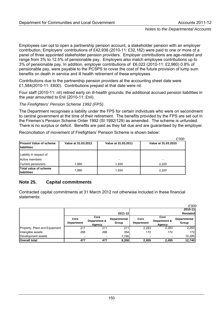Employees can opt to open a partnership pension account, a stakeholder pension with an employer contribution. Employers' contributions of £42,936 (2010-11: £32,182) were paid to one or more of a panel of three appointed stakeholder pension providers. Employer contributions are age-related and range from 3% to 12.5% of pensionable pay. Employers also match employee contributions up to 3% of pensionable pay. In addition, employer contributions of £6,022 (2010-11: £2,980) 0.8% of pensionable pay, were payable to the PCSPS to cover the cost of the future provision of lump sum benefits on death in service and ill health retirement of these employees.

Contributions due to the partnership pension providers at the accounting sheet date were £1,584(2010-11: £600). Contributions prepaid at that date were nil.

Four staff (2010-11: nil) retired early on ill-health grounds; the additional accrued pension liabilities in the year amounted to £nil (2010-11: £nil).

*The Firefighters' Pension Scheme 1992 (FPS)* 

The Department recognises a liability under the FPS for certain individuals who were on secondment to central government at the time of their retirement. The benefits provided by the FPS are set out in the Firemen's Pension Scheme Order 1992 (SI 1992/129) as amended. The scheme is unfunded. There is no surplus or deficit. Benefits are paid as they fall due and are guaranteed by the employer.

Reconciliation of movement of Firefighters' Pension Scheme is shown below:

|                                               |                     |                     | £'000               |
|-----------------------------------------------|---------------------|---------------------|---------------------|
| <b>Present Value of scheme</b><br>liabilities | Value at 31.03.2012 | Value at 31.03.2011 | Value at 31.03.2010 |
| Liability in respect of:<br>Active members    |                     |                     |                     |
| Current pensioners                            | 1,990               | 1.934               | 2,220               |
| Total value of scheme<br>liabilities          | 1,990               | 1,934               | 2,220               |

## **Note 25. Capital commitments**

Contracted capital commitments at 31 March 2012 not otherwise included in these financial statements:

|                               |                          |                                |                       |                           |                                | £'000                 |
|-------------------------------|--------------------------|--------------------------------|-----------------------|---------------------------|--------------------------------|-----------------------|
|                               |                          |                                |                       |                           |                                | 2010-11               |
|                               |                          |                                | 2011-12               |                           |                                | <b>Restated</b>       |
|                               | Core<br>Department       | Core<br>Department &<br>Agency | Departmental<br>Group | Core<br><b>Department</b> | Core<br>Department &<br>Agency | Departmental<br>Group |
| Property, Plant and Equipment | 211                      | 211                            | 211                   | 2,283                     | 2,283                          | 2,283                 |
| Intangible assets             | 266                      | 266                            | 354                   | 172                       | 172                            | 172                   |
| Development assets            | $\overline{\phantom{a}}$ | $\overline{\phantom{a}}$       | 7,785                 |                           | $\overline{\phantom{0}}$       | 10,285                |
| <b>Overall total</b>          | 477                      | 477                            | 8,350                 | 2,455                     | 2,455                          | 12,740                |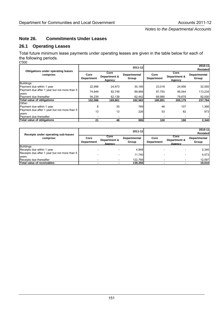## **Note 26. Commitments Under Leases**

## **26.1 Operating Leases**

Total future minimum lease payments under operating leases are given in the table below for each of the following periods.

£'000

|                                                       |                           |                                | 2011-12                      |                           |                                | 2010-11               |
|-------------------------------------------------------|---------------------------|--------------------------------|------------------------------|---------------------------|--------------------------------|-----------------------|
| Obligations under operating leases                    |                           |                                |                              |                           |                                | Restated              |
| comprise:                                             | Core<br><b>Department</b> | Core<br>Department &<br>Agency | <b>Departmental</b><br>Group | Core<br><b>Department</b> | Core<br>Department &<br>Agency | Departmental<br>Group |
| Buildings:                                            |                           |                                |                              |                           |                                |                       |
| Payment due within 1 year                             | 22.998                    | 24.973                         | 30,185                       | 23.018                    | 24.956                         | 32,550                |
| Payment due after 1 year but not more than 5<br>years | 74.849                    | 82.749                         | 89,956                       | 87.793                    | 95.544                         | 113,234               |
| Payment due thereafter                                | 54.239                    | 62.139                         | 62,442                       | 69.990                    | 79.679                         | 92,000                |
| Total value of obligations                            | 152,086                   | 169,861                        | 182,583                      | 180,801                   | 200,179                        | 237,784               |
| Other:<br>Payment due within 1 year                   | 8                         | 35                             | 769                          | 46                        | 107                            | 1,366                 |
| Payment due after 1 year but not more than 5<br>years | 13                        | 13                             | 226                          | 53                        | 82                             | 973                   |
| Payment due thereafter                                |                           |                                |                              |                           |                                |                       |
| Total value of obligations                            | 21                        | 48                             | 995                          | 100                       | 190                            | 2,340                 |

| Receipts under operating sub-leases           |                           |                                | 2011-12               | 2010-11<br><b>Restated</b> |                                |                       |  |
|-----------------------------------------------|---------------------------|--------------------------------|-----------------------|----------------------------|--------------------------------|-----------------------|--|
| comprise:                                     | Core<br><b>Department</b> | Core<br>Department &<br>Agency | Departmental<br>Group | Core<br><b>Department</b>  | Core<br>Department &<br>Agency | Departmental<br>Group |  |
| Buildings:                                    |                           |                                |                       |                            |                                |                       |  |
| Receipts due within 1 year                    |                           |                                | 4.848                 |                            |                                | 2.340                 |  |
| Receipts due after 1 year but not more than 5 |                           |                                | 11.740                |                            |                                | 4,573                 |  |
| vears<br>Receipts due thereafter              |                           |                                | 122,768               |                            |                                | 12,097                |  |
| Total value of receivables                    |                           |                                | 139,356               |                            |                                | 19,010                |  |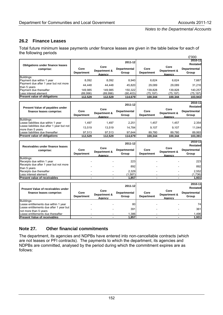# **26.2 Finance Leases**

Total future minimum lease payments under finance leases are given in the table below for each of the following periods  $\overline{O}$ 

|                                                      |            |                      |                     |            |              | £'000        |
|------------------------------------------------------|------------|----------------------|---------------------|------------|--------------|--------------|
|                                                      |            |                      | 2011-12             |            |              | 2010-11      |
| <b>Obligations under finance leases</b><br>comprise: |            |                      |                     |            | Core         | Restated     |
|                                                      | Core       | Core<br>Department & | <b>Departmental</b> | Core       | Department & | Departmental |
|                                                      | Department | Agency               | Group               | Department | Agency       | Group        |
| Buildings:                                           |            |                      |                     |            |              |              |
| Payment due within 1 year                            | 8.092      | 8.092                | 8.940               | 6.624      | 6.624        | 7.667        |
| Payment due after 1 year but not more                | 44.448     | 44.448               | 45.820              | 29.089     | 29.089       | 31.216       |
| than 5 years                                         |            |                      |                     |            |              |              |
| <b>Payment due thereafter</b>                        | 149.985    | 149.985              | 150.322             | 139.828    | 139.828      | 140.257      |
| Less interest element                                | (89,996)   | (89,996)             | (90, 403)           | (75,197)   | (75,197)     | (75,197)     |
| <b>IPresent value of obligations</b>                 | 112.529    | 112.529              | 114.679             | 100.344    | 100.344      | 103,943      |

| Present Value of payables under<br>finance leases comprise:      | Core<br>Department | Core<br>Department &<br>Agency | 2011-12<br><b>Departmental</b><br>Group | Core<br><b>Department</b> | Core<br>Department &<br>Agency | 2010-11<br><b>Restated</b><br><b>Departmental</b><br>Group |
|------------------------------------------------------------------|--------------------|--------------------------------|-----------------------------------------|---------------------------|--------------------------------|------------------------------------------------------------|
| Buildings:<br>Lease liabilities due within 1 year                | 1.497              | 1.497                          | 2.251                                   | 1.457                     | 1.457                          | 2.354                                                      |
| Lease liabilities due after 1 year but not<br>Imore than 5 years | 13.519             | 13.519                         | 14.784                                  | 9.107                     | 9.107                          | 11.044                                                     |
| <b>ILease liabilities due thereafter</b>                         | 97.513             | 97.513                         | 97.644                                  | 89.780                    | 89.780                         | 89,993                                                     |
| <b>Present value of obligations</b>                              | 112.529            | 112.529                        | 114,679                                 | 100.344                   | 100.344                        | 103,391                                                    |

| Receivables under finance leases<br>comprise: | Core<br>Department | Core<br>Department &<br>Agency | 2011-12<br><b>Departmental</b><br>Group | Core<br>Department | Core<br>Department &<br>Agency | 2010-11<br>Restated<br><b>Departmental</b><br>Group |
|-----------------------------------------------|--------------------|--------------------------------|-----------------------------------------|--------------------|--------------------------------|-----------------------------------------------------|
| Buildings:<br>Receipts due within 1 year      |                    |                                | 223                                     |                    |                                | 223                                                 |
| Receipts due after 1 year but not more        |                    |                                | 892                                     |                    |                                | 892                                                 |
| than 5 years<br>Receipts due thereafter       |                    |                                | 2.329                                   |                    |                                | 2.552                                               |
| Less interest element                         |                    |                                | (1,587)                                 |                    |                                | (1,736)                                             |
| <b>Present value of receivables</b>           |                    |                                | 1,857                                   |                    |                                | 1,931                                               |

| <b>Present Value of receivables under</b><br>finance leases comprise:                                                  | Core<br><b>Department</b> | Core<br>Department &<br>Agency | 2011-12<br><b>Departmental</b><br>Group | Core<br><b>Department</b> | Core<br>Department &<br>Agency | 2010-11<br><b>Restated</b><br><b>Departmental</b><br>Group |
|------------------------------------------------------------------------------------------------------------------------|---------------------------|--------------------------------|-----------------------------------------|---------------------------|--------------------------------|------------------------------------------------------------|
| Buildings:<br>Lease entitlements due within 1 year<br>Lease entitlements due after 1 year but<br>not more than 5 years |                           |                                | 80<br>391                               |                           |                                | 74<br>361                                                  |
| Lease entitlements due thereafter<br><b>Present Value of receivables</b>                                               | -                         |                                | .386<br>857, ا                          |                           |                                | 1,496<br>1,931                                             |

# **Note 27. Other financial commitments**

The department, its agencies and NDPBs have entered into non-cancellable contracts (which are not leases or PFI contracts). The payments to which the department, its agencies and NDPBs are committed, analysed by the period during which the commitment expires are as follows: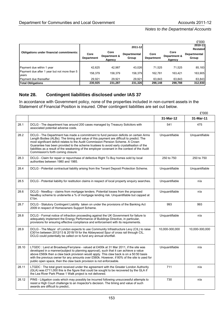|                                                       |                                                                               |         |                                                             |         |                                                 | £'000   |  |
|-------------------------------------------------------|-------------------------------------------------------------------------------|---------|-------------------------------------------------------------|---------|-------------------------------------------------|---------|--|
|                                                       |                                                                               |         | 2011-12                                                     | 2010-11 |                                                 |         |  |
| <b>Obligations under financial commitments:</b>       | Core<br>Core<br>Departmental<br>Department &<br>Department<br>Group<br>Agency |         | Core<br>Core<br>Department &<br><b>Department</b><br>Agency |         | <b>Restated</b><br><b>Departmental</b><br>Group |         |  |
| Payment due within 1 year                             | 42.625                                                                        | 42.987  | 43.026                                                      | 71.525  | 71.525                                          | 85,183  |  |
| Payment due after 1 year but not more than 5<br>vears | 158,379                                                                       | 158,379 | 158,379                                                     | 162,781 | 163,421                                         | 163,905 |  |
| Payment due thereafter                                | 29.921                                                                        | 29.921  | 29,921                                                      | 63,843  | 63,843                                          | 63,843  |  |
| <b>Total Obligations</b>                              | 230,925                                                                       | 231,287 | 231,326                                                     | 298,148 | 298,788                                         | 312,930 |  |

# **Note 28. Contingent liabilities disclosed under IAS 37**

In accordance with Government policy, none of the properties included in non-current assets in the Statement of Financial Position is insured. Other contingent liabilities are set out below.

|       |                                                                                                                                                                                                                                                                                                                                                                                                                                                                                                         |                | £'000          |
|-------|---------------------------------------------------------------------------------------------------------------------------------------------------------------------------------------------------------------------------------------------------------------------------------------------------------------------------------------------------------------------------------------------------------------------------------------------------------------------------------------------------------|----------------|----------------|
|       |                                                                                                                                                                                                                                                                                                                                                                                                                                                                                                         | 31-Mar-12      | 31-Mar-11      |
| 28.1  | DCLG - The department has around 200 cases managed by Treasury Solicitors with<br>associated potential adverse costs.                                                                                                                                                                                                                                                                                                                                                                                   | 541            | 475            |
| 28.2  | DCLG - The Department has made a commitment to fund pension deficits on certain Arms<br>Length Bodies (ALBs). The timing and value of this payment are difficult to predict. The<br>most significant deficit relates to the Audit Commission Pension Scheme. A Crown<br>Guarantee has been provided to the scheme trustees to avoid early crystallisation of the<br>liabilities as a result of the weakening of the employer covenant in the context of the Audit<br>Commission's forth coming closure. | Unquantifiable | Unquantifiable |
| 28.3  | DCLG - Claim for repair or repurchase of defective Right To Buy homes sold by local<br>authorities between 1980 and 1985.                                                                                                                                                                                                                                                                                                                                                                               | 250 to 750     | 250 to 750     |
| 28.4  | DCLG - Potential contractual liability arising from the Tenant Deposit Protection Scheme.                                                                                                                                                                                                                                                                                                                                                                                                               | Unquantifiable | Unquantifiable |
| 28.5  | DCLG - Potential liability for restitution claims in respect of local property enquiry searches.                                                                                                                                                                                                                                                                                                                                                                                                        | Unquantifiable | n/a            |
| 28.6  | DCLG - NewBuy - claims from mortgage lenders. Potential losses from the proposed<br>NewBuy scheme to underwrite a % of mortgage lending risk. Unquantifiable but capped at<br>£1bn.                                                                                                                                                                                                                                                                                                                     | Unquantifiable | n/a            |
| 28.7  | DCLG - Statutory Contingent Liability taken on under the provisions of the Banking Act<br>2009 in respect of Homeowners Support Scheme.                                                                                                                                                                                                                                                                                                                                                                 | 993            | 993            |
| 28.8  | DCLG - Formal notice of infraction proceeding against the UK Government for failure to<br>adequately implement the Energy Performance of Buildings Directive, in particular,<br>provisions for ensuring effective compliance and enforcement with its requirements.                                                                                                                                                                                                                                     | Unquantifiable | n/a            |
| 28.9  | DCLG - The Mayor of London expects to use Community Infrastructure Levy (CIL) to raise<br>£301m between 2012/13 & 2018/19 for the Abbeywood Spur of cross rail through CIL.<br>DCLG could potentially be called on to fund any annual shortfall.                                                                                                                                                                                                                                                        | 10,000-300,000 | 10,000-300,000 |
| 28.10 | LTGDC : Land at Broadway/Ferrylane - valued at £400k at 31 Mar 2011, if the site was<br>developed in a manner(subject to planning approval), such that it can achieve a value<br>above £560k then a claw back provision would apply. This claw back is on a 50:50 basis<br>with the previous owner for any amounts over £560k. However, if 80% of the site is used for<br>public open space, then the claw back provision is not enforceable.                                                           | Unquantifiable | n/a            |
| 28.11 | LTGDC: The total grant received under the agreement with the Greater London Authority<br>(GLA) was £711,000 this is the figure that could be sought to be recovered by the GLA if<br>the Lea River Park Phase 1 Walk project is not delivered.                                                                                                                                                                                                                                                          | 711            | n/a            |
| 28.12 | PINS - Litigation costs which may possibly be incurred following unsuccessful attempts to<br>resist a High Court challenge to an Inspector's decision. The timing and value of such<br>awards are difficult to predict                                                                                                                                                                                                                                                                                  | 730            | n/a            |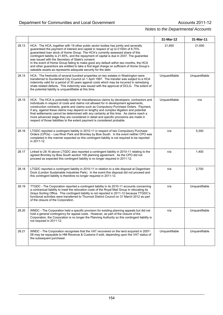|       |                                                                                                                                                                                                                                                                                                                                                                                                                                                                                                                                                                                                                                                                           | 31-Mar-12      | 31-Mar-11      |
|-------|---------------------------------------------------------------------------------------------------------------------------------------------------------------------------------------------------------------------------------------------------------------------------------------------------------------------------------------------------------------------------------------------------------------------------------------------------------------------------------------------------------------------------------------------------------------------------------------------------------------------------------------------------------------------------|----------------|----------------|
| 28.13 | HCA: The HCA, together with 19 other public sector bodies has jointly and severally<br>guaranteed the payment of interest and capital in respect of up to £100m of 8.75%<br>guaranteed loan stock of Home Group. The HCA's currently assessed share of this<br>contingent liability is 21.65%, and the repayment of capital is due in 2037. The guarantee<br>was issued with the Secretary of State's consent.<br>In the event of Home Group failing to make good any default within two months, the HCA<br>and other guarantors are entitled to take a first legal charge on sufficient of Home Group's<br>saleable assets as represents adequate security for the debt. | 21,650         | 21,650         |
| 28.14 | HCA: The freeholds of several hundred properties on two estates in Washington were<br>transferred to Sunderland City Council on 1 April 1997. The transfer was subject to a HCA<br>indemnity valid for a period of 30 years against costs which may be incurred in remedying<br>shale related defects. This indemnity was issued with the approval of DCLG. The extent of<br>the potential liability is unquantifiable at this time.                                                                                                                                                                                                                                      | Unquantifiable | Unquantifiable |
| 28.15 | HCA : The HCA is potentially liable for miscellaneous claims by developers, contractors and<br>individuals in respect of costs and claims not allowed for in development agreements,<br>construction contracts, grants and claims such as Compulsory Purchase Orders. Payment,<br>if any, against these claims may depend on lengthy and complex litigation and potential<br>final settlements cannot be determined with any certainty at this time. As claims reach a<br>more advanced stage they are considered in detail and specific provisions are made in<br>respect of those liabilities to the extent payment is considered probable.                             | Unquantifiable | n/a            |
| 28.16 | LTGDC reported a contingent liability in 2010-11 in respect of two Compulsory Purchase<br>Orders (CPOs) - Lea River Park and Bromley by Bow South. In the event neither CPO was<br>completed in the manner expected so this contingent liability is not required to be reported<br>in 2011-12.                                                                                                                                                                                                                                                                                                                                                                            | n/a            | 5,300          |
| 28.17 | Linked to 28.16 above LTGDC also reported a contingent liability in 2010-11 relating to the<br>agreed Bromley by Bow South section 106 planning agreement. As the CPO did not<br>proceed as expected this contingent liability is no longer required in 2011-12.                                                                                                                                                                                                                                                                                                                                                                                                          | n/a            | 1,400          |
| 28.18 | LTGDC reported a contingent liability in 2010-11 in relation to a site disposal at Dagenham<br>Dock (London Sustainable Industries Park). In the event this disposal did not proceed and<br>this contingent liability is therefore no longer required in 2011-12.                                                                                                                                                                                                                                                                                                                                                                                                         | n/a            | 2,700          |
| 28.19 | TTGDC - The Corporation reported a contingent liability in its 2010-11 accounts concerning<br>a contractual liability to meet the relocation costs of the Royal Mail Group in relocating its<br>Grays Sorting Office. This contingent liability is not reported in 2011-12 because TTGDC's<br>functional activities were transferred to Thurrock District Council on 31 March 2012 as part<br>of the closure of the Corporation.                                                                                                                                                                                                                                          | n/a            | Unquantifiable |
| 28.20 | WNDC - The Corporation held a specific provision for existing planning appeals but did not<br>hold a general contingency for appeal costs. However, as part of the closure of the<br>Corporation, the Corporation is no longer the Planning Authority so this contingent liability is<br>not required in 2011-12.                                                                                                                                                                                                                                                                                                                                                         | n/a            | Unquantifiable |
| 28.21 | WNDC - The Corporation recognises that the VAT recovered on the land acquired in 2007-<br>08 may be repayable to HM Revenue & Customs if sold, depending upon the VAT status of<br>the subsequent purchaser.                                                                                                                                                                                                                                                                                                                                                                                                                                                              | Unquantifiable | Unquantifiable |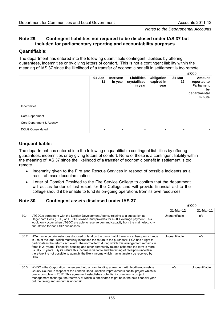## **Note 29. Contingent liabilities not required to be disclosed under IAS 37 but included for parliamentary reporting and accountability purposes**

#### **Quantifiable:**

The department has entered into the following quantifiable contingent liabilities by offering guarantees, indemnities or by giving letters of comfort. This is not a contingent liability within the meaning of IAS 37 since the likelihood of a transfer of economic benefit in settlement is too remote

|                          |               |                            |                                               |                                  |                            | £'000                                                               |
|--------------------------|---------------|----------------------------|-----------------------------------------------|----------------------------------|----------------------------|---------------------------------------------------------------------|
|                          | 01-Apr-<br>11 | <b>Increase</b><br>in year | <b>Liabilities</b><br>crystallised<br>in year | Obligation<br>expired in<br>year | 31-Mar-<br>12 <sub>2</sub> | Amount<br>reported to<br>Parliament<br>by<br>departmental<br>minute |
| Indemnities              |               |                            |                                               |                                  |                            |                                                                     |
| Core Department          |               | $\overline{\phantom{0}}$   |                                               |                                  |                            |                                                                     |
| Core Department & Agency |               |                            |                                               |                                  |                            |                                                                     |
| <b>DCLG Consolidated</b> |               |                            |                                               |                                  |                            |                                                                     |

## **Unquantifiable:**

The department has entered into the following unquantifiable contingent liabilities by offering guarantees, indemnities or by giving letters of comfort. None of these is a contingent liability within the meaning of IAS 37 since the likelihood of a transfer of economic benefit in settlement is too remote.

- Indemnity given to the Fire and Rescue Services in respect of possible incidents as a result of mass decontamination.
- Letter of Comfort Provided to the Fire Service College to confirm that the department will act as funder of last resort for the College and will provide financial aid to the college should it be unable to fund its on-going operations from its own resources.

#### **Note 30. Contingent assets disclosed under IAS 37**

|      |                                                                                                                                                                                                                                                                                                                                                                                                                                                                                                                                                                                                               |                | £'000          |
|------|---------------------------------------------------------------------------------------------------------------------------------------------------------------------------------------------------------------------------------------------------------------------------------------------------------------------------------------------------------------------------------------------------------------------------------------------------------------------------------------------------------------------------------------------------------------------------------------------------------------|----------------|----------------|
|      |                                                                                                                                                                                                                                                                                                                                                                                                                                                                                                                                                                                                               | 31-Mar-12      | 31-Mar-11      |
| 30.1 | LTGDC's agreement with the London Development Agency relating to a substation at<br>Dagenham Dock (LSIP) on LTGDC owned land provides for a 50% overage payment. This<br>would only occur when LTGDC are able to reserve demand capacity from the main electricity<br>sub-station for non LSIP businesses.                                                                                                                                                                                                                                                                                                    | Unquantifiable | n/a            |
| 30.2 | HCA has in certain instances disposed of land on the basis that if there is a subsequent change<br>in use of the land, which materially increases the return to the purchaser, HCA has a right to<br>participate in the returns achieved. The normal term during which this arrangement remains in<br>force is 21 years. For social housing and other community related schemes the term is more<br>usually 35 years. By its nature this income is variable and the timing of receipt is uncertain,<br>therefore it is not possible to quantify the likely income which may ultimately be received by<br>HCA. | Unquantifiable | n/a            |
| 30.3 | WNDC – the Corporation has entered into a grant funding agreement with Northamptonshire<br>County Council in respect of the London Road Junction Improvements capital project which is<br>due to complete in 2012. This agreement establishes potential income from a project<br>management recharge, the recovery of which is anticipated might be in the next financial year<br>but the timing and amount is uncertain.                                                                                                                                                                                     | n/a            | Unquantifiable |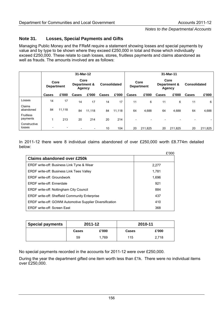## **Note 31. Losses, Special Payments and Gifts**

Managing Public Money and the FReM require a statement showing losses and special payments by value and by type to be shown where they exceed £250,000 in total and those which individually exceed £250,000. These relate to cash losses, stores, fruitless payments and claims abandoned as well as frauds. The amounts involved are as follows:

|                              | 31-Mar-12                 |                          |                                                       |        |              |                           | 31-Mar-11    |                                       |       |                     |              |         |
|------------------------------|---------------------------|--------------------------|-------------------------------------------------------|--------|--------------|---------------------------|--------------|---------------------------------------|-------|---------------------|--------------|---------|
|                              | Core<br><b>Department</b> |                          | Core<br><b>Consolidated</b><br>Department &<br>Agency |        |              | Core<br><b>Department</b> |              | Core<br>Department &<br><b>Agency</b> |       | <b>Consolidated</b> |              |         |
|                              | Cases                     | £'000                    | <b>Cases</b>                                          | £'000  | <b>Cases</b> | £'000                     | <b>Cases</b> | £'000                                 | Cases | £'000               | <b>Cases</b> | £'000   |
| Losses                       | 14                        | 17                       | 14                                                    | 17     | 14           | 17                        | 11           | 6                                     | 11    | 6                   | 11           | 6       |
| Claims<br>abandoned          | 84                        | 11,118                   | 84                                                    | 11.118 | 84           | 11,118                    | 64           | 4,688                                 | 64    | 4,688               | 64           | 4,688   |
| <b>Fruitless</b><br>payments | 4                         | 213                      | 20                                                    | 214    | 20           | 214                       |              |                                       |       |                     |              |         |
| Constructive<br>losses       | $\overline{\phantom{a}}$  | $\overline{\phantom{a}}$ |                                                       |        | 10           | 104                       | 20           | 211,825                               | 20    | 211,825             | 20           | 211,825 |

In 2011-12 there were 8 individual claims abandoned of over £250,000 worth £8.774m detailed below:

|                                                                 | £'000 |
|-----------------------------------------------------------------|-------|
| Claims abandoned over £250k                                     |       |
| ERDF write-off: Business Link Tyne & Wear                       | 2,277 |
| <b>ERDF write-off: Business Link Tees Valley</b>                | 1.781 |
| ERDF write-off: Groundwork                                      | 1,696 |
| <b>ERDE</b> write-off: Ennerdale                                | 921   |
| ERDF write-off: Nottingham City Council                         | 884   |
| <b>ERDF write-off: Sheffield Community Enterprise</b>           | 437   |
| <b>ERDF write-off: GOWM Automotive Supplier Diversification</b> | 410   |
| ERDF write-off: Screen East                                     | 368   |

| <b>Special payments</b> |              | 2011-12 | 2010-11      |       |  |
|-------------------------|--------------|---------|--------------|-------|--|
|                         | <b>Cases</b> | £'000   | <b>Cases</b> | £'000 |  |
|                         | 59           | 1.769   | 115          | 2,718 |  |

No special payments recorded in the accounts for 2011-12 were over £250,000.

During the year the department gifted one item worth less than £1k. There were no individual items over £250,000.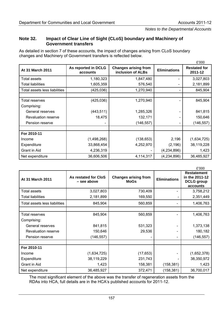#### **Note 32. Impact of Clear Line of Sight (CLoS) boundary and Machinery of Government transfers**

As detailed in section 7 of these accounts, the impact of changes arising from CLoS boundary changes and Machinery of Government transfers is reflected below.

|                               |                                 |                                                  |                          | £'000                          |
|-------------------------------|---------------------------------|--------------------------------------------------|--------------------------|--------------------------------|
| At 31 March 2011              | As reported in DCLG<br>accounts | <b>Changes arising from</b><br>inclusion of ALBs | <b>Eliminations</b>      | <b>Restated for</b><br>2011-12 |
| Total assets                  | 1,180,323                       | 1,847,480                                        |                          | 3,027,803                      |
| <b>Total liabilities</b>      | 1,605,359                       | 576,540                                          |                          | 2,181,899                      |
| Total assets less liabilities | (425,036)                       | 1,270,940                                        |                          | 845,904                        |
|                               |                                 |                                                  |                          |                                |
| Total reserves                | (425, 036)                      | 1,270,940                                        |                          | 845,904                        |
| Comprising:                   |                                 |                                                  |                          |                                |
| General reserves              | (443, 511)                      | 1,285,326                                        |                          | 841,815                        |
| Revaluation reserve           | 18,475                          | 132,171                                          |                          | 150,646                        |
| Pension reserve               |                                 | (146, 557)                                       | $\overline{\phantom{a}}$ | (146, 557)                     |
|                               |                                 |                                                  |                          |                                |
| For 2010-11                   |                                 |                                                  |                          |                                |
| Income                        | (1,498,268)                     | (138, 653)                                       | 2,196                    | (1,634,725)                    |
| Expenditure                   | 33,868,454                      | 4,252,970                                        | (2, 196)                 | 38,119,228                     |
| Grant in Aid                  | 4,236,319                       |                                                  | (4,234,896)              | 1,423                          |
| Net expenditure               | 36,606,506                      | 4,114,317                                        | (4,234,896)              | 36,485,927                     |

|                               |                                     |                                            |                     | £'000                                                                 |
|-------------------------------|-------------------------------------|--------------------------------------------|---------------------|-----------------------------------------------------------------------|
| At 31 March 2011              | As restated for CloS<br>- see above | <b>Changes arising from</b><br><b>MoGs</b> | <b>Eliminations</b> | <b>Restatement</b><br>in the 2011-12<br><b>DCLG</b> group<br>accounts |
| Total assets                  | 3,027,803                           | 730,409                                    |                     | 3,758,212                                                             |
| <b>Total liabilities</b>      | 2,181,899                           | 169,550                                    |                     | 2,351,449                                                             |
| Total assets less liabilities | 845,904                             | 560,859                                    |                     | 1,406,763                                                             |
| Total reserves<br>Comprising: | 845,904                             | 560,859                                    |                     | 1,406,763                                                             |
| General reserves              | 841,815                             | 531,323                                    |                     | 1,373,138                                                             |
| <b>Revaluation reserve</b>    | 150,646                             | 29,536                                     |                     | 180,182                                                               |
| Pension reserve               | (146, 557)                          |                                            |                     | (146, 557)                                                            |
| For 2010-11                   |                                     |                                            |                     |                                                                       |
| Income                        | (1,634,725)                         | (17, 653)                                  |                     | (1,652,378)                                                           |
| Expenditure                   | 38,119,229                          | 231,743                                    |                     | 38,350,972                                                            |
| Grant in Aid                  | 1,423                               | 158,381                                    | (158, 381)          | 1,423                                                                 |
| Net expenditure               | 36,485,927                          | 372,471                                    | (158, 381)          | 36,700,017                                                            |

The most significant element of the above was the transfer of regeneration assets from the RDAs into HCA, full details are in the HCA's published accounts for 2011-12.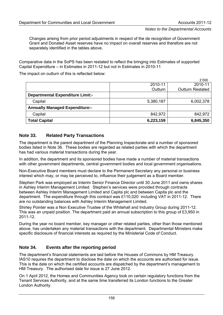Changes arising from prior period adjustments in respect of the de recognition of Government Grant and Donated Asset reserves have no impact on overall reserves and therefore are not separately identified in the tables above.

Comparative data in the SoPS has been restated to reflect the bringing into Estimates of supported Capital Expenditure – in Estimates in 2011-12 but not in Estimates in 2010-11

The impact on outturn of this is reflected below:

|                                         |           | £'000                   |
|-----------------------------------------|-----------|-------------------------|
|                                         | 2010-11   | 2010-11                 |
|                                         | Outturn   | <b>Outturn Restated</b> |
| <b>Departmental Expenditure Limit:-</b> |           |                         |
| Capital                                 | 5,380,187 | 6,002,378               |
| <b>Annually Managed Expenditure:-</b>   |           |                         |
| Capital                                 | 842,972   | 842,972                 |
| <b>Total Capital</b>                    | 6,223,159 | 6,845,350               |

## **Note 33. Related Party Transactions**

The department is the parent department of the Planning Inspectorate and a number of sponsored bodies listed in Note 36. These bodies are regarded as related parties with which the department has had various material transactions during the year.

In addition, the department and its sponsored bodies have made a number of material transactions with other government departments, central government bodies and local government organisations.

Non-Executive Board members must declare to the Permanent Secretary any personal or business interest which may, or may be perceived to, influence their judgement as a Board member.

Stephen Park was employed as Interim Senior Finance Director until 30 June 2011 and owns shares in Ashley Interim Management Limited. Stephen's services were provided through contracts between Ashley Interim Management Limited and Capita plc and between Capita plc and the department. The expenditure through this contract was £110,020 including VAT in 2011-12. There are no outstanding balances with Ashley Interim Management Limited.

Shirley Pointer was a Non Executive Trustee of the Whitehall and Industry Group during 2011-12. This was an unpaid position. The department paid an annual subscription to this group of £3,950 in 2011-12.

During the year no board member, key manager or other related parties, other than those mentioned above, has undertaken any material transactions with the department. Departmental Ministers make specific disclosure of financial interests as required by the Ministerial Code of Conduct.

#### **Note 34. Events after the reporting period**

The department's financial statements are laid before the Houses of Commons by HM Treasury. IAS10 requires the department to disclose the date on which the accounts are authorised for issue. This is the date on which the certified accounts are dispatched by the department's management to HM Treasury. The authorised date for issue is 27 June 2012.

On 1 April 2012, the Homes and Communities Agency took on certain regulatory functions from the Tenant Services Authority, and at the same time transferred its London functions to the Greater London Authority.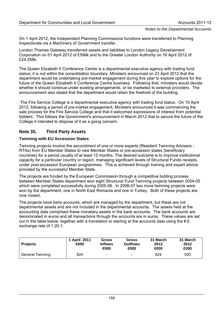On 1 April 2012, the Independent Planning Commissions functions were transferred to Planning Inspectorate via a Machinery of Government transfer.

London Thames Gateway transferred assets and liabilities to London Legacy Development Corporation on 01 April 2012 of £596k and to the Greater London Authority on 16 April 2012 of £24,358k.

The Queen Elizabeth II Conference Centre is a departmental executive agency with trading fund status; it is not within the consolidation boundary. Ministers announced on 23 April 2012 that the department would be undertaking pre-market engagement during this year to explore options for the future of the Queen Elizabeth II Conference Centre business. Following that, ministers would decide whether it should continue under existing arrangements, or be marketed to external providers. The announcement also stated that the department would retain the freehold of the building.

 The Fire Service College is a departmental executive agency with trading fund status. On 10 April 2012, following a period of pre-market engagement, Ministers announced it was commencing the sale process for the Fire Service College and that it welcomed expressions of interest from potential bidders. This follows the Government's announcement in March 2012 that to secure the future of the College it intended to dispose of it as a going concern.

## **Note 35. Third Party Assets**

#### **Twinning with EU Accession States**

Twinning projects involve the secondment of one or more experts (Resident Twinning Advisers - RTAs) from EU Member States to new Member States or pre-accession states (beneficiary countries) for a period usually of at least 12 months. The desired outcome is to improve institutional capacity for a particular country or region, managing significant levels of Structural Funds receipts under post-accession European programmes. This is achieved through training and expert advice provided by the successful Member State.

The projects are funded by the European Commission through a competitive bidding process between Member States department won eight Structural Fund Twinning projects between 2004-05 which were completed successfully during 2005-06. In 2006-07 two more twinning projects were won by the department, one in North East Romania and one in Turkey. Both of these projects are now closed.

The projects have bank accounts, which are managed by the department, but these are not departmental assets and are not included in the departmental accounts. The assets held at the accounting date comprised these monetary assets in the bank accounts. The bank accounts are denominated in euros and all transactions through the accounts are in euros. These values are set out in the table below, together with a translation to sterling at the accounts date using the  $\epsilon:\pounds$ exchange rate of 1.20:1.

| <b>Projects</b>         | 1 April 2011<br>$\bigoplus$ | Gross<br><b>Inflows</b><br>$\bigoplus$ | Gross<br><b>Outflows</b><br>⊕00 | 31 March<br>2012<br>$\bigoplus$ | 31 March<br>2012<br>£000 |
|-------------------------|-----------------------------|----------------------------------------|---------------------------------|---------------------------------|--------------------------|
| <b>General Twinning</b> | 624                         | $\overline{\phantom{a}}$               | $\overline{\phantom{0}}$        | 624                             | 520                      |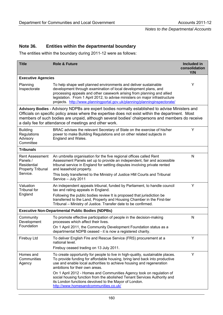# **Note 36. Entities within the departmental boundary**

The entities within the boundary during 2011-12 were as follows:

| <b>Title</b>                                                                              | <b>Role &amp; Future</b>                                                                                                                                                                                                                                                                                                                                                 | Included in<br>consolidation<br>Y/N |
|-------------------------------------------------------------------------------------------|--------------------------------------------------------------------------------------------------------------------------------------------------------------------------------------------------------------------------------------------------------------------------------------------------------------------------------------------------------------------------|-------------------------------------|
| <b>Executive Agencies</b>                                                                 |                                                                                                                                                                                                                                                                                                                                                                          |                                     |
| Planning<br>Inspectorate                                                                  | To help shape well planned environments and deliver sustainable<br>development through examination of local development plans, and<br>processing appeals and other casework arising from planning and allied<br>legislation. From 1 April 2012, to advise ministers on major infrastructure<br>projects. http://www.planningportal.gov.uk/planning/planninginspectorate/ | Υ                                   |
|                                                                                           | Advisory Bodies - Advisory NDPBs are expert bodies normally established to advise Ministers and<br>Officials on specific policy areas where the expertise does not exist within the department. Most<br>members of such bodies are unpaid, although several bodies' chairpersons and members do receive<br>a daily fee for attendance of meetings and other work.        |                                     |
| <b>Building</b><br>Regulations<br>Advisory<br>Committee                                   | BRAC advises the relevant Secretary of State on the exercise of his/her<br>power to make Building Regulations and on other related subjects in<br>England and Wales.                                                                                                                                                                                                     | Y                                   |
| <b>Tribunals</b>                                                                          |                                                                                                                                                                                                                                                                                                                                                                          |                                     |
| <b>Rent Assessment</b><br>Panels /<br>Residential<br><b>Property Tribunal</b><br>Service. | An umbrella organisation for the five regional offices called Rent<br>Assessment Panels set up to provide an independent, fair and accessible<br>tribunal service in England for settling disputes involving private rented<br>and leasehold property.                                                                                                                   | $\mathsf{N}$                        |
|                                                                                           | This body transferred to the Ministry of Justice HM Courts and Tribunal<br>Service - July 2011                                                                                                                                                                                                                                                                           |                                     |
| Valuation<br><b>Tribunal for</b><br>England                                               | An independent appeals tribunal, funded by Parliament, to handle council<br>tax and rating appeals in England.<br>Following the public bodies review It is proposed that jurisdiction be<br>transferred to the Land, Property and Housing Chamber in the First-tier<br>Tribunal - Ministry of Justice. Transfer date to be confirmed.                                    | Y                                   |
|                                                                                           | <b>Executive Non-Departmental Public Bodies (NDPBs)</b>                                                                                                                                                                                                                                                                                                                  |                                     |
| Community<br>Development                                                                  | To promote effective participation of people in the decision-making<br>processes which affect their lives.                                                                                                                                                                                                                                                               | N                                   |
| Foundation                                                                                | On 1 April 2011, the Community Development Foundation status as a<br>departmental NDPB ceased - it is now a registered charity.                                                                                                                                                                                                                                          |                                     |
| Firebuy Ltd                                                                               | To deliver English Fire and Rescue Service (FRS) procurement at a<br>national level.                                                                                                                                                                                                                                                                                     | Y                                   |
|                                                                                           | Firebuy ceased trading on 13 July 2011.                                                                                                                                                                                                                                                                                                                                  |                                     |
| Homes and<br>Communities<br>Agency                                                        | To create opportunity for people to live in high-quality, sustainable places.<br>To provide funding for affordable housing, bring land back into productive<br>use and enable local authorities to achieve housing and regeneration<br>ambitions for their own areas.                                                                                                    | Y                                   |
|                                                                                           | On 1 April 2012 - Homes and Communities Agency took on regulation of<br>social housing function from the abolished Tenant Services Authority and<br>its London functions devolved to the Mayor of London.<br>http://www.homesandcommunities.co.uk/                                                                                                                       |                                     |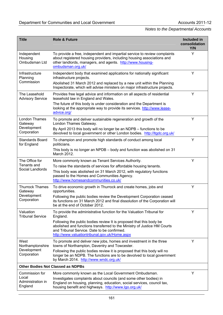| <b>Title</b>                             | <b>Role &amp; Future</b>                                                                                                                                                                                                                        | Included in<br>consolidation<br>Y/N |  |
|------------------------------------------|-------------------------------------------------------------------------------------------------------------------------------------------------------------------------------------------------------------------------------------------------|-------------------------------------|--|
| Independent<br>Housing<br>Ombudsman Ltd  | To provide a free, independent and impartial service to review complaints<br>about registered housing providers, including housing associations and<br>other landlords, managers, and agents. http://www.housing-<br>ombudsman.org.uk/          | Y                                   |  |
| Infrastructure<br>Planning               | Independent body that examined applications for nationally significant<br>infrastructure projects.                                                                                                                                              | Υ                                   |  |
| Commission                               | Abolished 31 March 2012 and replaced by a new unit within the Planning<br>Inspectorate, which will advise ministers on major infrastructure projects.                                                                                           |                                     |  |
| The Leasehold<br><b>Advisory Service</b> | Provides free legal advice and information on all aspects of residential<br>leasehold law in England and Wales.                                                                                                                                 | Y                                   |  |
|                                          | The future of this body is under consideration and the Department is<br>looking at the appropriate way to provide its services. http://www.lease-<br>advice.org/                                                                                |                                     |  |
| London Thames<br>Gateway                 | To promote and deliver sustainable regeneration and growth of the<br>London Thames Gateway.                                                                                                                                                     | Y                                   |  |
| Development<br>Corporation               | By April 2013 this body will no longer be an NDPB - functions to be<br>devolved to local government or other London bodies. http://ltgdc.org.uk/                                                                                                |                                     |  |
| <b>Standards Board</b><br>for England    | To champion and promote high standards of conduct among local<br>politicians.                                                                                                                                                                   | Y                                   |  |
|                                          | This body is no longer an NPDB - body and function was abolished on 31<br>March 2012.                                                                                                                                                           |                                     |  |
| The Office for<br>Tenants and            | More commonly known as Tenant Services Authority.                                                                                                                                                                                               | Υ                                   |  |
| Social Landlords                         | To raise the standards of services for affordable housing tenants.<br>This body was abolished on 31 March 2012, with regulatory functions<br>passed to the Homes and Communities Agency.<br>http://www.homesandcommunities.co.uk/               |                                     |  |
| <b>Thurrock Thames</b><br>Gateway        | To drive economic growth in Thurrock and create homes, jobs and<br>opportunities.                                                                                                                                                               | Y                                   |  |
| Development<br>Corporation               | Following the public bodies review the Development Corporation ceased<br>its functions on 31 March 2012 and final dissolution of the Corporation will<br>be at the end of October 2012.                                                         |                                     |  |
| Valuation<br><b>Tribunal Service</b>     | To provide the administrative function for the Valuation Tribunal for<br>England.                                                                                                                                                               | Y                                   |  |
|                                          | Following the public bodies review It is proposed that this body be<br>abolished and functions transferred to the Ministry of Justice HM Courts<br>and Tribunal Service. Date to be confirmed.<br>http://www.valuationtribunal.gov.uk/Home.aspx |                                     |  |
| West<br>Northamptonshire                 | To promote and deliver new jobs, homes and investment in the three<br>towns of Northampton, Daventry and Towcester.                                                                                                                             | Y                                   |  |
| Development<br>Corporation               | Following the public bodies review it is proposed that this body will no<br>longer be an NDPB. The functions are to be devolved to local government<br>by March 2014. http://www.wndc.org.uk/                                                   |                                     |  |
| <b>Other Bodies Not Classed as NDPBs</b> |                                                                                                                                                                                                                                                 |                                     |  |
| Commission for                           | More commonly known as the Local Government Ombudsman.                                                                                                                                                                                          | Y                                   |  |
| Local<br>Administration in<br>England    | Investigates complaints about councils (and some other bodies) in<br>England on housing, planning, education, social services, council tax,<br>housing benefit and highways. http://www.lgo.org.uk/                                             |                                     |  |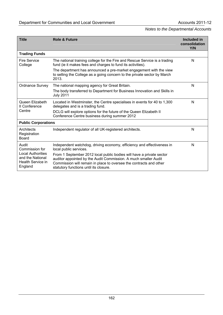| <b>Title</b>                                                                 | <b>Role &amp; Future</b>                                                                                                                                                                                                                                | Included in<br>consolidation<br>Y/N |
|------------------------------------------------------------------------------|---------------------------------------------------------------------------------------------------------------------------------------------------------------------------------------------------------------------------------------------------------|-------------------------------------|
| <b>Trading Funds</b>                                                         |                                                                                                                                                                                                                                                         |                                     |
| <b>Fire Service</b><br>College                                               | The national training college for the Fire and Rescue Service is a trading<br>fund (ie it makes fees and charges to fund its activities).                                                                                                               | N                                   |
|                                                                              | The department has announced a pre-market engagement with the view<br>to selling the College as a going concern to the private sector by March<br>2013.                                                                                                 |                                     |
| <b>Ordnance Survey</b>                                                       | The national mapping agency for Great Britain.                                                                                                                                                                                                          | N                                   |
|                                                                              | The body transferred to Department for Business Innovation and Skills in<br><b>July 2011</b>                                                                                                                                                            |                                     |
| Queen Elizabeth<br>II Conference                                             | Located in Westminster, the Centre specialises in events for 40 to 1,300<br>delegates and is a trading fund.                                                                                                                                            | N                                   |
| Centre                                                                       | DCLG will explore options for the future of the Queen Elizabeth II<br>Conference Centre business during summer 2012                                                                                                                                     |                                     |
| <b>Public Corporations</b>                                                   |                                                                                                                                                                                                                                                         |                                     |
| Architects<br>Registration<br><b>Board</b>                                   | Independent regulator of all UK-registered architects.                                                                                                                                                                                                  | N                                   |
| Audit<br>Commission for                                                      | Independent watchdog, driving economy, efficiency and effectiveness in<br>local public services.                                                                                                                                                        | N                                   |
| <b>Local Authorities</b><br>and the National<br>Health Service in<br>England | From 1 September 2012 local public bodies will have a private sector<br>auditor appointed by the Audit Commission. A much smaller Audit<br>Commission will remain in place to oversee the contracts and other<br>statutory functions until its closure. |                                     |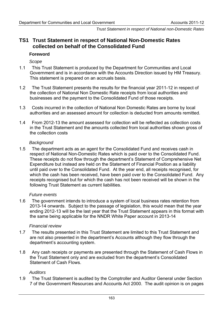*Trust Statement in respect of National non-Domestic Rates* 

# **TS1 Trust Statement in respect of National Non-Domestic Rates collected on behalf of the Consolidated Fund**

#### **Foreword**

*Scope* 

- 1.1 This Trust Statement is produced by the Department for Communities and Local Government and is in accordance with the Accounts Direction issued by HM Treasury. This statement is prepared on an accruals basis.
- 1.2 The Trust Statement presents the results for the financial year 2011-12 in respect of the collection of National Non Domestic Rate receipts from local authorities and businesses and the payment to the Consolidated Fund of those receipts.
- 1.3 Costs incurred in the collection of National Non Domestic Rates are borne by local authorities and an assessed amount for collection is deducted from amounts remitted.
- 1.4 From 2012-13 the amount assessed for collection will be reflected as collection costs in the Trust Statement and the amounts collected from local authorities shown gross of the collection costs

#### *Background*

1.5 The department acts as an agent for the Consolidated Fund and receives cash in respect of National Non-Domestic Rates which is paid over to the Consolidated Fund. These receipts do not flow through the department's Statement of Comprehensive Net Expenditure but instead are held on the Statement of Financial Position as a liability until paid over to the Consolidated Fund. At the year end, all receipts recognised, for which the cash has been received, have been paid over to the Consolidated Fund. Any receipts recognised but for which the cash has not been received will be shown in the following Trust Statement as current liabilities.

#### *Future events*

1.6 The government intends to introduce a system of local business rates retention from 2013-14 onwards. Subject to the passage of legislation, this would mean that the year ending 2012-13 will be the last year that the Trust Statement appears in this format with the same being applicable for the NNDR White Paper account in 2013-14

#### *Financial review*

- 1.7 The results presented in this Trust Statement are limited to this Trust Statement and are not also presented in the department's Accounts although they flow through the department's accounting system.
- 1.8 Any cash receipts or payments are presented through the Statement of Cash Flows in the Trust Statement only and are excluded from the department's Consolidated Statement of Cash Flows.

#### *Auditors*

1.9 The Trust Statement is audited by the Comptroller and Auditor General under Section 7 of the Government Resources and Accounts Act 2000. The audit opinion is on pages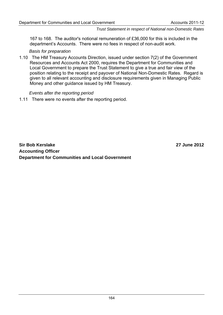#### *Trust Statement in respect of National non-Domestic Rates*

167 to 168. The auditor's notional remuneration of £36,000 for this is included in the department's Accounts. There were no fees in respect of non-audit work.

#### *Basis for preparation*

1.10 The HM Treasury Accounts Direction, issued under section 7(2) of the Government Resources and Accounts Act 2000, requires the Department for Communities and Local Government to prepare the Trust Statement to give a true and fair view of the position relating to the receipt and payover of National Non-Domestic Rates. Regard is given to all relevant accounting and disclosure requirements given in Managing Public Money and other guidance issued by HM Treasury.

#### *Events after the reporting period*

1.11 There were no events after the reporting period.

**Sir Bob Kerslake 27 June 2012 Accounting Officer Department for Communities and Local Government**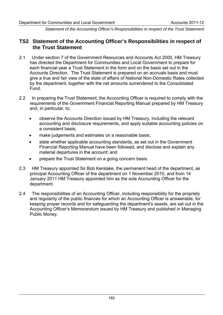*Statement of the Accounting Officer's Responsibilities in respect of the Trust Statement* 

# **TS2 Statement of the Accounting Officer's Responsibilities in respect of the Trust Statement**

- 2.1 Under section 7 of the Government Resources and Accounts Act 2000, HM Treasury has directed the Department for Communities and Local Government to prepare for each financial year a Trust Statement in the form and on the basis set out in the Accounts Direction. The Trust Statement is prepared on an accruals basis and must give a true and fair view of the state of affairs of National Non-Domestic Rates collected by the department, together with the net amounts surrendered to the Consolidated Fund.
- 2.2 In preparing the Trust Statement, the Accounting Officer is required to comply with the requirements of the Government Financial Reporting Manual prepared by HM Treasury and, in particular, to:
	- observe the Accounts Direction issued by HM Treasury, including the relevant accounting and disclosure requirements, and apply suitable accounting policies on a consistent basis;
	- make judgements and estimates on a reasonable basis;
	- state whether applicable accounting standards, as set out in the Government Financial Reporting Manual have been followed, and disclose and explain any material departures in the account; and
	- prepare the Trust Statement on a going concern basis.
- 2.3 HM Treasury appointed Sir Bob Kerslake, the permanent head of the department, as principal Accounting Officer of the department on 1 November 2010, and from 14 January 2011 HM Treasury appointed him as the sole Accounting Officer for the department.
- 2.4 The responsibilities of an Accounting Officer, including responsibility for the propriety and regularity of the public finances for which an Accounting Officer is answerable, for keeping proper records and for safeguarding the department's assets, are set out in the Accounting Officer's Memorandum issued by HM Treasury and published in Managing Public Money.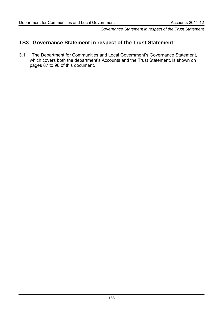*Governance Statement in respect of the Trust Statement* 

# **TS3 Governance Statement in respect of the Trust Statement**

3.1 The Department for Communities and Local Government's Governance Statement, which covers both the department's Accounts and the Trust Statement, is shown on pages 87 to 98 of this document.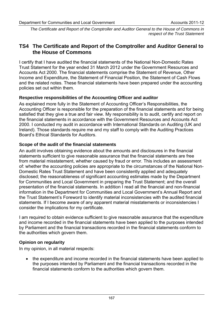*The Certificate and Report of the Comptroller and Auditor General to the House of Commons in respect of the Trust Statement* 

# **TS4 The Certificate and Report of the Comptroller and Auditor General to the House of Commons**

I certify that I have audited the financial statements of the National Non-Domestic Rates Trust Statement for the year ended 31 March 2012 under the Government Resources and Accounts Act 2000. The financial statements comprise the Statement of Revenue, Other Income and Expenditure, the Statement of Financial Position, the Statement of Cash Flows and the related notes. These financial statements have been prepared under the accounting policies set out within them.

# **Respective responsibilities of the Accounting Officer and auditor**

As explained more fully in the Statement of Accounting Officer's Responsibilities, the Accounting Officer is responsible for the preparation of the financial statements and for being satisfied that they give a true and fair view. My responsibility is to audit, certify and report on the financial statements in accordance with the Government Resources and Accounts Act 2000. I conducted my audit in accordance with International Standards on Auditing (UK and Ireland). Those standards require me and my staff to comply with the Auditing Practices Board's Ethical Standards for Auditors.

# **Scope of the audit of the financial statements**

An audit involves obtaining evidence about the amounts and disclosures in the financial statements sufficient to give reasonable assurance that the financial statements are free from material misstatement, whether caused by fraud or error. This includes an assessment of: whether the accounting policies are appropriate to the circumstances of the National Non-Domestic Rates Trust Statement and have been consistently applied and adequately disclosed; the reasonableness of significant accounting estimates made by the Department for Communities and Local Government in preparing the Trust Statement; and the overall presentation of the financial statements. In addition I read all the financial and non-financial information in the Department for Communities and Local Government's Annual Report and the Trust Statement's Foreword to identify material inconsistencies with the audited financial statements. If I become aware of any apparent material misstatements or inconsistencies I consider the implications for my certificate.

I am required to obtain evidence sufficient to give reasonable assurance that the expenditure and income recorded in the financial statements have been applied to the purposes intended by Parliament and the financial transactions recorded in the financial statements conform to the authorities which govern them.

# **Opinion on regularity**

In my opinion, in all material respects:

• the expenditure and income recorded in the financial statements have been applied to the purposes intended by Parliament and the financial transactions recorded in the financial statements conform to the authorities which govern them.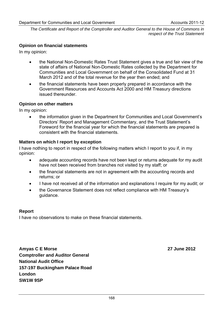*The Certificate and Report of the Comptroller and Auditor General to the House of Commons in respect of the Trust Statement* 

# **Opinion on financial statements**

In my opinion:

- the National Non-Domestic Rates Trust Statement gives a true and fair view of the state of affairs of National Non-Domestic Rates collected by the Department for Communities and Local Government on behalf of the Consolidated Fund at 31 March 2012 and of the total revenue for the year then ended; and
- the financial statements have been properly prepared in accordance with the Government Resources and Accounts Act 2000 and HM Treasury directions issued thereunder.

## **Opinion on other matters**

In my opinion:

• the information given in the Department for Communities and Local Government's Directors' Report and Management Commentary, and the Trust Statement's Foreword for the financial year for which the financial statements are prepared is consistent with the financial statements.

## **Matters on which I report by exception**

I have nothing to report in respect of the following matters which I report to you if, in my opinion:

- adequate accounting records have not been kept or returns adequate for my audit have not been received from branches not visited by my staff; or
- the financial statements are not in agreement with the accounting records and returns; or
- I have not received all of the information and explanations I require for my audit; or
- the Governance Statement does not reflect compliance with HM Treasury's guidance.

#### **Report**

I have no observations to make on these financial statements.

**Amyas C E Morse 27 June 2012 Comptroller and Auditor General National Audit Office 157-197 Buckingham Palace Road London SW1W 9SP**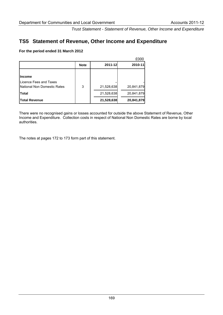*Trust Statement - Statement of Revenue, Other Income and Expenditure* 

# **TS5 Statement of Revenue, Other Income and Expenditure**

#### **For the period ended 31 March 2012**

|                                   |             |            | £000       |
|-----------------------------------|-------------|------------|------------|
|                                   | <b>Note</b> | 2011-12    | 2010-11    |
| lIncome<br>Licence Fees and Taxes |             |            |            |
| National Non Domestic Rates       | 3           | 21,528,638 | 20,841,879 |
| Total                             |             | 21,528,638 | 20,841,879 |
| <b>Total Revenue</b>              |             | 21,528,638 | 20,841,879 |

There were no recognised gains or losses accounted for outside the above Statement of Revenue, Other Income and Expenditure. Collection costs in respect of National Non Domestic Rates are borne by local authorities.

The notes at pages 172 to 173 form part of this statement.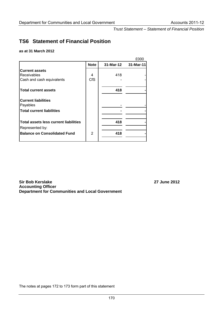*Trust Statement – Statement of Financial Position* 

# **TS6 Statement of Financial Position**

#### **as at 31 March 2012**

|                                              |             |           | £000      |
|----------------------------------------------|-------------|-----------|-----------|
|                                              | <b>Note</b> | 31-Mar-12 | 31-Mar-11 |
| <b>Current assets</b>                        |             |           |           |
| <b>Receivables</b>                           | 4           | 418       |           |
| Cash and cash equivalents                    | <b>CfS</b>  |           |           |
| <b>Total current assets</b>                  |             | 418       |           |
| <b>Current liabilities</b><br>Payables       |             |           |           |
| <b>Total current liabilities</b>             |             |           |           |
| <b>Total assets less current liabilities</b> |             | 418       |           |
| Represented by:                              |             |           |           |
| <b>Balance on Consolidated Fund</b>          | 2           | 418       |           |
|                                              |             |           |           |

**Sir Bob Kerslake 27 June 2012 Accounting Officer Department for Communities and Local Government** 

The notes at pages 172 to 173 form part of this statement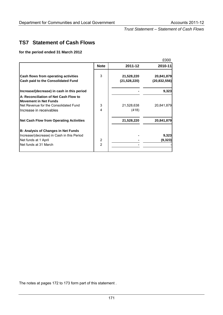*Trust Statement – Statement of Cash Flows* 

# **TS7 Statement of Cash Flows**

**for the period ended 31 March 2012** 

|                                                                       |                |              | £000           |
|-----------------------------------------------------------------------|----------------|--------------|----------------|
|                                                                       | <b>Note</b>    | 2011-12      | 2010-11        |
| Cash flows from operating activities                                  | 3              | 21,528,220   | 20,841,879     |
| <b>Cash paid to the Consolidated Fund</b>                             |                | (21,528,220) | (20, 832, 556) |
| Increase/(decrease) in cash in this period                            |                |              | 9,323          |
| A: Reconciliation of Net Cash Flow to<br><b>Movement in Net Funds</b> |                |              |                |
| Net Revenue for the Consolidated Fund                                 | 3              | 21,528,638   | 20,841,879     |
| Increase in receivables                                               | 4              | (418)        |                |
| <b>Net Cash Flow from Operating Activities</b>                        |                | 21,528,220   | 20,841,879     |
| <b>B: Analysis of Changes in Net Funds</b>                            |                |              |                |
| Increase/(decrease) in Cash in this Period                            |                |              | 9,323          |
| Net funds at 1 April                                                  | 2              |              | (9,323)        |
| Net funds at 31 March                                                 | $\overline{2}$ |              |                |

The notes at pages 172 to 173 form part of this statement .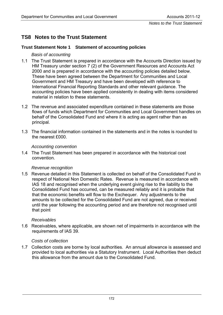*Notes to the Trust Statement* 

# **TS8 Notes to the Trust Statement**

## **Trust Statement Note 1 Statement of accounting policies**

## *Basis of accounting*

- 1.1 The Trust Statement is prepared in accordance with the Accounts Direction issued by HM Treasury under section 7 (2) of the Government Resources and Accounts Act 2000 and is prepared in accordance with the accounting policies detailed below. These have been agreed between the Department for Communities and Local Government and HM Treasury and have been developed with reference to International Financial Reporting Standards and other relevant guidance. The accounting policies have been applied consistently in dealing with items considered material in relation to these statements.
- 1.2 The revenue and associated expenditure contained in these statements are those flows of funds which Department for Communities and Local Government handles on behalf of the Consolidated Fund and where it is acting as agent rather than as principal.
- 1.3 The financial information contained in the statements and in the notes is rounded to the nearest £000.

#### *Accounting convention*

1.4 The Trust Statement has been prepared in accordance with the historical cost convention.

#### *Revenue recognition*

1.5 Revenue detailed in this Statement is collected on behalf of the Consolidated Fund in respect of National Non Domestic Rates. Revenue is measured in accordance with IAS 18 and recognised when the underlying event giving rise to the liability to the Consolidated Fund has occurred, can be measured reliably and it is probable that that the economic benefits will flow to the Exchequer. Any adjustments to the amounts to be collected for the Consolidated Fund are not agreed, due or received until the year following the accounting period and are therefore not recognised until that point

#### *Receivables*

1.6 Receivables, where applicable, are shown net of impairments in accordance with the requirements of IAS 39.

#### *Costs of collection*

1.7 Collection costs are borne by local authorities. An annual allowance is assessed and provided to local authorities via a Statutory Instrument. Local Authorities then deduct this allowance from the amount due to the Consolidated Fund.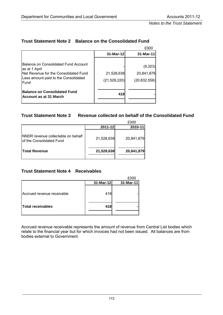*Notes to the Trust Statement* 

|                                                                                                                                                       |                              | £000                                    |
|-------------------------------------------------------------------------------------------------------------------------------------------------------|------------------------------|-----------------------------------------|
|                                                                                                                                                       | 31-Mar-12                    | 31-Mar-11                               |
| Balance on Consolidated Fund Account<br>as at 1 April<br>Net Revenue for the Consolidated Fund<br>Less amount paid to the Consolidated<br><b>Fund</b> | 21,528,638<br>(21, 528, 220) | (9,323)<br>20,841,879<br>(20, 832, 556) |
| <b>Balance on Consolidated Fund</b><br>Account as at 31 March                                                                                         | 418                          |                                         |

# **Trust Statement Note 2 Balance on the Consolidated Fund**

### **Trust Statement Note 3 Revenue collected on behalf of the Consolidated Fund**

|                                                                 |            | £000       |
|-----------------------------------------------------------------|------------|------------|
|                                                                 | 2011-12    | 2010-11    |
| INNDR revenue collectable on behalf<br>of the Consolidated Fund | 21,528,638 | 20,841,879 |
| <b>Total Revenue</b>                                            | 21,528,638 | 20,841,879 |
|                                                                 |            |            |

# **Trust Statement Note 4 Receivables**

|                            |           | £000      |
|----------------------------|-----------|-----------|
|                            | 31-Mar-12 | 31-Mar-11 |
| Accrued revenue receivable | 418       |           |
| <b>Total receivables</b>   | 418       |           |
|                            |           |           |

Accrued revenue receivable represents the amount of revenue from Central List bodies which relate to the financial year but for which invoices had not been issued. All balances are from bodies external to Government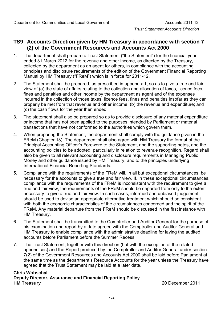*Trust Statement Accounts Direction* 

# **TS9 Accounts Direction given by HM Treasury in accordance with section 7 (2) of the Government Resources and Accounts Act 2000**

- 1. The department shall prepare a Trust Statement ("the Statement") for the financial year ended 31 March 2012 for the revenue and other income, as directed by the Treasury, collected by the department as an agent for others, in compliance with the accounting principles and disclosure requirements of the edition of the Government Financial Reporting Manual by HM Treasury ("FReM") which is in force for 2011-12.
- 2. The Statement shall be prepared, as prescribed in appendix 1, so as to give a true and fair view of (a) the state of affairs relating to the collection and allocation of taxes, licence fees, fines and penalties and other income by the department as agent and of the expenses incurred in the collection of those taxes, licence fees, fines and penalties insofar as they can properly be met from that revenue and other income; (b) the revenue and expenditure; and (c) the cash flows for the year then ended.
- 3. The statement shall also be prepared so as to provide disclosure of any material expenditure or income that has not been applied to the purposes intended by Parliament or material transactions that have not conformed to the authorities which govern them.
- 4. When preparing the Statement, the department shall comply with the guidance given in the FReM (Chapter 13). The department shall also agree with HM Treasury the format of the Principal Accounting Officer's Foreword to the Statement, and the supporting notes, and the accounting policies to be adopted, particularly in relation to revenue recognition. Regard shall also be given to all relevant accounting and disclosure requirements in Managing Public Money and other guidance issued by HM Treasury, and to the principles underlying International Financial Reporting Standards.
- 5. Compliance with the requirements of the FReM will, in all but exceptional circumstances, be necessary for the accounts to give a true and fair view. If, in these exceptional circumstances, compliance with the requirements of the FReM is inconsistent with the requirement to give a true and fair view, the requirements of the FReM should be departed from only to the extent necessary to give a true and fair view. In such cases, informed and unbiased judgement should be used to devise an appropriate alternative treatment which should be consistent with both the economic characteristics of the circumstances concerned and the spirit of the FReM. Any material departure from the FReM should be discussed in the first instance with HM Treasury.
- 6. The Statement shall be transmitted to the Comptroller and Auditor General for the purpose of his examination and report by a date agreed with the Comptroller and Auditor General and HM Treasury to enable compliance with the administrative deadline for laying the audited accounts before Parliament before the Summer Recess.
- 7. The Trust Statement, together with this direction (but with the exception of the related appendices) and the Report produced by the Comptroller and Auditor General under section 7(2) of the Government Resources and Accounts Act 2000 shall be laid before Parliament at the same time as the department's Resource Accounts for the year unless the Treasury have agreed that the Trust Statement may be laid at a later date.

### **Chris Wobschall Deputy Director, Assurance and Financial Reporting Policy HM Treasury** 20 December 2011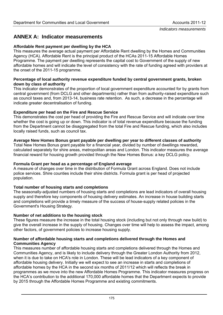# **ANNEX A: Indicator measurements**

## **Affordable Rent payment per dwelling by the HCA**

This measures the average actual payment per Affordable Rent dwelling by the Homes and Communities Agency (HCA). Affordable Rent is the principal product of the HCAs 2011-15 Affordable Homes Programme. The payment per dwelling represents the capital cost to Government of the supply of new affordable homes and will indicate the level of consistency with the rate of funding agreed with providers at the onset of the 2011-15 programme.

#### **Percentage of local authority revenue expenditure funded by central government grants, broken down by class of authority**

This indicator demonstrates of the proportion of local government expenditure accounted for by grants from central government (from DCLG and other departments) rather than from authority-raised expenditure such as council taxes and, from 2013-14, business rate retention. As such, a decrease in the percentage will indicate greater decentralisation of funding.

## **Expenditure per head on the Fire and Rescue Service**

This demonstrates the cost per head of providing the Fire and Rescue Service and will indicate over time whether the cost is going up or down. This indicator is of total revenue expenditure because the funding from the Department cannot be disaggregated from the total Fire and Rescue funding, which also includes locally raised funds, such as council tax.

## **Average New Homes Bonus grant payable per dwelling per year to different classes of authority**

Total New Homes Bonus grant payable for a financial year, divided by number of dwellings rewarded, calculated separately for shire areas, metropolitan areas and London. This indicator measures the average financial reward for housing growth provided through the New Homes Bonus: a key DCLG policy.

#### **Formula Grant per head as a percentage of England average**

A measure of changes over time in the distribution of Formula Grant across England. Does not include police services. Shire counties include their shire districts. Formula grant is per head of projected population.

## **Total number of housing starts and completions**

The seasonally-adjusted numbers of housing starts and completions are lead indicators of overall housing supply and therefore key components of housing delivery estimates. An increase in house building starts and completions will provide a timely measure of the success of house-supply related policies in the Government's Housing Strategy.

## **Number of net additions to the housing stock**

These figures measure the increase in the total housing stock (including but not only through new build) to give the overall increase in the supply of housing. Changes over time will help to assess the impact, among other factors, of government policies to increase housing supply.

#### **Number of affordable housing starts and completions delivered through the Homes and Communities Agency**

This measures number of affordable housing starts and completions delivered through the Homes and Communities Agency, and is likely to include delivery through the Greater London Authority from 2012, when it is due to take on HCA's role in London. These will be lead indicators of a key component of affordable housing delivery. Initially we will expect to see an increase in starts and completions of affordable homes by the HCA in the second six months of 2011/12 which will reflects the break in programmes as we move into the new Affordable Homes Programme. This indicator measures progress on the HCA's contribution to the additional 170,000 affordable homes that the Department expects to provide by 2015 through the Affordable Homes Programme and existing commitments.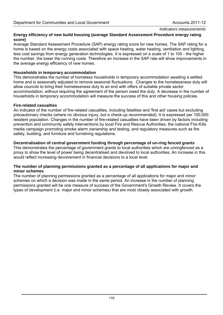#### *Indicators measurements*

#### **Energy efficiency of new build housing (average Standard Assessment Procedure energy rating score)**

Average Standard Assessment Procedure (SAP) energy rating score for new homes. The SAP rating for a home is based on the energy costs associated with space heating, water heating, ventilation and lighting, less cost savings from energy generation technologies. It is expressed on a scale of 1 to 100 - the higher the number, the lower the running costs. Therefore an increase in the SAP rate will show improvements in the average energy efficiency of new homes.

#### **Households in temporary accommodation**

This demonstrates the number of homeless households in temporary accommodation awaiting a settled home and is seasonally adjusted to remove seasonal fluctuations. Changes to the homelessness duty will allow councils to bring their homelessness duty to an end with offers of suitable private sector accommodation, without requiring the agreement of the person owed the duty. A decrease in the number of households in temporary accommodation will measure the success of this and other housing policies.

#### **Fire-related casualties**

An indicator of the number of fire-related casualties, including fatalities and 'first aid' cases but excluding precautionary checks (where no obvious injury, but a check-up recommended). It is expressed per 100,000 resident population. Changes in the number of fire-related casualties have been driven by factors including: prevention and community safety interventions by local Fire and Rescue Authorities, the national Fire Kills media campaign promoting smoke alarm ownership and testing, and regulatory measures such as fire safety, building, and furniture and furnishing regulations.

#### **Decentralisation of central government funding through percentage of un-ring fenced grants**

This demonstrates the percentage of government grants to local authorities which are unringfenced as a proxy to show the level of power being decentralised and devolved to local authorities; An increase in this would reflect increasing devolvement in financial decisions to a local level.

#### **The number of planning permissions granted as a percentage of all applications for major and minor schemes**

The number of planning permissions granted as a percentage of all applications for major and minor schemes on which a decision was made in the same period. An increase in the number of planning permissions granted will be one measure of success of the Government's Growth Review. It covers the types of development (i.e. major and minor schemes) that are most closely associated with growth.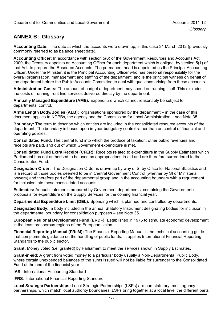## **ANNEX B: Glossary**

**Accounting Date:** The date at which the accounts were drawn up, in this case 31 March 2012 (previously commonly referred to as balance sheet date).

**Accounting Officer:** In accordance with section 5(6) of the Government Resources and Accounts Act 2000, the Treasury appoints an Accounting Officer for each department which is obliged, by section 5(1) of that Act, to prepare the Resource Accounts. The permanent head is appointed as the Principal Accounting Officer. Under the Minister, it is the Principal Accounting Officer who has personal responsibility for the overall organisation, management and staffing of the department, and is the principal witness on behalf of the department before the Public Accounts Committee to deal with questions arising from these accounts.

**Administration Costs:** The amount of budget a department may spend on running itself. This excludes the costs of running front line services delivered directly by the department.

**Annually Managed Expenditure (AME):** Expenditure which cannot reasonably be subject to departmental control.

**Arms Length Body/Bodies (ALB):** organisations sponsored by the department – in the case of this document applies to NDPBs, the agency and the Commission for Local Administration – see Note 35

**Boundary:** The term to describe which entities are included in the consolidated resource accounts of the department. The boundary is based upon in-year budgetary control rather than on control of financial and operating policies.

**Consolidated Fund:** The central fund into which the produce of taxation, other public revenues and receipts are paid, and out of which Government expenditure is met.

**Consolidated Fund Extra Receipt (CFER):** Receipts related to expenditure in the Supply Estimates which Parliament has not authorised to be used as appropriations-in-aid and are therefore surrendered to the Consolidated Fund.

**Designation Order:** The Designation Order is drawn up by way of SI by Office for National Statistics and is a record of those bodies deemed to be in Central Government Control (whether by SI or Ministerial powers) and therefore part of the departmental group and in the accounting boundary with a requirement for inclusion into these consolidated accounts.

**Estimates:** Annual statements prepared by Government departments, containing the Government's proposals for expenditure on the Supply Services for the coming financial year.

**Departmental Expenditure Limit (DEL):** Spending which is planned and controlled by departments.

**Designated Body:** a body included in the annual Statutory Instrument designating bodies for inclusion in the departmental boundary for consolidation purposes – see Note 35.

**European Regional Development Fund (ERDF):** Established in 1975 to stimulate economic development in the least prosperous regions of the European Union.

**Financial Reporting Manual (FReM):** The Financial Reporting Manual is the technical accounting guide that complements guidance on the handling of public funds. It applies International Financial Reporting Standards to the public sector.

**Grant:** Money voted (i.e. granted) by Parliament to meet the services shown in Supply Estimates.

**Grant-in-aid:** A grant from voted money to a particular body usually a Non-Departmental Public Body, where certain unexpended balances of the sums issued will not be liable for surrender to the Consolidated Fund at the end of the financial year.

**IAS**: International Accounting Standard

**IFRS**: International Financial Reporting Standard

**Local Strategic Partnerships:** Local Strategic Partnerships (LSPs) are non-statutory, multi-agency partnerships, which match local authority boundaries. LSPs bring together at a local level the different parts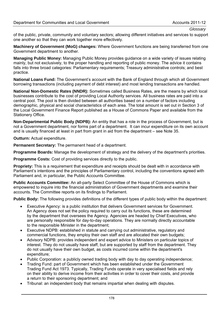## *Glossary*

of the public, private, community and voluntary sectors; allowing different initiatives and services to support one another so that they can work together more effectively.

**Machinery of Government (MoG) changes:** Where Government functions are being transferred from one Government department to another.

**Managing Public Money:** Managing Public Money provides guidance on a wide variety of issues relating mainly, but not exclusively, to the proper handling and reporting of public money. The advice it contains falls into three broad categories: Parliamentary requirements; Treasury administrative controls; and best practice.

**National Loans Fund:** The Government's account with the Bank of England through which all Government borrowing transactions (including payment of debt interest) and most lending transactions are handled.

**National Non-Domestic Rates (NNDR):** Sometimes called Business Rates, are the means by which local businesses contribute to the cost of providing Local Authority services. All business rates are paid into a central pool. The pool is then divided between all authorities based on a number of factors including demographic, physical and social characteristics of each area. The total amount is set out in Section 3 of the Local Government Finance Report published as a House of Commons Paper and available from the Stationery Office.

**Non-Departmental Public Body (NDPB):** An entity that has a role in the process of Government, but is not a Government department, nor forms part of a department. It can incur expenditure on its own account and is usually financed at least in part from grant in aid from the department – see Note 35.

**Outturn:** Actual expenditure.

**Permanent Secretary:** The permanent head of a department.

**Programme Boards:** Manage the development of strategy and the delivery of the department's priorities.

**Programme Costs:** Cost of providing services directly to the public.

**Propriety:** This is a requirement that expenditure and receipts should be dealt with in accordance with Parliament's intentions and the principles of Parliamentary control, including the conventions agreed with Parliament and, in particular, the Public Accounts Committee.

**Public Accounts Committee:** An all-party Select Committee of the House of Commons which is empowered to inquire into the financial administration of Government departments and examine their accounts. The Committee reports on its findings to Parliament.

**Public Body:** The following provides definitions of the different types of public body within the department:

- Executive Agency: is a public institution that delivers Government services for Government. An Agency does not set the policy required to carry out its functions, these are determined by the department that oversees the Agency. Agencies are headed by Chief Executives, who are personally responsible for day-to-day operations. They are normally directly accountable to the responsible Minister in the department;
- Executive NDPB: established in statute and carrying out administrative, regulatory and commercial functions, they employ their own staff and are allocated their own budgets;
- Advisory NDPB: provides independent and expert advice to Ministers on particular topics of interest. They do not usually have staff, but are supported by staff from the department. They do not usually have their own budget, as costs incurred come within the department's expenditure;
- Public Corporation: a publicly owned trading body with day to day operating independence;
- Trading Fund: part of Government which has been established under the Government Trading Fund Act 1973. Typically, Trading Funds operate in very specialised fields and rely on their ability to derive income from their activities in order to cover their costs, and provide a return to their sponsoring department; and
- Tribunal: an independent body that remains impartial when dealing with disputes.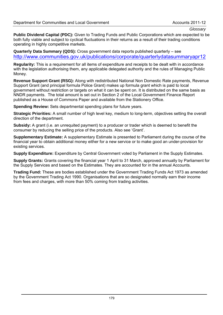**Public Dividend Capital (PDC):** Given to Trading Funds and Public Corporations which are expected to be both fully viable and subject to cyclical fluctuations in their returns as a result of their trading conditions operating in highly competitive markets.

**Quarterly Data Summary (QDS):** Cross government data reports published quarterly – see <http://www.communities.gov.uk/publications/corporate/quarterlydatasummaryapr12>

**Regularity:** This is a requirement for all items of expenditure and receipts to be dealt with in accordance with the legislation authorising them, any applicable delegated authority and the rules of Managing Public Money.

**Revenue Support Grant (RSG):** Along with redistributed National Non Domestic Rate payments, Revenue Support Grant (and principal formula Police Grant) makes up formula grant which is paid to local government without restriction or targets on what it can be spent on. It is distributed on the same basis as NNDR payments. The total amount is set out in Section 2 of the Local Government Finance Report published as a House of Commons Paper and available from the Stationery Office.

**Spending Review:** Sets departmental spending plans for future years.

**Strategic Priorities:** A small number of high level key, medium to long-term, objectives setting the overall direction of the department.

**Subsidy:** A grant (i.e. an unrequited payment) to a producer or trader which is deemed to benefit the consumer by reducing the selling price of the products. Also see 'Grant'.

**Supplementary Estimate:** A supplementary Estimate is presented to Parliament during the course of the financial year to obtain additional money either for a new service or to make good an under-provision for existing services.

**Supply Expenditure:** Expenditure by Central Government voted by Parliament in the Supply Estimates.

**Supply Grants:** Grants covering the financial year 1 April to 31 March, approved annually by Parliament for the Supply Services and based on the Estimates. They are accounted for in the annual Accounts.

**Trading Fund:** These are bodies established under the Government Trading Funds Act 1973 as amended by the Government Trading Act 1990. Organisations that are so designated normally earn their income from fees and charges, with more than 50% coming from trading activities.